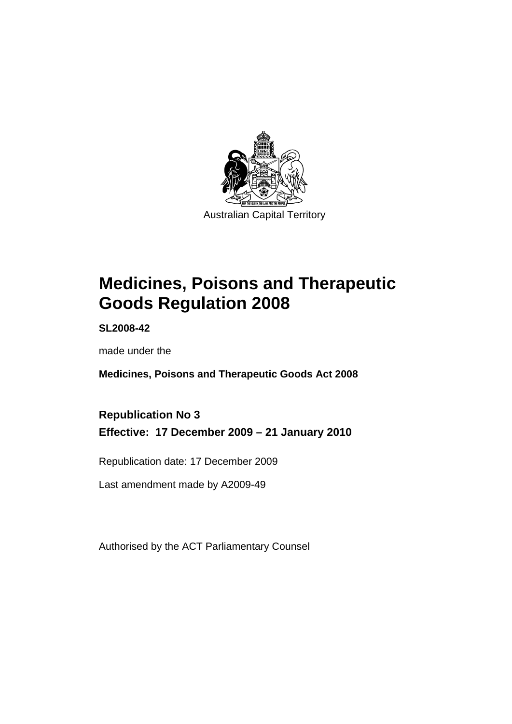

# **[Medicines, Poisons and Therapeutic](#page-24-0)  [Goods Regulation 2008](#page-24-0)**

**SL2008-42** 

made under the

**[Medicines, Poisons and Therapeutic Goods Act 2008](#page-24-0)** 

# **Republication No 3 Effective: 17 December 2009 – 21 January 2010**

Republication date: 17 December 2009

Last amendment made by A2009-49

Authorised by the ACT Parliamentary Counsel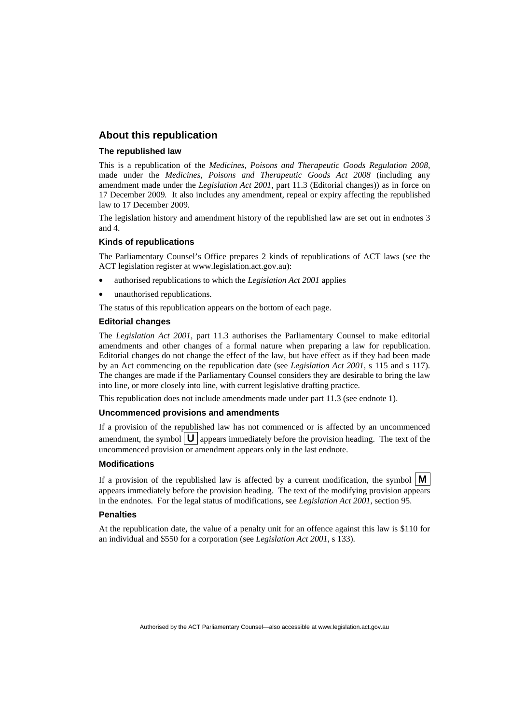### **About this republication**

#### **The republished law**

This is a republication of the *Medicines, Poisons and Therapeutic Goods Regulation 2008*, made under the *[Medicines, Poisons and Therapeutic Goods Act 2008](#page-24-0)* (including any amendment made under the *Legislation Act 2001*, part 11.3 (Editorial changes)) as in force on 17 December 2009*.* It also includes any amendment, repeal or expiry affecting the republished law to 17 December 2009.

The legislation history and amendment history of the republished law are set out in endnotes 3 and 4.

#### **Kinds of republications**

The Parliamentary Counsel's Office prepares 2 kinds of republications of ACT laws (see the ACT legislation register at www.legislation.act.gov.au):

- authorised republications to which the *Legislation Act 2001* applies
- unauthorised republications.

The status of this republication appears on the bottom of each page.

#### **Editorial changes**

The *Legislation Act 2001*, part 11.3 authorises the Parliamentary Counsel to make editorial amendments and other changes of a formal nature when preparing a law for republication. Editorial changes do not change the effect of the law, but have effect as if they had been made by an Act commencing on the republication date (see *Legislation Act 2001*, s 115 and s 117). The changes are made if the Parliamentary Counsel considers they are desirable to bring the law into line, or more closely into line, with current legislative drafting practice.

This republication does not include amendments made under part 11.3 (see endnote 1).

#### **Uncommenced provisions and amendments**

If a provision of the republished law has not commenced or is affected by an uncommenced amendment, the symbol  $\mathbf{U}$  appears immediately before the provision heading. The text of the uncommenced provision or amendment appears only in the last endnote.

#### **Modifications**

If a provision of the republished law is affected by a current modification, the symbol  $\vert \mathbf{M} \vert$ appears immediately before the provision heading. The text of the modifying provision appears in the endnotes. For the legal status of modifications, see *Legislation Act 2001*, section 95.

#### **Penalties**

At the republication date, the value of a penalty unit for an offence against this law is \$110 for an individual and \$550 for a corporation (see *Legislation Act 2001*, s 133).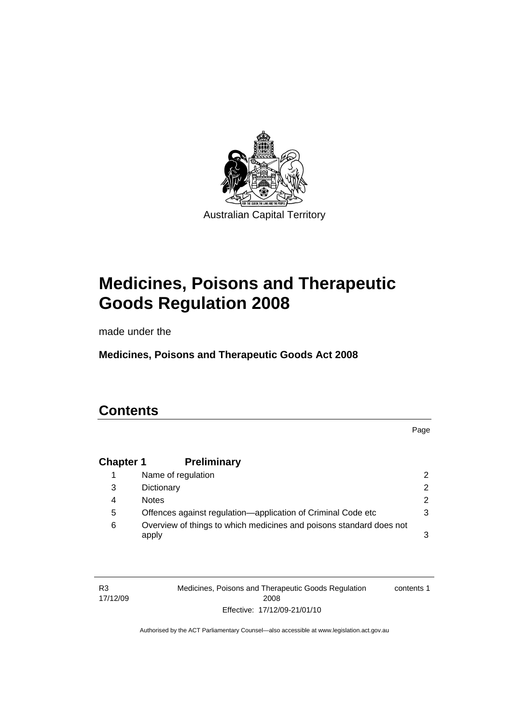

# **[Medicines, Poisons and Therapeutic](#page-24-0)  [Goods Regulation 2008](#page-24-0)**

made under the

**[Medicines, Poisons and Therapeutic Goods Act 2008](#page-24-0)** 

# **Contents**

Page

# **Chapter 1 Preliminary**

|   | Name of regulation                                                           | 2             |
|---|------------------------------------------------------------------------------|---------------|
| 3 | Dictionary                                                                   | $\mathcal{P}$ |
| 4 | <b>Notes</b>                                                                 | 2             |
| 5 | Offences against regulation—application of Criminal Code etc                 | 3             |
| 6 | Overview of things to which medicines and poisons standard does not<br>apply | 3             |

R3 17/12/09 Medicines, Poisons and Therapeutic Goods Regulation 2008 Effective: 17/12/09-21/01/10 contents 1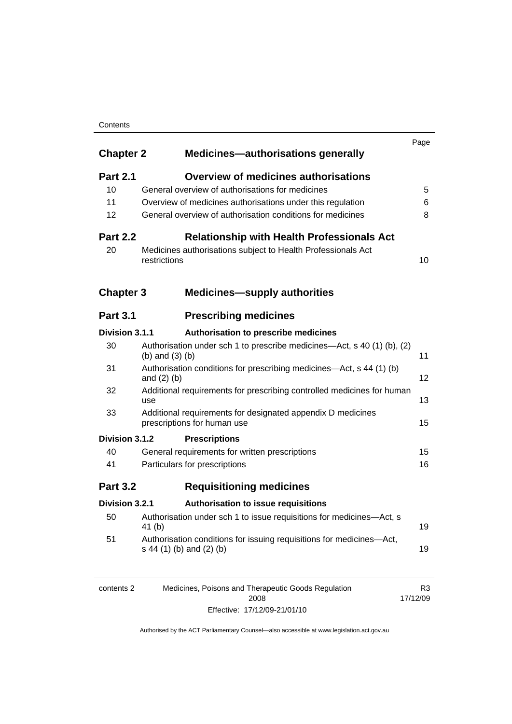#### **Contents**

| <b>Chapter 2</b><br><b>Medicines-authorisations generally</b> |                                                                                                  |    |
|---------------------------------------------------------------|--------------------------------------------------------------------------------------------------|----|
| <b>Part 2.1</b>                                               | <b>Overview of medicines authorisations</b>                                                      |    |
| 10                                                            | General overview of authorisations for medicines                                                 | 5  |
| 11                                                            | Overview of medicines authorisations under this regulation                                       | 6  |
| 12                                                            | General overview of authorisation conditions for medicines                                       | 8  |
| <b>Part 2.2</b>                                               | <b>Relationship with Health Professionals Act</b>                                                |    |
| 20                                                            | Medicines authorisations subject to Health Professionals Act<br>restrictions                     | 10 |
| <b>Chapter 3</b>                                              | <b>Medicines-supply authorities</b>                                                              |    |
| <b>Part 3.1</b>                                               | <b>Prescribing medicines</b>                                                                     |    |
| Division 3.1.1                                                | Authorisation to prescribe medicines                                                             |    |
| 30                                                            | Authorisation under sch 1 to prescribe medicines—Act, s 40 (1) (b), (2)<br>(b) and $(3)$ (b)     | 11 |
| 31                                                            | Authorisation conditions for prescribing medicines—Act, s 44 (1) (b)<br>and $(2)$ $(b)$          | 12 |
| 32                                                            | Additional requirements for prescribing controlled medicines for human<br>use                    | 13 |
| 33                                                            | Additional requirements for designated appendix D medicines<br>prescriptions for human use       | 15 |
| Division 3.1.2                                                | <b>Prescriptions</b>                                                                             |    |
| 40                                                            | General requirements for written prescriptions                                                   | 15 |
| 41                                                            | Particulars for prescriptions                                                                    | 16 |
| <b>Part 3.2</b>                                               | <b>Requisitioning medicines</b>                                                                  |    |
| Division 3.2.1                                                | Authorisation to issue requisitions                                                              |    |
| 50                                                            | Authorisation under sch 1 to issue requisitions for medicines-Act, s<br>41 $(b)$                 | 19 |
| 51                                                            | Authorisation conditions for issuing requisitions for medicines-Act,<br>s 44 (1) (b) and (2) (b) | 19 |
|                                                               |                                                                                                  |    |

| contents 2 | Medicines, Poisons and Therapeutic Goods Regulation | R3       |
|------------|-----------------------------------------------------|----------|
|            | 2008                                                | 17/12/09 |
|            | Effective: 17/12/09-21/01/10                        |          |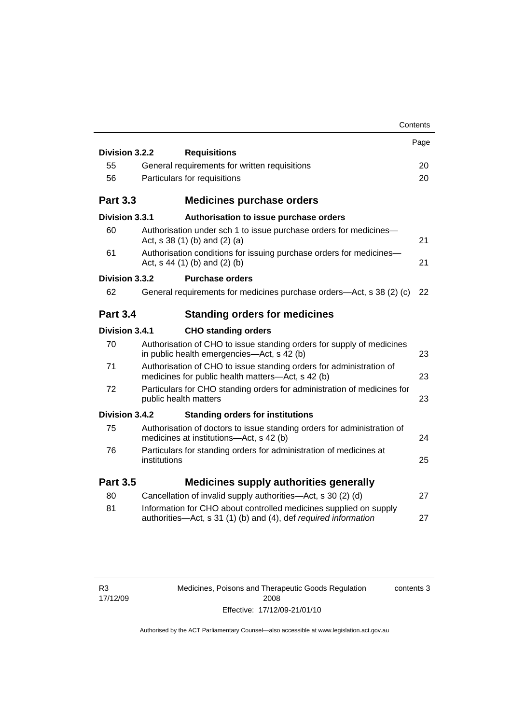|                 | Contents                                                                                                                             |      |
|-----------------|--------------------------------------------------------------------------------------------------------------------------------------|------|
|                 |                                                                                                                                      | Page |
| Division 3.2.2  | <b>Requisitions</b>                                                                                                                  |      |
| 55              | General requirements for written requisitions                                                                                        | 20   |
| 56              | Particulars for requisitions                                                                                                         | 20   |
| <b>Part 3.3</b> | <b>Medicines purchase orders</b>                                                                                                     |      |
| Division 3.3.1  | Authorisation to issue purchase orders                                                                                               |      |
| 60              | Authorisation under sch 1 to issue purchase orders for medicines-<br>Act, $s$ 38 (1) (b) and (2) (a)                                 | 21   |
| 61              | Authorisation conditions for issuing purchase orders for medicines-<br>Act, $s$ 44 (1) (b) and (2) (b)                               | 21   |
| Division 3.3.2  | <b>Purchase orders</b>                                                                                                               |      |
| 62              | General requirements for medicines purchase orders—Act, s 38 (2) (c)                                                                 | 22   |
| <b>Part 3.4</b> | <b>Standing orders for medicines</b>                                                                                                 |      |
| Division 3.4.1  | <b>CHO standing orders</b>                                                                                                           |      |
| 70              | Authorisation of CHO to issue standing orders for supply of medicines<br>in public health emergencies-Act, s 42 (b)                  | 23   |
| 71              | Authorisation of CHO to issue standing orders for administration of<br>medicines for public health matters—Act, s 42 (b)             | 23   |
| 72              | Particulars for CHO standing orders for administration of medicines for<br>public health matters                                     | 23   |
| Division 3.4.2  | <b>Standing orders for institutions</b>                                                                                              |      |
| 75              | Authorisation of doctors to issue standing orders for administration of<br>medicines at institutions-Act, s 42 (b)                   | 24   |
| 76              | Particulars for standing orders for administration of medicines at<br>institutions                                                   | 25   |
| <b>Part 3.5</b> | <b>Medicines supply authorities generally</b>                                                                                        |      |
| 80              | Cancellation of invalid supply authorities—Act, s 30 (2) (d)                                                                         | 27   |
| 81              | Information for CHO about controlled medicines supplied on supply<br>authorities-Act, s 31 (1) (b) and (4), def required information | 27   |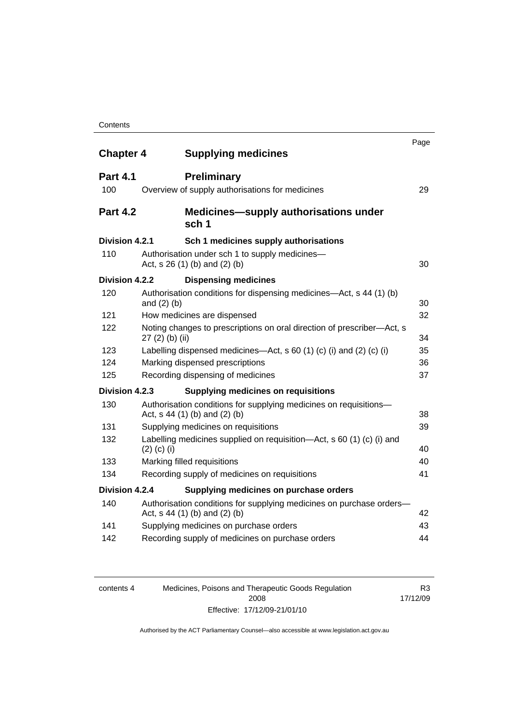| <b>Chapter 4</b> |                  | <b>Supplying medicines</b>                                                                            | Page |
|------------------|------------------|-------------------------------------------------------------------------------------------------------|------|
|                  |                  |                                                                                                       |      |
| <b>Part 4.1</b>  |                  | <b>Preliminary</b>                                                                                    |      |
| 100              |                  | Overview of supply authorisations for medicines                                                       | 29   |
| <b>Part 4.2</b>  |                  | <b>Medicines—supply authorisations under</b><br>sch <sub>1</sub>                                      |      |
| Division 4.2.1   |                  | Sch 1 medicines supply authorisations                                                                 |      |
| 110              |                  | Authorisation under sch 1 to supply medicines-<br>Act, $s 26 (1) (b)$ and $(2) (b)$                   | 30   |
| Division 4.2.2   |                  | <b>Dispensing medicines</b>                                                                           |      |
| 120              |                  | Authorisation conditions for dispensing medicines-Act, s 44 (1) (b)                                   |      |
|                  | and $(2)$ $(b)$  |                                                                                                       | 30   |
| 121              |                  | How medicines are dispensed                                                                           | 32   |
| 122              | $27(2)$ (b) (ii) | Noting changes to prescriptions on oral direction of prescriber-Act, s                                | 34   |
| 123              |                  | Labelling dispensed medicines—Act, s 60 (1) (c) (i) and (2) (c) (i)                                   | 35   |
| 124              |                  | Marking dispensed prescriptions                                                                       | 36   |
| 125              |                  | Recording dispensing of medicines                                                                     | 37   |
| Division 4.2.3   |                  | <b>Supplying medicines on requisitions</b>                                                            |      |
| 130              |                  | Authorisation conditions for supplying medicines on requisitions-<br>Act, s 44 (1) (b) and (2) (b)    | 38   |
| 131              |                  | Supplying medicines on requisitions                                                                   | 39   |
| 132              | $(2)$ (c) (i)    | Labelling medicines supplied on requisition-Act, s 60 (1) (c) (i) and                                 | 40   |
| 133              |                  | Marking filled requisitions                                                                           | 40   |
| 134              |                  | Recording supply of medicines on requisitions                                                         | 41   |
| Division 4.2.4   |                  | Supplying medicines on purchase orders                                                                |      |
| 140              |                  | Authorisation conditions for supplying medicines on purchase orders-<br>Act, s 44 (1) (b) and (2) (b) | 42   |
| 141              |                  | Supplying medicines on purchase orders                                                                | 43   |
| 142              |                  | Recording supply of medicines on purchase orders                                                      | 44   |
|                  |                  |                                                                                                       |      |

| contents 4 | Medicines, Poisons and Therapeutic Goods Regulation | R3       |
|------------|-----------------------------------------------------|----------|
|            | 2008                                                | 17/12/09 |
|            | Effective: 17/12/09-21/01/10                        |          |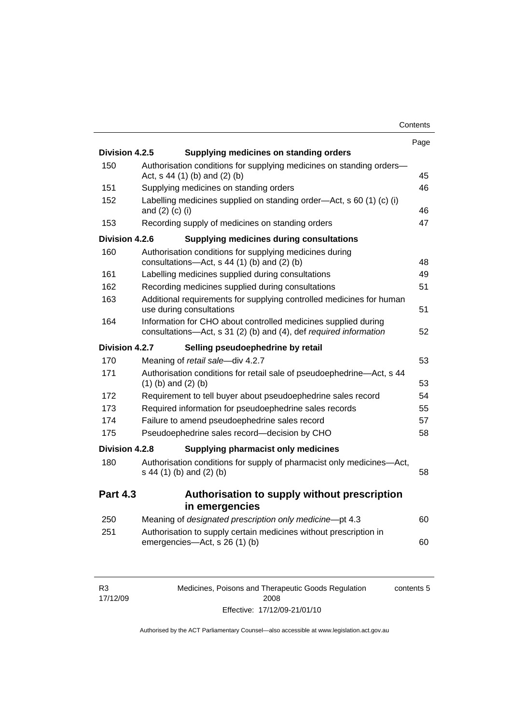|                 |                                                                                                                                     | Page |
|-----------------|-------------------------------------------------------------------------------------------------------------------------------------|------|
| Division 4.2.5  | Supplying medicines on standing orders                                                                                              |      |
| 150             | Authorisation conditions for supplying medicines on standing orders-<br>Act, s 44 (1) (b) and (2) (b)                               | 45   |
| 151             | Supplying medicines on standing orders                                                                                              | 46   |
| 152             | Labelling medicines supplied on standing order-Act, s 60 (1) (c) (i)<br>and (2) (c) (i)                                             | 46   |
| 153             | Recording supply of medicines on standing orders                                                                                    | 47   |
| Division 4.2.6  | <b>Supplying medicines during consultations</b>                                                                                     |      |
| 160             | Authorisation conditions for supplying medicines during<br>consultations- $-\text{Act}$ , s 44 (1) (b) and (2) (b)                  | 48   |
| 161             | Labelling medicines supplied during consultations                                                                                   | 49   |
| 162             | Recording medicines supplied during consultations                                                                                   | 51   |
| 163             | Additional requirements for supplying controlled medicines for human<br>use during consultations                                    | 51   |
| 164             | Information for CHO about controlled medicines supplied during<br>consultations-Act, s 31 (2) (b) and (4), def required information | 52   |
| Division 4.2.7  | Selling pseudoephedrine by retail                                                                                                   |      |
| 170             | Meaning of retail sale-div 4.2.7                                                                                                    | 53   |
| 171             | Authorisation conditions for retail sale of pseudoephedrine-Act, s 44<br>$(1)$ (b) and $(2)$ (b)                                    | 53   |
| 172             | Requirement to tell buyer about pseudoephedrine sales record                                                                        | 54   |
| 173             | Required information for pseudoephedrine sales records                                                                              | 55   |
| 174             | Failure to amend pseudoephedrine sales record                                                                                       | 57   |
| 175             | Pseudoephedrine sales record-decision by CHO                                                                                        | 58   |
| Division 4.2.8  | Supplying pharmacist only medicines                                                                                                 |      |
| 180             | Authorisation conditions for supply of pharmacist only medicines-Act,<br>s 44 (1) (b) and (2) (b)                                   | 58   |
| <b>Part 4.3</b> | Authorisation to supply without prescription<br>in emergencies                                                                      |      |
| 250             | Meaning of designated prescription only medicine-pt 4.3                                                                             | 60   |
| 251             | Authorisation to supply certain medicines without prescription in                                                                   |      |
|                 | emergencies-Act, s 26 (1) (b)                                                                                                       | 60   |

R3 17/12/09 Medicines, Poisons and Therapeutic Goods Regulation 2008 Effective: 17/12/09-21/01/10 contents 5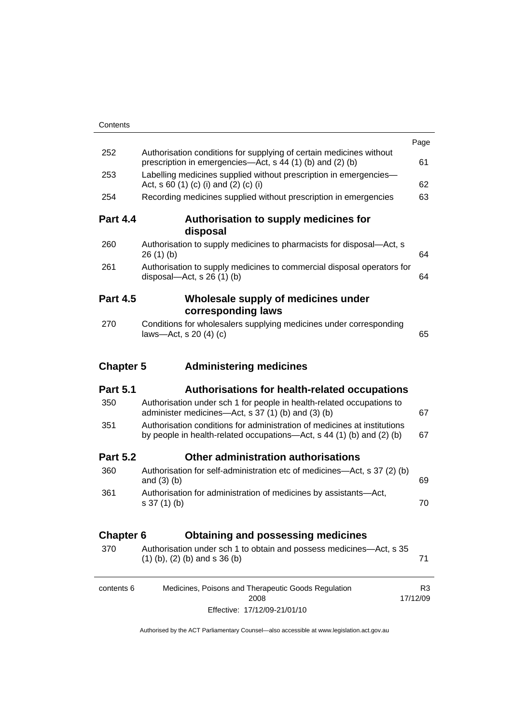|                  |                                                                                                                                                   | Page           |
|------------------|---------------------------------------------------------------------------------------------------------------------------------------------------|----------------|
| 252              | Authorisation conditions for supplying of certain medicines without<br>prescription in emergencies—Act, s 44 (1) (b) and (2) (b)                  | 61             |
| 253              | Labelling medicines supplied without prescription in emergencies-<br>Act, s 60 (1) (c) (i) and (2) (c) (i)                                        | 62             |
| 254              | Recording medicines supplied without prescription in emergencies                                                                                  | 63             |
| <b>Part 4.4</b>  | Authorisation to supply medicines for<br>disposal                                                                                                 |                |
| 260              | Authorisation to supply medicines to pharmacists for disposal-Act, s<br>26(1)(b)                                                                  | 64             |
| 261              | Authorisation to supply medicines to commercial disposal operators for<br>disposal- $-\text{Act}$ , s 26 (1) (b)                                  | 64             |
| <b>Part 4.5</b>  | Wholesale supply of medicines under                                                                                                               |                |
|                  | corresponding laws                                                                                                                                |                |
| 270              | Conditions for wholesalers supplying medicines under corresponding<br>laws-Act, s $20(4)(c)$                                                      | 65             |
| <b>Chapter 5</b> | <b>Administering medicines</b>                                                                                                                    |                |
| <b>Part 5.1</b>  | Authorisations for health-related occupations                                                                                                     |                |
| 350              | Authorisation under sch 1 for people in health-related occupations to<br>administer medicines—Act, s 37 (1) (b) and (3) (b)                       | 67             |
| 351              | Authorisation conditions for administration of medicines at institutions<br>by people in health-related occupations-Act, s 44 (1) (b) and (2) (b) | 67             |
| <b>Part 5.2</b>  | Other administration authorisations                                                                                                               |                |
| 360              | Authorisation for self-administration etc of medicines-Act, s 37 (2) (b)<br>and $(3)$ $(b)$                                                       | 69             |
| 361              | Authorisation for administration of medicines by assistants-Act,<br>$s 37(1)$ (b)                                                                 | 70             |
| <b>Chapter 6</b> | <b>Obtaining and possessing medicines</b>                                                                                                         |                |
| 370              | Authorisation under sch 1 to obtain and possess medicines—Act, s 35<br>$(1)$ (b), (2) (b) and s 36 (b)                                            | 71             |
| contents 6       | Medicines, Poisons and Therapeutic Goods Regulation                                                                                               | R <sub>3</sub> |

Effective: 17/12/09-21/01/10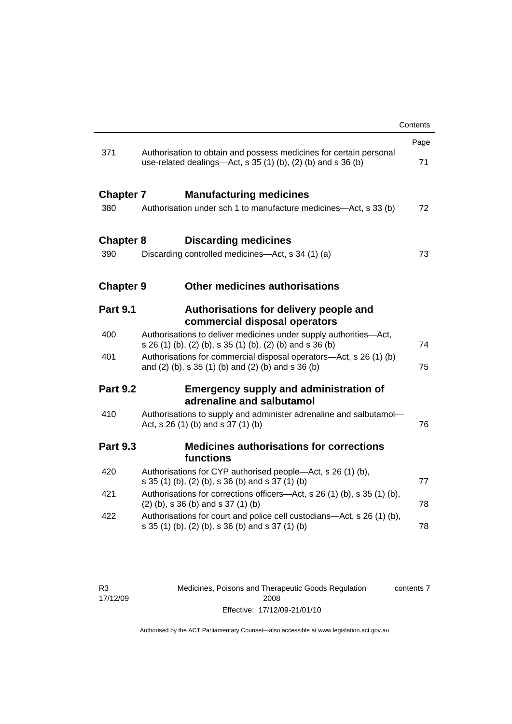|                                                                                                                                           | Contents |
|-------------------------------------------------------------------------------------------------------------------------------------------|----------|
|                                                                                                                                           | Page     |
| 371<br>Authorisation to obtain and possess medicines for certain personal<br>use-related dealings—Act, s 35 (1) (b), (2) (b) and s 36 (b) | 71       |
| <b>Chapter 7</b><br><b>Manufacturing medicines</b>                                                                                        |          |
| 380<br>Authorisation under sch 1 to manufacture medicines-Act, s 33 (b)                                                                   | 72       |
| <b>Discarding medicines</b><br><b>Chapter 8</b>                                                                                           |          |
| Discarding controlled medicines—Act, s 34 (1) (a)<br>390                                                                                  | 73       |
| Other medicines authorisations<br><b>Chapter 9</b>                                                                                        |          |
| <b>Part 9.1</b><br>Authorisations for delivery people and<br>commercial disposal operators                                                |          |
| 400<br>Authorisations to deliver medicines under supply authorities-Act,<br>s 26 (1) (b), (2) (b), s 35 (1) (b), (2) (b) and s 36 (b)     | 74       |
| Authorisations for commercial disposal operators-Act, s 26 (1) (b)<br>401<br>and (2) (b), s 35 (1) (b) and (2) (b) and s 36 (b)           | 75       |
| <b>Part 9.2</b><br><b>Emergency supply and administration of</b><br>adrenaline and salbutamol                                             |          |
| 410<br>Authorisations to supply and administer adrenaline and salbutamol-<br>Act, s 26 (1) (b) and s 37 (1) (b)                           | 76       |
| <b>Medicines authorisations for corrections</b><br><b>Part 9.3</b><br>functions                                                           |          |
| 420<br>Authorisations for CYP authorised people-Act, s 26 (1) (b),<br>s 35 (1) (b), (2) (b), s 36 (b) and s 37 (1) (b)                    | 77       |
| 421<br>Authorisations for corrections officers—Act, s 26 (1) (b), s 35 (1) (b),<br>$(2)$ (b), s 36 (b) and s 37 (1) (b)                   | 78       |
| 422<br>Authorisations for court and police cell custodians—Act, s 26 (1) (b),<br>s 35 (1) (b), (2) (b), s 36 (b) and s 37 (1) (b)         | 78       |

Medicines, Poisons and Therapeutic Goods Regulation 2008 Effective: 17/12/09-21/01/10

contents 7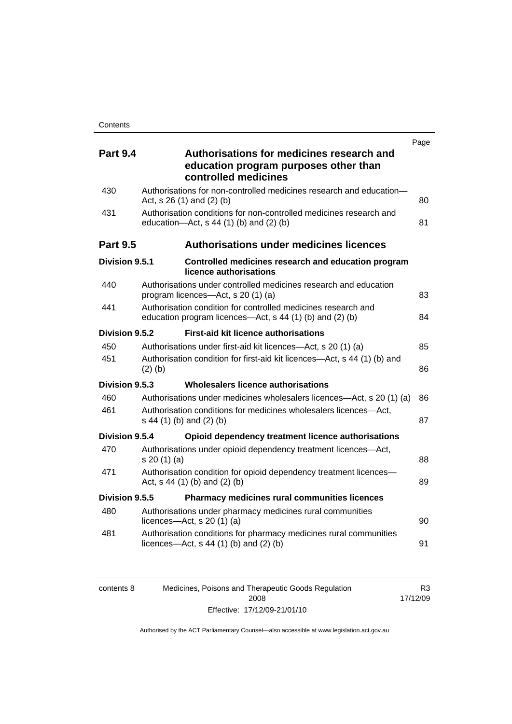|                 |                                                                                                                           | Page |
|-----------------|---------------------------------------------------------------------------------------------------------------------------|------|
| <b>Part 9.4</b> | Authorisations for medicines research and<br>education program purposes other than<br>controlled medicines                |      |
| 430             | Authorisations for non-controlled medicines research and education-<br>Act, s 26 (1) and (2) (b)                          | 80   |
| 431             | Authorisation conditions for non-controlled medicines research and<br>education-Act, s 44 (1) (b) and (2) (b)             | 81   |
| <b>Part 9.5</b> | <b>Authorisations under medicines licences</b>                                                                            |      |
| Division 9.5.1  | Controlled medicines research and education program<br>licence authorisations                                             |      |
| 440             | Authorisations under controlled medicines research and education<br>program licences-Act, s 20 (1) (a)                    | 83   |
| 441             | Authorisation condition for controlled medicines research and<br>education program licences—Act, s 44 (1) (b) and (2) (b) | 84   |
| Division 9.5.2  | <b>First-aid kit licence authorisations</b>                                                                               |      |
| 450             | Authorisations under first-aid kit licences—Act, s 20 (1) (a)                                                             | 85   |
| 451             | Authorisation condition for first-aid kit licences-Act, s 44 (1) (b) and<br>$(2)$ (b)                                     | 86   |
| Division 9.5.3  | Wholesalers licence authorisations                                                                                        |      |
| 460             | Authorisations under medicines wholesalers licences—Act, s 20 (1) (a)                                                     | 86   |
| 461             | Authorisation conditions for medicines wholesalers licences-Act,<br>s 44 (1) (b) and (2) (b)                              | 87   |
| Division 9.5.4  | Opioid dependency treatment licence authorisations                                                                        |      |
| 470             | Authorisations under opioid dependency treatment licences-Act,<br>s 20 (1) (a)                                            | 88   |
| 471             | Authorisation condition for opioid dependency treatment licences-<br>Act, $s$ 44 (1) (b) and (2) (b)                      | 89   |
| Division 9.5.5  | Pharmacy medicines rural communities licences                                                                             |      |
| 480             | Authorisations under pharmacy medicines rural communities<br>licences- $-\text{Act}$ , s 20 (1) (a)                       | 90   |
| 481             | Authorisation conditions for pharmacy medicines rural communities<br>licences- $-\text{Act}$ , s 44 (1) (b) and (2) (b)   | 91   |

| contents 8 | Medicines, Poisons and Therapeutic Goods Regulation | R3       |
|------------|-----------------------------------------------------|----------|
|            | 2008                                                | 17/12/09 |
|            | Effective: 17/12/09-21/01/10                        |          |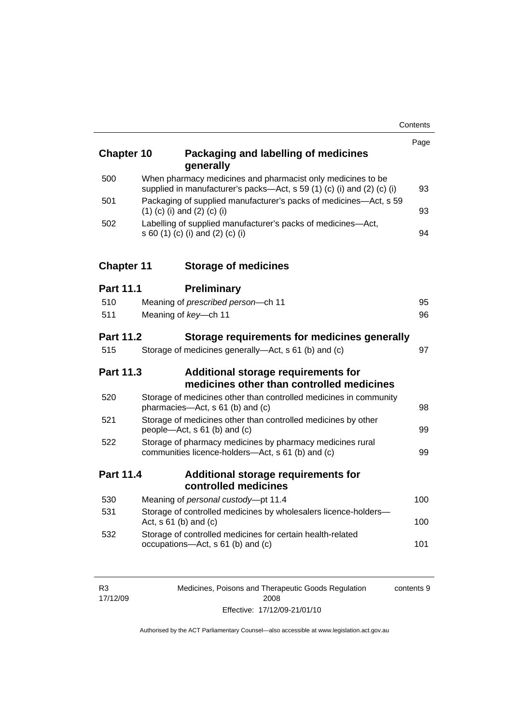| <b>Chapter 10</b> | Packaging and labelling of medicines<br>generally                                                                                     | Page |
|-------------------|---------------------------------------------------------------------------------------------------------------------------------------|------|
| 500               | When pharmacy medicines and pharmacist only medicines to be<br>supplied in manufacturer's packs-Act, s 59 (1) (c) (i) and (2) (c) (i) | 93   |
| 501               | Packaging of supplied manufacturer's packs of medicines-Act, s 59<br>$(1)$ (c) (i) and (2) (c) (i)                                    | 93   |
| 502               | Labelling of supplied manufacturer's packs of medicines-Act,<br>s 60 (1) (c) (i) and (2) (c) (i)                                      | 94   |
| <b>Chapter 11</b> | <b>Storage of medicines</b>                                                                                                           |      |
| <b>Part 11.1</b>  | <b>Preliminary</b>                                                                                                                    |      |
| 510               | Meaning of prescribed person-ch 11                                                                                                    | 95   |
| 511               | Meaning of key-ch 11                                                                                                                  | 96   |
| <b>Part 11.2</b>  | Storage requirements for medicines generally                                                                                          |      |
| 515               | Storage of medicines generally—Act, s 61 (b) and (c)                                                                                  | 97   |
| <b>Part 11.3</b>  | Additional storage requirements for<br>medicines other than controlled medicines                                                      |      |
| 520               | Storage of medicines other than controlled medicines in community<br>pharmacies-Act, s 61 (b) and (c)                                 | 98   |
| 521               | Storage of medicines other than controlled medicines by other<br>people—Act, s 61 (b) and (c)                                         | 99   |
| 522               | Storage of pharmacy medicines by pharmacy medicines rural<br>communities licence-holders-Act, s 61 (b) and (c)                        | 99   |
| <b>Part 11.4</b>  | Additional storage requirements for<br>controlled medicines                                                                           |      |
| 530               | Meaning of personal custody-pt 11.4                                                                                                   | 100  |
| 531               | Storage of controlled medicines by wholesalers licence-holders-<br>Act, $s 61$ (b) and (c)                                            | 100  |
| 532               | Storage of controlled medicines for certain health-related<br>occupations-Act, s 61 (b) and (c)                                       | 101  |

| R <sub>3</sub> | Medicines, Poisons and Therapeutic Goods Regulation | contents 9 |
|----------------|-----------------------------------------------------|------------|
| 17/12/09       | 2008                                                |            |
|                | Effective: 17/12/09-21/01/10                        |            |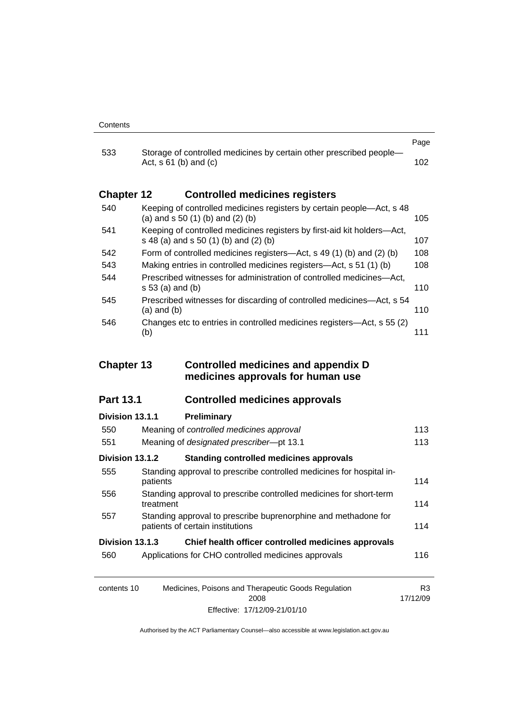| 533               |                                                                                                                  | Page |
|-------------------|------------------------------------------------------------------------------------------------------------------|------|
|                   | Storage of controlled medicines by certain other prescribed people-<br>Act, $s \, 61$ (b) and (c)                | 102. |
| <b>Chapter 12</b> | <b>Controlled medicines registers</b>                                                                            |      |
| 540               | Keeping of controlled medicines registers by certain people—Act, s 48<br>(a) and $s$ 50 (1) (b) and (2) (b)      | 105  |
| 541               | Keeping of controlled medicines registers by first-aid kit holders—Act,<br>s 48 (a) and s 50 (1) (b) and (2) (b) | 107  |
| 542               | Form of controlled medicines registers—Act, s 49 (1) (b) and (2) (b)                                             | 108  |
| 543               | Making entries in controlled medicines registers—Act, s 51 (1) (b)                                               | 108  |
| 544               | Prescribed witnesses for administration of controlled medicines—Act,<br>s 53 (a) and (b)                         | 110  |
| 545               | Prescribed witnesses for discarding of controlled medicines—Act, s 54<br>$(a)$ and $(b)$                         | 110  |
| 546               | Changes etc to entries in controlled medicines registers—Act, s 55 (2)<br>(b)                                    | 111  |

### **Chapter 13 Controlled medicines and appendix D medicines approvals for human use**

# **Part 13.1 Controlled medicines approvals**

| Division 13.1.1 | Preliminary                                                                                        |     |
|-----------------|----------------------------------------------------------------------------------------------------|-----|
| 550             | Meaning of controlled medicines approval                                                           | 113 |
| 551             | Meaning of designated prescriber-pt 13.1                                                           | 113 |
| Division 13.1.2 | <b>Standing controlled medicines approvals</b>                                                     |     |
| 555             | Standing approval to prescribe controlled medicines for hospital in-<br>patients                   | 114 |
| 556             | Standing approval to prescribe controlled medicines for short-term<br>treatment                    | 114 |
| 557             | Standing approval to prescribe buprenorphine and methadone for<br>patients of certain institutions | 114 |
| Division 13.1.3 | Chief health officer controlled medicines approvals                                                |     |
| 560             | Applications for CHO controlled medicines approvals                                                | 116 |
|                 |                                                                                                    |     |
| constant 10     | Modicines Dejeans and Therepoutie Coade Pequlation                                                 | פם  |

| contents 10 | Medicines, Poisons and Therapeutic Goods Regulation | R3       |
|-------------|-----------------------------------------------------|----------|
|             | 2008                                                | 17/12/09 |
|             | Effective: 17/12/09-21/01/10                        |          |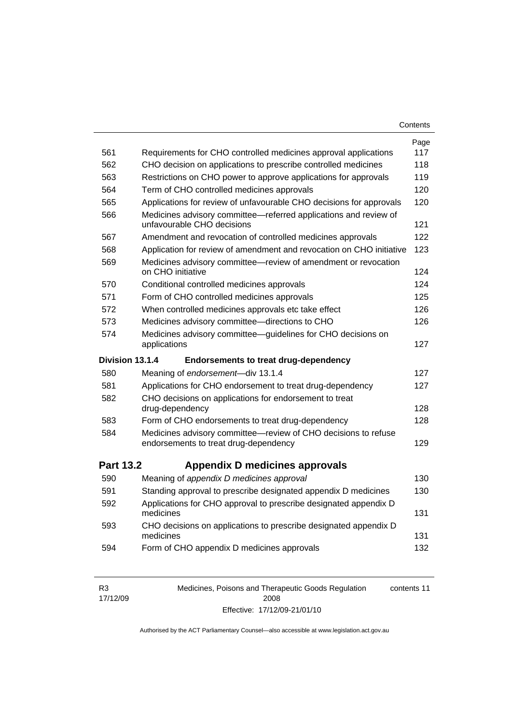| Contents |
|----------|
|----------|

|                  |                                                                                                                                                 | Page |
|------------------|-------------------------------------------------------------------------------------------------------------------------------------------------|------|
| 561              | Requirements for CHO controlled medicines approval applications                                                                                 | 117  |
| 562              | CHO decision on applications to prescribe controlled medicines                                                                                  | 118  |
| 563              | Restrictions on CHO power to approve applications for approvals                                                                                 | 119  |
| 564              | Term of CHO controlled medicines approvals                                                                                                      | 120  |
| 565              | Applications for review of unfavourable CHO decisions for approvals                                                                             | 120  |
| 566              | Medicines advisory committee-referred applications and review of<br>unfavourable CHO decisions                                                  | 121  |
| 567              | Amendment and revocation of controlled medicines approvals                                                                                      | 122  |
| 568              | Application for review of amendment and revocation on CHO initiative                                                                            | 123  |
| 569              | Medicines advisory committee-review of amendment or revocation<br>on CHO initiative                                                             | 124  |
| 570              | Conditional controlled medicines approvals                                                                                                      | 124  |
| 571              | Form of CHO controlled medicines approvals                                                                                                      | 125  |
| 572              | When controlled medicines approvals etc take effect                                                                                             | 126  |
| 573              | Medicines advisory committee-directions to CHO                                                                                                  | 126  |
| 574              | Medicines advisory committee—guidelines for CHO decisions on<br>applications                                                                    | 127  |
|                  | <b>Endorsements to treat drug-dependency</b>                                                                                                    |      |
| Division 13.1.4  |                                                                                                                                                 |      |
| 580              | Meaning of endorsement-div 13.1.4                                                                                                               | 127  |
| 581              | Applications for CHO endorsement to treat drug-dependency                                                                                       | 127  |
| 582              | CHO decisions on applications for endorsement to treat<br>drug-dependency                                                                       | 128  |
| 583              | Form of CHO endorsements to treat drug-dependency                                                                                               | 128  |
| 584              | Medicines advisory committee-review of CHO decisions to refuse<br>endorsements to treat drug-dependency                                         | 129  |
| <b>Part 13.2</b> | Appendix D medicines approvals                                                                                                                  |      |
| 590              | Meaning of appendix D medicines approval                                                                                                        | 130  |
| 591              |                                                                                                                                                 | 130  |
| 592              | Standing approval to prescribe designated appendix D medicines<br>Applications for CHO approval to prescribe designated appendix D<br>medicines | 131  |
| 593              | CHO decisions on applications to prescribe designated appendix D<br>medicines                                                                   | 131  |

| R <sub>3</sub> | Medicines, Poisons and Therapeutic Goods Regulation | contents 11 |
|----------------|-----------------------------------------------------|-------------|
| 17/12/09       | 2008                                                |             |
|                | Effective: 17/12/09-21/01/10                        |             |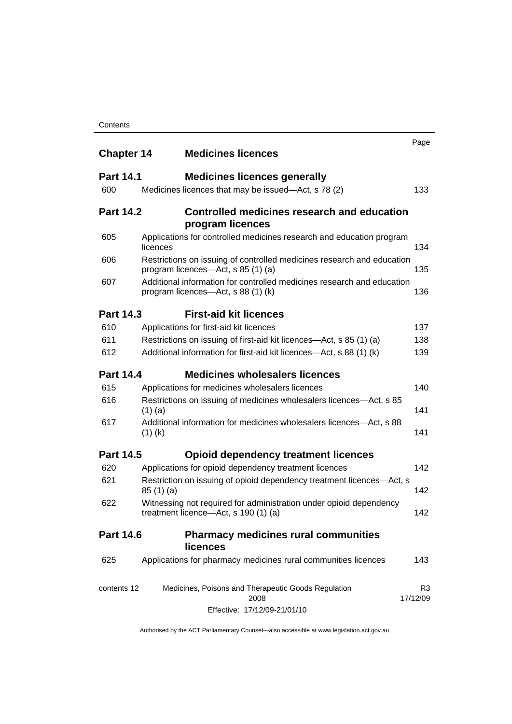| <b>Chapter 14</b> |           | <b>Medicines licences</b>                                                                                    | Page     |
|-------------------|-----------|--------------------------------------------------------------------------------------------------------------|----------|
| <b>Part 14.1</b>  |           | <b>Medicines licences generally</b>                                                                          |          |
| 600               |           | Medicines licences that may be issued—Act, s 78 (2)                                                          |          |
| <b>Part 14.2</b>  |           | Controlled medicines research and education<br>program licences                                              |          |
| 605               | licences  | Applications for controlled medicines research and education program                                         |          |
| 606               |           | Restrictions on issuing of controlled medicines research and education<br>program licences—Act, s 85 (1) (a) |          |
| 607               |           | Additional information for controlled medicines research and education<br>program licences—Act, s 88 (1) (k) |          |
| <b>Part 14.3</b>  |           | <b>First-aid kit licences</b>                                                                                |          |
| 610               |           | Applications for first-aid kit licences                                                                      |          |
| 611               |           | Restrictions on issuing of first-aid kit licences—Act, s 85 (1) (a)                                          |          |
| 612               |           | Additional information for first-aid kit licences—Act, s 88 (1) (k)                                          |          |
| <b>Part 14.4</b>  |           | <b>Medicines wholesalers licences</b>                                                                        |          |
| 615               |           | Applications for medicines wholesalers licences                                                              |          |
| 616               | $(1)$ (a) | Restrictions on issuing of medicines wholesalers licences-Act, s 85                                          |          |
| 617               | $(1)$ (k) | Additional information for medicines wholesalers licences—Act, s 88                                          |          |
| <b>Part 14.5</b>  |           | <b>Opioid dependency treatment licences</b>                                                                  |          |
| 620               |           | Applications for opioid dependency treatment licences                                                        |          |
| 621               | 85(1)(a)  | Restriction on issuing of opioid dependency treatment licences-Act, s                                        |          |
| 622               |           | Witnessing not required for administration under opioid dependency<br>treatment licence-Act, s 190 (1) (a)   |          |
| <b>Part 14.6</b>  |           | <b>Pharmacy medicines rural communities</b><br><b>licences</b>                                               |          |
| 625               |           | Applications for pharmacy medicines rural communities licences                                               |          |
| contents 12       |           | Medicines, Poisons and Therapeutic Goods Regulation<br>2008                                                  | 17/12/09 |
|                   |           | Effective: 17/12/09-21/01/10                                                                                 |          |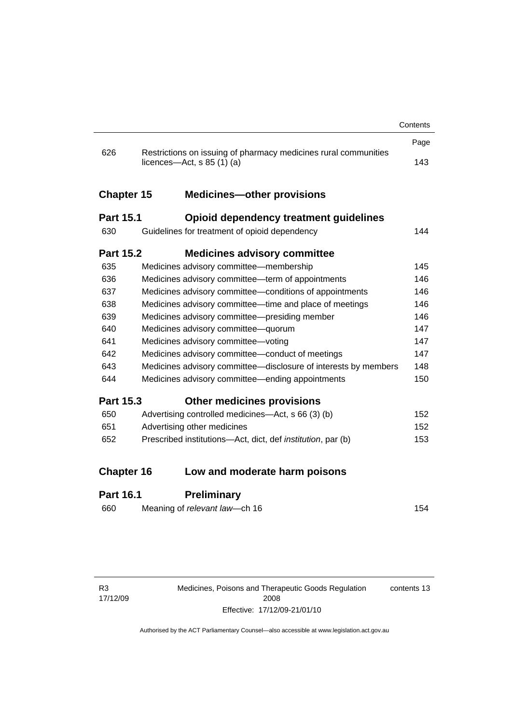|                   |                                                                                                        | Contents |
|-------------------|--------------------------------------------------------------------------------------------------------|----------|
|                   |                                                                                                        |          |
|                   | 626<br>Restrictions on issuing of pharmacy medicines rural communities<br>licences—Act, $s$ 85 (1) (a) |          |
| <b>Chapter 15</b> | <b>Medicines-other provisions</b>                                                                      |          |
| <b>Part 15.1</b>  | Opioid dependency treatment guidelines                                                                 |          |
| 630               | Guidelines for treatment of opioid dependency                                                          | 144      |
| <b>Part 15.2</b>  | <b>Medicines advisory committee</b>                                                                    |          |
| 635               | Medicines advisory committee-membership                                                                | 145      |
| 636               | Medicines advisory committee—term of appointments                                                      | 146      |
| 637               | Medicines advisory committee-conditions of appointments                                                |          |
| 638               | Medicines advisory committee-time and place of meetings                                                |          |
| 639               | Medicines advisory committee-presiding member                                                          |          |
| 640               | Medicines advisory committee-quorum                                                                    | 147      |
| 641               | 147<br>Medicines advisory committee-voting                                                             |          |
| 642               | Medicines advisory committee-conduct of meetings                                                       | 147      |
| 643               | Medicines advisory committee-disclosure of interests by members                                        | 148      |
| 644               | Medicines advisory committee—ending appointments                                                       | 150      |
| <b>Part 15.3</b>  | <b>Other medicines provisions</b>                                                                      |          |
| 650               | Advertising controlled medicines-Act, s 66 (3) (b)                                                     | 152      |
| 651               | Advertising other medicines                                                                            | 152      |
| 652               | Prescribed institutions—Act, dict, def <i>institution</i> , par (b)                                    | 153      |
| <b>Chapter 16</b> | Low and moderate harm poisons                                                                          |          |
|                   |                                                                                                        |          |
| Part 16.1         | Preliminary                                                                                            |          |

### **Part 16.1 Preliminary**

| 154 |
|-----|
|     |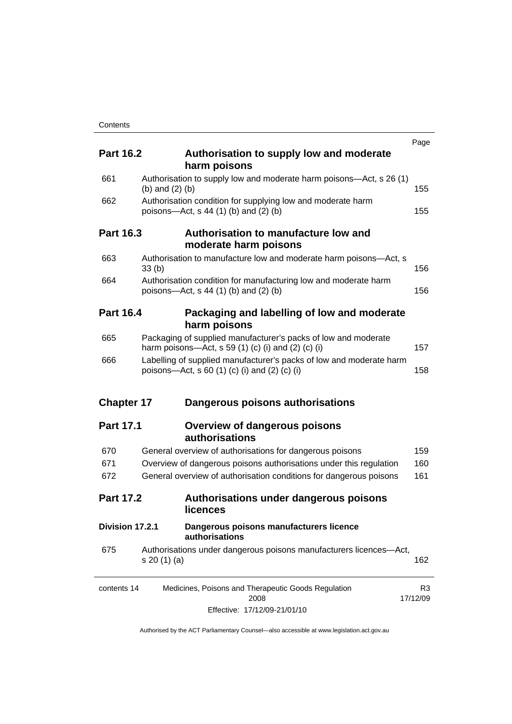|                   |                                                                                                                                  | Page                       |
|-------------------|----------------------------------------------------------------------------------------------------------------------------------|----------------------------|
| <b>Part 16.2</b>  | Authorisation to supply low and moderate<br>harm poisons                                                                         |                            |
| 661               | Authorisation to supply low and moderate harm poisons—Act, s 26 (1)<br>(b) and $(2)$ (b)                                         | 155                        |
| 662               | Authorisation condition for supplying low and moderate harm<br>poisons—Act, s 44 (1) (b) and (2) (b)                             | 155                        |
| <b>Part 16.3</b>  | Authorisation to manufacture low and<br>moderate harm poisons                                                                    |                            |
| 663               | Authorisation to manufacture low and moderate harm poisons—Act, s<br>33 <sub>(b)</sub>                                           | 156                        |
| 664               | Authorisation condition for manufacturing low and moderate harm<br>poisons—Act, s 44 (1) (b) and (2) (b)                         | 156                        |
| <b>Part 16.4</b>  | Packaging and labelling of low and moderate<br>harm poisons                                                                      |                            |
| 665               | Packaging of supplied manufacturer's packs of low and moderate<br>harm poisons—Act, s 59 (1) (c) (i) and (2) (c) (i)             | 157                        |
| 666               | Labelling of supplied manufacturer's packs of low and moderate harm<br>poisons—Act, s 60 $(1)$ $(c)$ $(i)$ and $(2)$ $(c)$ $(i)$ | 158                        |
| <b>Chapter 17</b> | Dangerous poisons authorisations                                                                                                 |                            |
| <b>Part 17.1</b>  | <b>Overview of dangerous poisons</b><br>authorisations                                                                           |                            |
| 670               |                                                                                                                                  |                            |
|                   | General overview of authorisations for dangerous poisons                                                                         |                            |
| 671               | Overview of dangerous poisons authorisations under this regulation                                                               |                            |
| 672               | General overview of authorisation conditions for dangerous poisons                                                               | 159<br>160<br>161          |
| <b>Part 17.2</b>  | Authorisations under dangerous poisons<br>licences                                                                               |                            |
| Division 17.2.1   | Dangerous poisons manufacturers licence<br>authorisations                                                                        |                            |
| 675               | Authorisations under dangerous poisons manufacturers licences-Act,<br>s 20 (1) (a)                                               | 162                        |
| contents 14       | Medicines, Poisons and Therapeutic Goods Regulation<br>2008                                                                      | R <sub>3</sub><br>17/12/09 |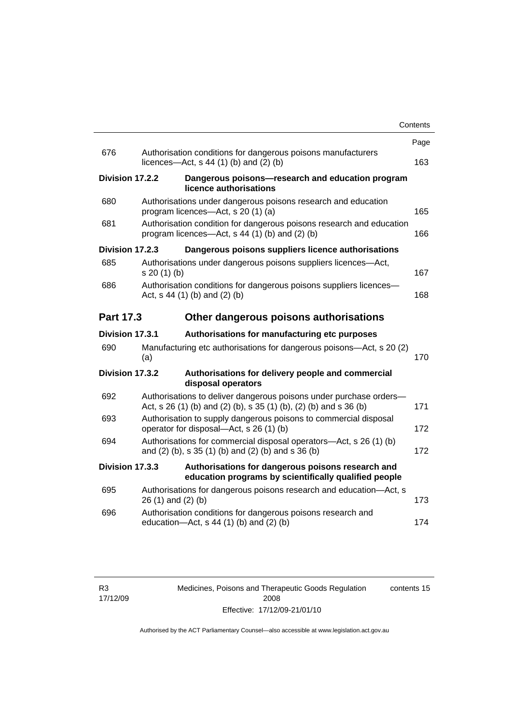|                  |                                                                                                                                         | Contents |
|------------------|-----------------------------------------------------------------------------------------------------------------------------------------|----------|
|                  |                                                                                                                                         | Page     |
| 676              | Authorisation conditions for dangerous poisons manufacturers<br>licences- $-\text{Act}$ , s 44 (1) (b) and (2) (b)                      | 163      |
| Division 17.2.2  | Dangerous poisons-research and education program<br>licence authorisations                                                              |          |
| 680              | Authorisations under dangerous poisons research and education<br>program licences—Act, s 20 (1) (a)                                     | 165      |
| 681              | Authorisation condition for dangerous poisons research and education<br>program licences—Act, s 44 (1) (b) and (2) (b)                  | 166      |
| Division 17.2.3  | Dangerous poisons suppliers licence authorisations                                                                                      |          |
| 685              | Authorisations under dangerous poisons suppliers licences—Act,<br>s 20 (1) (b)                                                          | 167      |
| 686              | Authorisation conditions for dangerous poisons suppliers licences-<br>Act, $s$ 44 (1) (b) and (2) (b)                                   | 168      |
| <b>Part 17.3</b> | Other dangerous poisons authorisations                                                                                                  |          |
| Division 17.3.1  | Authorisations for manufacturing etc purposes                                                                                           |          |
| 690              | Manufacturing etc authorisations for dangerous poisons—Act, s 20 (2)<br>(a)                                                             | 170      |
| Division 17.3.2  | Authorisations for delivery people and commercial<br>disposal operators                                                                 |          |
| 692              | Authorisations to deliver dangerous poisons under purchase orders-<br>Act, s 26 (1) (b) and (2) (b), s 35 (1) (b), (2) (b) and s 36 (b) | 171      |
| 693              | Authorisation to supply dangerous poisons to commercial disposal<br>operator for disposal—Act, s 26 (1) (b)                             | 172      |
| 694              | Authorisations for commercial disposal operators-Act, s 26 (1) (b)<br>and (2) (b), s 35 (1) (b) and (2) (b) and s 36 (b)                | 172      |
| Division 17.3.3  | Authorisations for dangerous poisons research and<br>education programs by scientifically qualified people                              |          |
| 695              | Authorisations for dangerous poisons research and education-Act, s<br>26 (1) and (2) (b)                                                | 173      |
| 696              | Authorisation conditions for dangerous poisons research and<br>education-Act, s 44 (1) (b) and (2) (b)                                  | 174      |
|                  |                                                                                                                                         |          |

Medicines, Poisons and Therapeutic Goods Regulation 2008 Effective: 17/12/09-21/01/10 contents 15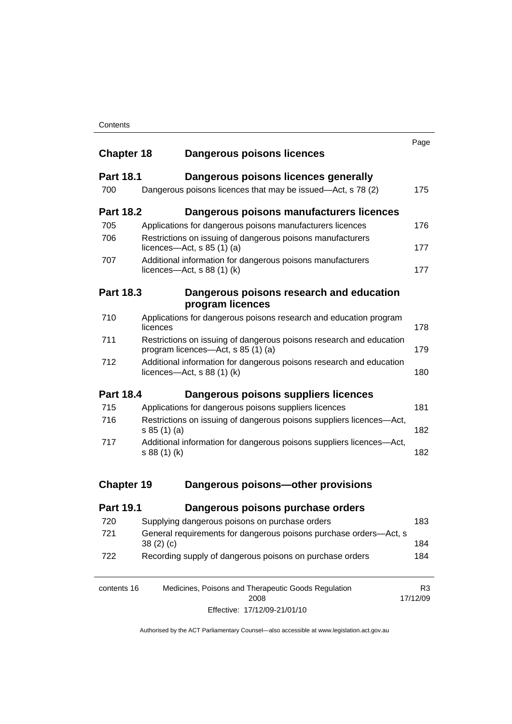| Contents |
|----------|
|----------|

|                   |                                                                                                           | Page                       |
|-------------------|-----------------------------------------------------------------------------------------------------------|----------------------------|
| <b>Chapter 18</b> | Dangerous poisons licences                                                                                |                            |
| <b>Part 18.1</b>  | Dangerous poisons licences generally                                                                      |                            |
| 700               | Dangerous poisons licences that may be issued-Act, s 78 (2)                                               | 175                        |
| <b>Part 18.2</b>  | Dangerous poisons manufacturers licences                                                                  |                            |
| 705               | Applications for dangerous poisons manufacturers licences                                                 | 176                        |
| 706               | Restrictions on issuing of dangerous poisons manufacturers<br>licences—Act, s $85(1)(a)$                  | 177                        |
| 707               | Additional information for dangerous poisons manufacturers<br>licences—Act, s $88(1)(k)$                  | 177                        |
| <b>Part 18.3</b>  | Dangerous poisons research and education                                                                  |                            |
|                   | program licences                                                                                          |                            |
| 710               | Applications for dangerous poisons research and education program<br>licences                             | 178                        |
| 711               | Restrictions on issuing of dangerous poisons research and education<br>program licences—Act, s 85 (1) (a) | 179                        |
| 712               | Additional information for dangerous poisons research and education<br>licences—Act, $s$ 88 (1) (k)       | 180                        |
| <b>Part 18.4</b>  | Dangerous poisons suppliers licences                                                                      |                            |
| 715               | Applications for dangerous poisons suppliers licences                                                     | 181                        |
| 716               | Restrictions on issuing of dangerous poisons suppliers licences-Act,<br>s 85 (1) (a)                      | 182                        |
| 717               | Additional information for dangerous poisons suppliers licences-Act,<br>s 88 (1) (k)                      | 182                        |
|                   |                                                                                                           |                            |
| <b>Chapter 19</b> | Dangerous poisons-other provisions                                                                        |                            |
| <b>Part 19.1</b>  | Dangerous poisons purchase orders                                                                         |                            |
| 720               | Supplying dangerous poisons on purchase orders                                                            | 183                        |
| 721               | General requirements for dangerous poisons purchase orders-Act, s<br>38(2)(c)                             | 184                        |
| 722               | Recording supply of dangerous poisons on purchase orders                                                  | 184                        |
| contents 16       | Medicines, Poisons and Therapeutic Goods Regulation<br>2008                                               | R <sub>3</sub><br>17/12/09 |

Effective: 17/12/09-21/01/10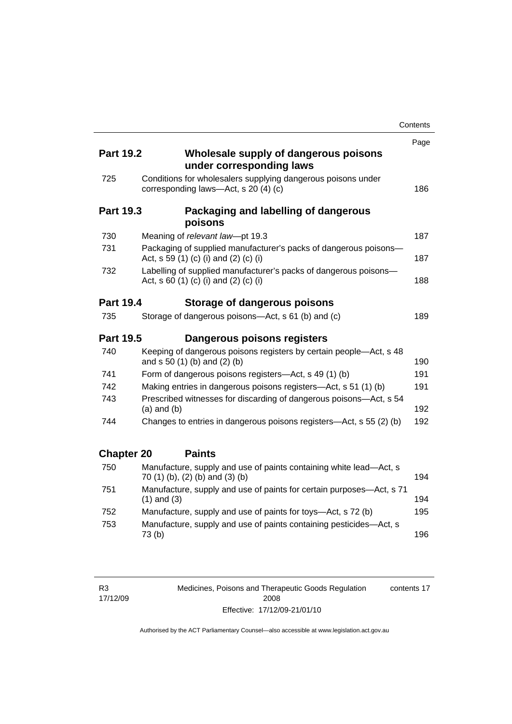|                   |                                                                                                           | Contents |
|-------------------|-----------------------------------------------------------------------------------------------------------|----------|
|                   |                                                                                                           | Page     |
| <b>Part 19.2</b>  | Wholesale supply of dangerous poisons<br>under corresponding laws                                         |          |
| 725               | Conditions for wholesalers supplying dangerous poisons under<br>corresponding laws-Act, s 20 (4) (c)      | 186      |
| <b>Part 19.3</b>  | Packaging and labelling of dangerous<br>poisons                                                           |          |
| 730               | Meaning of relevant law-pt 19.3                                                                           | 187      |
| 731               | Packaging of supplied manufacturer's packs of dangerous poisons-<br>Act, s 59 (1) (c) (i) and (2) (c) (i) | 187      |
| 732               | Labelling of supplied manufacturer's packs of dangerous poisons-<br>Act, s 60 (1) (c) (i) and (2) (c) (i) | 188      |
| <b>Part 19.4</b>  | Storage of dangerous poisons                                                                              |          |
| 735               | Storage of dangerous poisons-Act, s 61 (b) and (c)                                                        | 189      |
| <b>Part 19.5</b>  | Dangerous poisons registers                                                                               |          |
| 740               | Keeping of dangerous poisons registers by certain people-Act, s 48<br>and s 50 (1) (b) and (2) (b)        | 190      |
| 741               | Form of dangerous poisons registers-Act, s 49 (1) (b)                                                     | 191      |
| 742               | Making entries in dangerous poisons registers—Act, s 51 (1) (b)                                           | 191      |
| 743               | Prescribed witnesses for discarding of dangerous poisons-Act, s 54<br>$(a)$ and $(b)$                     | 192      |
| 744               | Changes to entries in dangerous poisons registers—Act, s 55 (2) (b)                                       | 192      |
| <b>Chapter 20</b> | <b>Paints</b>                                                                                             |          |
| 750               | Manufacture, supply and use of paints containing white lead-Act, s<br>70 (1) (b), (2) (b) and (3) (b)     | 194      |
| 751               | Manufacture, supply and use of paints for certain purposes-Act, s 71<br>$(1)$ and $(3)$                   | 194      |
| 752               | Manufacture, supply and use of paints for toys—Act, s 72 (b)                                              | 195      |
| 753               | Manufacture, supply and use of paints containing pesticides-Act, s<br>73(b)                               | 196      |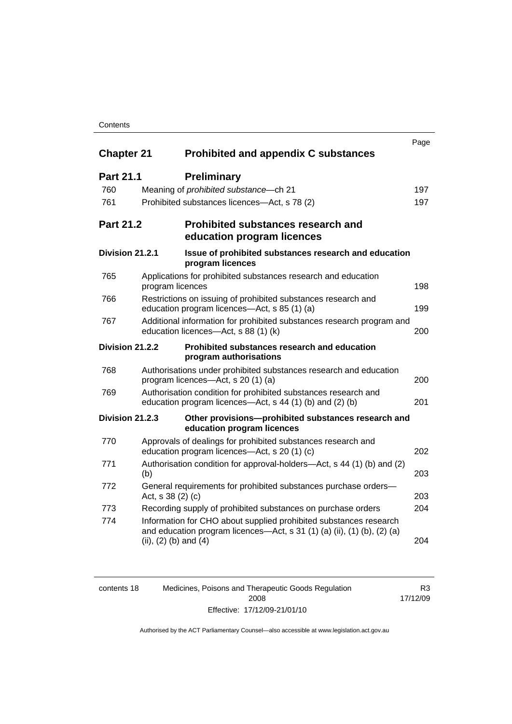### **Contents**

|                   |                                                                                                                                                                           | Page |
|-------------------|---------------------------------------------------------------------------------------------------------------------------------------------------------------------------|------|
| <b>Chapter 21</b> | <b>Prohibited and appendix C substances</b>                                                                                                                               |      |
| <b>Part 21.1</b>  | <b>Preliminary</b>                                                                                                                                                        |      |
| 760               | Meaning of prohibited substance-ch 21                                                                                                                                     | 197  |
| 761               | Prohibited substances licences-Act, s 78 (2)                                                                                                                              | 197  |
| <b>Part 21.2</b>  | <b>Prohibited substances research and</b><br>education program licences                                                                                                   |      |
| Division 21.2.1   | Issue of prohibited substances research and education<br>program licences                                                                                                 |      |
| 765               | Applications for prohibited substances research and education<br>program licences                                                                                         | 198  |
| 766               | Restrictions on issuing of prohibited substances research and<br>education program licences-Act, s 85 (1) (a)                                                             | 199  |
| 767               | Additional information for prohibited substances research program and<br>education licences-Act, s 88 (1) (k)                                                             | 200  |
| Division 21.2.2   | Prohibited substances research and education<br>program authorisations                                                                                                    |      |
| 768               | Authorisations under prohibited substances research and education<br>program licences—Act, s 20 (1) (a)                                                                   | 200  |
| 769               | Authorisation condition for prohibited substances research and<br>education program licences—Act, s 44 (1) (b) and (2) (b)                                                | 201  |
| Division 21.2.3   | Other provisions-prohibited substances research and<br>education program licences                                                                                         |      |
| 770               | Approvals of dealings for prohibited substances research and<br>education program licences-Act, s 20 (1) (c)                                                              | 202  |
| 771               | Authorisation condition for approval-holders—Act, s 44 (1) (b) and (2)<br>(b)                                                                                             | 203  |
| 772               | General requirements for prohibited substances purchase orders-<br>Act, s 38 (2) (c)                                                                                      | 203  |
| 773               | Recording supply of prohibited substances on purchase orders                                                                                                              | 204  |
| 774               | Information for CHO about supplied prohibited substances research<br>and education program licences—Act, s 31 (1) (a) (ii), (1) (b), (2) (a)<br>(ii), $(2)$ (b) and $(4)$ | 204  |

| contents 18 | Medicines, Poisons and Therapeutic Goods Regulation | R3       |
|-------------|-----------------------------------------------------|----------|
|             | 2008                                                | 17/12/09 |
|             | Effective: 17/12/09-21/01/10                        |          |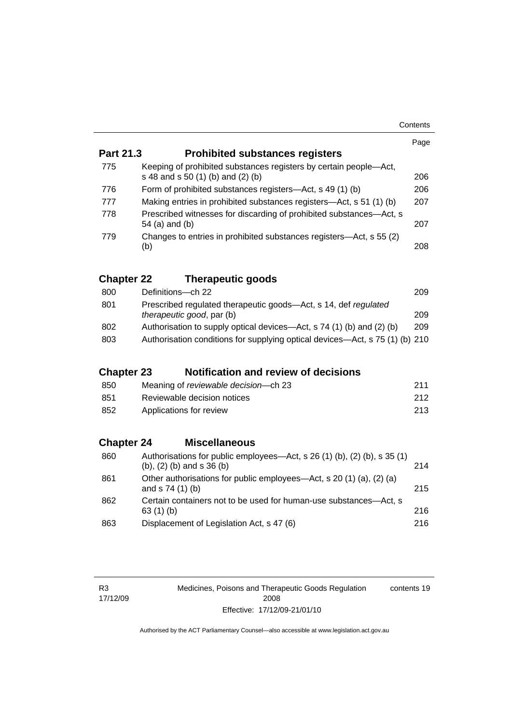| Contents |
|----------|
|----------|

|                   |                                                                                                         | Page |  |
|-------------------|---------------------------------------------------------------------------------------------------------|------|--|
| <b>Part 21.3</b>  | <b>Prohibited substances registers</b>                                                                  |      |  |
| 775               | Keeping of prohibited substances registers by certain people-Act,<br>s 48 and s 50 (1) (b) and (2) (b)  | 206  |  |
| 776               | Form of prohibited substances registers-Act, s 49 (1) (b)                                               | 206  |  |
| 777               | Making entries in prohibited substances registers—Act, s 51 (1) (b)                                     | 207  |  |
| 778               | Prescribed witnesses for discarding of prohibited substances-Act, s<br>54 (a) and (b)                   |      |  |
| 779               | Changes to entries in prohibited substances registers—Act, s 55 (2)<br>(b)                              |      |  |
| <b>Chapter 22</b> | <b>Therapeutic goods</b>                                                                                |      |  |
| 800               | Definitions-ch 22                                                                                       | 209  |  |
| 801               | Prescribed regulated therapeutic goods-Act, s 14, def regulated<br>209<br>therapeutic good, par (b)     |      |  |
| 802               | Authorisation to supply optical devices—Act, s 74 (1) (b) and (2) (b)                                   | 209  |  |
| 803               | Authorisation conditions for supplying optical devices-Act, s 75 (1) (b) 210                            |      |  |
| <b>Chapter 23</b> | <b>Notification and review of decisions</b>                                                             |      |  |
| 850               | Meaning of reviewable decision-ch 23                                                                    | 211  |  |
| 851               | Reviewable decision notices                                                                             | 212  |  |
| 852               | Applications for review                                                                                 | 213  |  |
| <b>Chapter 24</b> | <b>Miscellaneous</b>                                                                                    |      |  |
| 860               | Authorisations for public employees-Act, s 26 (1) (b), (2) (b), s 35 (1)<br>(b), $(2)$ (b) and s 36 (b) | 214  |  |
| 861               | Other authorisations for public employees-Act, s 20 (1) (a), (2) (a)<br>and s 74 (1) (b)                | 215  |  |
| 862               | Certain containers not to be used for human-use substances-Act, s<br>63 (1) (b)                         | 216  |  |
| 863               | Displacement of Legislation Act, s 47 (6)                                                               | 216  |  |

R3 17/12/09 Medicines, Poisons and Therapeutic Goods Regulation 2008 Effective: 17/12/09-21/01/10 contents 19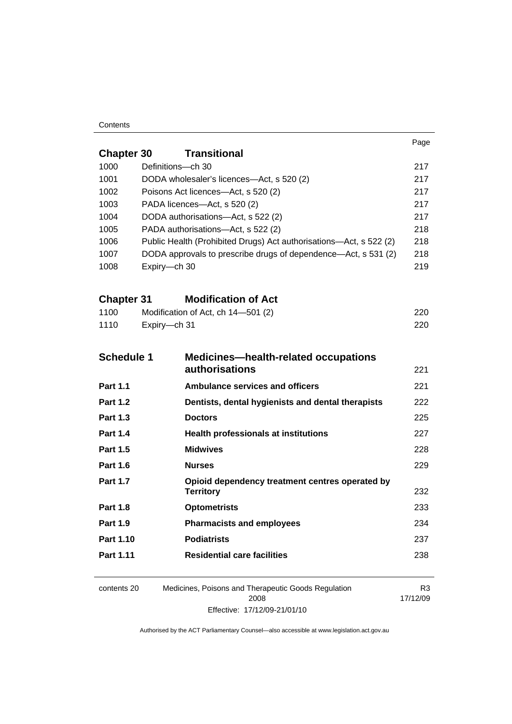#### **Contents**

|                                                                  |                                                                            |                                                                     | Page                       |  |
|------------------------------------------------------------------|----------------------------------------------------------------------------|---------------------------------------------------------------------|----------------------------|--|
| <b>Chapter 30</b>                                                |                                                                            | <b>Transitional</b>                                                 |                            |  |
| 1000                                                             | Definitions-ch 30                                                          |                                                                     | 217                        |  |
| 1001                                                             | DODA wholesaler's licences-Act, s 520 (2)                                  | 217                                                                 |                            |  |
| 1002                                                             |                                                                            | Poisons Act licences—Act, s 520 (2)                                 | 217                        |  |
| 1003                                                             |                                                                            | PADA licences-Act, s 520 (2)                                        | 217                        |  |
| 1004                                                             |                                                                            | DODA authorisations-Act, s 522 (2)                                  | 217                        |  |
| 1005<br>PADA authorisations-Act, s 522 (2)                       |                                                                            |                                                                     | 218<br>218                 |  |
|                                                                  | 1006<br>Public Health (Prohibited Drugs) Act authorisations—Act, s 522 (2) |                                                                     |                            |  |
| 1007                                                             |                                                                            | DODA approvals to prescribe drugs of dependence—Act, s 531 (2)      |                            |  |
| 1008                                                             | Expiry-ch 30                                                               |                                                                     |                            |  |
| <b>Chapter 31</b>                                                |                                                                            | <b>Modification of Act</b>                                          |                            |  |
| 1100                                                             |                                                                            | Modification of Act, ch 14-501 (2)                                  | 220                        |  |
| 1110                                                             | Expiry-ch 31                                                               |                                                                     | 220                        |  |
| <b>Schedule 1</b><br><b>Medicines-health-related occupations</b> |                                                                            |                                                                     |                            |  |
|                                                                  |                                                                            | <b>authorisations</b>                                               | 221                        |  |
| <b>Part 1.1</b>                                                  |                                                                            | <b>Ambulance services and officers</b>                              | 221                        |  |
| <b>Part 1.2</b>                                                  |                                                                            | Dentists, dental hygienists and dental therapists                   | 222                        |  |
| <b>Part 1.3</b>                                                  |                                                                            | <b>Doctors</b>                                                      | 225                        |  |
| <b>Part 1.4</b>                                                  |                                                                            | <b>Health professionals at institutions</b>                         | 227                        |  |
| <b>Part 1.5</b>                                                  |                                                                            | <b>Midwives</b>                                                     | 228                        |  |
| <b>Part 1.6</b>                                                  |                                                                            | <b>Nurses</b>                                                       | 229                        |  |
| <b>Part 1.7</b>                                                  |                                                                            | Opioid dependency treatment centres operated by<br><b>Territory</b> | 232                        |  |
| <b>Part 1.8</b>                                                  |                                                                            | <b>Optometrists</b>                                                 | 233                        |  |
| <b>Part 1.9</b>                                                  |                                                                            | <b>Pharmacists and employees</b>                                    | 234                        |  |
| Part 1.10                                                        |                                                                            | <b>Podiatrists</b>                                                  | 237                        |  |
| Part 1.11                                                        |                                                                            | <b>Residential care facilities</b>                                  | 238                        |  |
| contents 20                                                      |                                                                            | Medicines, Poisons and Therapeutic Goods Regulation<br>2008         | R <sub>3</sub><br>17/12/09 |  |

Effective: 17/12/09-21/01/10

17/12/09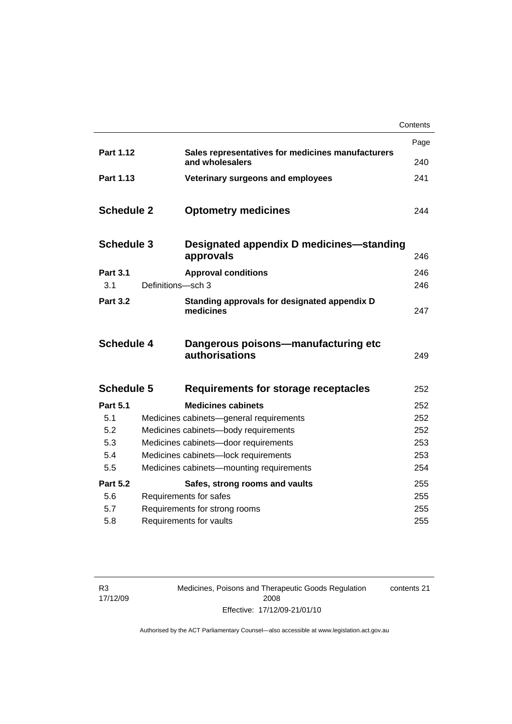|                   |                   |                                                                      | Contents |
|-------------------|-------------------|----------------------------------------------------------------------|----------|
|                   |                   |                                                                      | Page     |
| Part 1.12         |                   | Sales representatives for medicines manufacturers<br>and wholesalers | 240      |
| Part 1.13         |                   | Veterinary surgeons and employees                                    | 241      |
| <b>Schedule 2</b> |                   | <b>Optometry medicines</b>                                           | 244      |
| <b>Schedule 3</b> |                   | Designated appendix D medicines—standing<br>approvals                | 246      |
| <b>Part 3.1</b>   |                   | <b>Approval conditions</b>                                           | 246      |
| 3.1               | Definitions-sch 3 |                                                                      | 246      |
| <b>Part 3.2</b>   |                   | Standing approvals for designated appendix D<br>medicines            | 247      |
| <b>Schedule 4</b> |                   | Dangerous poisons-manufacturing etc<br>authorisations                | 249      |
| <b>Schedule 5</b> |                   | Requirements for storage receptacles                                 | 252      |
| <b>Part 5.1</b>   |                   | <b>Medicines cabinets</b>                                            | 252      |
| 5.1               |                   | Medicines cabinets-general requirements                              | 252      |
| 5.2               |                   | Medicines cabinets-body requirements                                 | 252      |
| 5.3               |                   | Medicines cabinets-door requirements                                 | 253      |
| 5.4               |                   | Medicines cabinets-lock requirements                                 | 253      |
| 5.5               |                   | Medicines cabinets-mounting requirements                             | 254      |
| <b>Part 5.2</b>   |                   | Safes, strong rooms and vaults                                       | 255      |
| 5.6               |                   | Requirements for safes                                               | 255      |
| 5.7               |                   | Requirements for strong rooms                                        | 255      |
| 5.8               |                   | Requirements for vaults                                              | 255      |

R3 17/12/09 Medicines, Poisons and Therapeutic Goods Regulation 2008 Effective: 17/12/09-21/01/10

contents 21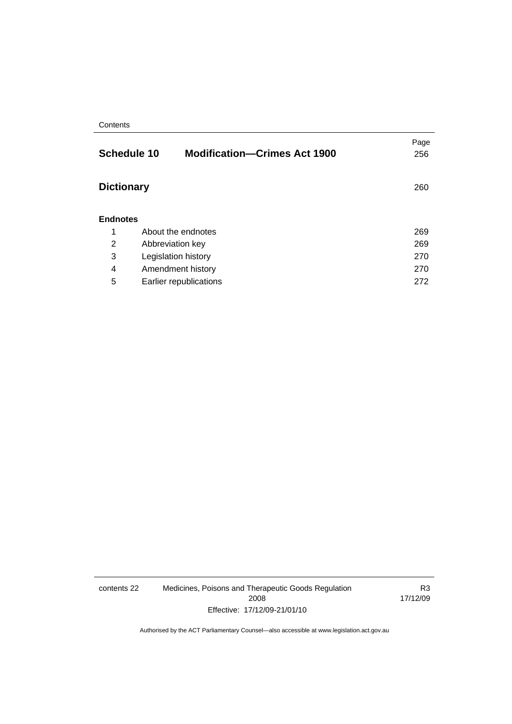#### **Contents**

|                   | <b>Schedule 10</b><br><b>Modification-Crimes Act 1900</b> | Page<br>256 |
|-------------------|-----------------------------------------------------------|-------------|
| <b>Dictionary</b> |                                                           | 260         |
| <b>Endnotes</b>   |                                                           |             |
| 1                 | About the endnotes                                        | 269         |
| 2                 | Abbreviation key                                          | 269         |
| 3                 | Legislation history                                       | 270         |
| 4                 | Amendment history                                         | 270         |
| 5                 | Earlier republications                                    | 272         |

contents 22 Medicines, Poisons and Therapeutic Goods Regulation 2008 Effective: 17/12/09-21/01/10

R3 17/12/09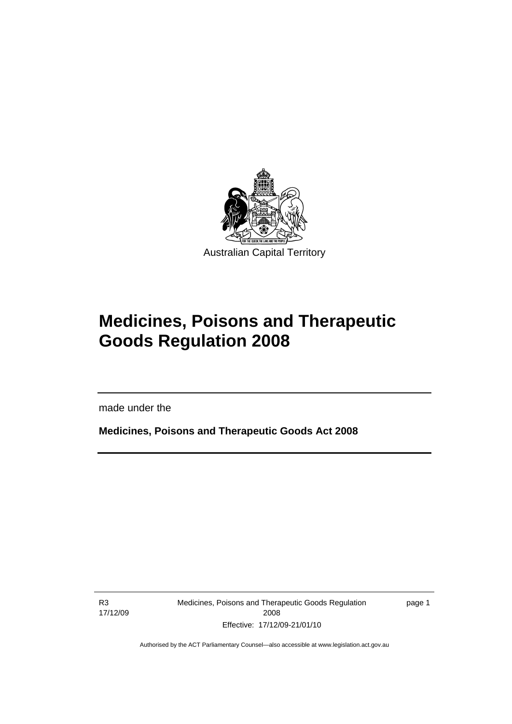<span id="page-24-0"></span>

# **Medicines, Poisons and Therapeutic Goods Regulation 2008**

made under the

**Medicines, Poisons and Therapeutic Goods Act 2008** 

R3 17/12/09

l

Medicines, Poisons and Therapeutic Goods Regulation 2008 Effective: 17/12/09-21/01/10

page 1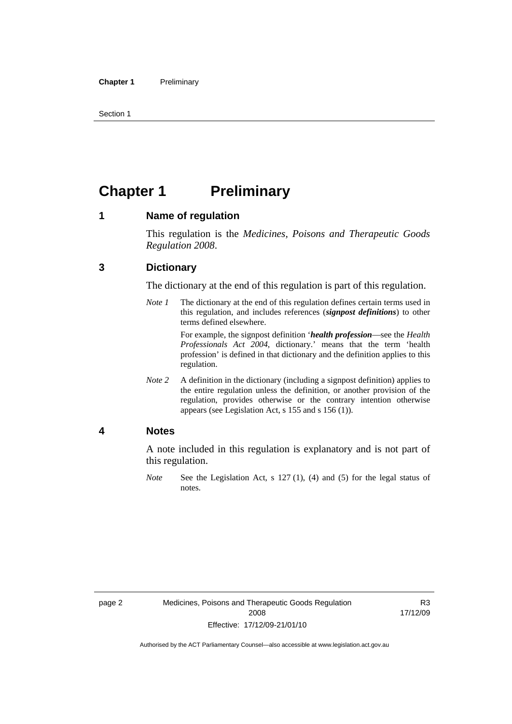<span id="page-25-0"></span>Section 1

# **Chapter 1 Preliminary**

### **1 Name of regulation**

This regulation is the *Medicines, Poisons and Therapeutic Goods Regulation 2008*.

### **3 Dictionary**

The dictionary at the end of this regulation is part of this regulation.

*Note 1* The dictionary at the end of this regulation defines certain terms used in this regulation, and includes references (*signpost definitions*) to other terms defined elsewhere.

> For example, the signpost definition '*health profession*—see the *Health Professionals Act 2004*, dictionary.' means that the term 'health profession' is defined in that dictionary and the definition applies to this regulation.

*Note 2* A definition in the dictionary (including a signpost definition) applies to the entire regulation unless the definition, or another provision of the regulation, provides otherwise or the contrary intention otherwise appears (see Legislation Act, s 155 and s 156 (1)).

### **4 Notes**

A note included in this regulation is explanatory and is not part of this regulation.

*Note* See the Legislation Act, s 127 (1), (4) and (5) for the legal status of notes.

R3 17/12/09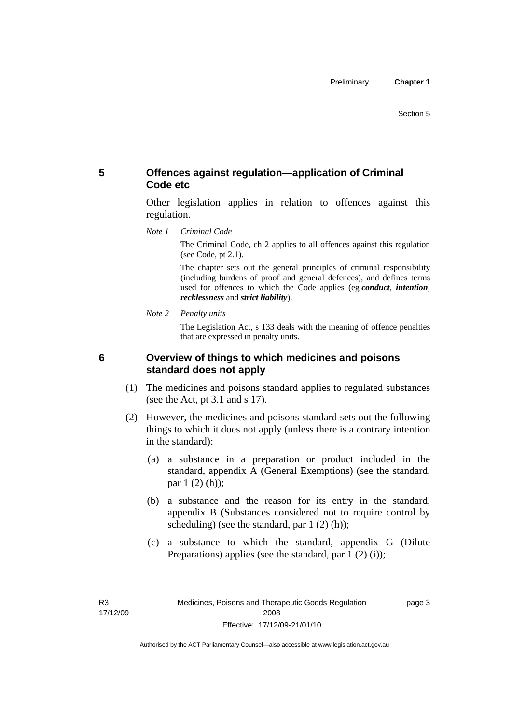## <span id="page-26-0"></span>**5 Offences against regulation—application of Criminal Code etc**

Other legislation applies in relation to offences against this regulation.

*Note 1 Criminal Code*

The Criminal Code, ch 2 applies to all offences against this regulation (see Code, pt 2.1).

The chapter sets out the general principles of criminal responsibility (including burdens of proof and general defences), and defines terms used for offences to which the Code applies (eg *conduct*, *intention*, *recklessness* and *strict liability*).

*Note 2 Penalty units* 

The Legislation Act, s 133 deals with the meaning of offence penalties that are expressed in penalty units.

### **6 Overview of things to which medicines and poisons standard does not apply**

- (1) The medicines and poisons standard applies to regulated substances (see the Act, pt 3.1 and s 17).
- (2) However, the medicines and poisons standard sets out the following things to which it does not apply (unless there is a contrary intention in the standard):
	- (a) a substance in a preparation or product included in the standard, appendix A (General Exemptions) (see the standard, par 1 (2) (h));
	- (b) a substance and the reason for its entry in the standard, appendix B (Substances considered not to require control by scheduling) (see the standard, par 1 (2) (h));
	- (c) a substance to which the standard, appendix G (Dilute Preparations) applies (see the standard, par  $1(2)(i)$ );

R3 17/12/09 page 3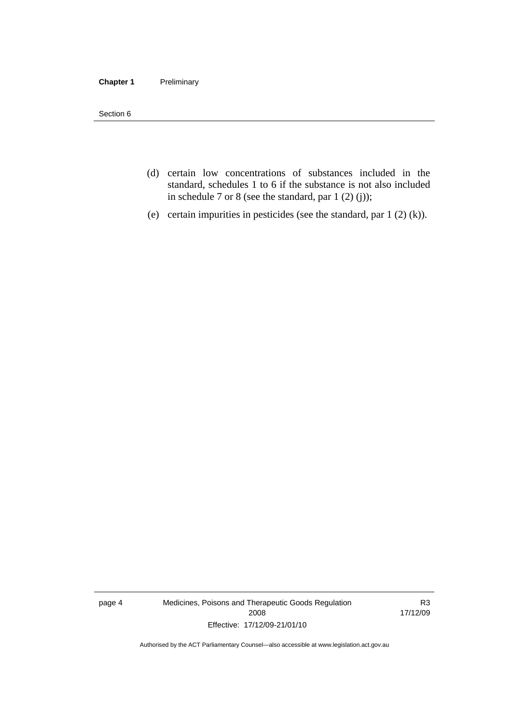#### **Chapter 1** Preliminary

Section 6

- (d) certain low concentrations of substances included in the standard, schedules 1 to 6 if the substance is not also included in schedule 7 or 8 (see the standard, par 1 (2) (j));
- (e) certain impurities in pesticides (see the standard, par 1 (2) (k)).

page 4 Medicines, Poisons and Therapeutic Goods Regulation 2008 Effective: 17/12/09-21/01/10

R3 17/12/09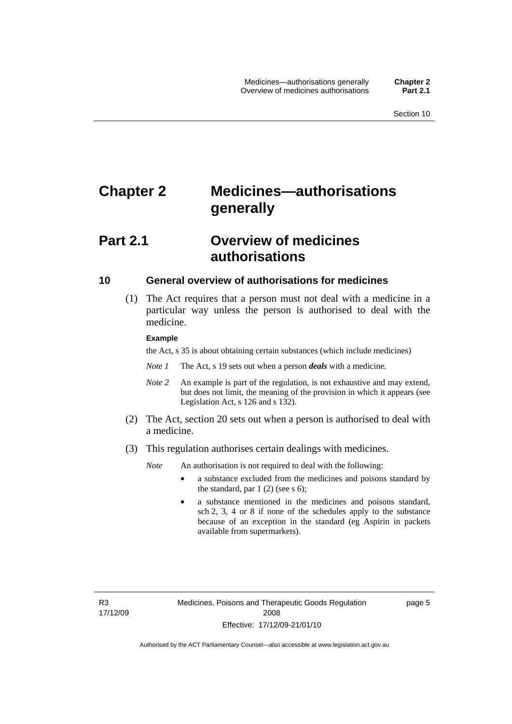# <span id="page-28-0"></span>**Chapter 2 Medicines—authorisations generally**

# **Part 2.1 Overview of medicines authorisations**

#### **10 General overview of authorisations for medicines**

 (1) The Act requires that a person must not deal with a medicine in a particular way unless the person is authorised to deal with the medicine.

#### **Example**

the Act, s 35 is about obtaining certain substances (which include medicines)

- *Note 1* The Act, s 19 sets out when a person *deals* with a medicine.
- *Note 2* An example is part of the regulation, is not exhaustive and may extend, but does not limit, the meaning of the provision in which it appears (see Legislation Act, s 126 and s 132).
- (2) The Act, section 20 sets out when a person is authorised to deal with a medicine.
- (3) This regulation authorises certain dealings with medicines.

*Note* An authorisation is not required to deal with the following:

- a substance excluded from the medicines and poisons standard by the standard, par  $1(2)$  (see s 6);
- a substance mentioned in the medicines and poisons standard, sch 2, 3, 4 or 8 if none of the schedules apply to the substance because of an exception in the standard (eg Aspirin in packets available from supermarkets).

R3 17/12/09 page 5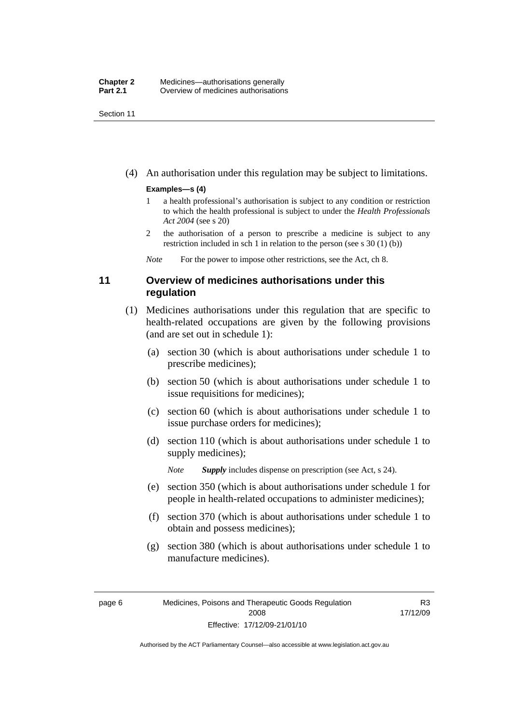<span id="page-29-0"></span>Section 11

(4) An authorisation under this regulation may be subject to limitations.

#### **Examples—s (4)**

- 1 a health professional's authorisation is subject to any condition or restriction to which the health professional is subject to under the *Health Professionals Act 2004* (see s 20)
- 2 the authorisation of a person to prescribe a medicine is subject to any restriction included in sch 1 in relation to the person (see s 30 (1) (b))

*Note* For the power to impose other restrictions, see the Act, ch 8.

### **11 Overview of medicines authorisations under this regulation**

- (1) Medicines authorisations under this regulation that are specific to health-related occupations are given by the following provisions (and are set out in schedule 1):
	- (a) section 30 (which is about authorisations under schedule 1 to prescribe medicines);
	- (b) section 50 (which is about authorisations under schedule 1 to issue requisitions for medicines);
	- (c) section 60 (which is about authorisations under schedule 1 to issue purchase orders for medicines);
	- (d) section 110 (which is about authorisations under schedule 1 to supply medicines);

*Note Supply* includes dispense on prescription (see Act, s 24).

- (e) section 350 (which is about authorisations under schedule 1 for people in health-related occupations to administer medicines);
- (f) section 370 (which is about authorisations under schedule 1 to obtain and possess medicines);
- (g) section 380 (which is about authorisations under schedule 1 to manufacture medicines).

R3 17/12/09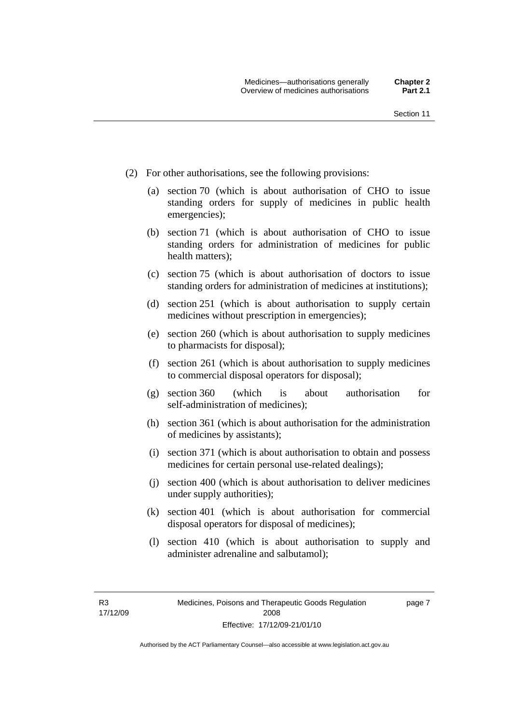- (2) For other authorisations, see the following provisions:
	- (a) section 70 (which is about authorisation of CHO to issue standing orders for supply of medicines in public health emergencies);
	- (b) section 71 (which is about authorisation of CHO to issue standing orders for administration of medicines for public health matters);
	- (c) section 75 (which is about authorisation of doctors to issue standing orders for administration of medicines at institutions);
	- (d) section 251 (which is about authorisation to supply certain medicines without prescription in emergencies);
	- (e) section 260 (which is about authorisation to supply medicines to pharmacists for disposal);
	- (f) section 261 (which is about authorisation to supply medicines to commercial disposal operators for disposal);
	- (g) section 360 (which is about authorisation for self-administration of medicines);
	- (h) section 361 (which is about authorisation for the administration of medicines by assistants);
	- (i) section 371 (which is about authorisation to obtain and possess medicines for certain personal use-related dealings);
	- (j) section 400 (which is about authorisation to deliver medicines under supply authorities);
	- (k) section 401 (which is about authorisation for commercial disposal operators for disposal of medicines);
	- (l) section 410 (which is about authorisation to supply and administer adrenaline and salbutamol);

page 7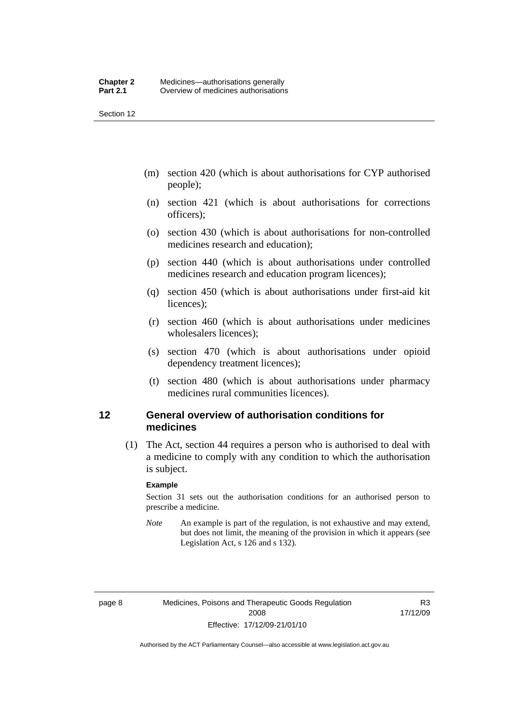<span id="page-31-0"></span>Section 12

- (m) section 420 (which is about authorisations for CYP authorised people);
- (n) section 421 (which is about authorisations for corrections officers);
- (o) section 430 (which is about authorisations for non-controlled medicines research and education);
- (p) section 440 (which is about authorisations under controlled medicines research and education program licences);
- (q) section 450 (which is about authorisations under first-aid kit licences);
- (r) section 460 (which is about authorisations under medicines wholesalers licences);
- (s) section 470 (which is about authorisations under opioid dependency treatment licences);
- (t) section 480 (which is about authorisations under pharmacy medicines rural communities licences).

### **12 General overview of authorisation conditions for medicines**

 (1) The Act, section 44 requires a person who is authorised to deal with a medicine to comply with any condition to which the authorisation is subject.

#### **Example**

Section 31 sets out the authorisation conditions for an authorised person to prescribe a medicine.

*Note* An example is part of the regulation, is not exhaustive and may extend, but does not limit, the meaning of the provision in which it appears (see Legislation Act, s 126 and s 132).

R3 17/12/09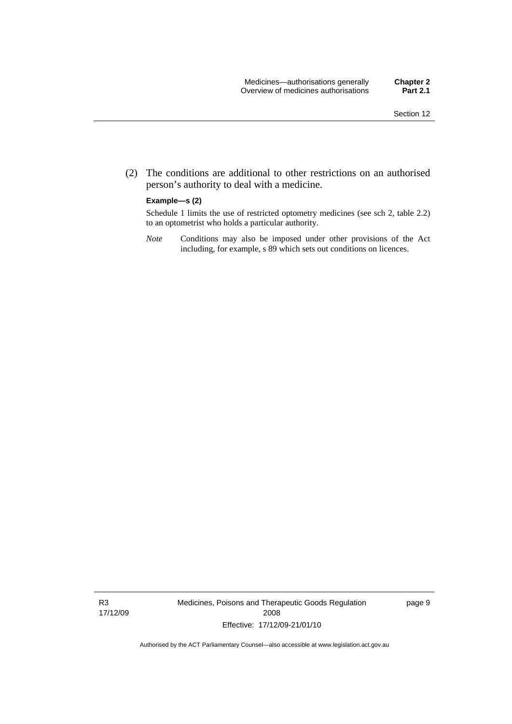(2) The conditions are additional to other restrictions on an authorised person's authority to deal with a medicine.

#### **Example—s (2)**

Schedule 1 limits the use of restricted optometry medicines (see sch 2, table 2.2) to an optometrist who holds a particular authority.

*Note* Conditions may also be imposed under other provisions of the Act including, for example, s 89 which sets out conditions on licences.

R3 17/12/09 Medicines, Poisons and Therapeutic Goods Regulation 2008 Effective: 17/12/09-21/01/10

page 9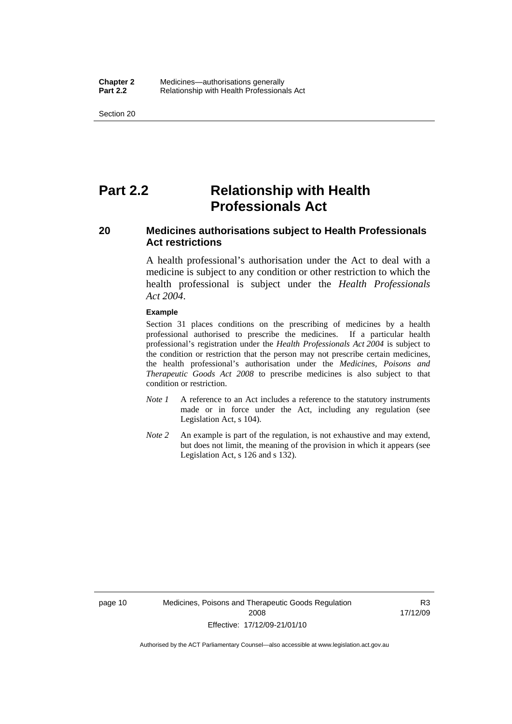<span id="page-33-0"></span>Section 20

# **Part 2.2 Relationship with Health Professionals Act**

## **20 Medicines authorisations subject to Health Professionals Act restrictions**

A health professional's authorisation under the Act to deal with a medicine is subject to any condition or other restriction to which the health professional is subject under the *Health Professionals Act 2004*.

#### **Example**

Section 31 places conditions on the prescribing of medicines by a health professional authorised to prescribe the medicines. If a particular health professional's registration under the *Health Professionals Act 2004* is subject to the condition or restriction that the person may not prescribe certain medicines, the health professional's authorisation under the *Medicines, Poisons and Therapeutic Goods Act 2008* to prescribe medicines is also subject to that condition or restriction.

- *Note 1* A reference to an Act includes a reference to the statutory instruments made or in force under the Act, including any regulation (see Legislation Act, s 104).
- *Note 2* An example is part of the regulation, is not exhaustive and may extend, but does not limit, the meaning of the provision in which it appears (see Legislation Act, s 126 and s 132).

R3 17/12/09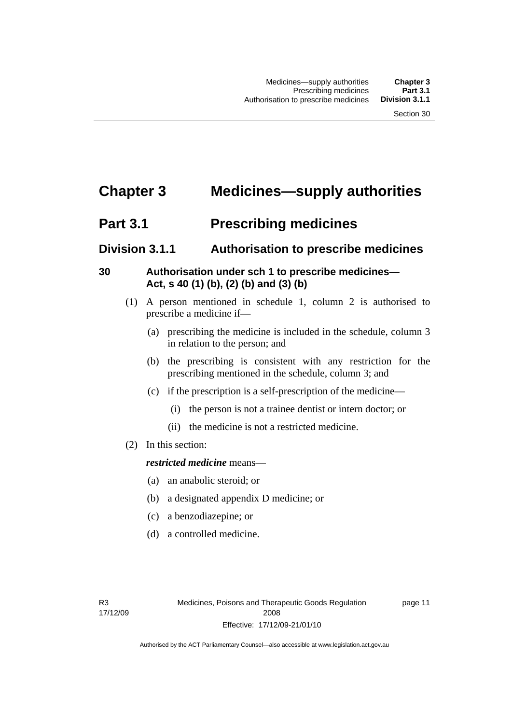# <span id="page-34-0"></span>**Chapter 3 Medicines—supply authorities**

# **Part 3.1** Prescribing medicines

# **Division 3.1.1 Authorisation to prescribe medicines**

# **30 Authorisation under sch 1 to prescribe medicines— Act, s 40 (1) (b), (2) (b) and (3) (b)**

- (1) A person mentioned in schedule 1, column 2 is authorised to prescribe a medicine if—
	- (a) prescribing the medicine is included in the schedule, column 3 in relation to the person; and
	- (b) the prescribing is consistent with any restriction for the prescribing mentioned in the schedule, column 3; and
	- (c) if the prescription is a self-prescription of the medicine—
		- (i) the person is not a trainee dentist or intern doctor; or
		- (ii) the medicine is not a restricted medicine.
- (2) In this section:

## *restricted medicine* means—

- (a) an anabolic steroid; or
- (b) a designated appendix D medicine; or
- (c) a benzodiazepine; or
- (d) a controlled medicine.

page 11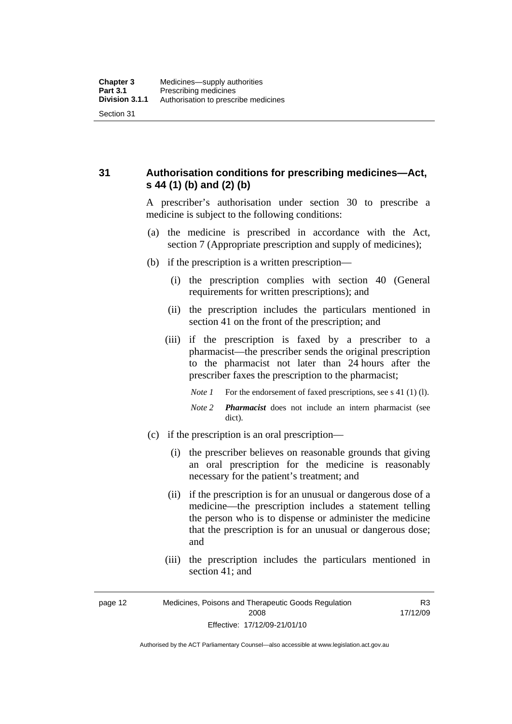<span id="page-35-0"></span>**31 Authorisation conditions for prescribing medicines—Act, s 44 (1) (b) and (2) (b)** 

> A prescriber's authorisation under section 30 to prescribe a medicine is subject to the following conditions:

- (a) the medicine is prescribed in accordance with the Act, section 7 (Appropriate prescription and supply of medicines);
- (b) if the prescription is a written prescription—
	- (i) the prescription complies with section 40 (General requirements for written prescriptions); and
	- (ii) the prescription includes the particulars mentioned in section 41 on the front of the prescription; and
	- (iii) if the prescription is faxed by a prescriber to a pharmacist—the prescriber sends the original prescription to the pharmacist not later than 24 hours after the prescriber faxes the prescription to the pharmacist;
		- *Note 1* For the endorsement of faxed prescriptions, see s 41 (1) (1).
		- *Note 2 Pharmacist* does not include an intern pharmacist (see dict).
- (c) if the prescription is an oral prescription—
	- (i) the prescriber believes on reasonable grounds that giving an oral prescription for the medicine is reasonably necessary for the patient's treatment; and
	- (ii) if the prescription is for an unusual or dangerous dose of a medicine—the prescription includes a statement telling the person who is to dispense or administer the medicine that the prescription is for an unusual or dangerous dose; and
	- (iii) the prescription includes the particulars mentioned in section 41; and

R3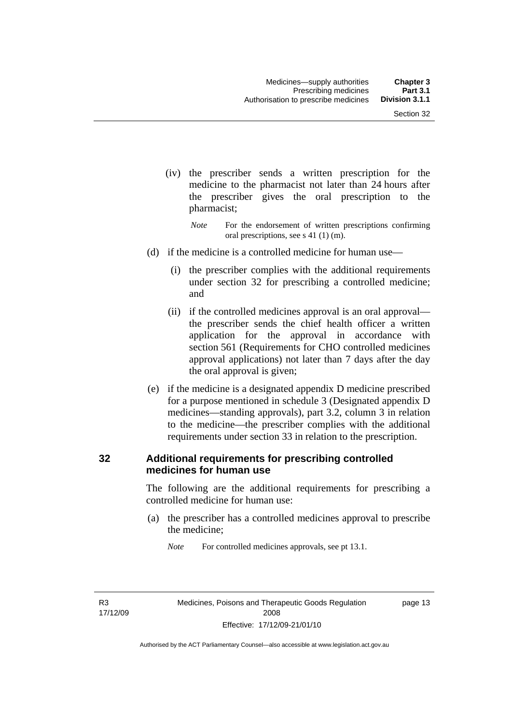- (iv) the prescriber sends a written prescription for the medicine to the pharmacist not later than 24 hours after the prescriber gives the oral prescription to the pharmacist;
	- *Note* For the endorsement of written prescriptions confirming oral prescriptions, see s 41 (1) (m).
- (d) if the medicine is a controlled medicine for human use—
	- (i) the prescriber complies with the additional requirements under section 32 for prescribing a controlled medicine; and
	- (ii) if the controlled medicines approval is an oral approval the prescriber sends the chief health officer a written application for the approval in accordance with section 561 (Requirements for CHO controlled medicines approval applications) not later than 7 days after the day the oral approval is given;
- (e) if the medicine is a designated appendix D medicine prescribed for a purpose mentioned in schedule 3 (Designated appendix D medicines—standing approvals), part 3.2, column 3 in relation to the medicine—the prescriber complies with the additional requirements under section 33 in relation to the prescription.

### **32 Additional requirements for prescribing controlled medicines for human use**

The following are the additional requirements for prescribing a controlled medicine for human use:

 (a) the prescriber has a controlled medicines approval to prescribe the medicine;

*Note* For controlled medicines approvals, see pt 13.1.

R3 17/12/09 page 13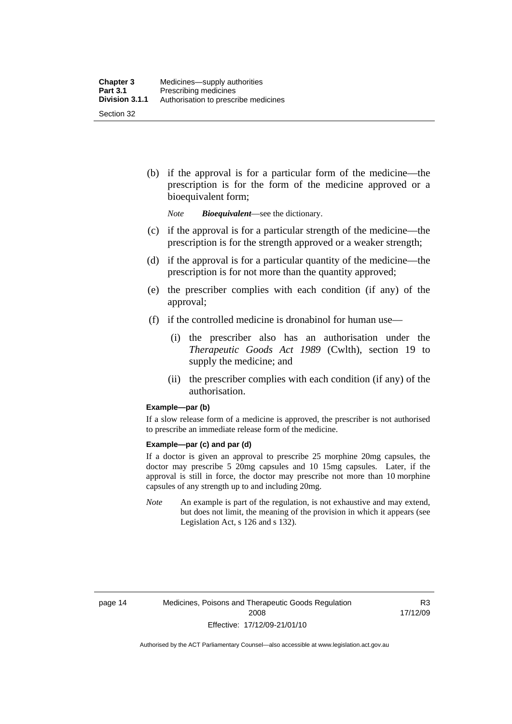(b) if the approval is for a particular form of the medicine—the prescription is for the form of the medicine approved or a bioequivalent form;

*Note Bioequivalent*—see the dictionary.

- (c) if the approval is for a particular strength of the medicine—the prescription is for the strength approved or a weaker strength;
- (d) if the approval is for a particular quantity of the medicine—the prescription is for not more than the quantity approved;
- (e) the prescriber complies with each condition (if any) of the approval;
- (f) if the controlled medicine is dronabinol for human use—
	- (i) the prescriber also has an authorisation under the *Therapeutic Goods Act 1989* (Cwlth), section 19 to supply the medicine; and
	- (ii) the prescriber complies with each condition (if any) of the authorisation.

#### **Example—par (b)**

If a slow release form of a medicine is approved, the prescriber is not authorised to prescribe an immediate release form of the medicine.

#### **Example—par (c) and par (d)**

If a doctor is given an approval to prescribe 25 morphine 20mg capsules, the doctor may prescribe 5 20mg capsules and 10 15mg capsules. Later, if the approval is still in force, the doctor may prescribe not more than 10 morphine capsules of any strength up to and including 20mg.

*Note* An example is part of the regulation, is not exhaustive and may extend, but does not limit, the meaning of the provision in which it appears (see Legislation Act, s 126 and s 132).

R3 17/12/09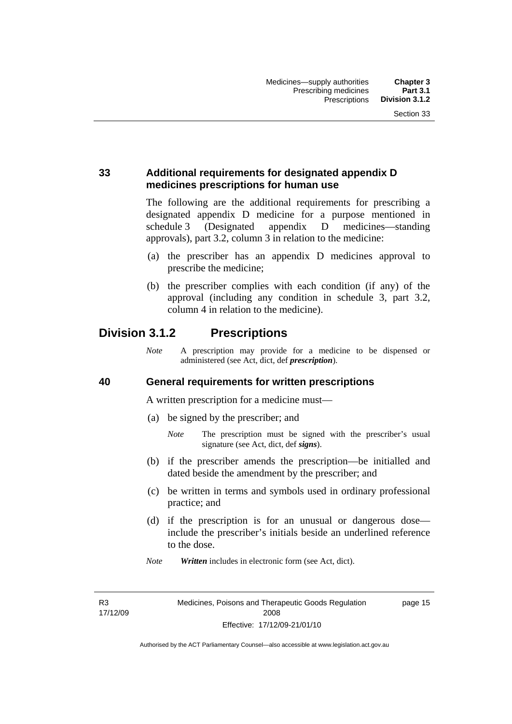### **33 Additional requirements for designated appendix D medicines prescriptions for human use**

The following are the additional requirements for prescribing a designated appendix D medicine for a purpose mentioned in schedule 3 (Designated appendix D medicines—standing approvals), part 3.2, column 3 in relation to the medicine:

- (a) the prescriber has an appendix D medicines approval to prescribe the medicine;
- (b) the prescriber complies with each condition (if any) of the approval (including any condition in schedule 3, part 3.2, column 4 in relation to the medicine).

## **Division 3.1.2 Prescriptions**

*Note* A prescription may provide for a medicine to be dispensed or administered (see Act, dict, def *prescription*).

### **40 General requirements for written prescriptions**

A written prescription for a medicine must—

- (a) be signed by the prescriber; and
	- *Note* The prescription must be signed with the prescriber's usual signature (see Act, dict, def *signs*).
- (b) if the prescriber amends the prescription—be initialled and dated beside the amendment by the prescriber; and
- (c) be written in terms and symbols used in ordinary professional practice; and
- (d) if the prescription is for an unusual or dangerous dose include the prescriber's initials beside an underlined reference to the dose.
- *Note Written* includes in electronic form (see Act, dict).

R3 17/12/09 page 15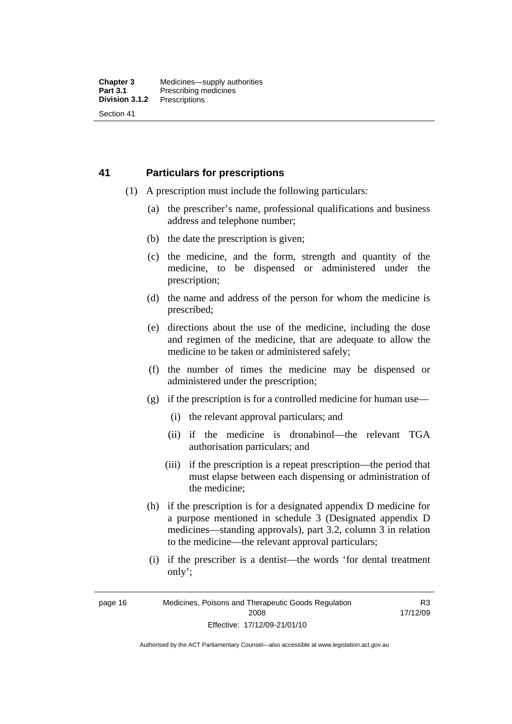### **41 Particulars for prescriptions**

- (1) A prescription must include the following particulars:
	- (a) the prescriber's name, professional qualifications and business address and telephone number;
	- (b) the date the prescription is given;
	- (c) the medicine, and the form, strength and quantity of the medicine, to be dispensed or administered under the prescription;
	- (d) the name and address of the person for whom the medicine is prescribed;
	- (e) directions about the use of the medicine, including the dose and regimen of the medicine, that are adequate to allow the medicine to be taken or administered safely;
	- (f) the number of times the medicine may be dispensed or administered under the prescription;
	- (g) if the prescription is for a controlled medicine for human use—
		- (i) the relevant approval particulars; and
		- (ii) if the medicine is dronabinol—the relevant TGA authorisation particulars; and
		- (iii) if the prescription is a repeat prescription—the period that must elapse between each dispensing or administration of the medicine;
	- (h) if the prescription is for a designated appendix D medicine for a purpose mentioned in schedule 3 (Designated appendix D medicines—standing approvals), part 3.2, column 3 in relation to the medicine—the relevant approval particulars;
	- (i) if the prescriber is a dentist—the words 'for dental treatment only';

R3 17/12/09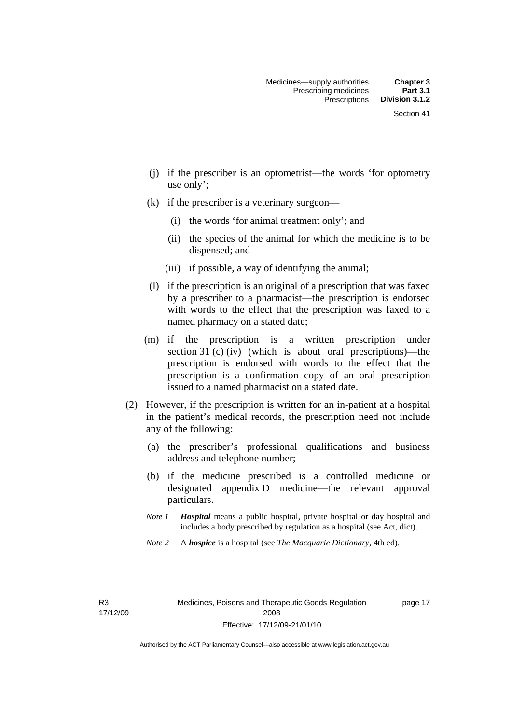- (j) if the prescriber is an optometrist—the words 'for optometry use only';
- (k) if the prescriber is a veterinary surgeon—
	- (i) the words 'for animal treatment only'; and
	- (ii) the species of the animal for which the medicine is to be dispensed; and
	- (iii) if possible, a way of identifying the animal;
- (l) if the prescription is an original of a prescription that was faxed by a prescriber to a pharmacist—the prescription is endorsed with words to the effect that the prescription was faxed to a named pharmacy on a stated date;
- (m) if the prescription is a written prescription under section 31 (c) (iv) (which is about oral prescriptions)—the prescription is endorsed with words to the effect that the prescription is a confirmation copy of an oral prescription issued to a named pharmacist on a stated date.
- (2) However, if the prescription is written for an in-patient at a hospital in the patient's medical records, the prescription need not include any of the following:
	- (a) the prescriber's professional qualifications and business address and telephone number;
	- (b) if the medicine prescribed is a controlled medicine or designated appendix D medicine—the relevant approval particulars.
	- *Note 1 Hospital* means a public hospital, private hospital or day hospital and includes a body prescribed by regulation as a hospital (see Act, dict).
	- *Note 2* A *hospice* is a hospital (see *The Macquarie Dictionary*, 4th ed).

R3 17/12/09 page 17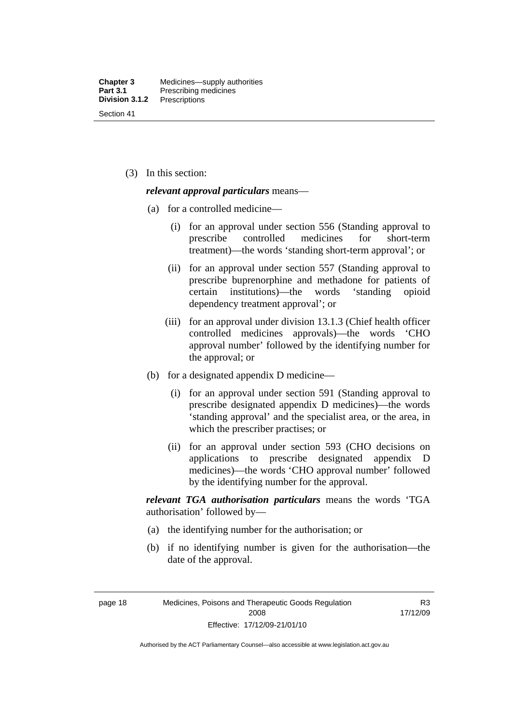(3) In this section:

#### *relevant approval particulars* means—

- (a) for a controlled medicine—
	- (i) for an approval under section 556 (Standing approval to prescribe controlled medicines for short-term treatment)—the words 'standing short-term approval'; or
	- (ii) for an approval under section 557 (Standing approval to prescribe buprenorphine and methadone for patients of certain institutions)—the words 'standing opioid dependency treatment approval'; or
	- (iii) for an approval under division 13.1.3 (Chief health officer controlled medicines approvals)—the words 'CHO approval number' followed by the identifying number for the approval; or
- (b) for a designated appendix D medicine—
	- (i) for an approval under section 591 (Standing approval to prescribe designated appendix D medicines)—the words 'standing approval' and the specialist area, or the area, in which the prescriber practises; or
	- (ii) for an approval under section 593 (CHO decisions on applications to prescribe designated appendix D medicines)—the words 'CHO approval number' followed by the identifying number for the approval.

*relevant TGA authorisation particulars* means the words 'TGA authorisation' followed by—

- (a) the identifying number for the authorisation; or
- (b) if no identifying number is given for the authorisation—the date of the approval.

page 18 Medicines, Poisons and Therapeutic Goods Regulation 2008 Effective: 17/12/09-21/01/10

R3 17/12/09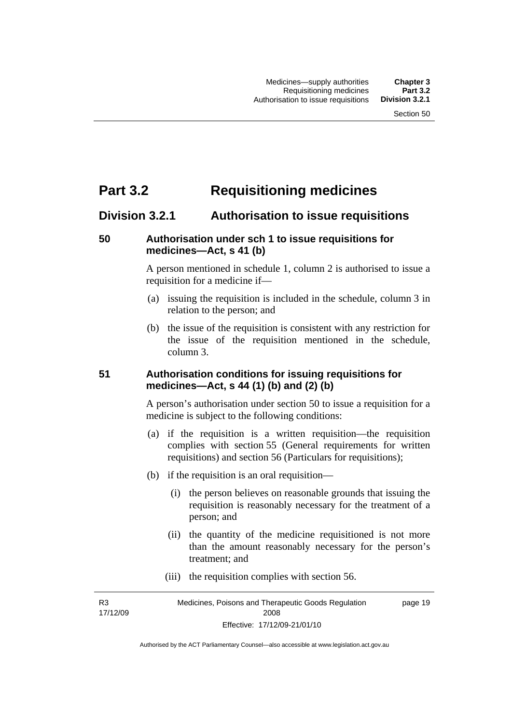# **Part 3.2 Requisitioning medicines**

### **Division 3.2.1 Authorisation to issue requisitions**

### **50 Authorisation under sch 1 to issue requisitions for medicines—Act, s 41 (b)**

A person mentioned in schedule 1, column 2 is authorised to issue a requisition for a medicine if—

- (a) issuing the requisition is included in the schedule, column 3 in relation to the person; and
- (b) the issue of the requisition is consistent with any restriction for the issue of the requisition mentioned in the schedule, column 3.

### **51 Authorisation conditions for issuing requisitions for medicines—Act, s 44 (1) (b) and (2) (b)**

A person's authorisation under section 50 to issue a requisition for a medicine is subject to the following conditions:

- (a) if the requisition is a written requisition—the requisition complies with section 55 (General requirements for written requisitions) and section 56 (Particulars for requisitions);
- (b) if the requisition is an oral requisition—
	- (i) the person believes on reasonable grounds that issuing the requisition is reasonably necessary for the treatment of a person; and
	- (ii) the quantity of the medicine requisitioned is not more than the amount reasonably necessary for the person's treatment; and
	- (iii) the requisition complies with section 56.

R3 17/12/09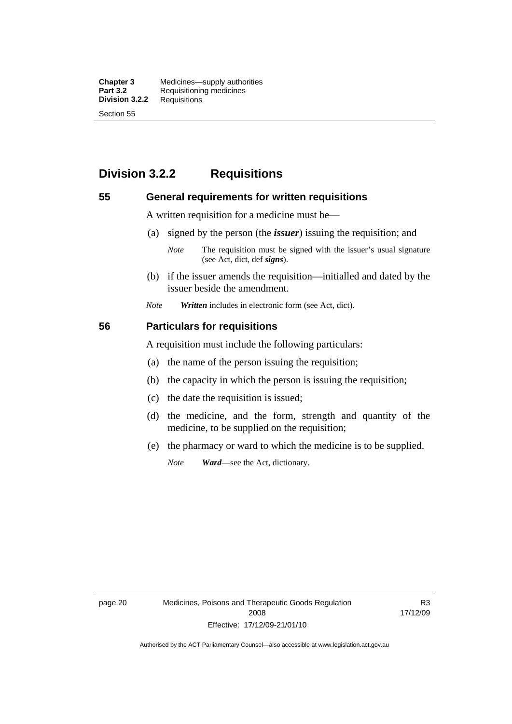**Chapter 3** Medicines—supply authorities<br>**Part 3.2** Requisitioning medicines **Requisitioning medicines**<br>Requisitions **Division 3.2.2** Section 55

# **Division 3.2.2 Requisitions**

#### **55 General requirements for written requisitions**

A written requisition for a medicine must be—

(a) signed by the person (the *issuer*) issuing the requisition; and

 (b) if the issuer amends the requisition—initialled and dated by the issuer beside the amendment.

*Note Written* includes in electronic form (see Act, dict).

#### **56 Particulars for requisitions**

A requisition must include the following particulars:

- (a) the name of the person issuing the requisition;
- (b) the capacity in which the person is issuing the requisition;
- (c) the date the requisition is issued;
- (d) the medicine, and the form, strength and quantity of the medicine, to be supplied on the requisition;
- (e) the pharmacy or ward to which the medicine is to be supplied.

*Note Ward*—see the Act, dictionary.

*Note* The requisition must be signed with the issuer's usual signature (see Act, dict, def *signs*).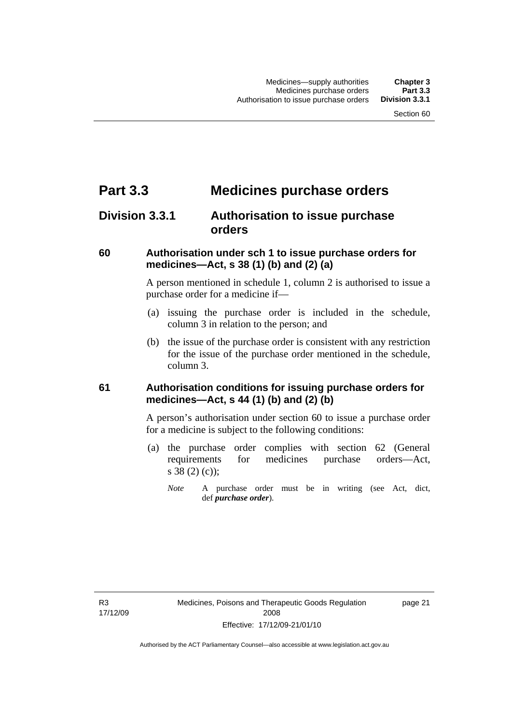# **Part 3.3 Medicines purchase orders**

## **Division 3.3.1 Authorisation to issue purchase orders**

### **60 Authorisation under sch 1 to issue purchase orders for medicines—Act, s 38 (1) (b) and (2) (a)**

A person mentioned in schedule 1, column 2 is authorised to issue a purchase order for a medicine if—

- (a) issuing the purchase order is included in the schedule, column 3 in relation to the person; and
- (b) the issue of the purchase order is consistent with any restriction for the issue of the purchase order mentioned in the schedule, column 3.

### **61 Authorisation conditions for issuing purchase orders for medicines—Act, s 44 (1) (b) and (2) (b)**

A person's authorisation under section 60 to issue a purchase order for a medicine is subject to the following conditions:

- (a) the purchase order complies with section 62 (General requirements for medicines purchase orders—Act, s 38 (2) (c));
	- *Note* A purchase order must be in writing (see Act, dict, def *purchase order*).

page 21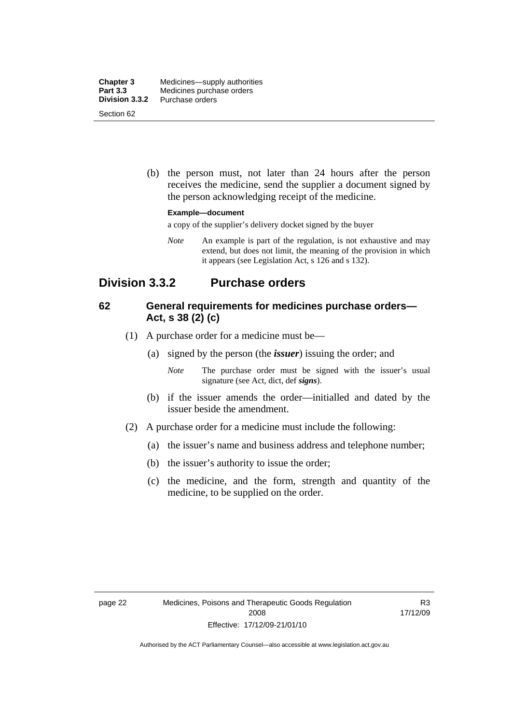| <b>Chapter 3</b><br><b>Part 3.3</b> | Medicines—supply authorities<br>Medicines purchase orders |
|-------------------------------------|-----------------------------------------------------------|
| Division 3.3.2                      | Purchase orders                                           |
| Section 62                          |                                                           |

 (b) the person must, not later than 24 hours after the person receives the medicine, send the supplier a document signed by the person acknowledging receipt of the medicine.

#### **Example—document**

a copy of the supplier's delivery docket signed by the buyer

*Note* An example is part of the regulation, is not exhaustive and may extend, but does not limit, the meaning of the provision in which it appears (see Legislation Act, s 126 and s 132).

### **Division 3.3.2 Purchase orders**

### **62 General requirements for medicines purchase orders— Act, s 38 (2) (c)**

- (1) A purchase order for a medicine must be—
	- (a) signed by the person (the *issuer*) issuing the order; and
		- *Note* The purchase order must be signed with the issuer's usual signature (see Act, dict, def *signs*).
	- (b) if the issuer amends the order—initialled and dated by the issuer beside the amendment.
- (2) A purchase order for a medicine must include the following:
	- (a) the issuer's name and business address and telephone number;
	- (b) the issuer's authority to issue the order;
	- (c) the medicine, and the form, strength and quantity of the medicine, to be supplied on the order.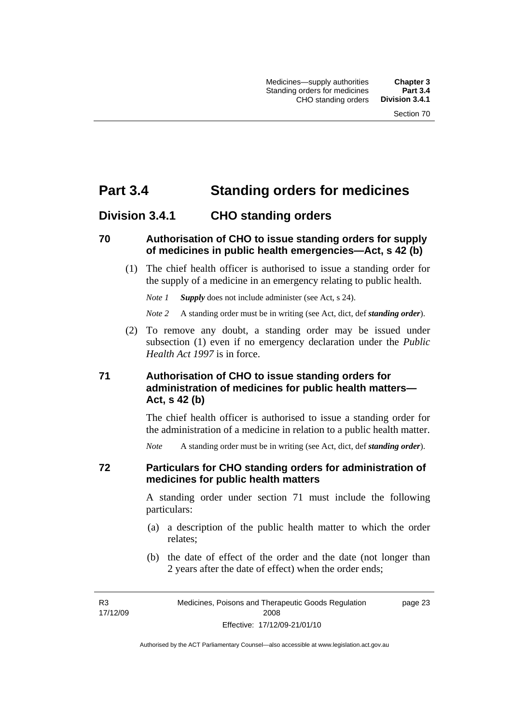# **Part 3.4 Standing orders for medicines**

### **Division 3.4.1 CHO standing orders**

### **70 Authorisation of CHO to issue standing orders for supply of medicines in public health emergencies—Act, s 42 (b)**

 (1) The chief health officer is authorised to issue a standing order for the supply of a medicine in an emergency relating to public health.

*Note 1 Supply* does not include administer (see Act, s 24).

*Note 2* A standing order must be in writing (see Act, dict, def *standing order*).

 (2) To remove any doubt, a standing order may be issued under subsection (1) even if no emergency declaration under the *Public Health Act 1997* is in force.

### **71 Authorisation of CHO to issue standing orders for administration of medicines for public health matters— Act, s 42 (b)**

The chief health officer is authorised to issue a standing order for the administration of a medicine in relation to a public health matter.

*Note* A standing order must be in writing (see Act, dict, def *standing order*).

### **72 Particulars for CHO standing orders for administration of medicines for public health matters**

A standing order under section 71 must include the following particulars:

- (a) a description of the public health matter to which the order relates;
- (b) the date of effect of the order and the date (not longer than 2 years after the date of effect) when the order ends;

R3 17/12/09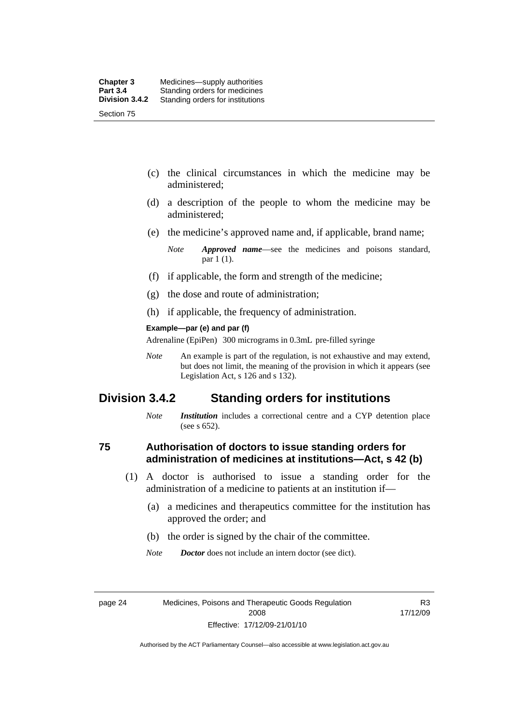- (c) the clinical circumstances in which the medicine may be administered;
- (d) a description of the people to whom the medicine may be administered;
- (e) the medicine's approved name and, if applicable, brand name;

- (f) if applicable, the form and strength of the medicine;
- (g) the dose and route of administration;
- (h) if applicable, the frequency of administration.

#### **Example—par (e) and par (f)**

Adrenaline (EpiPen) 300 micrograms in 0.3mL pre-filled syringe

*Note* An example is part of the regulation, is not exhaustive and may extend, but does not limit, the meaning of the provision in which it appears (see Legislation Act, s 126 and s 132).

### **Division 3.4.2 Standing orders for institutions**

*Note Institution* includes a correctional centre and a CYP detention place (see s 652).

### **75 Authorisation of doctors to issue standing orders for administration of medicines at institutions—Act, s 42 (b)**

- (1) A doctor is authorised to issue a standing order for the administration of a medicine to patients at an institution if—
	- (a) a medicines and therapeutics committee for the institution has approved the order; and
	- (b) the order is signed by the chair of the committee.
	- *Note Doctor* does not include an intern doctor (see dict).

R3 17/12/09

*Note Approved name*—see the medicines and poisons standard, par 1 (1).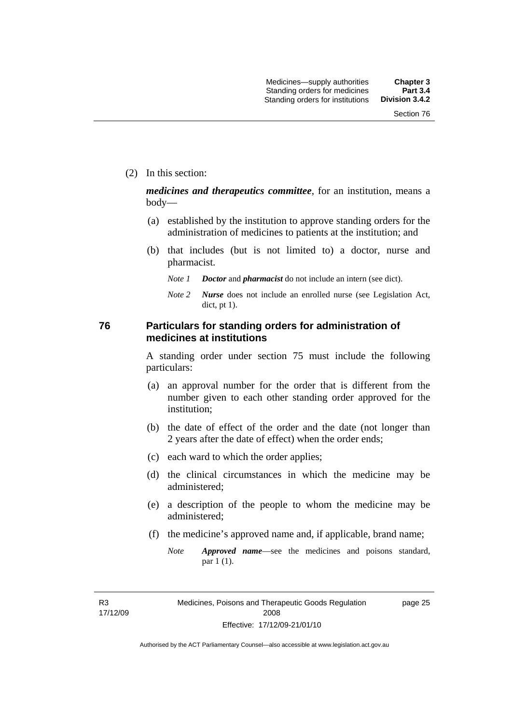(2) In this section:

*medicines and therapeutics committee*, for an institution, means a body—

- (a) established by the institution to approve standing orders for the administration of medicines to patients at the institution; and
- (b) that includes (but is not limited to) a doctor, nurse and pharmacist.
	- *Note 1 Doctor* and *pharmacist* do not include an intern (see dict).
	- *Note 2 Nurse* does not include an enrolled nurse (see Legislation Act, dict, pt 1).

### **76 Particulars for standing orders for administration of medicines at institutions**

A standing order under section 75 must include the following particulars:

- (a) an approval number for the order that is different from the number given to each other standing order approved for the institution;
- (b) the date of effect of the order and the date (not longer than 2 years after the date of effect) when the order ends;
- (c) each ward to which the order applies;
- (d) the clinical circumstances in which the medicine may be administered;
- (e) a description of the people to whom the medicine may be administered;
- (f) the medicine's approved name and, if applicable, brand name;
	- *Note Approved name*—see the medicines and poisons standard, par 1 (1).

R3 17/12/09 page 25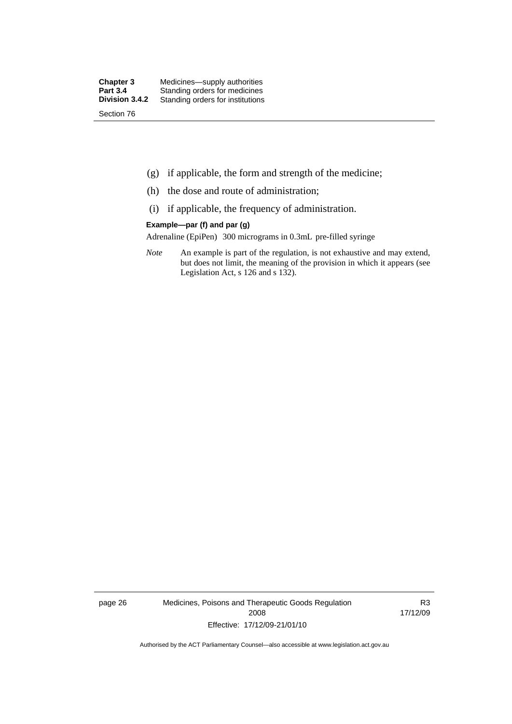- (g) if applicable, the form and strength of the medicine;
- (h) the dose and route of administration;
- (i) if applicable, the frequency of administration.

#### **Example—par (f) and par (g)**

Adrenaline (EpiPen) 300 micrograms in 0.3mL pre-filled syringe

*Note* An example is part of the regulation, is not exhaustive and may extend, but does not limit, the meaning of the provision in which it appears (see Legislation Act, s 126 and s 132).

page 26 Medicines, Poisons and Therapeutic Goods Regulation 2008 Effective: 17/12/09-21/01/10

R3 17/12/09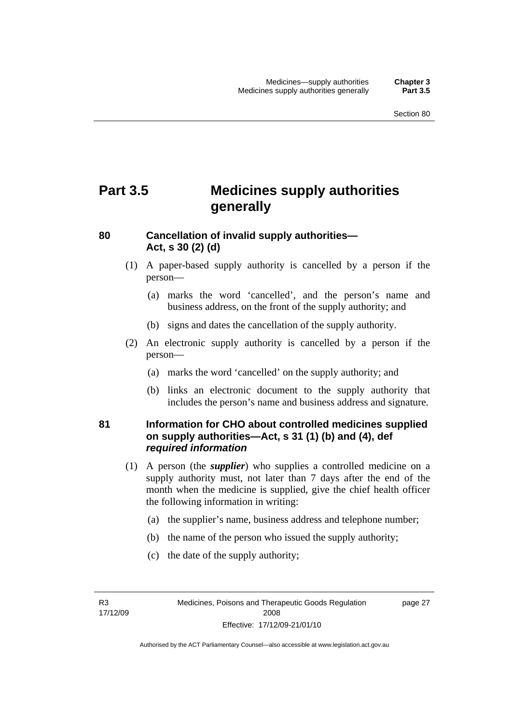# **Part 3.5 Medicines supply authorities generally**

### **80 Cancellation of invalid supply authorities— Act, s 30 (2) (d)**

- (1) A paper-based supply authority is cancelled by a person if the person—
	- (a) marks the word 'cancelled', and the person's name and business address, on the front of the supply authority; and
	- (b) signs and dates the cancellation of the supply authority.
- (2) An electronic supply authority is cancelled by a person if the person—
	- (a) marks the word 'cancelled' on the supply authority; and
	- (b) links an electronic document to the supply authority that includes the person's name and business address and signature.

### **81 Information for CHO about controlled medicines supplied on supply authorities—Act, s 31 (1) (b) and (4), def**  *required information*

- (1) A person (the *supplier*) who supplies a controlled medicine on a supply authority must, not later than 7 days after the end of the month when the medicine is supplied, give the chief health officer the following information in writing:
	- (a) the supplier's name, business address and telephone number;
	- (b) the name of the person who issued the supply authority;
	- (c) the date of the supply authority;

R3 17/12/09 page 27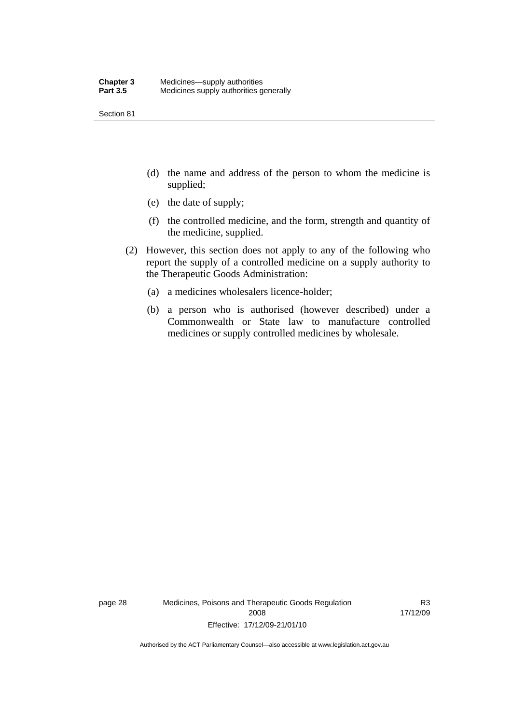Section 81

- (d) the name and address of the person to whom the medicine is supplied;
- (e) the date of supply;
- (f) the controlled medicine, and the form, strength and quantity of the medicine, supplied.
- (2) However, this section does not apply to any of the following who report the supply of a controlled medicine on a supply authority to the Therapeutic Goods Administration:
	- (a) a medicines wholesalers licence-holder;
	- (b) a person who is authorised (however described) under a Commonwealth or State law to manufacture controlled medicines or supply controlled medicines by wholesale.

page 28 Medicines, Poisons and Therapeutic Goods Regulation 2008 Effective: 17/12/09-21/01/10

R3 17/12/09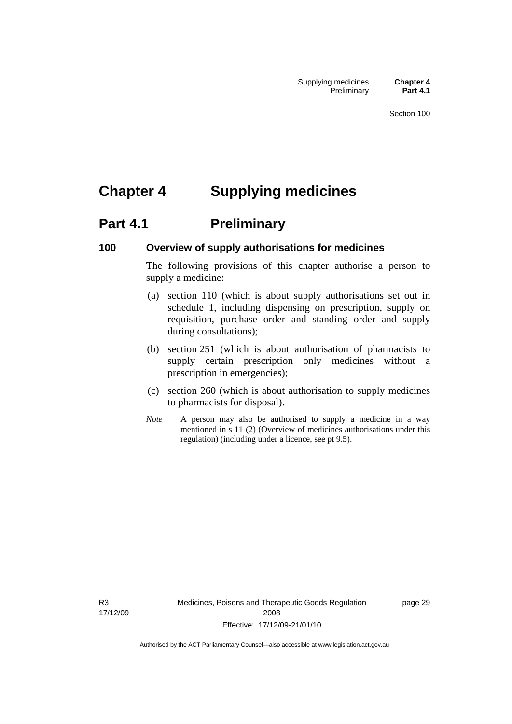# **Chapter 4 Supplying medicines**

# **Part 4.1** Preliminary

### **100 Overview of supply authorisations for medicines**

The following provisions of this chapter authorise a person to supply a medicine:

- (a) section 110 (which is about supply authorisations set out in schedule 1, including dispensing on prescription, supply on requisition, purchase order and standing order and supply during consultations);
- (b) section 251 (which is about authorisation of pharmacists to supply certain prescription only medicines without a prescription in emergencies);
- (c) section 260 (which is about authorisation to supply medicines to pharmacists for disposal).
- *Note* A person may also be authorised to supply a medicine in a way mentioned in s 11 (2) (Overview of medicines authorisations under this regulation) (including under a licence, see pt 9.5).

R3 17/12/09 Medicines, Poisons and Therapeutic Goods Regulation 2008 Effective: 17/12/09-21/01/10

page 29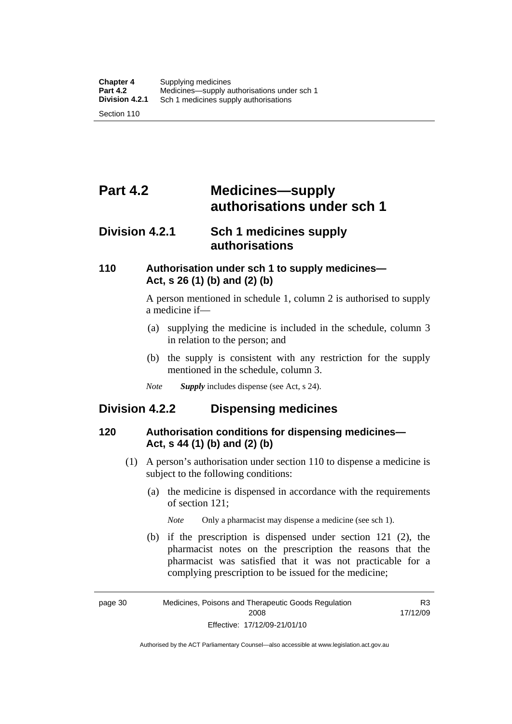# **Part 4.2 Medicines—supply authorisations under sch 1**

### **Division 4.2.1 Sch 1 medicines supply authorisations**

### **110 Authorisation under sch 1 to supply medicines— Act, s 26 (1) (b) and (2) (b)**

A person mentioned in schedule 1, column 2 is authorised to supply a medicine if—

- (a) supplying the medicine is included in the schedule, column 3 in relation to the person; and
- (b) the supply is consistent with any restriction for the supply mentioned in the schedule, column 3.
- *Note Supply* includes dispense (see Act, s 24).

## **Division 4.2.2 Dispensing medicines**

### **120 Authorisation conditions for dispensing medicines— Act, s 44 (1) (b) and (2) (b)**

- (1) A person's authorisation under section 110 to dispense a medicine is subject to the following conditions:
	- (a) the medicine is dispensed in accordance with the requirements of section 121;

*Note* Only a pharmacist may dispense a medicine (see sch 1).

 (b) if the prescription is dispensed under section 121 (2), the pharmacist notes on the prescription the reasons that the pharmacist was satisfied that it was not practicable for a complying prescription to be issued for the medicine;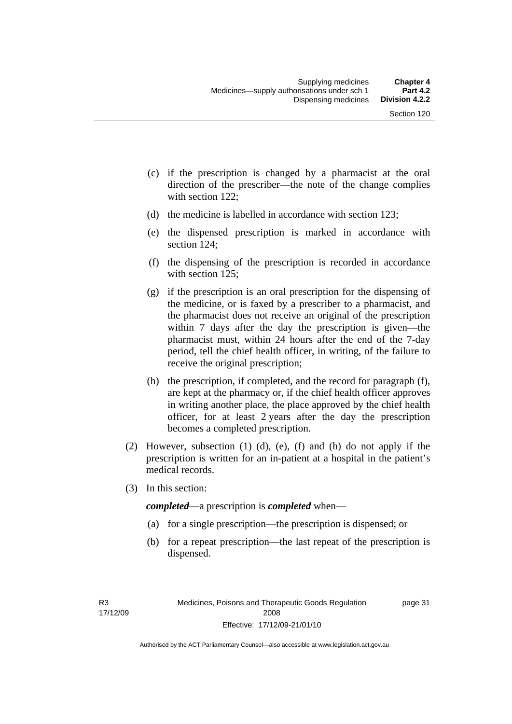- (c) if the prescription is changed by a pharmacist at the oral direction of the prescriber—the note of the change complies with section 122;
- (d) the medicine is labelled in accordance with section 123;
- (e) the dispensed prescription is marked in accordance with section 124;
- (f) the dispensing of the prescription is recorded in accordance with section 125:
- (g) if the prescription is an oral prescription for the dispensing of the medicine, or is faxed by a prescriber to a pharmacist, and the pharmacist does not receive an original of the prescription within 7 days after the day the prescription is given—the pharmacist must, within 24 hours after the end of the 7-day period, tell the chief health officer, in writing, of the failure to receive the original prescription;
- (h) the prescription, if completed, and the record for paragraph (f), are kept at the pharmacy or, if the chief health officer approves in writing another place, the place approved by the chief health officer, for at least 2 years after the day the prescription becomes a completed prescription.
- (2) However, subsection (1) (d), (e), (f) and (h) do not apply if the prescription is written for an in-patient at a hospital in the patient's medical records.
- (3) In this section:

*completed*—a prescription is *completed* when—

- (a) for a single prescription—the prescription is dispensed; or
- (b) for a repeat prescription—the last repeat of the prescription is dispensed.

page 31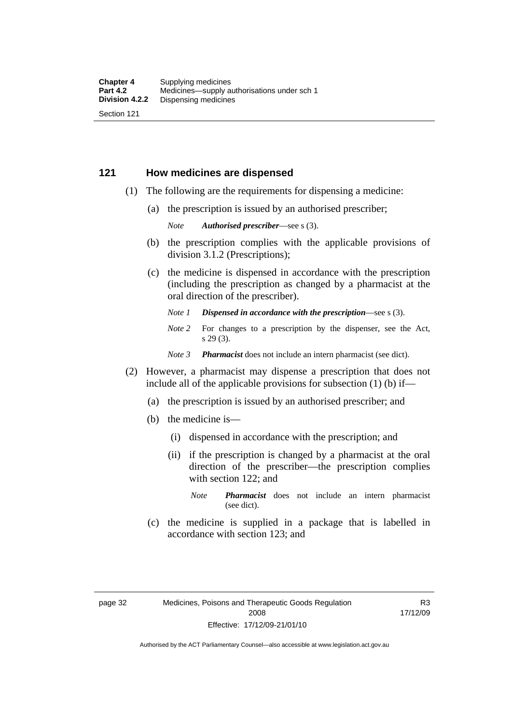### **121 How medicines are dispensed**

- (1) The following are the requirements for dispensing a medicine:
	- (a) the prescription is issued by an authorised prescriber;

*Note Authorised prescriber*—see s (3).

- (b) the prescription complies with the applicable provisions of division 3.1.2 (Prescriptions);
- (c) the medicine is dispensed in accordance with the prescription (including the prescription as changed by a pharmacist at the oral direction of the prescriber).
	- *Note 1 Dispensed in accordance with the prescription*—see s (3).
	- *Note* 2 For changes to a prescription by the dispenser, see the Act, s 29 (3).
	- *Note 3 Pharmacist* does not include an intern pharmacist (see dict).
- (2) However, a pharmacist may dispense a prescription that does not include all of the applicable provisions for subsection (1) (b) if—
	- (a) the prescription is issued by an authorised prescriber; and
	- (b) the medicine is—
		- (i) dispensed in accordance with the prescription; and
		- (ii) if the prescription is changed by a pharmacist at the oral direction of the prescriber—the prescription complies with section 122; and
			- *Note Pharmacist* does not include an intern pharmacist (see dict).
	- (c) the medicine is supplied in a package that is labelled in accordance with section 123; and

R3 17/12/09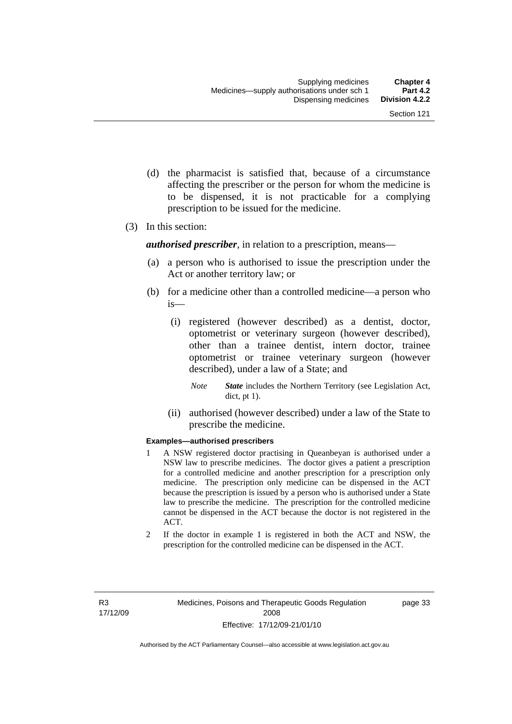- (d) the pharmacist is satisfied that, because of a circumstance affecting the prescriber or the person for whom the medicine is to be dispensed, it is not practicable for a complying prescription to be issued for the medicine.
- (3) In this section:

*authorised prescriber*, in relation to a prescription, means—

- (a) a person who is authorised to issue the prescription under the Act or another territory law; or
- (b) for a medicine other than a controlled medicine—a person who is—
	- (i) registered (however described) as a dentist, doctor, optometrist or veterinary surgeon (however described), other than a trainee dentist, intern doctor, trainee optometrist or trainee veterinary surgeon (however described), under a law of a State; and
		- *Note State* includes the Northern Territory (see Legislation Act, dict, pt 1).
	- (ii) authorised (however described) under a law of the State to prescribe the medicine.

#### **Examples—authorised prescribers**

- 1 A NSW registered doctor practising in Queanbeyan is authorised under a NSW law to prescribe medicines. The doctor gives a patient a prescription for a controlled medicine and another prescription for a prescription only medicine. The prescription only medicine can be dispensed in the ACT because the prescription is issued by a person who is authorised under a State law to prescribe the medicine. The prescription for the controlled medicine cannot be dispensed in the ACT because the doctor is not registered in the ACT.
- 2 If the doctor in example 1 is registered in both the ACT and NSW, the prescription for the controlled medicine can be dispensed in the ACT.

page 33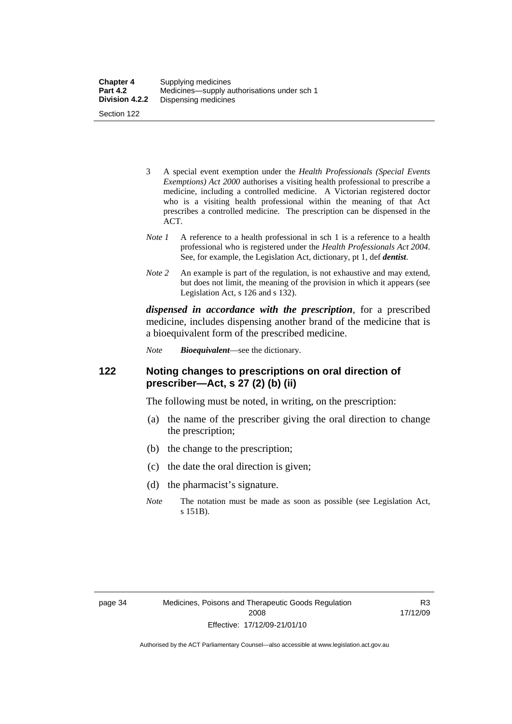| <b>Chapter 4</b> | Supplying medicines                         |
|------------------|---------------------------------------------|
| <b>Part 4.2</b>  | Medicines—supply authorisations under sch 1 |
| Division 4.2.2   | Dispensing medicines                        |
| Section 122      |                                             |

- 3 A special event exemption under the *Health Professionals (Special Events Exemptions) Act 2000* authorises a visiting health professional to prescribe a medicine, including a controlled medicine. A Victorian registered doctor who is a visiting health professional within the meaning of that Act prescribes a controlled medicine. The prescription can be dispensed in the ACT.
- *Note 1* A reference to a health professional in sch 1 is a reference to a health professional who is registered under the *Health Professionals Act 2004*. See, for example, the Legislation Act, dictionary, pt 1, def *dentist*.
- *Note 2* An example is part of the regulation, is not exhaustive and may extend, but does not limit, the meaning of the provision in which it appears (see Legislation Act, s 126 and s 132).

*dispensed in accordance with the prescription*, for a prescribed medicine, includes dispensing another brand of the medicine that is a bioequivalent form of the prescribed medicine.

*Note Bioequivalent*—see the dictionary.

### **122 Noting changes to prescriptions on oral direction of prescriber—Act, s 27 (2) (b) (ii)**

The following must be noted, in writing, on the prescription:

- (a) the name of the prescriber giving the oral direction to change the prescription;
- (b) the change to the prescription;
- (c) the date the oral direction is given;
- (d) the pharmacist's signature.
- *Note* The notation must be made as soon as possible (see Legislation Act, s 151B).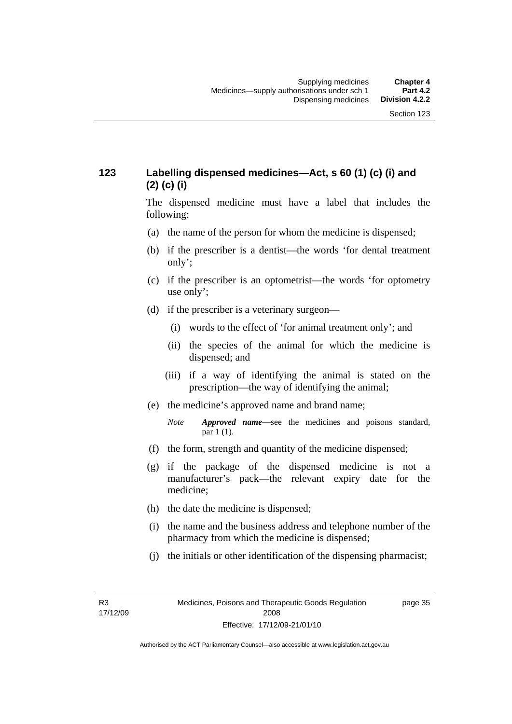### **123 Labelling dispensed medicines—Act, s 60 (1) (c) (i) and (2) (c) (i)**

The dispensed medicine must have a label that includes the following:

- (a) the name of the person for whom the medicine is dispensed;
- (b) if the prescriber is a dentist—the words 'for dental treatment only';
- (c) if the prescriber is an optometrist—the words 'for optometry use only';
- (d) if the prescriber is a veterinary surgeon—
	- (i) words to the effect of 'for animal treatment only'; and
	- (ii) the species of the animal for which the medicine is dispensed; and
	- (iii) if a way of identifying the animal is stated on the prescription—the way of identifying the animal;
- (e) the medicine's approved name and brand name;
	- *Note Approved name*—see the medicines and poisons standard, par 1 (1).
- (f) the form, strength and quantity of the medicine dispensed;
- (g) if the package of the dispensed medicine is not a manufacturer's pack—the relevant expiry date for the medicine;
- (h) the date the medicine is dispensed;
- (i) the name and the business address and telephone number of the pharmacy from which the medicine is dispensed;
- (j) the initials or other identification of the dispensing pharmacist;

page 35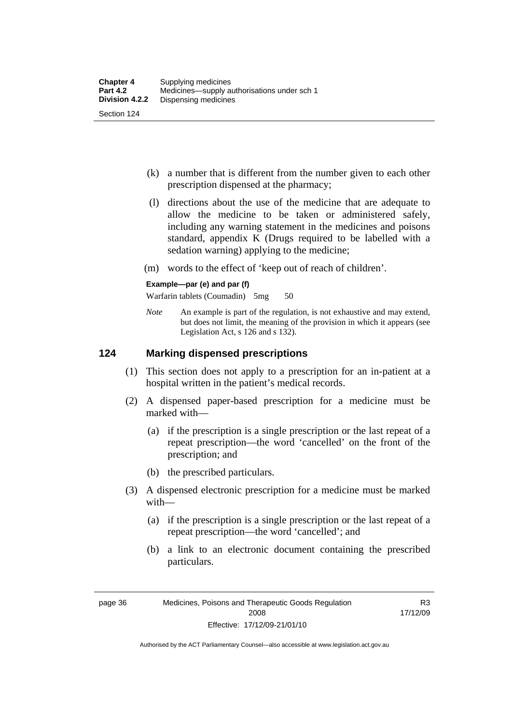- (k) a number that is different from the number given to each other prescription dispensed at the pharmacy;
- (l) directions about the use of the medicine that are adequate to allow the medicine to be taken or administered safely, including any warning statement in the medicines and poisons standard, appendix K (Drugs required to be labelled with a sedation warning) applying to the medicine;
- (m) words to the effect of 'keep out of reach of children'.

#### **Example—par (e) and par (f)**

Warfarin tablets (Coumadin) 5mg 50

*Note* An example is part of the regulation, is not exhaustive and may extend, but does not limit, the meaning of the provision in which it appears (see Legislation Act, s 126 and s 132).

### **124 Marking dispensed prescriptions**

- (1) This section does not apply to a prescription for an in-patient at a hospital written in the patient's medical records.
- (2) A dispensed paper-based prescription for a medicine must be marked with—
	- (a) if the prescription is a single prescription or the last repeat of a repeat prescription—the word 'cancelled' on the front of the prescription; and
	- (b) the prescribed particulars.
- (3) A dispensed electronic prescription for a medicine must be marked with—
	- (a) if the prescription is a single prescription or the last repeat of a repeat prescription—the word 'cancelled'; and
	- (b) a link to an electronic document containing the prescribed particulars.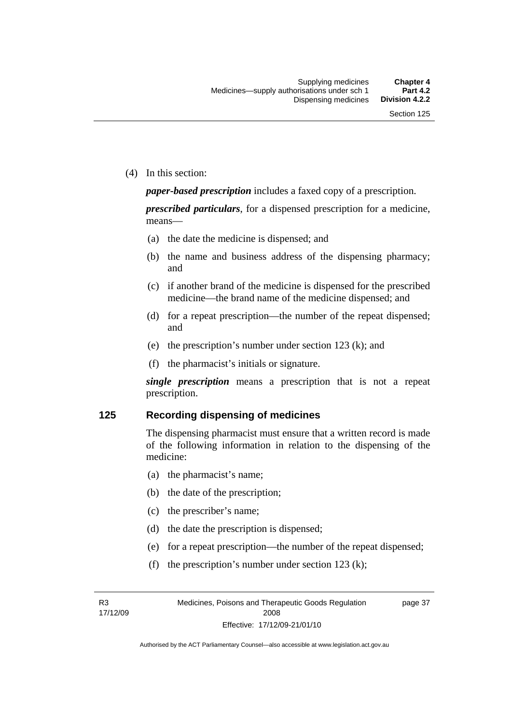(4) In this section:

*paper-based prescription* includes a faxed copy of a prescription.

*prescribed particulars*, for a dispensed prescription for a medicine, means—

- (a) the date the medicine is dispensed; and
- (b) the name and business address of the dispensing pharmacy; and
- (c) if another brand of the medicine is dispensed for the prescribed medicine—the brand name of the medicine dispensed; and
- (d) for a repeat prescription—the number of the repeat dispensed; and
- (e) the prescription's number under section 123 (k); and
- (f) the pharmacist's initials or signature.

*single prescription* means a prescription that is not a repeat prescription.

#### **125 Recording dispensing of medicines**

The dispensing pharmacist must ensure that a written record is made of the following information in relation to the dispensing of the medicine:

- (a) the pharmacist's name;
- (b) the date of the prescription;
- (c) the prescriber's name;
- (d) the date the prescription is dispensed;
- (e) for a repeat prescription—the number of the repeat dispensed;
- (f) the prescription's number under section 123 (k);

R3 17/12/09 page 37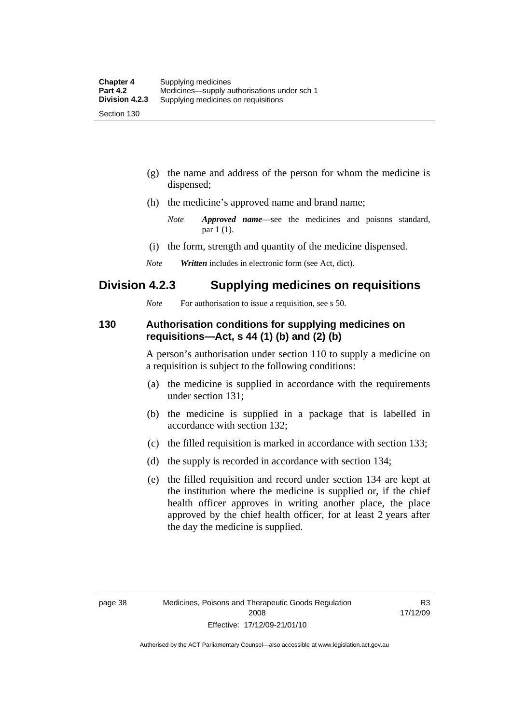- (g) the name and address of the person for whom the medicine is dispensed;
- (h) the medicine's approved name and brand name;
	- *Note Approved name*—see the medicines and poisons standard, par 1 (1).
- (i) the form, strength and quantity of the medicine dispensed.
- *Note Written* includes in electronic form (see Act, dict).

### **Division 4.2.3 Supplying medicines on requisitions**

*Note* For authorisation to issue a requisition, see s 50.

### **130 Authorisation conditions for supplying medicines on requisitions—Act, s 44 (1) (b) and (2) (b)**

A person's authorisation under section 110 to supply a medicine on a requisition is subject to the following conditions:

- (a) the medicine is supplied in accordance with the requirements under section 131;
- (b) the medicine is supplied in a package that is labelled in accordance with section 132;
- (c) the filled requisition is marked in accordance with section 133;
- (d) the supply is recorded in accordance with section 134;
- (e) the filled requisition and record under section 134 are kept at the institution where the medicine is supplied or, if the chief health officer approves in writing another place, the place approved by the chief health officer, for at least 2 years after the day the medicine is supplied.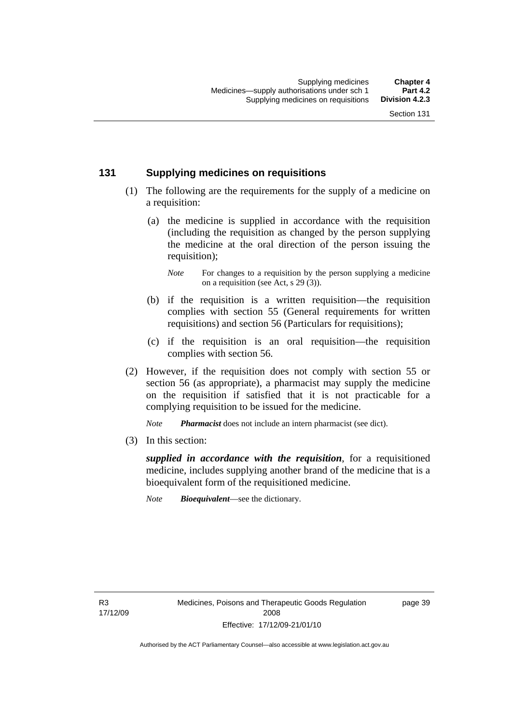### **131 Supplying medicines on requisitions**

- (1) The following are the requirements for the supply of a medicine on a requisition:
	- (a) the medicine is supplied in accordance with the requisition (including the requisition as changed by the person supplying the medicine at the oral direction of the person issuing the requisition);

- (b) if the requisition is a written requisition—the requisition complies with section 55 (General requirements for written requisitions) and section 56 (Particulars for requisitions);
- (c) if the requisition is an oral requisition—the requisition complies with section 56.
- (2) However, if the requisition does not comply with section 55 or section 56 (as appropriate), a pharmacist may supply the medicine on the requisition if satisfied that it is not practicable for a complying requisition to be issued for the medicine.

*Note Pharmacist* does not include an intern pharmacist (see dict).

(3) In this section:

*supplied in accordance with the requisition*, for a requisitioned medicine, includes supplying another brand of the medicine that is a bioequivalent form of the requisitioned medicine.

*Note Bioequivalent*—see the dictionary.

R3 17/12/09 page 39

*Note* For changes to a requisition by the person supplying a medicine on a requisition (see Act, s 29 (3)).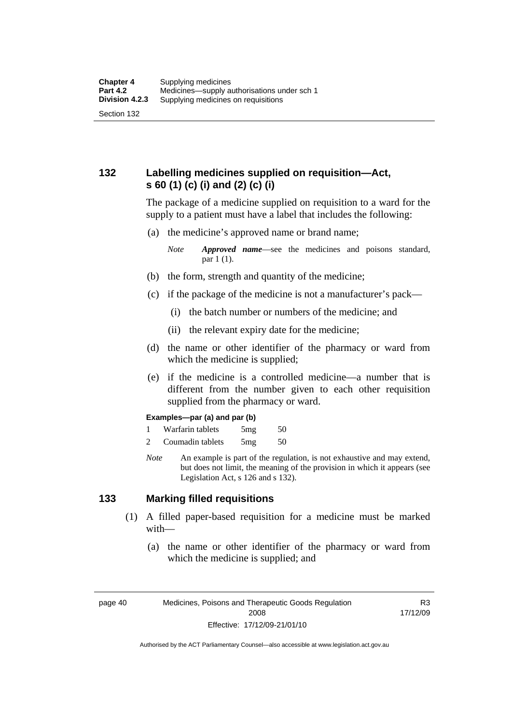### **132 Labelling medicines supplied on requisition—Act, s 60 (1) (c) (i) and (2) (c) (i)**

The package of a medicine supplied on requisition to a ward for the supply to a patient must have a label that includes the following:

(a) the medicine's approved name or brand name;

*Note Approved name*—see the medicines and poisons standard, par 1 (1).

- (b) the form, strength and quantity of the medicine;
- (c) if the package of the medicine is not a manufacturer's pack—
	- (i) the batch number or numbers of the medicine; and
	- (ii) the relevant expiry date for the medicine;
- (d) the name or other identifier of the pharmacy or ward from which the medicine is supplied;
- (e) if the medicine is a controlled medicine—a number that is different from the number given to each other requisition supplied from the pharmacy or ward.

#### **Examples—par (a) and par (b)**

- 1 Warfarin tablets 5mg 50
- 2 Coumadin tablets 5mg 50
- *Note* An example is part of the regulation, is not exhaustive and may extend, but does not limit, the meaning of the provision in which it appears (see Legislation Act, s 126 and s 132).

### **133 Marking filled requisitions**

- (1) A filled paper-based requisition for a medicine must be marked with—
	- (a) the name or other identifier of the pharmacy or ward from which the medicine is supplied; and

page 40 Medicines, Poisons and Therapeutic Goods Regulation 2008 Effective: 17/12/09-21/01/10

R3 17/12/09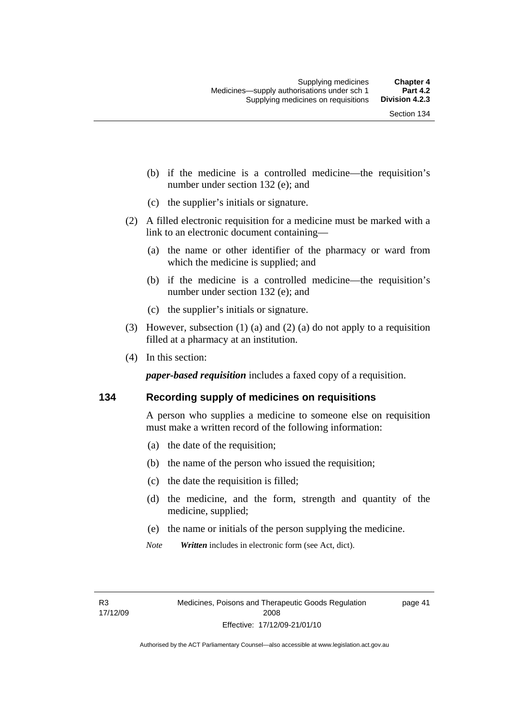- (b) if the medicine is a controlled medicine—the requisition's number under section 132 (e); and
- (c) the supplier's initials or signature.
- (2) A filled electronic requisition for a medicine must be marked with a link to an electronic document containing—
	- (a) the name or other identifier of the pharmacy or ward from which the medicine is supplied; and
	- (b) if the medicine is a controlled medicine—the requisition's number under section 132 (e); and
	- (c) the supplier's initials or signature.
- (3) However, subsection (1) (a) and (2) (a) do not apply to a requisition filled at a pharmacy at an institution.
- (4) In this section:

*paper-based requisition* includes a faxed copy of a requisition.

### **134 Recording supply of medicines on requisitions**

A person who supplies a medicine to someone else on requisition must make a written record of the following information:

- (a) the date of the requisition;
- (b) the name of the person who issued the requisition;
- (c) the date the requisition is filled;
- (d) the medicine, and the form, strength and quantity of the medicine, supplied;
- (e) the name or initials of the person supplying the medicine.
- *Note Written* includes in electronic form (see Act, dict).

page 41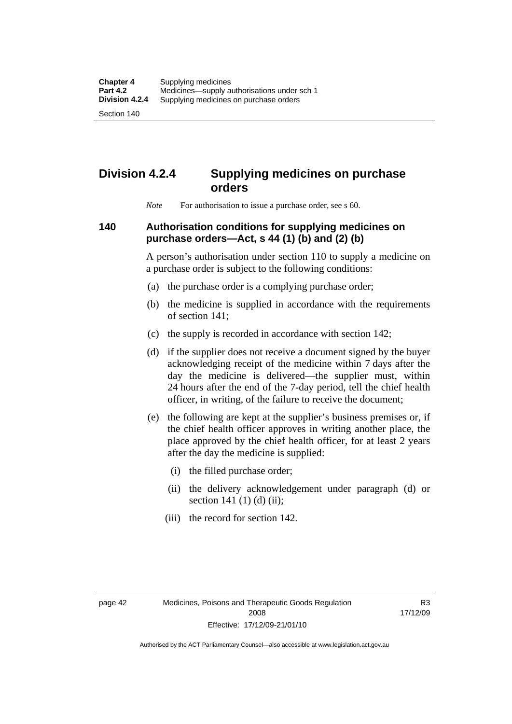Section 140

# **Division 4.2.4 Supplying medicines on purchase orders**

*Note* For authorisation to issue a purchase order, see s 60.

### **140 Authorisation conditions for supplying medicines on purchase orders—Act, s 44 (1) (b) and (2) (b)**

A person's authorisation under section 110 to supply a medicine on a purchase order is subject to the following conditions:

- (a) the purchase order is a complying purchase order;
- (b) the medicine is supplied in accordance with the requirements of section 141;
- (c) the supply is recorded in accordance with section 142;
- (d) if the supplier does not receive a document signed by the buyer acknowledging receipt of the medicine within 7 days after the day the medicine is delivered—the supplier must, within 24 hours after the end of the 7-day period, tell the chief health officer, in writing, of the failure to receive the document;
- (e) the following are kept at the supplier's business premises or, if the chief health officer approves in writing another place, the place approved by the chief health officer, for at least 2 years after the day the medicine is supplied:
	- (i) the filled purchase order;
	- (ii) the delivery acknowledgement under paragraph (d) or section 141 $(1)$  $(d)$  $(ii)$ ;
	- (iii) the record for section 142.

R3 17/12/09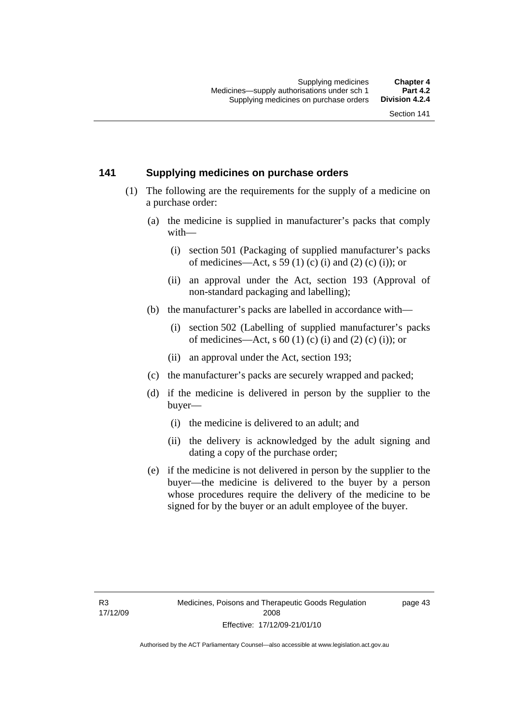### **141 Supplying medicines on purchase orders**

- (1) The following are the requirements for the supply of a medicine on a purchase order:
	- (a) the medicine is supplied in manufacturer's packs that comply with—
		- (i) section 501 (Packaging of supplied manufacturer's packs of medicines—Act, s 59 (1) (c) (i) and (2) (c) (i)); or
		- (ii) an approval under the Act, section 193 (Approval of non-standard packaging and labelling);
	- (b) the manufacturer's packs are labelled in accordance with—
		- (i) section 502 (Labelling of supplied manufacturer's packs of medicines—Act, s  $60$  (1) (c) (i) and (2) (c) (i)); or
		- (ii) an approval under the Act, section 193;
	- (c) the manufacturer's packs are securely wrapped and packed;
	- (d) if the medicine is delivered in person by the supplier to the buyer—
		- (i) the medicine is delivered to an adult; and
		- (ii) the delivery is acknowledged by the adult signing and dating a copy of the purchase order;
	- (e) if the medicine is not delivered in person by the supplier to the buyer—the medicine is delivered to the buyer by a person whose procedures require the delivery of the medicine to be signed for by the buyer or an adult employee of the buyer.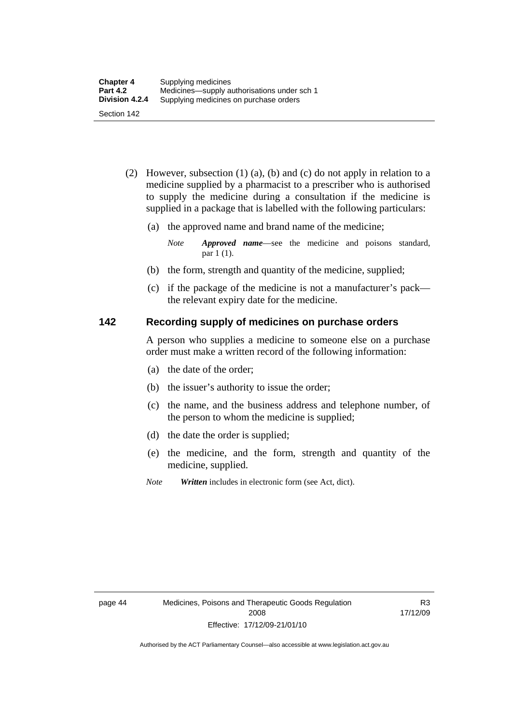- (2) However, subsection (1) (a), (b) and (c) do not apply in relation to a medicine supplied by a pharmacist to a prescriber who is authorised to supply the medicine during a consultation if the medicine is supplied in a package that is labelled with the following particulars:
	- (a) the approved name and brand name of the medicine;

*Note Approved name*—see the medicine and poisons standard, par 1 (1).

- (b) the form, strength and quantity of the medicine, supplied;
- (c) if the package of the medicine is not a manufacturer's pack the relevant expiry date for the medicine.

### **142 Recording supply of medicines on purchase orders**

A person who supplies a medicine to someone else on a purchase order must make a written record of the following information:

- (a) the date of the order;
- (b) the issuer's authority to issue the order;
- (c) the name, and the business address and telephone number, of the person to whom the medicine is supplied;
- (d) the date the order is supplied;
- (e) the medicine, and the form, strength and quantity of the medicine, supplied.
- *Note Written* includes in electronic form (see Act, dict).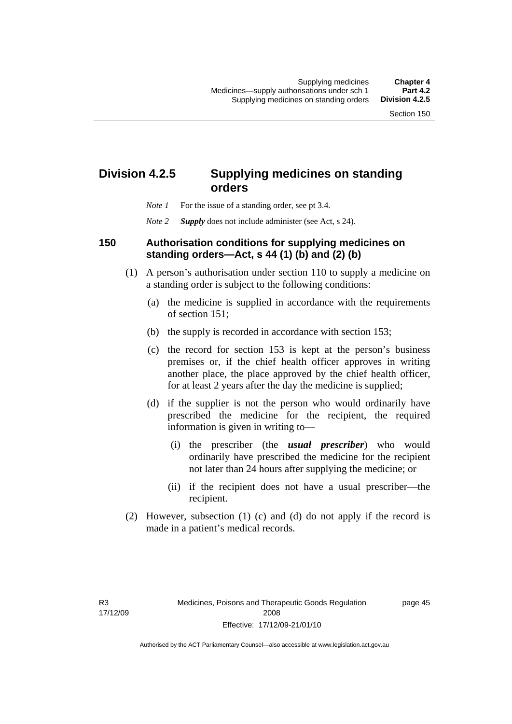# **Division 4.2.5 Supplying medicines on standing orders**

- *Note 1* For the issue of a standing order, see pt 3.4.
- *Note 2 Supply* does not include administer (see Act, s 24).

### **150 Authorisation conditions for supplying medicines on standing orders—Act, s 44 (1) (b) and (2) (b)**

- (1) A person's authorisation under section 110 to supply a medicine on a standing order is subject to the following conditions:
	- (a) the medicine is supplied in accordance with the requirements of section 151;
	- (b) the supply is recorded in accordance with section 153;
	- (c) the record for section 153 is kept at the person's business premises or, if the chief health officer approves in writing another place, the place approved by the chief health officer, for at least 2 years after the day the medicine is supplied;
	- (d) if the supplier is not the person who would ordinarily have prescribed the medicine for the recipient, the required information is given in writing to—
		- (i) the prescriber (the *usual prescriber*) who would ordinarily have prescribed the medicine for the recipient not later than 24 hours after supplying the medicine; or
		- (ii) if the recipient does not have a usual prescriber—the recipient.
- (2) However, subsection (1) (c) and (d) do not apply if the record is made in a patient's medical records.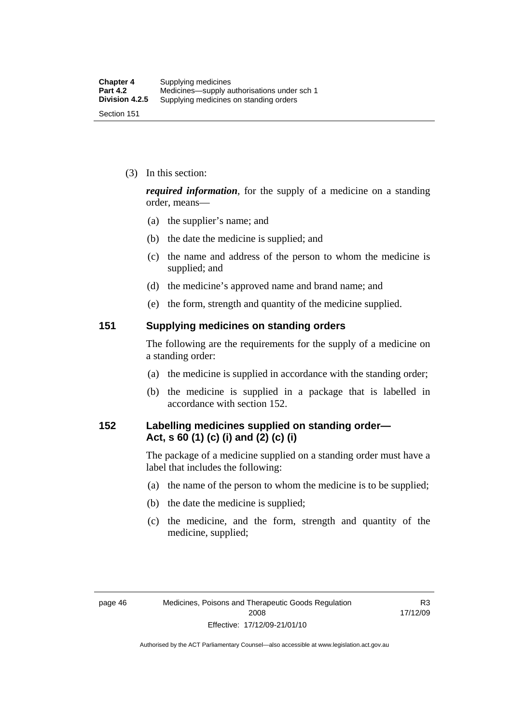(3) In this section:

*required information*, for the supply of a medicine on a standing order, means—

- (a) the supplier's name; and
- (b) the date the medicine is supplied; and
- (c) the name and address of the person to whom the medicine is supplied; and
- (d) the medicine's approved name and brand name; and
- (e) the form, strength and quantity of the medicine supplied.

### **151 Supplying medicines on standing orders**

The following are the requirements for the supply of a medicine on a standing order:

- (a) the medicine is supplied in accordance with the standing order;
- (b) the medicine is supplied in a package that is labelled in accordance with section 152.

### **152 Labelling medicines supplied on standing order— Act, s 60 (1) (c) (i) and (2) (c) (i)**

The package of a medicine supplied on a standing order must have a label that includes the following:

- (a) the name of the person to whom the medicine is to be supplied;
- (b) the date the medicine is supplied;
- (c) the medicine, and the form, strength and quantity of the medicine, supplied;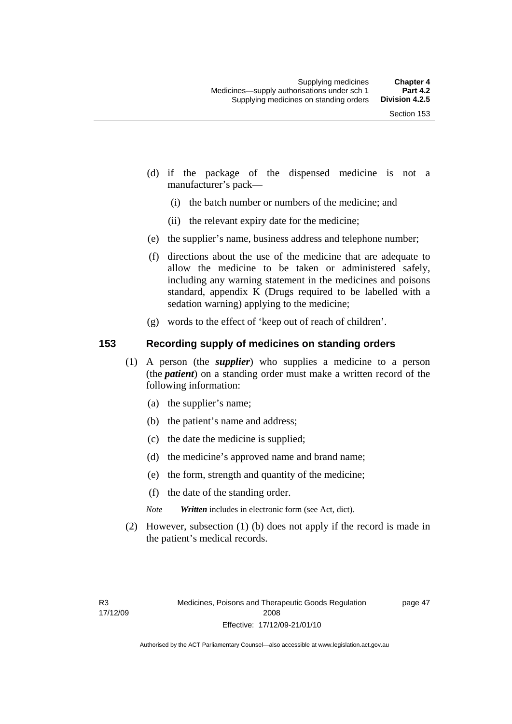- (d) if the package of the dispensed medicine is not a manufacturer's pack—
	- (i) the batch number or numbers of the medicine; and
	- (ii) the relevant expiry date for the medicine;
- (e) the supplier's name, business address and telephone number;
- (f) directions about the use of the medicine that are adequate to allow the medicine to be taken or administered safely, including any warning statement in the medicines and poisons standard, appendix K (Drugs required to be labelled with a sedation warning) applying to the medicine;
- (g) words to the effect of 'keep out of reach of children'.

### **153 Recording supply of medicines on standing orders**

- (1) A person (the *supplier*) who supplies a medicine to a person (the *patient*) on a standing order must make a written record of the following information:
	- (a) the supplier's name;
	- (b) the patient's name and address;
	- (c) the date the medicine is supplied;
	- (d) the medicine's approved name and brand name;
	- (e) the form, strength and quantity of the medicine;
	- (f) the date of the standing order.
	- *Note Written* includes in electronic form (see Act, dict).
- (2) However, subsection (1) (b) does not apply if the record is made in the patient's medical records.

page 47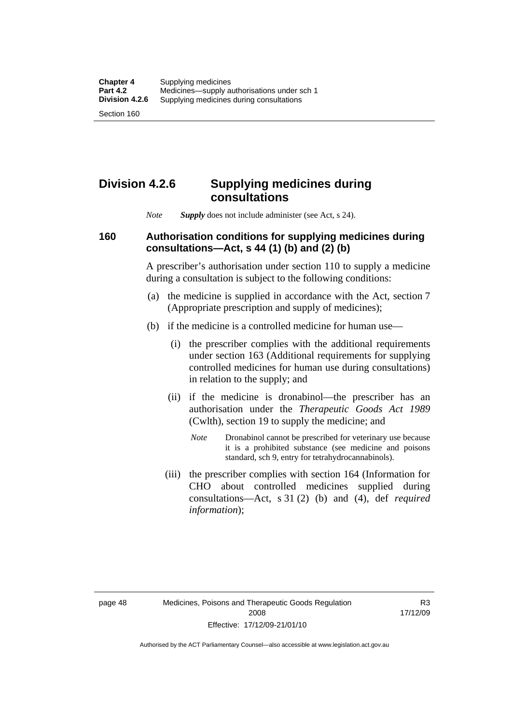Section 160

# **Division 4.2.6 Supplying medicines during consultations**

*Note Supply* does not include administer (see Act, s 24).

### **160 Authorisation conditions for supplying medicines during consultations—Act, s 44 (1) (b) and (2) (b)**

A prescriber's authorisation under section 110 to supply a medicine during a consultation is subject to the following conditions:

- (a) the medicine is supplied in accordance with the Act, section 7 (Appropriate prescription and supply of medicines);
- (b) if the medicine is a controlled medicine for human use—
	- (i) the prescriber complies with the additional requirements under section 163 (Additional requirements for supplying controlled medicines for human use during consultations) in relation to the supply; and
	- (ii) if the medicine is dronabinol—the prescriber has an authorisation under the *Therapeutic Goods Act 1989* (Cwlth), section 19 to supply the medicine; and
		- *Note* Dronabinol cannot be prescribed for veterinary use because it is a prohibited substance (see medicine and poisons standard, sch 9, entry for tetrahydrocannabinols).
	- (iii) the prescriber complies with section 164 (Information for CHO about controlled medicines supplied during consultations—Act, s 31 (2) (b) and (4), def *required information*);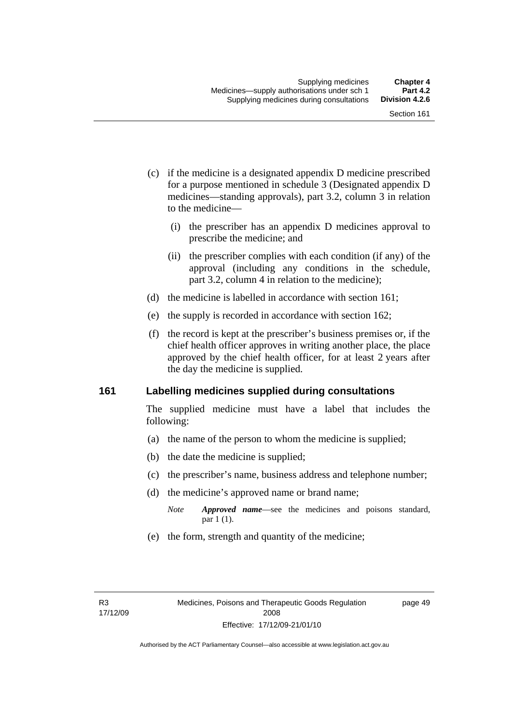- (c) if the medicine is a designated appendix D medicine prescribed for a purpose mentioned in schedule 3 (Designated appendix D medicines—standing approvals), part 3.2, column 3 in relation to the medicine—
	- (i) the prescriber has an appendix D medicines approval to prescribe the medicine; and
	- (ii) the prescriber complies with each condition (if any) of the approval (including any conditions in the schedule, part 3.2, column 4 in relation to the medicine);
- (d) the medicine is labelled in accordance with section 161;
- (e) the supply is recorded in accordance with section 162;
- (f) the record is kept at the prescriber's business premises or, if the chief health officer approves in writing another place, the place approved by the chief health officer, for at least 2 years after the day the medicine is supplied.

### **161 Labelling medicines supplied during consultations**

The supplied medicine must have a label that includes the following:

- (a) the name of the person to whom the medicine is supplied;
- (b) the date the medicine is supplied;
- (c) the prescriber's name, business address and telephone number;
- (d) the medicine's approved name or brand name;
	- *Note Approved name*—see the medicines and poisons standard, par 1 (1).
- (e) the form, strength and quantity of the medicine;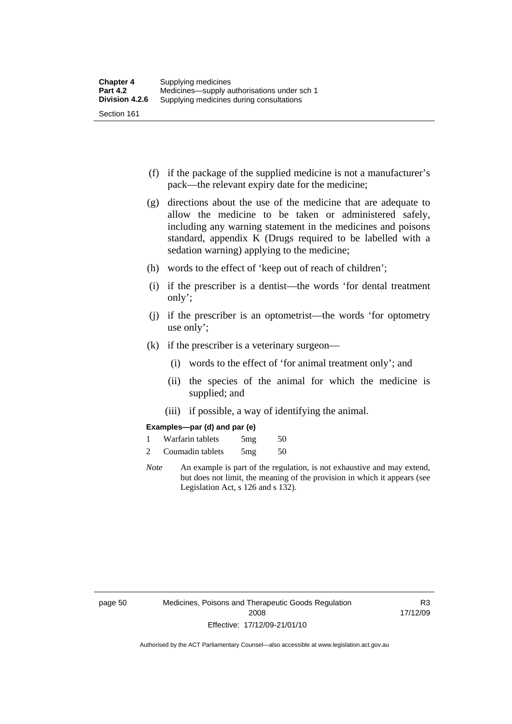- (f) if the package of the supplied medicine is not a manufacturer's pack—the relevant expiry date for the medicine;
- (g) directions about the use of the medicine that are adequate to allow the medicine to be taken or administered safely, including any warning statement in the medicines and poisons standard, appendix K (Drugs required to be labelled with a sedation warning) applying to the medicine;
- (h) words to the effect of 'keep out of reach of children';
- (i) if the prescriber is a dentist—the words 'for dental treatment only';
- (j) if the prescriber is an optometrist—the words 'for optometry use only';
- (k) if the prescriber is a veterinary surgeon—
	- (i) words to the effect of 'for animal treatment only'; and
	- (ii) the species of the animal for which the medicine is supplied; and
	- (iii) if possible, a way of identifying the animal.

#### **Examples—par (d) and par (e)**

| Warfarin tablets | 5mg | 50 |
|------------------|-----|----|
| Coumadin tablets | 5mg | 50 |

*Note* An example is part of the regulation, is not exhaustive and may extend, but does not limit, the meaning of the provision in which it appears (see Legislation Act, s 126 and s 132).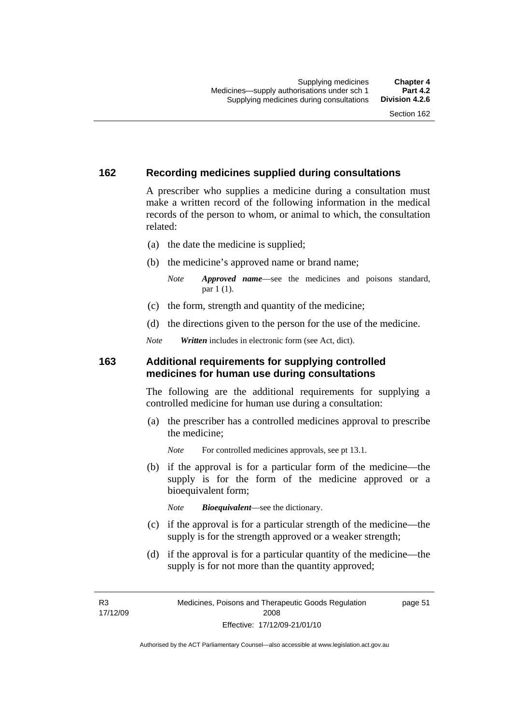page 51

## **162 Recording medicines supplied during consultations**

A prescriber who supplies a medicine during a consultation must make a written record of the following information in the medical records of the person to whom, or animal to which, the consultation related:

- (a) the date the medicine is supplied;
- (b) the medicine's approved name or brand name;

*Note Approved name*—see the medicines and poisons standard, par 1 (1).

- (c) the form, strength and quantity of the medicine;
- (d) the directions given to the person for the use of the medicine.

*Note Written* includes in electronic form (see Act, dict).

### **163 Additional requirements for supplying controlled medicines for human use during consultations**

The following are the additional requirements for supplying a controlled medicine for human use during a consultation:

- (a) the prescriber has a controlled medicines approval to prescribe the medicine;
	- *Note* For controlled medicines approvals, see pt 13.1.
- (b) if the approval is for a particular form of the medicine—the supply is for the form of the medicine approved or a bioequivalent form;

*Note Bioequivalent*—see the dictionary.

- (c) if the approval is for a particular strength of the medicine—the supply is for the strength approved or a weaker strength;
- (d) if the approval is for a particular quantity of the medicine—the supply is for not more than the quantity approved;

R3 17/12/09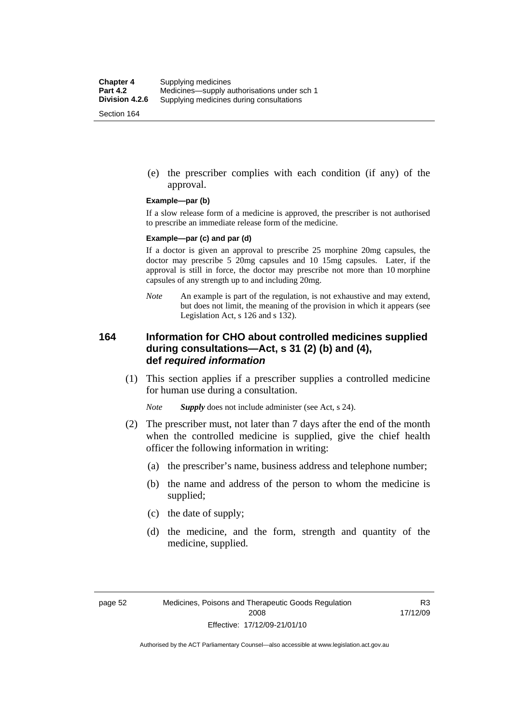(e) the prescriber complies with each condition (if any) of the approval.

#### **Example—par (b)**

If a slow release form of a medicine is approved, the prescriber is not authorised to prescribe an immediate release form of the medicine.

#### **Example—par (c) and par (d)**

If a doctor is given an approval to prescribe 25 morphine 20mg capsules, the doctor may prescribe 5 20mg capsules and 10 15mg capsules. Later, if the approval is still in force, the doctor may prescribe not more than 10 morphine capsules of any strength up to and including 20mg.

*Note* An example is part of the regulation, is not exhaustive and may extend, but does not limit, the meaning of the provision in which it appears (see Legislation Act, s 126 and s 132).

### **164 Information for CHO about controlled medicines supplied during consultations—Act, s 31 (2) (b) and (4), def** *required information*

 (1) This section applies if a prescriber supplies a controlled medicine for human use during a consultation.

*Note Supply* does not include administer (see Act, s 24).

- (2) The prescriber must, not later than 7 days after the end of the month when the controlled medicine is supplied, give the chief health officer the following information in writing:
	- (a) the prescriber's name, business address and telephone number;
	- (b) the name and address of the person to whom the medicine is supplied;
	- (c) the date of supply;
	- (d) the medicine, and the form, strength and quantity of the medicine, supplied.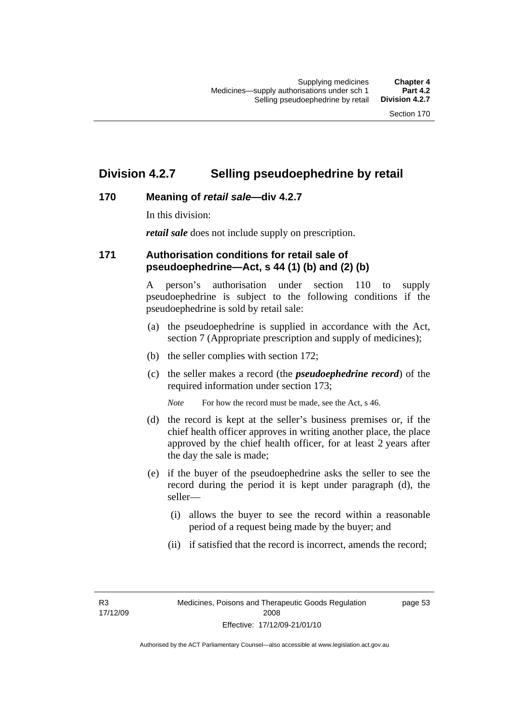## **Division 4.2.7 Selling pseudoephedrine by retail**

## **170 Meaning of** *retail sale***—div 4.2.7**

In this division:

*retail sale* does not include supply on prescription.

## **171 Authorisation conditions for retail sale of pseudoephedrine—Act, s 44 (1) (b) and (2) (b)**

A person's authorisation under section 110 to supply pseudoephedrine is subject to the following conditions if the pseudoephedrine is sold by retail sale:

- (a) the pseudoephedrine is supplied in accordance with the Act, section 7 (Appropriate prescription and supply of medicines);
- (b) the seller complies with section 172;
- (c) the seller makes a record (the *pseudoephedrine record*) of the required information under section 173;

*Note* For how the record must be made, see the Act, s 46.

- (d) the record is kept at the seller's business premises or, if the chief health officer approves in writing another place, the place approved by the chief health officer, for at least 2 years after the day the sale is made;
- (e) if the buyer of the pseudoephedrine asks the seller to see the record during the period it is kept under paragraph (d), the seller—
	- (i) allows the buyer to see the record within a reasonable period of a request being made by the buyer; and
	- (ii) if satisfied that the record is incorrect, amends the record;

R3 17/12/09 page 53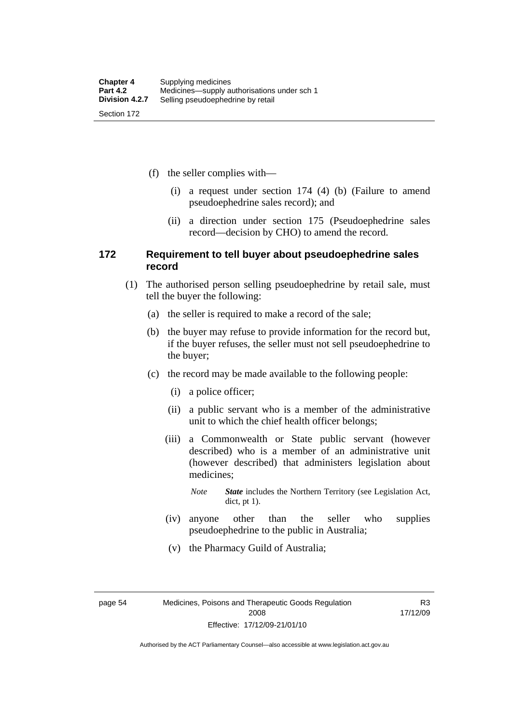(f) the seller complies with—

- (i) a request under section 174 (4) (b) (Failure to amend pseudoephedrine sales record); and
- (ii) a direction under section 175 (Pseudoephedrine sales record—decision by CHO) to amend the record.

### **172 Requirement to tell buyer about pseudoephedrine sales record**

- (1) The authorised person selling pseudoephedrine by retail sale, must tell the buyer the following:
	- (a) the seller is required to make a record of the sale;
	- (b) the buyer may refuse to provide information for the record but, if the buyer refuses, the seller must not sell pseudoephedrine to the buyer;
	- (c) the record may be made available to the following people:
		- (i) a police officer;
		- (ii) a public servant who is a member of the administrative unit to which the chief health officer belongs;
		- (iii) a Commonwealth or State public servant (however described) who is a member of an administrative unit (however described) that administers legislation about medicines;
			- *Note State* includes the Northern Territory (see Legislation Act, dict, pt 1).
		- (iv) anyone other than the seller who supplies pseudoephedrine to the public in Australia;
		- (v) the Pharmacy Guild of Australia;

R3 17/12/09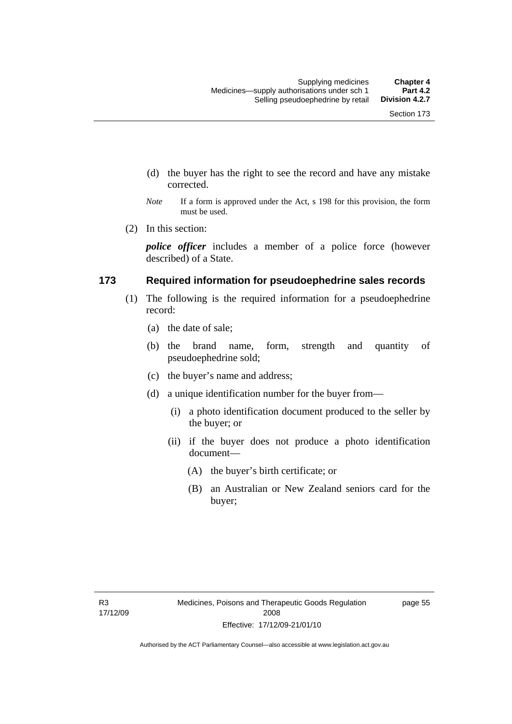- (d) the buyer has the right to see the record and have any mistake corrected.
- *Note* If a form is approved under the Act, s 198 for this provision, the form must be used.
- (2) In this section:

*police officer* includes a member of a police force (however described) of a State.

### **173 Required information for pseudoephedrine sales records**

- (1) The following is the required information for a pseudoephedrine record:
	- (a) the date of sale;
	- (b) the brand name, form, strength and quantity of pseudoephedrine sold;
	- (c) the buyer's name and address;
	- (d) a unique identification number for the buyer from—
		- (i) a photo identification document produced to the seller by the buyer; or
		- (ii) if the buyer does not produce a photo identification document—
			- (A) the buyer's birth certificate; or
			- (B) an Australian or New Zealand seniors card for the buyer;

page 55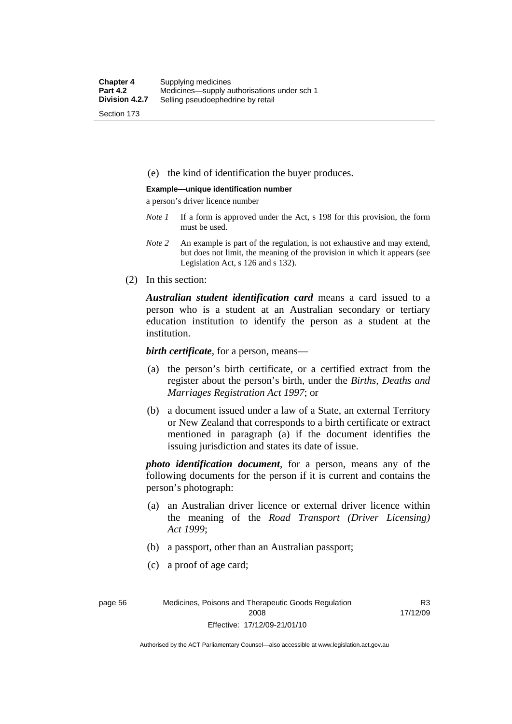(e) the kind of identification the buyer produces.

#### **Example—unique identification number**

a person's driver licence number

- *Note 1* If a form is approved under the Act, s 198 for this provision, the form must be used.
- *Note 2* An example is part of the regulation, is not exhaustive and may extend, but does not limit, the meaning of the provision in which it appears (see Legislation Act, s 126 and s 132).
- (2) In this section:

*Australian student identification card* means a card issued to a person who is a student at an Australian secondary or tertiary education institution to identify the person as a student at the institution.

*birth certificate*, for a person, means—

- (a) the person's birth certificate, or a certified extract from the register about the person's birth, under the *Births, Deaths and Marriages Registration Act 1997*; or
- (b) a document issued under a law of a State, an external Territory or New Zealand that corresponds to a birth certificate or extract mentioned in paragraph (a) if the document identifies the issuing jurisdiction and states its date of issue.

*photo identification document*, for a person, means any of the following documents for the person if it is current and contains the person's photograph:

- (a) an Australian driver licence or external driver licence within the meaning of the *Road Transport (Driver Licensing) Act 1999*;
- (b) a passport, other than an Australian passport;
- (c) a proof of age card;

page 56 Medicines, Poisons and Therapeutic Goods Regulation 2008 Effective: 17/12/09-21/01/10

R3 17/12/09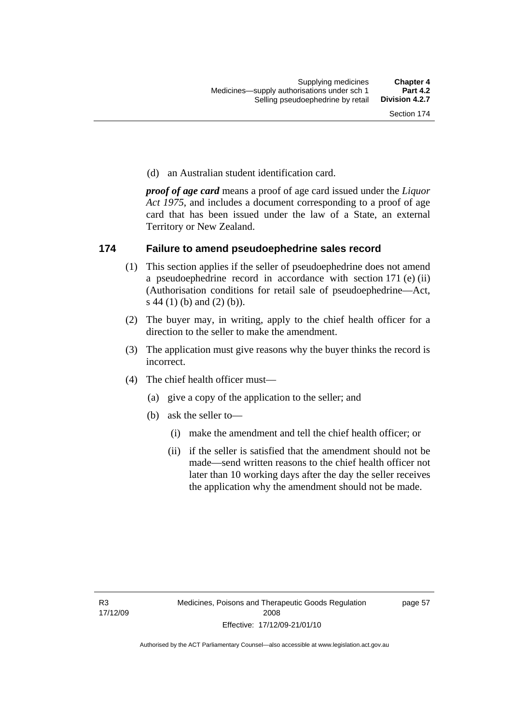(d) an Australian student identification card.

*proof of age card* means a proof of age card issued under the *Liquor Act 1975*, and includes a document corresponding to a proof of age card that has been issued under the law of a State, an external Territory or New Zealand.

### **174 Failure to amend pseudoephedrine sales record**

- (1) This section applies if the seller of pseudoephedrine does not amend a pseudoephedrine record in accordance with section 171 (e) (ii) (Authorisation conditions for retail sale of pseudoephedrine—Act, s 44 (1) (b) and (2) (b)).
- (2) The buyer may, in writing, apply to the chief health officer for a direction to the seller to make the amendment.
- (3) The application must give reasons why the buyer thinks the record is incorrect.
- (4) The chief health officer must—
	- (a) give a copy of the application to the seller; and
	- (b) ask the seller to—
		- (i) make the amendment and tell the chief health officer; or
		- (ii) if the seller is satisfied that the amendment should not be made—send written reasons to the chief health officer not later than 10 working days after the day the seller receives the application why the amendment should not be made.

page 57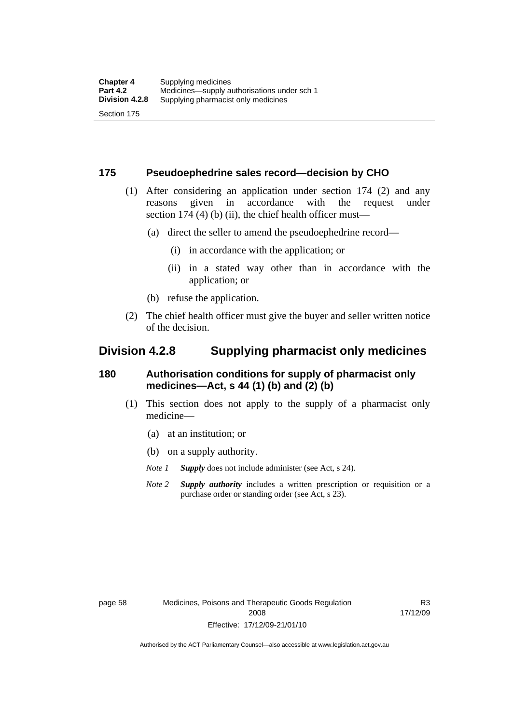### **175 Pseudoephedrine sales record—decision by CHO**

- (1) After considering an application under section 174 (2) and any reasons given in accordance with the request under section 174  $(4)$  (b)  $(ii)$ , the chief health officer must—
	- (a) direct the seller to amend the pseudoephedrine record—
		- (i) in accordance with the application; or
		- (ii) in a stated way other than in accordance with the application; or
	- (b) refuse the application.
- (2) The chief health officer must give the buyer and seller written notice of the decision.

## **Division 4.2.8 Supplying pharmacist only medicines**

### **180 Authorisation conditions for supply of pharmacist only medicines—Act, s 44 (1) (b) and (2) (b)**

- (1) This section does not apply to the supply of a pharmacist only medicine—
	- (a) at an institution; or
	- (b) on a supply authority.

*Note 1 Supply* does not include administer (see Act, s 24).

*Note 2 Supply authority* includes a written prescription or requisition or a purchase order or standing order (see Act, s 23).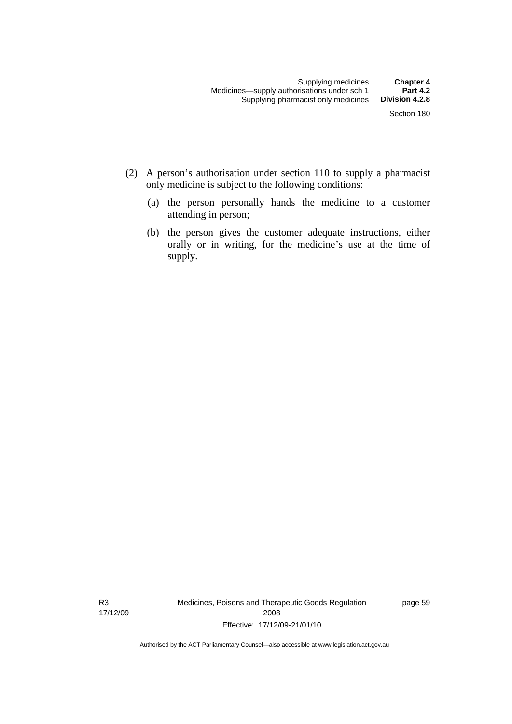- (2) A person's authorisation under section 110 to supply a pharmacist only medicine is subject to the following conditions:
	- (a) the person personally hands the medicine to a customer attending in person;
	- (b) the person gives the customer adequate instructions, either orally or in writing, for the medicine's use at the time of supply.

R3 17/12/09 Medicines, Poisons and Therapeutic Goods Regulation 2008 Effective: 17/12/09-21/01/10

page 59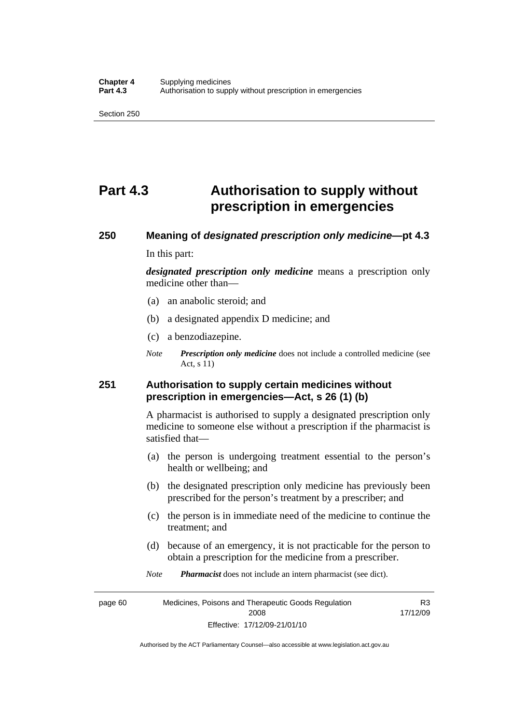## **Part 4.3 Authorisation to supply without prescription in emergencies**

# **250 Meaning of** *designated prescription only medicine***—pt 4.3**

In this part:

*designated prescription only medicine* means a prescription only medicine other than—

- (a) an anabolic steroid; and
- (b) a designated appendix D medicine; and
- (c) a benzodiazepine.
- *Note Prescription only medicine* does not include a controlled medicine (see Act, s 11)

## **251 Authorisation to supply certain medicines without prescription in emergencies—Act, s 26 (1) (b)**

A pharmacist is authorised to supply a designated prescription only medicine to someone else without a prescription if the pharmacist is satisfied that—

- (a) the person is undergoing treatment essential to the person's health or wellbeing; and
- (b) the designated prescription only medicine has previously been prescribed for the person's treatment by a prescriber; and
- (c) the person is in immediate need of the medicine to continue the treatment; and
- (d) because of an emergency, it is not practicable for the person to obtain a prescription for the medicine from a prescriber.
- *Note Pharmacist* does not include an intern pharmacist (see dict).

page 60 Medicines, Poisons and Therapeutic Goods Regulation 2008 Effective: 17/12/09-21/01/10 R3 17/12/09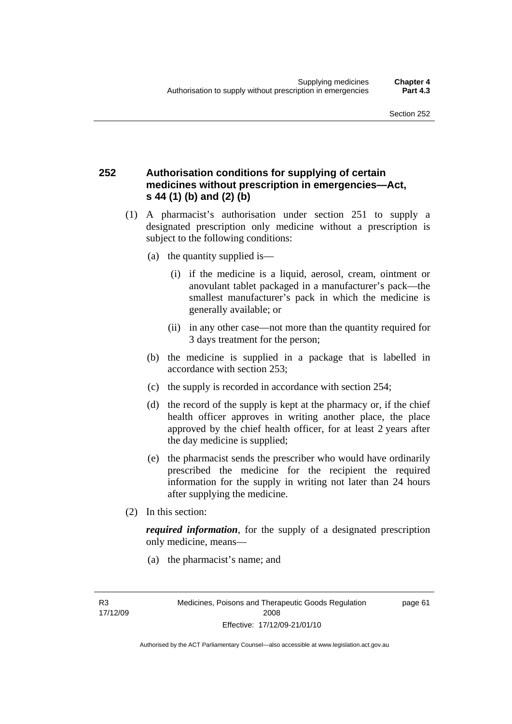## **252 Authorisation conditions for supplying of certain medicines without prescription in emergencies—Act, s 44 (1) (b) and (2) (b)**

- (1) A pharmacist's authorisation under section 251 to supply a designated prescription only medicine without a prescription is subject to the following conditions:
	- (a) the quantity supplied is—
		- (i) if the medicine is a liquid, aerosol, cream, ointment or anovulant tablet packaged in a manufacturer's pack—the smallest manufacturer's pack in which the medicine is generally available; or
		- (ii) in any other case—not more than the quantity required for 3 days treatment for the person;
	- (b) the medicine is supplied in a package that is labelled in accordance with section 253;
	- (c) the supply is recorded in accordance with section 254;
	- (d) the record of the supply is kept at the pharmacy or, if the chief health officer approves in writing another place, the place approved by the chief health officer, for at least 2 years after the day medicine is supplied;
	- (e) the pharmacist sends the prescriber who would have ordinarily prescribed the medicine for the recipient the required information for the supply in writing not later than 24 hours after supplying the medicine.
- (2) In this section:

*required information*, for the supply of a designated prescription only medicine, means—

(a) the pharmacist's name; and

page 61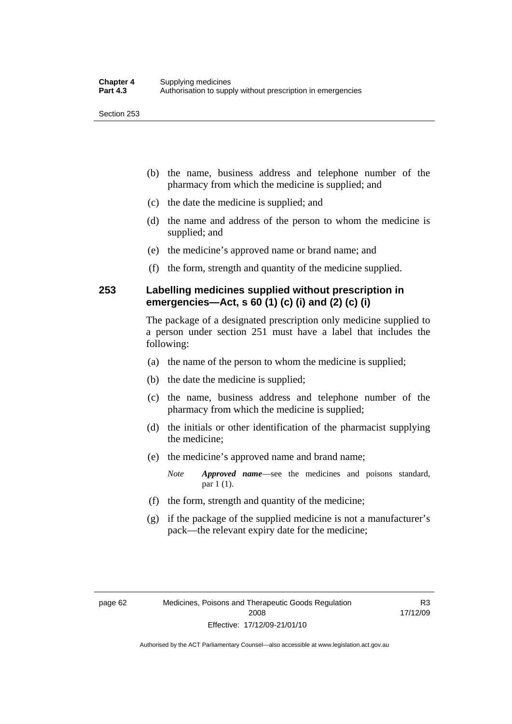- (b) the name, business address and telephone number of the pharmacy from which the medicine is supplied; and
- (c) the date the medicine is supplied; and
- (d) the name and address of the person to whom the medicine is supplied; and
- (e) the medicine's approved name or brand name; and
- (f) the form, strength and quantity of the medicine supplied.

## **253 Labelling medicines supplied without prescription in emergencies—Act, s 60 (1) (c) (i) and (2) (c) (i)**

The package of a designated prescription only medicine supplied to a person under section 251 must have a label that includes the following:

- (a) the name of the person to whom the medicine is supplied;
- (b) the date the medicine is supplied;
- (c) the name, business address and telephone number of the pharmacy from which the medicine is supplied;
- (d) the initials or other identification of the pharmacist supplying the medicine;
- (e) the medicine's approved name and brand name;

*Note Approved name*—see the medicines and poisons standard, par 1 (1).

- (f) the form, strength and quantity of the medicine;
- (g) if the package of the supplied medicine is not a manufacturer's pack—the relevant expiry date for the medicine;

R3 17/12/09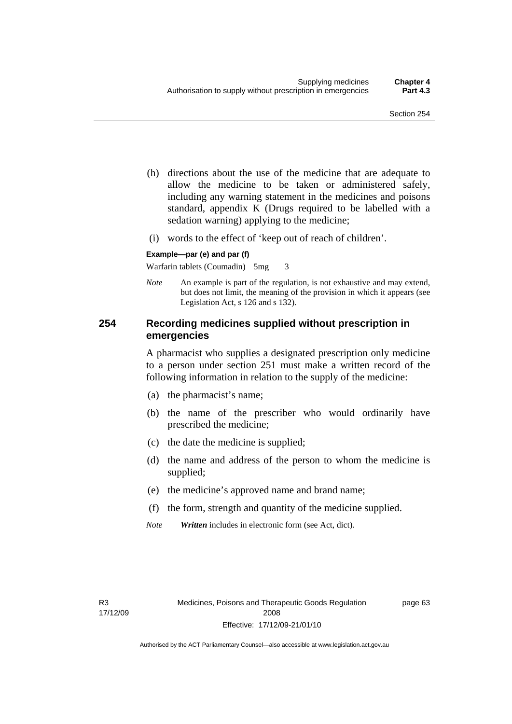- (h) directions about the use of the medicine that are adequate to allow the medicine to be taken or administered safely, including any warning statement in the medicines and poisons standard, appendix K (Drugs required to be labelled with a sedation warning) applying to the medicine;
- (i) words to the effect of 'keep out of reach of children'.

#### **Example—par (e) and par (f)**

Warfarin tablets (Coumadin) 5mg 3

*Note* An example is part of the regulation, is not exhaustive and may extend, but does not limit, the meaning of the provision in which it appears (see Legislation Act, s 126 and s 132).

## **254 Recording medicines supplied without prescription in emergencies**

A pharmacist who supplies a designated prescription only medicine to a person under section 251 must make a written record of the following information in relation to the supply of the medicine:

- (a) the pharmacist's name;
- (b) the name of the prescriber who would ordinarily have prescribed the medicine;
- (c) the date the medicine is supplied;
- (d) the name and address of the person to whom the medicine is supplied;
- (e) the medicine's approved name and brand name;
- (f) the form, strength and quantity of the medicine supplied.
- *Note Written* includes in electronic form (see Act, dict).

page 63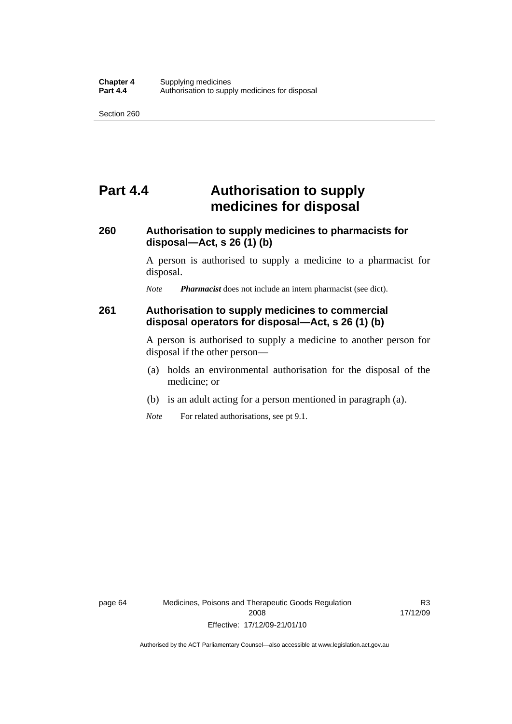## **Part 4.4 Authorisation to supply medicines for disposal**

## **260 Authorisation to supply medicines to pharmacists for disposal—Act, s 26 (1) (b)**

A person is authorised to supply a medicine to a pharmacist for disposal.

*Note Pharmacist* does not include an intern pharmacist (see dict).

### **261 Authorisation to supply medicines to commercial disposal operators for disposal—Act, s 26 (1) (b)**

A person is authorised to supply a medicine to another person for disposal if the other person—

- (a) holds an environmental authorisation for the disposal of the medicine; or
- (b) is an adult acting for a person mentioned in paragraph (a).
- *Note* For related authorisations, see pt 9.1.

R3 17/12/09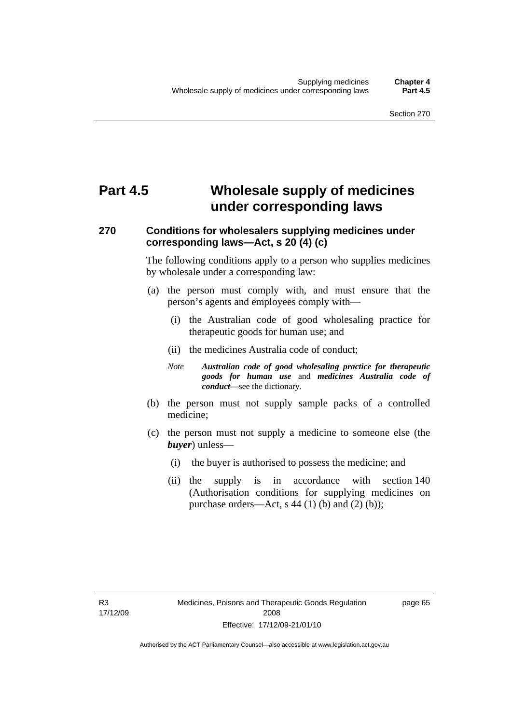## **Part 4.5 Wholesale supply of medicines under corresponding laws**

## **270 Conditions for wholesalers supplying medicines under corresponding laws—Act, s 20 (4) (c)**

The following conditions apply to a person who supplies medicines by wholesale under a corresponding law:

- (a) the person must comply with, and must ensure that the person's agents and employees comply with—
	- (i) the Australian code of good wholesaling practice for therapeutic goods for human use; and
	- (ii) the medicines Australia code of conduct;
	- *Note Australian code of good wholesaling practice for therapeutic goods for human use* and *medicines Australia code of conduct*—see the dictionary.
- (b) the person must not supply sample packs of a controlled medicine;
- (c) the person must not supply a medicine to someone else (the *buyer*) unless—
	- (i) the buyer is authorised to possess the medicine; and
	- (ii) the supply is in accordance with section 140 (Authorisation conditions for supplying medicines on purchase orders—Act, s  $44$  (1) (b) and (2) (b));

page 65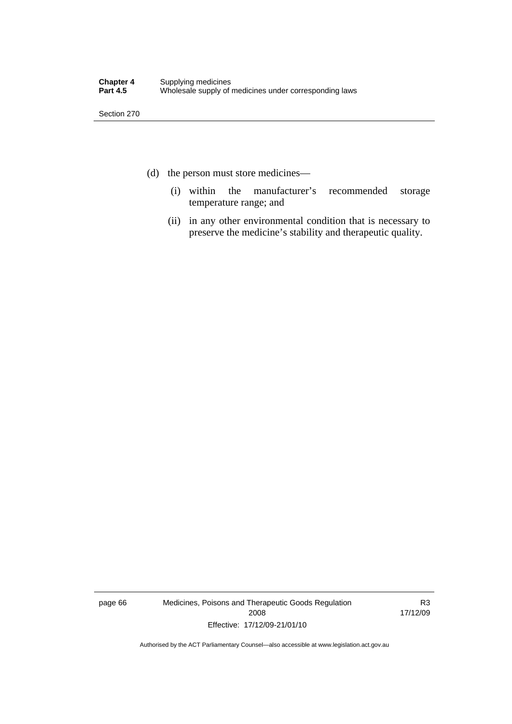- (d) the person must store medicines—
	- (i) within the manufacturer's recommended storage temperature range; and
	- (ii) in any other environmental condition that is necessary to preserve the medicine's stability and therapeutic quality.

page 66 Medicines, Poisons and Therapeutic Goods Regulation 2008 Effective: 17/12/09-21/01/10

R3 17/12/09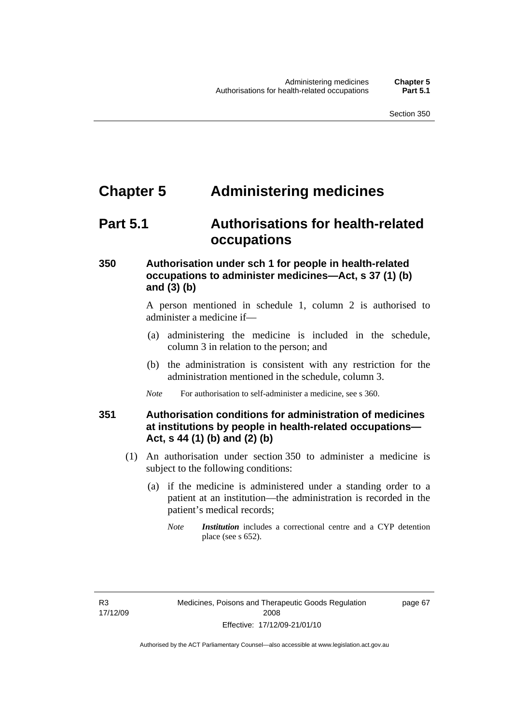## **Chapter 5 Administering medicines**

## **Part 5.1 Authorisations for health-related occupations**

## **350 Authorisation under sch 1 for people in health-related occupations to administer medicines—Act, s 37 (1) (b) and (3) (b)**

A person mentioned in schedule 1, column 2 is authorised to administer a medicine if—

- (a) administering the medicine is included in the schedule, column 3 in relation to the person; and
- (b) the administration is consistent with any restriction for the administration mentioned in the schedule, column 3.
- *Note* For authorisation to self-administer a medicine, see s 360.

## **351 Authorisation conditions for administration of medicines at institutions by people in health-related occupations— Act, s 44 (1) (b) and (2) (b)**

- (1) An authorisation under section 350 to administer a medicine is subject to the following conditions:
	- (a) if the medicine is administered under a standing order to a patient at an institution—the administration is recorded in the patient's medical records;
		- *Note Institution* includes a correctional centre and a CYP detention place (see s 652).

page 67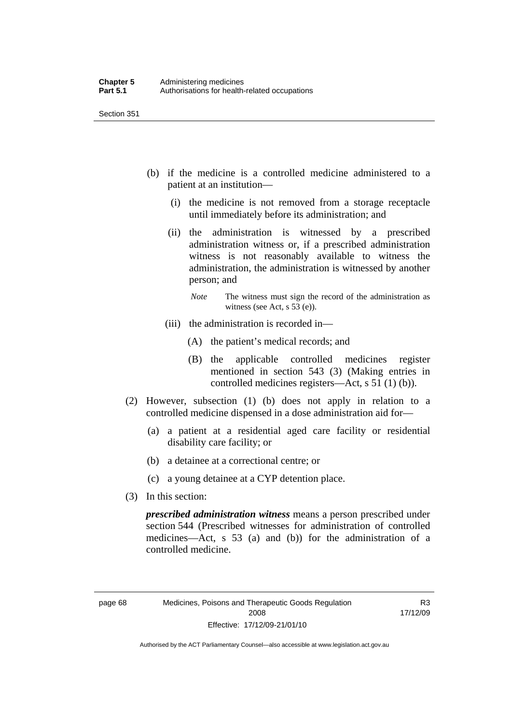- (b) if the medicine is a controlled medicine administered to a patient at an institution—
	- (i) the medicine is not removed from a storage receptacle until immediately before its administration; and
	- (ii) the administration is witnessed by a prescribed administration witness or, if a prescribed administration witness is not reasonably available to witness the administration, the administration is witnessed by another person; and
		- *Note* The witness must sign the record of the administration as witness (see Act, s 53 (e)).
	- (iii) the administration is recorded in—
		- (A) the patient's medical records; and
		- (B) the applicable controlled medicines register mentioned in section 543 (3) (Making entries in controlled medicines registers—Act, s 51 (1) (b)).
- (2) However, subsection (1) (b) does not apply in relation to a controlled medicine dispensed in a dose administration aid for—
	- (a) a patient at a residential aged care facility or residential disability care facility; or
	- (b) a detainee at a correctional centre; or
	- (c) a young detainee at a CYP detention place.
- (3) In this section:

*prescribed administration witness* means a person prescribed under section 544 (Prescribed witnesses for administration of controlled medicines—Act, s 53 (a) and (b)) for the administration of a controlled medicine.

R3 17/12/09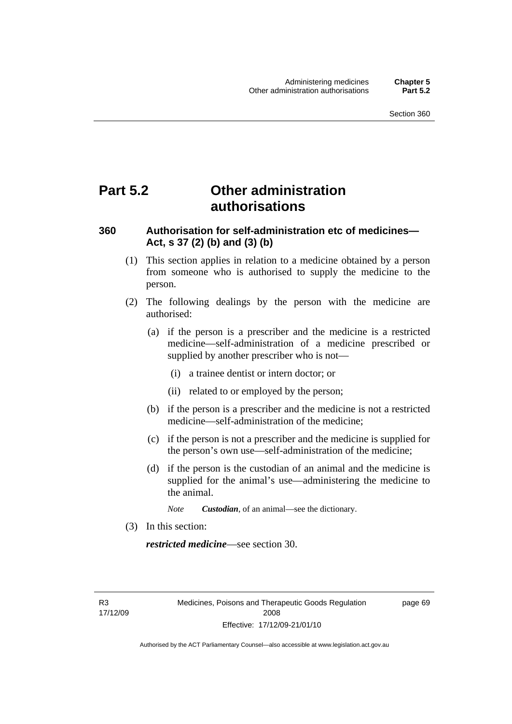## **Part 5.2 Other administration authorisations**

## **360 Authorisation for self-administration etc of medicines— Act, s 37 (2) (b) and (3) (b)**

- (1) This section applies in relation to a medicine obtained by a person from someone who is authorised to supply the medicine to the person.
- (2) The following dealings by the person with the medicine are authorised:
	- (a) if the person is a prescriber and the medicine is a restricted medicine—self-administration of a medicine prescribed or supplied by another prescriber who is not—
		- (i) a trainee dentist or intern doctor; or
		- (ii) related to or employed by the person;
	- (b) if the person is a prescriber and the medicine is not a restricted medicine—self-administration of the medicine;
	- (c) if the person is not a prescriber and the medicine is supplied for the person's own use—self-administration of the medicine;
	- (d) if the person is the custodian of an animal and the medicine is supplied for the animal's use—administering the medicine to the animal.
		- *Note Custodian*, of an animal—see the dictionary.
- (3) In this section:

*restricted medicine*—see section 30.

R3 17/12/09 page 69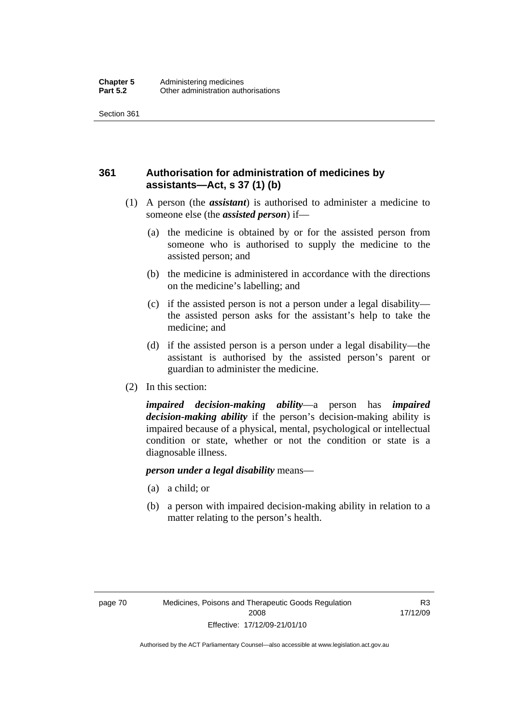## **361 Authorisation for administration of medicines by assistants—Act, s 37 (1) (b)**

- (1) A person (the *assistant*) is authorised to administer a medicine to someone else (the *assisted person*) if—
	- (a) the medicine is obtained by or for the assisted person from someone who is authorised to supply the medicine to the assisted person; and
	- (b) the medicine is administered in accordance with the directions on the medicine's labelling; and
	- (c) if the assisted person is not a person under a legal disability the assisted person asks for the assistant's help to take the medicine; and
	- (d) if the assisted person is a person under a legal disability—the assistant is authorised by the assisted person's parent or guardian to administer the medicine.
- (2) In this section:

*impaired decision-making ability*—a person has *impaired decision-making ability* if the person's decision-making ability is impaired because of a physical, mental, psychological or intellectual condition or state, whether or not the condition or state is a diagnosable illness.

#### *person under a legal disability* means—

- (a) a child; or
- (b) a person with impaired decision-making ability in relation to a matter relating to the person's health.

R3 17/12/09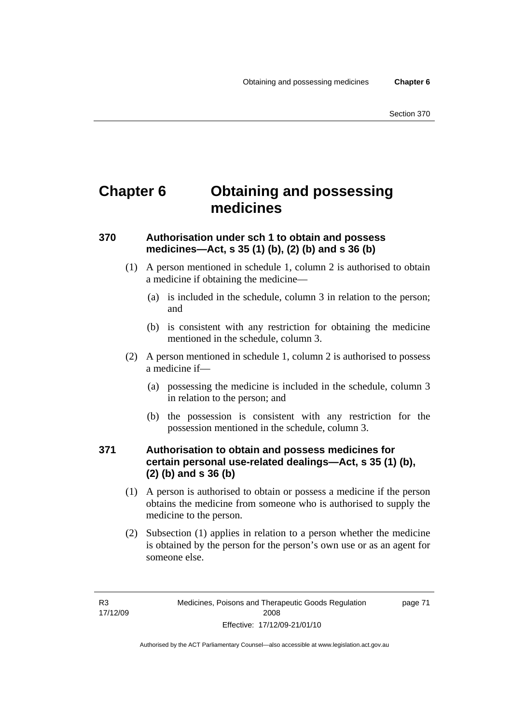## **Chapter 6 Obtaining and possessing medicines**

## **370 Authorisation under sch 1 to obtain and possess medicines—Act, s 35 (1) (b), (2) (b) and s 36 (b)**

- (1) A person mentioned in schedule 1, column 2 is authorised to obtain a medicine if obtaining the medicine—
	- (a) is included in the schedule, column 3 in relation to the person; and
	- (b) is consistent with any restriction for obtaining the medicine mentioned in the schedule, column 3.
- (2) A person mentioned in schedule 1, column 2 is authorised to possess a medicine if—
	- (a) possessing the medicine is included in the schedule, column 3 in relation to the person; and
	- (b) the possession is consistent with any restriction for the possession mentioned in the schedule, column 3.

## **371 Authorisation to obtain and possess medicines for certain personal use-related dealings—Act, s 35 (1) (b), (2) (b) and s 36 (b)**

- (1) A person is authorised to obtain or possess a medicine if the person obtains the medicine from someone who is authorised to supply the medicine to the person.
- (2) Subsection (1) applies in relation to a person whether the medicine is obtained by the person for the person's own use or as an agent for someone else.

page 71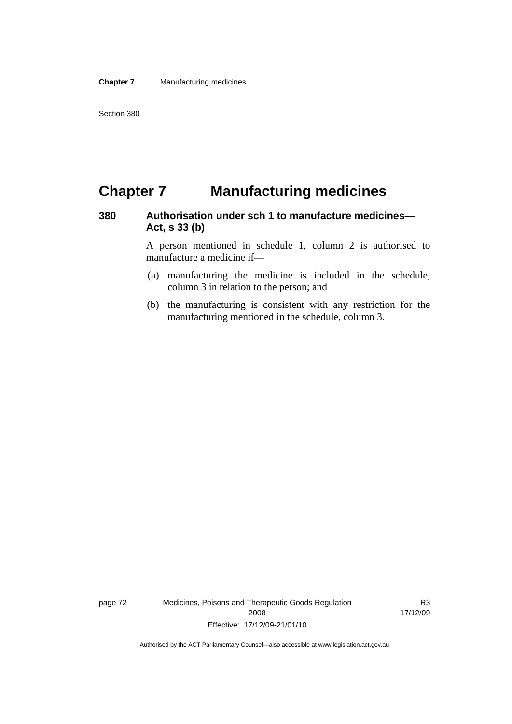## **Chapter 7 Manufacturing medicines**

## **380 Authorisation under sch 1 to manufacture medicines— Act, s 33 (b)**

A person mentioned in schedule 1, column 2 is authorised to manufacture a medicine if—

- (a) manufacturing the medicine is included in the schedule, column 3 in relation to the person; and
- (b) the manufacturing is consistent with any restriction for the manufacturing mentioned in the schedule, column 3.

page 72 Medicines, Poisons and Therapeutic Goods Regulation 2008 Effective: 17/12/09-21/01/10

R3 17/12/09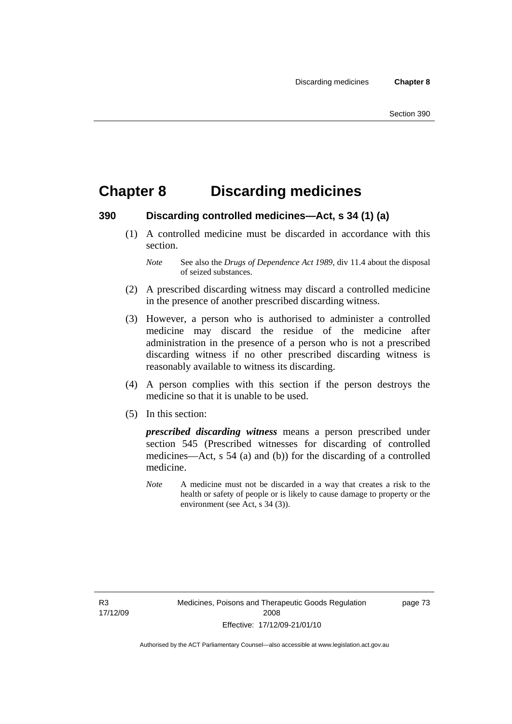## **Chapter 8 Discarding medicines**

### **390 Discarding controlled medicines—Act, s 34 (1) (a)**

 (1) A controlled medicine must be discarded in accordance with this section.

- (2) A prescribed discarding witness may discard a controlled medicine in the presence of another prescribed discarding witness.
- (3) However, a person who is authorised to administer a controlled medicine may discard the residue of the medicine after administration in the presence of a person who is not a prescribed discarding witness if no other prescribed discarding witness is reasonably available to witness its discarding.
- (4) A person complies with this section if the person destroys the medicine so that it is unable to be used.
- (5) In this section:

*prescribed discarding witness* means a person prescribed under section 545 (Prescribed witnesses for discarding of controlled medicines—Act, s 54 (a) and (b)) for the discarding of a controlled medicine.

*Note* A medicine must not be discarded in a way that creates a risk to the health or safety of people or is likely to cause damage to property or the environment (see Act, s 34 (3)).

R3 17/12/09 page 73

*Note* See also the *Drugs of Dependence Act 1989*, div 11.4 about the disposal of seized substances.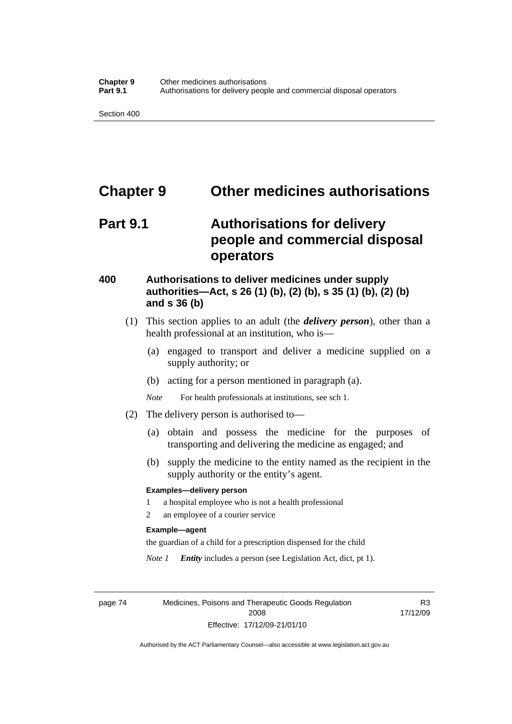## **Chapter 9 Other medicines authorisations**

## **Part 9.1 Authorisations for delivery people and commercial disposal operators**

## **400 Authorisations to deliver medicines under supply authorities—Act, s 26 (1) (b), (2) (b), s 35 (1) (b), (2) (b) and s 36 (b)**

- (1) This section applies to an adult (the *delivery person*), other than a health professional at an institution, who is—
	- (a) engaged to transport and deliver a medicine supplied on a supply authority; or
	- (b) acting for a person mentioned in paragraph (a).
	- *Note* For health professionals at institutions, see sch 1.
- (2) The delivery person is authorised to—
	- (a) obtain and possess the medicine for the purposes of transporting and delivering the medicine as engaged; and
	- (b) supply the medicine to the entity named as the recipient in the supply authority or the entity's agent.

#### **Examples—delivery person**

- 1 a hospital employee who is not a health professional
- 2 an employee of a courier service

#### **Example—agent**

the guardian of a child for a prescription dispensed for the child

*Note 1 Entity* includes a person (see Legislation Act, dict, pt 1).

page 74 Medicines, Poisons and Therapeutic Goods Regulation 2008 Effective: 17/12/09-21/01/10

R3 17/12/09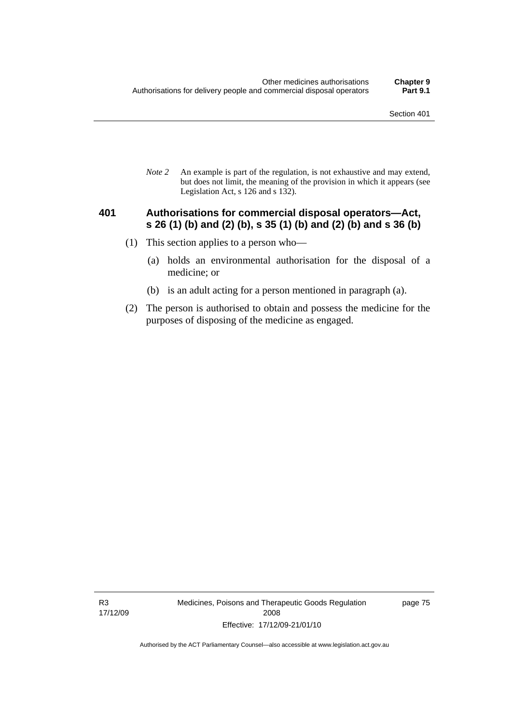*Note 2* An example is part of the regulation, is not exhaustive and may extend, but does not limit, the meaning of the provision in which it appears (see Legislation Act, s 126 and s 132).

### **401 Authorisations for commercial disposal operators—Act, s 26 (1) (b) and (2) (b), s 35 (1) (b) and (2) (b) and s 36 (b)**

- (1) This section applies to a person who—
	- (a) holds an environmental authorisation for the disposal of a medicine; or
	- (b) is an adult acting for a person mentioned in paragraph (a).
- (2) The person is authorised to obtain and possess the medicine for the purposes of disposing of the medicine as engaged.

R3 17/12/09 Medicines, Poisons and Therapeutic Goods Regulation 2008 Effective: 17/12/09-21/01/10

page 75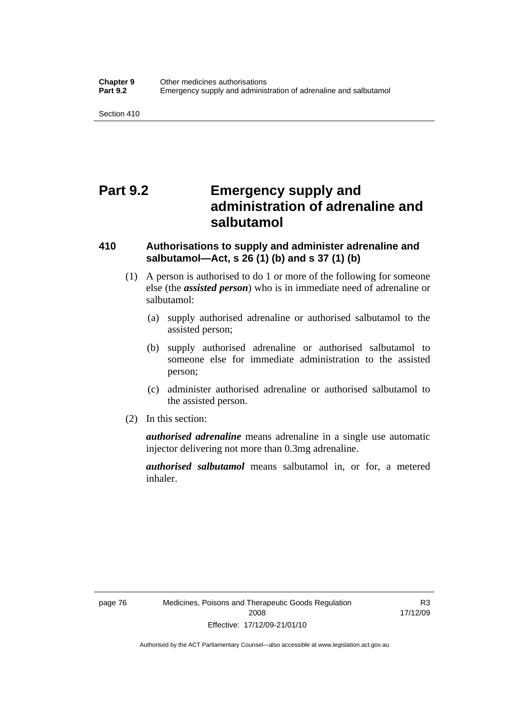## **Part 9.2 Emergency supply and administration of adrenaline and salbutamol**

## **410 Authorisations to supply and administer adrenaline and salbutamol—Act, s 26 (1) (b) and s 37 (1) (b)**

- (1) A person is authorised to do 1 or more of the following for someone else (the *assisted person*) who is in immediate need of adrenaline or salbutamol:
	- (a) supply authorised adrenaline or authorised salbutamol to the assisted person;
	- (b) supply authorised adrenaline or authorised salbutamol to someone else for immediate administration to the assisted person;
	- (c) administer authorised adrenaline or authorised salbutamol to the assisted person.
- (2) In this section:

*authorised adrenaline* means adrenaline in a single use automatic injector delivering not more than 0.3mg adrenaline.

*authorised salbutamol* means salbutamol in, or for, a metered inhaler.

R3 17/12/09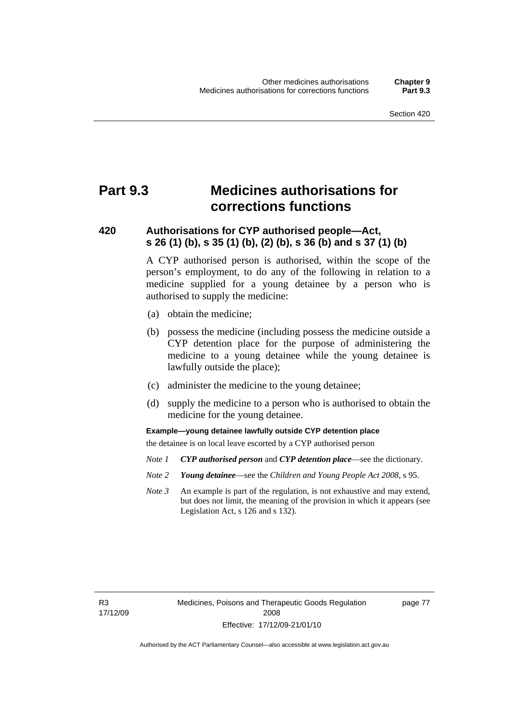## **Part 9.3 Medicines authorisations for corrections functions**

## **420 Authorisations for CYP authorised people—Act, s 26 (1) (b), s 35 (1) (b), (2) (b), s 36 (b) and s 37 (1) (b)**

A CYP authorised person is authorised, within the scope of the person's employment, to do any of the following in relation to a medicine supplied for a young detainee by a person who is authorised to supply the medicine:

- (a) obtain the medicine;
- (b) possess the medicine (including possess the medicine outside a CYP detention place for the purpose of administering the medicine to a young detainee while the young detainee is lawfully outside the place);
- (c) administer the medicine to the young detainee;
- (d) supply the medicine to a person who is authorised to obtain the medicine for the young detainee.

**Example—young detainee lawfully outside CYP detention place** 

the detainee is on local leave escorted by a CYP authorised person

- *Note 1 CYP authorised person* and *CYP detention place*—see the dictionary.
- *Note 2 Young detainee*—see the *Children and Young People Act 2008*, s 95.
- *Note 3* An example is part of the regulation, is not exhaustive and may extend, but does not limit, the meaning of the provision in which it appears (see Legislation Act, s 126 and s 132).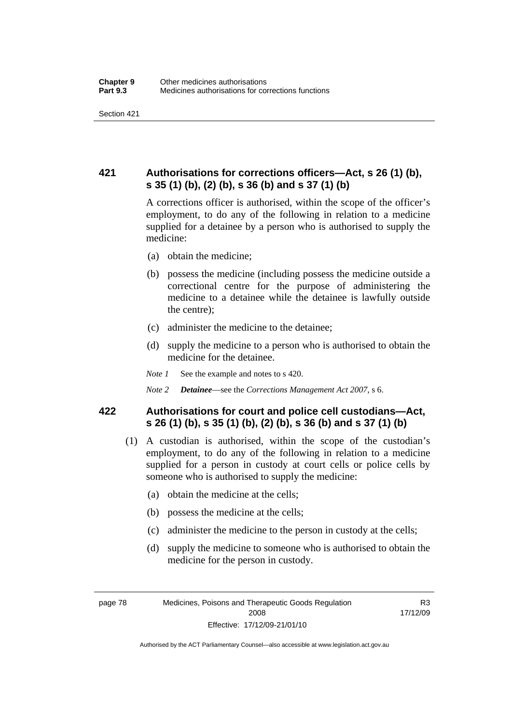## **421 Authorisations for corrections officers—Act, s 26 (1) (b), s 35 (1) (b), (2) (b), s 36 (b) and s 37 (1) (b)**

A corrections officer is authorised, within the scope of the officer's employment, to do any of the following in relation to a medicine supplied for a detainee by a person who is authorised to supply the medicine:

- (a) obtain the medicine;
- (b) possess the medicine (including possess the medicine outside a correctional centre for the purpose of administering the medicine to a detainee while the detainee is lawfully outside the centre);
- (c) administer the medicine to the detainee;
- (d) supply the medicine to a person who is authorised to obtain the medicine for the detainee.
- *Note 1* See the example and notes to s 420.
- *Note 2 Detainee*—see the *Corrections Management Act 2007*, s 6.

## **422 Authorisations for court and police cell custodians—Act, s 26 (1) (b), s 35 (1) (b), (2) (b), s 36 (b) and s 37 (1) (b)**

- (1) A custodian is authorised, within the scope of the custodian's employment, to do any of the following in relation to a medicine supplied for a person in custody at court cells or police cells by someone who is authorised to supply the medicine:
	- (a) obtain the medicine at the cells;
	- (b) possess the medicine at the cells;
	- (c) administer the medicine to the person in custody at the cells;
	- (d) supply the medicine to someone who is authorised to obtain the medicine for the person in custody.

R3 17/12/09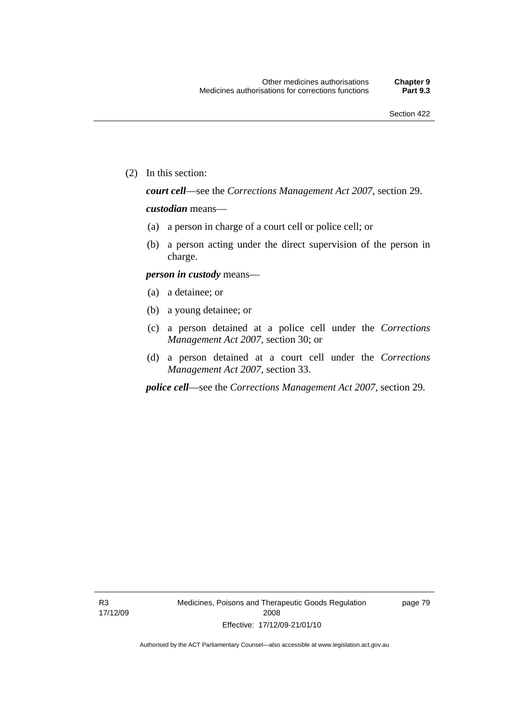(2) In this section:

*court cell*—see the *Corrections Management Act 2007*, section 29.

#### *custodian* means—

- (a) a person in charge of a court cell or police cell; or
- (b) a person acting under the direct supervision of the person in charge.

#### *person in custody* means—

- (a) a detainee; or
- (b) a young detainee; or
- (c) a person detained at a police cell under the *Corrections Management Act 2007*, section 30; or
- (d) a person detained at a court cell under the *Corrections Management Act 2007*, section 33.

*police cell*—see the *Corrections Management Act 2007*, section 29.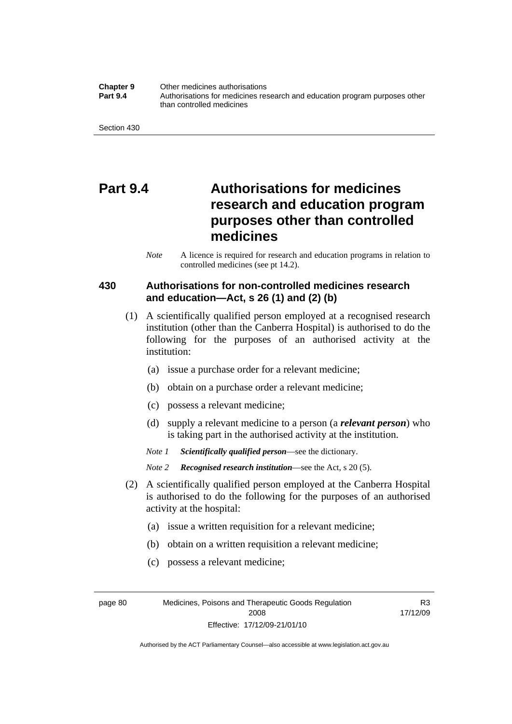#### **Chapter 9** Other medicines authorisations **Part 9.4** • **Authorisations for medicines research and education program purposes other** than controlled medicines

## **Part 9.4 Authorisations for medicines research and education program purposes other than controlled medicines**

*Note* A licence is required for research and education programs in relation to controlled medicines (see pt 14.2).

## **430 Authorisations for non-controlled medicines research and education—Act, s 26 (1) and (2) (b)**

- (1) A scientifically qualified person employed at a recognised research institution (other than the Canberra Hospital) is authorised to do the following for the purposes of an authorised activity at the institution:
	- (a) issue a purchase order for a relevant medicine;
	- (b) obtain on a purchase order a relevant medicine;
	- (c) possess a relevant medicine;
	- (d) supply a relevant medicine to a person (a *relevant person*) who is taking part in the authorised activity at the institution.
	- *Note 1 Scientifically qualified person*—see the dictionary.
	- *Note 2 Recognised research institution*—see the Act, s 20 (5).
- (2) A scientifically qualified person employed at the Canberra Hospital is authorised to do the following for the purposes of an authorised activity at the hospital:
	- (a) issue a written requisition for a relevant medicine;
	- (b) obtain on a written requisition a relevant medicine;
	- (c) possess a relevant medicine;

page 80 Medicines, Poisons and Therapeutic Goods Regulation 2008 Effective: 17/12/09-21/01/10

R3 17/12/09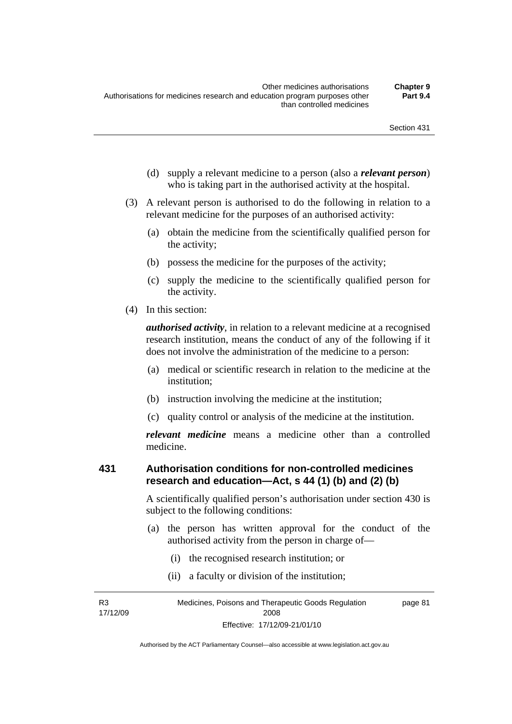- (d) supply a relevant medicine to a person (also a *relevant person*) who is taking part in the authorised activity at the hospital.
- (3) A relevant person is authorised to do the following in relation to a relevant medicine for the purposes of an authorised activity:
	- (a) obtain the medicine from the scientifically qualified person for the activity;
	- (b) possess the medicine for the purposes of the activity;
	- (c) supply the medicine to the scientifically qualified person for the activity.
- (4) In this section:

*authorised activity*, in relation to a relevant medicine at a recognised research institution, means the conduct of any of the following if it does not involve the administration of the medicine to a person:

- (a) medical or scientific research in relation to the medicine at the institution;
- (b) instruction involving the medicine at the institution;
- (c) quality control or analysis of the medicine at the institution.

*relevant medicine* means a medicine other than a controlled medicine.

## **431 Authorisation conditions for non-controlled medicines research and education—Act, s 44 (1) (b) and (2) (b)**

A scientifically qualified person's authorisation under section 430 is subject to the following conditions:

- (a) the person has written approval for the conduct of the authorised activity from the person in charge of—
	- (i) the recognised research institution; or
	- (ii) a faculty or division of the institution;

R3 17/12/09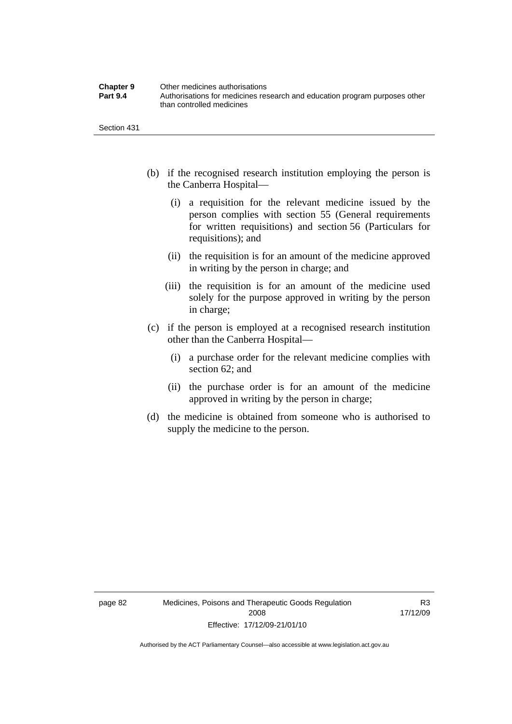| <b>Chapter 9</b> | Other medicines authorisations                                             |
|------------------|----------------------------------------------------------------------------|
| <b>Part 9.4</b>  | Authorisations for medicines research and education program purposes other |
|                  | than controlled medicines                                                  |

- (b) if the recognised research institution employing the person is the Canberra Hospital—
	- (i) a requisition for the relevant medicine issued by the person complies with section 55 (General requirements for written requisitions) and section 56 (Particulars for requisitions); and
	- (ii) the requisition is for an amount of the medicine approved in writing by the person in charge; and
	- (iii) the requisition is for an amount of the medicine used solely for the purpose approved in writing by the person in charge;
- (c) if the person is employed at a recognised research institution other than the Canberra Hospital—
	- (i) a purchase order for the relevant medicine complies with section 62; and
	- (ii) the purchase order is for an amount of the medicine approved in writing by the person in charge;
- (d) the medicine is obtained from someone who is authorised to supply the medicine to the person.

R3 17/12/09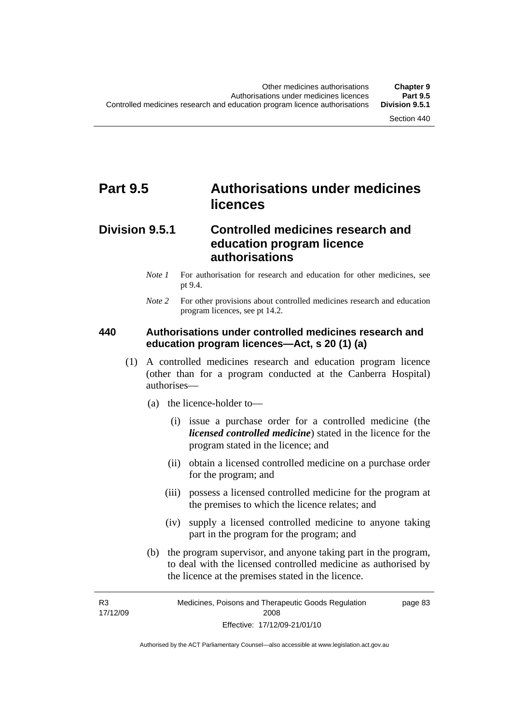## **Part 9.5 Authorisations under medicines licences**

## **Division 9.5.1 Controlled medicines research and education program licence authorisations**

- *Note 1* For authorisation for research and education for other medicines, see pt 9.4.
- *Note* 2 For other provisions about controlled medicines research and education program licences, see pt 14.2.

### **440 Authorisations under controlled medicines research and education program licences—Act, s 20 (1) (a)**

- (1) A controlled medicines research and education program licence (other than for a program conducted at the Canberra Hospital) authorises—
	- (a) the licence-holder to—
		- (i) issue a purchase order for a controlled medicine (the *licensed controlled medicine*) stated in the licence for the program stated in the licence; and
		- (ii) obtain a licensed controlled medicine on a purchase order for the program; and
		- (iii) possess a licensed controlled medicine for the program at the premises to which the licence relates; and
		- (iv) supply a licensed controlled medicine to anyone taking part in the program for the program; and
	- (b) the program supervisor, and anyone taking part in the program, to deal with the licensed controlled medicine as authorised by the licence at the premises stated in the licence.

R3 17/12/09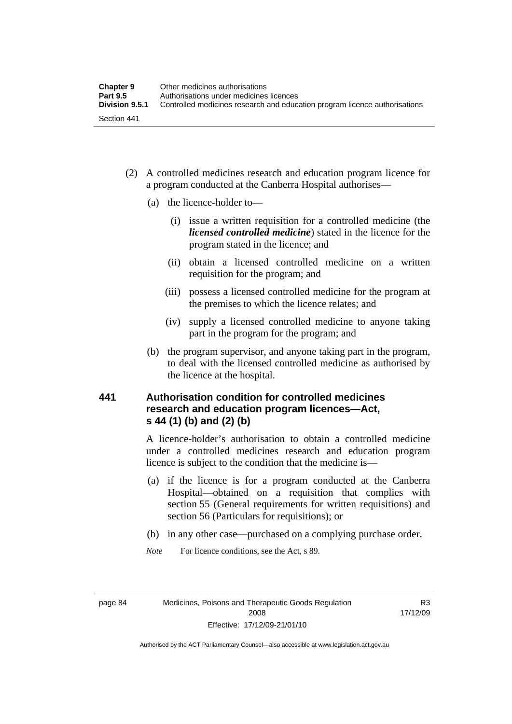- (2) A controlled medicines research and education program licence for a program conducted at the Canberra Hospital authorises—
	- (a) the licence-holder to—
		- (i) issue a written requisition for a controlled medicine (the *licensed controlled medicine*) stated in the licence for the program stated in the licence; and
		- (ii) obtain a licensed controlled medicine on a written requisition for the program; and
		- (iii) possess a licensed controlled medicine for the program at the premises to which the licence relates; and
		- (iv) supply a licensed controlled medicine to anyone taking part in the program for the program; and
	- (b) the program supervisor, and anyone taking part in the program, to deal with the licensed controlled medicine as authorised by the licence at the hospital.

## **441 Authorisation condition for controlled medicines research and education program licences—Act, s 44 (1) (b) and (2) (b)**

A licence-holder's authorisation to obtain a controlled medicine under a controlled medicines research and education program licence is subject to the condition that the medicine is—

- (a) if the licence is for a program conducted at the Canberra Hospital—obtained on a requisition that complies with section 55 (General requirements for written requisitions) and section 56 (Particulars for requisitions); or
- (b) in any other case—purchased on a complying purchase order.
- *Note* For licence conditions, see the Act, s 89.

R3 17/12/09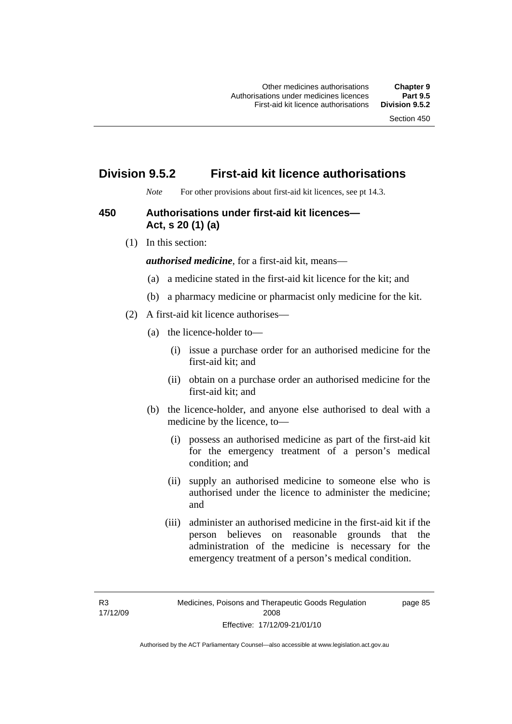page 85

# **Division 9.5.2 First-aid kit licence authorisations**

*Note* For other provisions about first-aid kit licences, see pt 14.3.

# **450 Authorisations under first-aid kit licences— Act, s 20 (1) (a)**

(1) In this section:

*authorised medicine*, for a first-aid kit, means—

- (a) a medicine stated in the first-aid kit licence for the kit; and
- (b) a pharmacy medicine or pharmacist only medicine for the kit.
- (2) A first-aid kit licence authorises—
	- (a) the licence-holder to—
		- (i) issue a purchase order for an authorised medicine for the first-aid kit; and
		- (ii) obtain on a purchase order an authorised medicine for the first-aid kit; and
	- (b) the licence-holder, and anyone else authorised to deal with a medicine by the licence, to—
		- (i) possess an authorised medicine as part of the first-aid kit for the emergency treatment of a person's medical condition; and
		- (ii) supply an authorised medicine to someone else who is authorised under the licence to administer the medicine; and
		- (iii) administer an authorised medicine in the first-aid kit if the person believes on reasonable grounds that the administration of the medicine is necessary for the emergency treatment of a person's medical condition.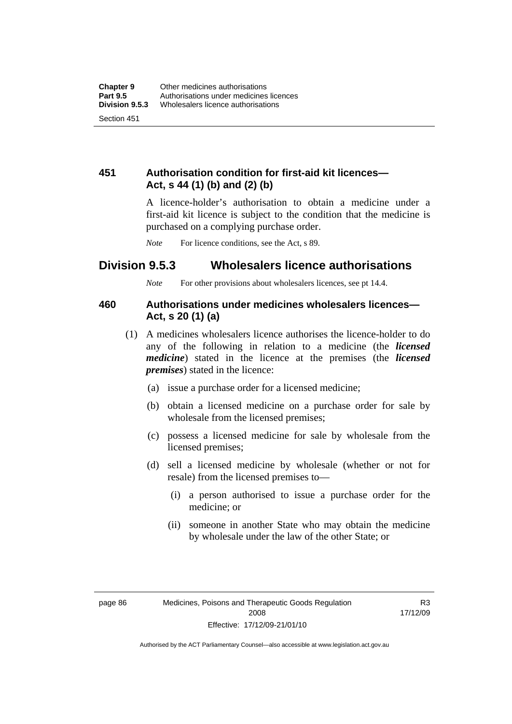# **451 Authorisation condition for first-aid kit licences— Act, s 44 (1) (b) and (2) (b)**

A licence-holder's authorisation to obtain a medicine under a first-aid kit licence is subject to the condition that the medicine is purchased on a complying purchase order.

*Note* For licence conditions, see the Act, s 89.

# **Division 9.5.3 Wholesalers licence authorisations**

*Note* For other provisions about wholesalers licences, see pt 14.4.

# **460 Authorisations under medicines wholesalers licences— Act, s 20 (1) (a)**

- (1) A medicines wholesalers licence authorises the licence-holder to do any of the following in relation to a medicine (the *licensed medicine*) stated in the licence at the premises (the *licensed premises*) stated in the licence:
	- (a) issue a purchase order for a licensed medicine;
	- (b) obtain a licensed medicine on a purchase order for sale by wholesale from the licensed premises;
	- (c) possess a licensed medicine for sale by wholesale from the licensed premises;
	- (d) sell a licensed medicine by wholesale (whether or not for resale) from the licensed premises to—
		- (i) a person authorised to issue a purchase order for the medicine; or
		- (ii) someone in another State who may obtain the medicine by wholesale under the law of the other State; or

R3 17/12/09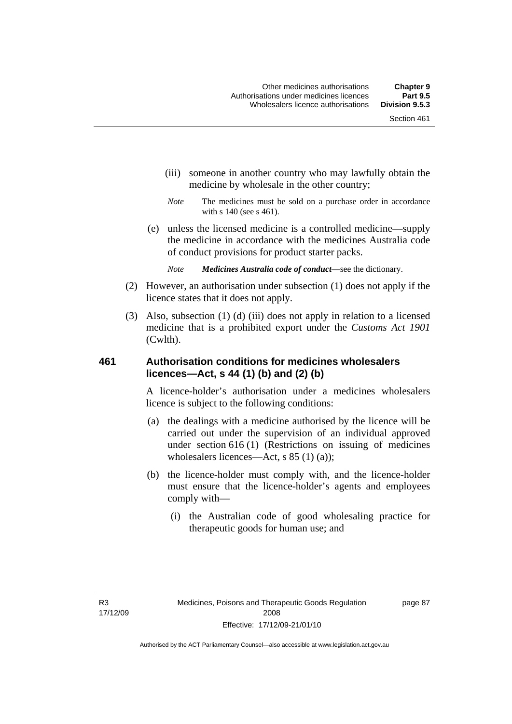- (iii) someone in another country who may lawfully obtain the medicine by wholesale in the other country;
- *Note* The medicines must be sold on a purchase order in accordance with s 140 (see s 461).
- (e) unless the licensed medicine is a controlled medicine—supply the medicine in accordance with the medicines Australia code of conduct provisions for product starter packs.
	- *Note Medicines Australia code of conduct*—see the dictionary.
- (2) However, an authorisation under subsection (1) does not apply if the licence states that it does not apply.
- (3) Also, subsection (1) (d) (iii) does not apply in relation to a licensed medicine that is a prohibited export under the *Customs Act 1901* (Cwlth).

# **461 Authorisation conditions for medicines wholesalers licences—Act, s 44 (1) (b) and (2) (b)**

A licence-holder's authorisation under a medicines wholesalers licence is subject to the following conditions:

- (a) the dealings with a medicine authorised by the licence will be carried out under the supervision of an individual approved under section 616 (1) (Restrictions on issuing of medicines wholesalers licences—Act, s 85 (1) (a));
- (b) the licence-holder must comply with, and the licence-holder must ensure that the licence-holder's agents and employees comply with—
	- (i) the Australian code of good wholesaling practice for therapeutic goods for human use; and

page 87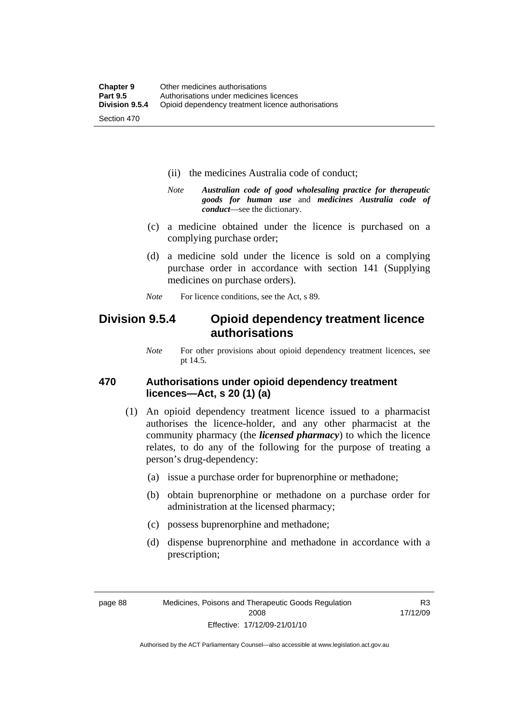- (ii) the medicines Australia code of conduct;
- *Note Australian code of good wholesaling practice for therapeutic goods for human use* and *medicines Australia code of conduct*—see the dictionary.
- (c) a medicine obtained under the licence is purchased on a complying purchase order;
- (d) a medicine sold under the licence is sold on a complying purchase order in accordance with section 141 (Supplying medicines on purchase orders).
- *Note* For licence conditions, see the Act, s 89.

# **Division 9.5.4 Opioid dependency treatment licence authorisations**

*Note* For other provisions about opioid dependency treatment licences, see pt 14.5.

# **470 Authorisations under opioid dependency treatment licences—Act, s 20 (1) (a)**

- (1) An opioid dependency treatment licence issued to a pharmacist authorises the licence-holder, and any other pharmacist at the community pharmacy (the *licensed pharmacy*) to which the licence relates, to do any of the following for the purpose of treating a person's drug-dependency:
	- (a) issue a purchase order for buprenorphine or methadone;
	- (b) obtain buprenorphine or methadone on a purchase order for administration at the licensed pharmacy;
	- (c) possess buprenorphine and methadone;
	- (d) dispense buprenorphine and methadone in accordance with a prescription;

R3 17/12/09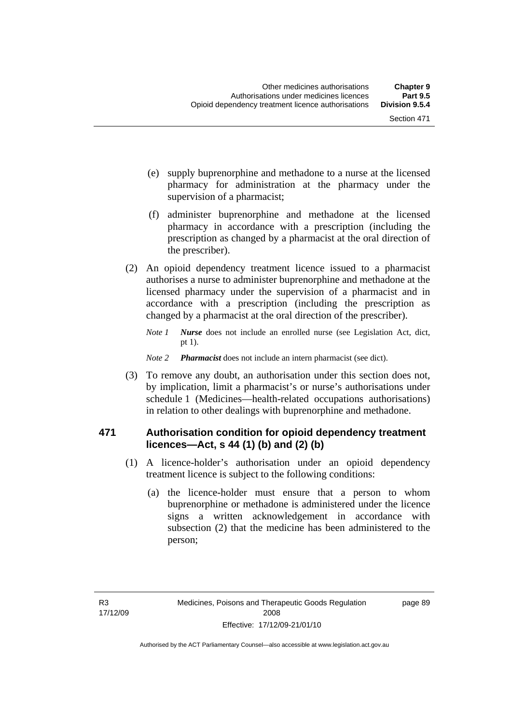- (e) supply buprenorphine and methadone to a nurse at the licensed pharmacy for administration at the pharmacy under the supervision of a pharmacist;
- (f) administer buprenorphine and methadone at the licensed pharmacy in accordance with a prescription (including the prescription as changed by a pharmacist at the oral direction of the prescriber).
- (2) An opioid dependency treatment licence issued to a pharmacist authorises a nurse to administer buprenorphine and methadone at the licensed pharmacy under the supervision of a pharmacist and in accordance with a prescription (including the prescription as changed by a pharmacist at the oral direction of the prescriber).
	- *Note 1 Nurse* does not include an enrolled nurse (see Legislation Act, dict, pt 1).
	- *Note 2 Pharmacist* does not include an intern pharmacist (see dict).
- (3) To remove any doubt, an authorisation under this section does not, by implication, limit a pharmacist's or nurse's authorisations under schedule 1 (Medicines—health-related occupations authorisations) in relation to other dealings with buprenorphine and methadone.

# **471 Authorisation condition for opioid dependency treatment licences—Act, s 44 (1) (b) and (2) (b)**

- (1) A licence-holder's authorisation under an opioid dependency treatment licence is subject to the following conditions:
	- (a) the licence-holder must ensure that a person to whom buprenorphine or methadone is administered under the licence signs a written acknowledgement in accordance with subsection (2) that the medicine has been administered to the person;

page 89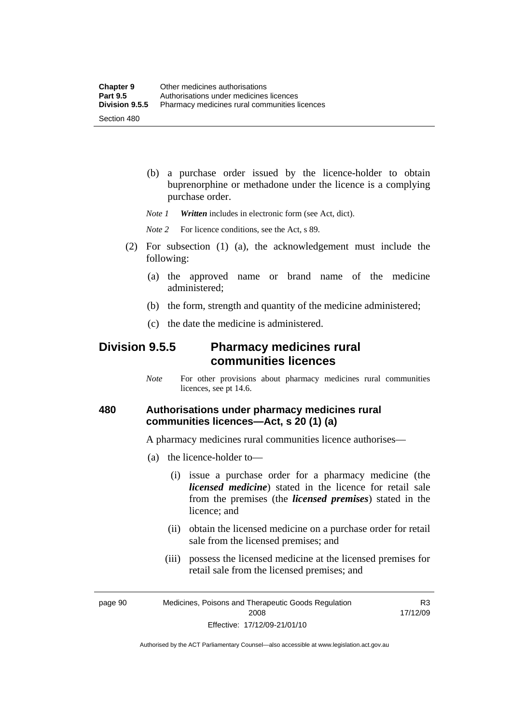(b) a purchase order issued by the licence-holder to obtain buprenorphine or methadone under the licence is a complying purchase order.

*Note 1 Written* includes in electronic form (see Act, dict).

*Note* 2 For licence conditions, see the Act, s 89.

- (2) For subsection (1) (a), the acknowledgement must include the following:
	- (a) the approved name or brand name of the medicine administered;
	- (b) the form, strength and quantity of the medicine administered;
	- (c) the date the medicine is administered.

# **Division 9.5.5 Pharmacy medicines rural communities licences**

*Note* For other provisions about pharmacy medicines rural communities licences, see pt 14.6.

# **480 Authorisations under pharmacy medicines rural communities licences—Act, s 20 (1) (a)**

A pharmacy medicines rural communities licence authorises—

- (a) the licence-holder to—
	- (i) issue a purchase order for a pharmacy medicine (the *licensed medicine*) stated in the licence for retail sale from the premises (the *licensed premises*) stated in the licence; and
	- (ii) obtain the licensed medicine on a purchase order for retail sale from the licensed premises; and
	- (iii) possess the licensed medicine at the licensed premises for retail sale from the licensed premises; and

page 90 Medicines, Poisons and Therapeutic Goods Regulation 2008 Effective: 17/12/09-21/01/10

R3 17/12/09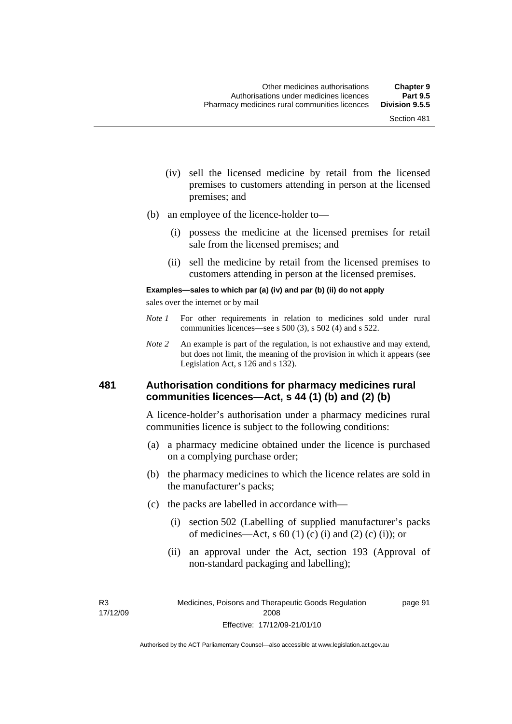- (iv) sell the licensed medicine by retail from the licensed premises to customers attending in person at the licensed premises; and
- (b) an employee of the licence-holder to—
	- (i) possess the medicine at the licensed premises for retail sale from the licensed premises; and
	- (ii) sell the medicine by retail from the licensed premises to customers attending in person at the licensed premises.

#### **Examples—sales to which par (a) (iv) and par (b) (ii) do not apply**

sales over the internet or by mail

- *Note 1* For other requirements in relation to medicines sold under rural communities licences—see s 500 (3), s 502 (4) and s 522.
- *Note 2* An example is part of the regulation, is not exhaustive and may extend, but does not limit, the meaning of the provision in which it appears (see Legislation Act, s 126 and s 132).

### **481 Authorisation conditions for pharmacy medicines rural communities licences—Act, s 44 (1) (b) and (2) (b)**

A licence-holder's authorisation under a pharmacy medicines rural communities licence is subject to the following conditions:

- (a) a pharmacy medicine obtained under the licence is purchased on a complying purchase order;
- (b) the pharmacy medicines to which the licence relates are sold in the manufacturer's packs;
- (c) the packs are labelled in accordance with—
	- (i) section 502 (Labelling of supplied manufacturer's packs of medicines—Act, s  $60(1)$  (c) (i) and (2) (c) (i)); or
	- (ii) an approval under the Act, section 193 (Approval of non-standard packaging and labelling);

R3 17/12/09 page 91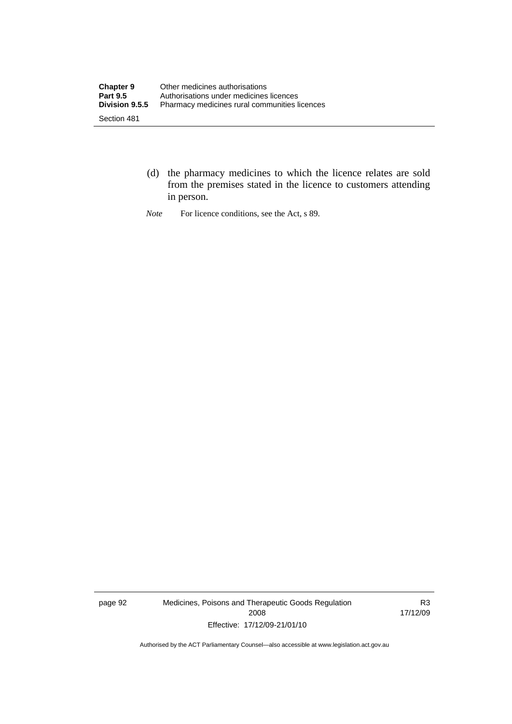- (d) the pharmacy medicines to which the licence relates are sold from the premises stated in the licence to customers attending in person.
- *Note* For licence conditions, see the Act, s 89.

page 92 Medicines, Poisons and Therapeutic Goods Regulation 2008 Effective: 17/12/09-21/01/10

R3 17/12/09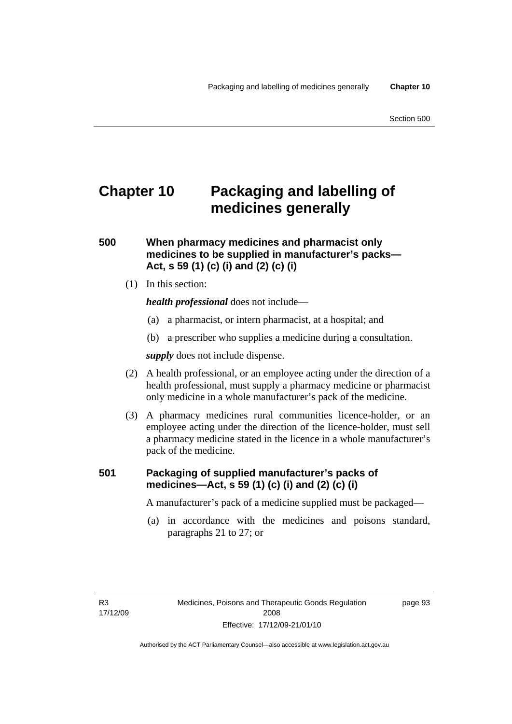# **Chapter 10 Packaging and labelling of medicines generally**

# **500 When pharmacy medicines and pharmacist only medicines to be supplied in manufacturer's packs— Act, s 59 (1) (c) (i) and (2) (c) (i)**

(1) In this section:

*health professional* does not include—

- (a) a pharmacist, or intern pharmacist, at a hospital; and
- (b) a prescriber who supplies a medicine during a consultation.

*supply* does not include dispense.

- (2) A health professional, or an employee acting under the direction of a health professional, must supply a pharmacy medicine or pharmacist only medicine in a whole manufacturer's pack of the medicine.
- (3) A pharmacy medicines rural communities licence-holder, or an employee acting under the direction of the licence-holder, must sell a pharmacy medicine stated in the licence in a whole manufacturer's pack of the medicine.

# **501 Packaging of supplied manufacturer's packs of medicines—Act, s 59 (1) (c) (i) and (2) (c) (i)**

A manufacturer's pack of a medicine supplied must be packaged—

 (a) in accordance with the medicines and poisons standard, paragraphs 21 to 27; or

page 93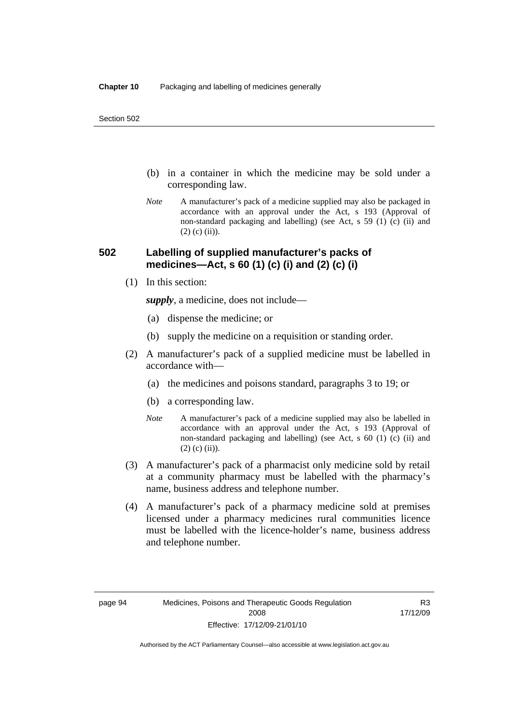- (b) in a container in which the medicine may be sold under a corresponding law.
- *Note* A manufacturer's pack of a medicine supplied may also be packaged in accordance with an approval under the Act, s 193 (Approval of non-standard packaging and labelling) (see Act, s 59 (1) (c) (ii) and  $(2)$  (c) (ii)).

# **502 Labelling of supplied manufacturer's packs of medicines—Act, s 60 (1) (c) (i) and (2) (c) (i)**

(1) In this section:

*supply*, a medicine, does not include—

- (a) dispense the medicine; or
- (b) supply the medicine on a requisition or standing order.
- (2) A manufacturer's pack of a supplied medicine must be labelled in accordance with—
	- (a) the medicines and poisons standard, paragraphs 3 to 19; or
	- (b) a corresponding law.
	- *Note* A manufacturer's pack of a medicine supplied may also be labelled in accordance with an approval under the Act, s 193 (Approval of non-standard packaging and labelling) (see Act, s 60 (1) (c) (ii) and  $(2)$  (c) (ii)).
- (3) A manufacturer's pack of a pharmacist only medicine sold by retail at a community pharmacy must be labelled with the pharmacy's name, business address and telephone number.
- (4) A manufacturer's pack of a pharmacy medicine sold at premises licensed under a pharmacy medicines rural communities licence must be labelled with the licence-holder's name, business address and telephone number.

R3 17/12/09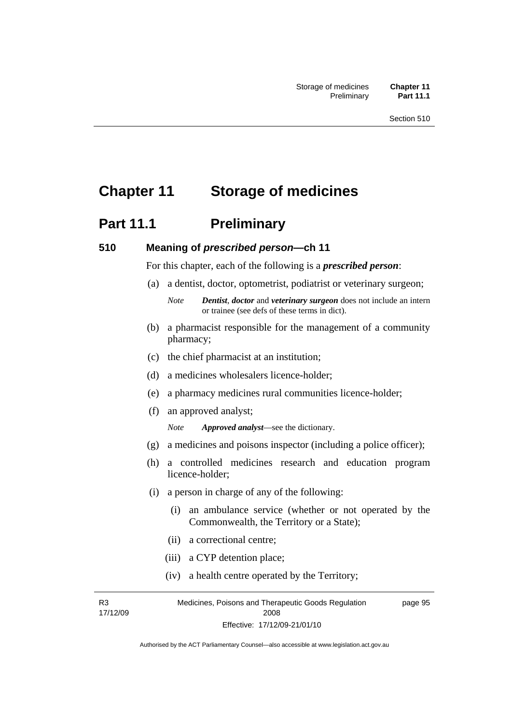# **Chapter 11 Storage of medicines**

# **Part 11.1** Preliminary

#### **510 Meaning of** *prescribed person***—ch 11**

For this chapter, each of the following is a *prescribed person*:

- (a) a dentist, doctor, optometrist, podiatrist or veterinary surgeon;
	- *Note Dentist*, *doctor* and *veterinary surgeon* does not include an intern or trainee (see defs of these terms in dict).
- (b) a pharmacist responsible for the management of a community pharmacy;
- (c) the chief pharmacist at an institution;
- (d) a medicines wholesalers licence-holder;
- (e) a pharmacy medicines rural communities licence-holder;
- (f) an approved analyst;

*Note Approved analyst*—see the dictionary.

- (g) a medicines and poisons inspector (including a police officer);
- (h) a controlled medicines research and education program licence-holder;
- (i) a person in charge of any of the following:
	- (i) an ambulance service (whether or not operated by the Commonwealth, the Territory or a State);
	- (ii) a correctional centre;
	- (iii) a CYP detention place;
	- (iv) a health centre operated by the Territory;

R3 17/12/09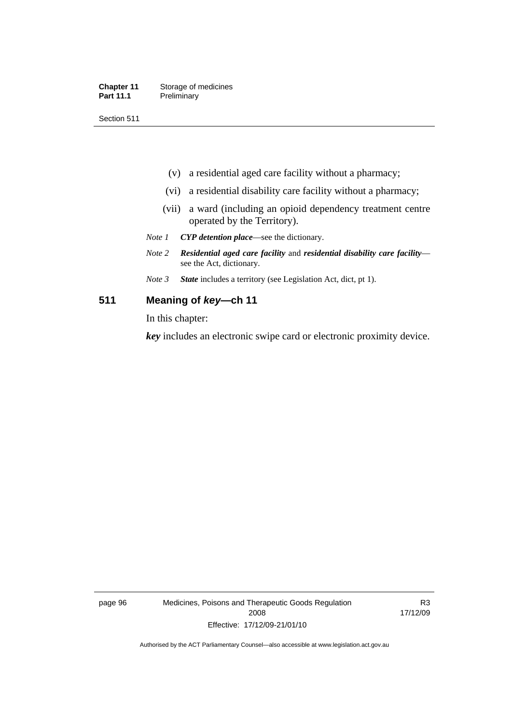| <b>Chapter 11</b> | Storage of medicines |
|-------------------|----------------------|
| <b>Part 11.1</b>  | Preliminary          |

Section 511

- (v) a residential aged care facility without a pharmacy;
- (vi) a residential disability care facility without a pharmacy;
- (vii) a ward (including an opioid dependency treatment centre operated by the Territory).
- *Note 1 CYP detention place*—see the dictionary.
- *Note 2 Residential aged care facility* and *residential disability care facility* see the Act, dictionary.
- *Note 3 State* includes a territory (see Legislation Act, dict, pt 1).

### **511 Meaning of** *key***—ch 11**

In this chapter:

*key* includes an electronic swipe card or electronic proximity device.

page 96 Medicines, Poisons and Therapeutic Goods Regulation 2008 Effective: 17/12/09-21/01/10

R3 17/12/09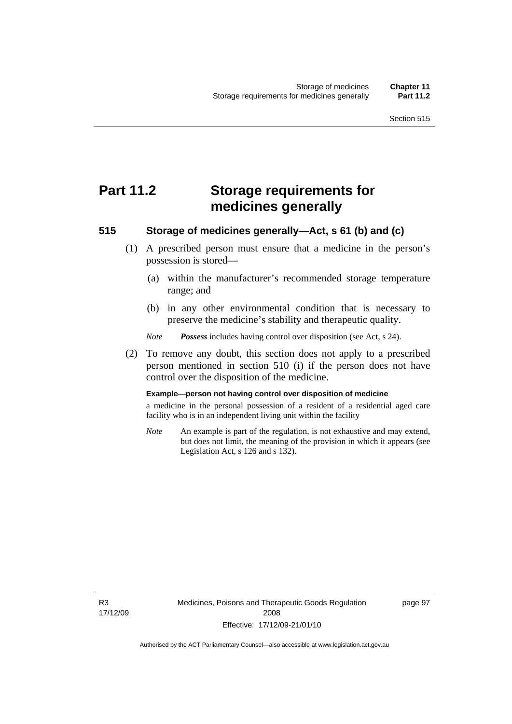# **Part 11.2 Storage requirements for medicines generally**

### **515 Storage of medicines generally—Act, s 61 (b) and (c)**

- (1) A prescribed person must ensure that a medicine in the person's possession is stored—
	- (a) within the manufacturer's recommended storage temperature range; and
	- (b) in any other environmental condition that is necessary to preserve the medicine's stability and therapeutic quality.

*Note Possess* includes having control over disposition (see Act, s 24).

 (2) To remove any doubt, this section does not apply to a prescribed person mentioned in section 510 (i) if the person does not have control over the disposition of the medicine.

#### **Example—person not having control over disposition of medicine**

a medicine in the personal possession of a resident of a residential aged care facility who is in an independent living unit within the facility

*Note* An example is part of the regulation, is not exhaustive and may extend, but does not limit, the meaning of the provision in which it appears (see Legislation Act, s 126 and s 132).

R3 17/12/09 page 97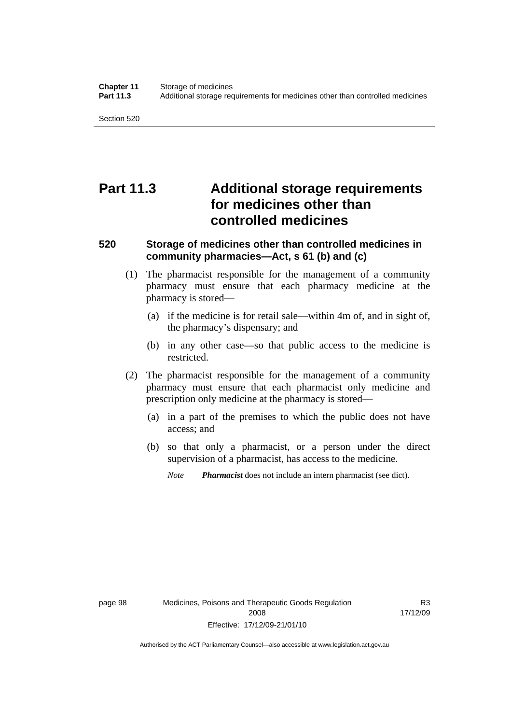Section 520

# **Part 11.3 Additional storage requirements for medicines other than controlled medicines**

# **520 Storage of medicines other than controlled medicines in community pharmacies—Act, s 61 (b) and (c)**

- (1) The pharmacist responsible for the management of a community pharmacy must ensure that each pharmacy medicine at the pharmacy is stored—
	- (a) if the medicine is for retail sale—within 4m of, and in sight of, the pharmacy's dispensary; and
	- (b) in any other case—so that public access to the medicine is restricted.
- (2) The pharmacist responsible for the management of a community pharmacy must ensure that each pharmacist only medicine and prescription only medicine at the pharmacy is stored—
	- (a) in a part of the premises to which the public does not have access; and
	- (b) so that only a pharmacist, or a person under the direct supervision of a pharmacist, has access to the medicine.

*Note Pharmacist* does not include an intern pharmacist (see dict).

R3 17/12/09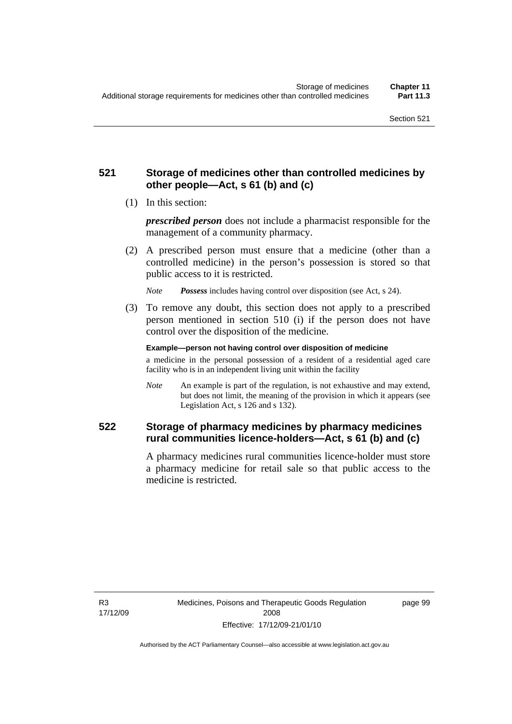# **521 Storage of medicines other than controlled medicines by other people—Act, s 61 (b) and (c)**

(1) In this section:

*prescribed person* does not include a pharmacist responsible for the management of a community pharmacy.

 (2) A prescribed person must ensure that a medicine (other than a controlled medicine) in the person's possession is stored so that public access to it is restricted.

*Note Possess* includes having control over disposition (see Act, s 24).

 (3) To remove any doubt, this section does not apply to a prescribed person mentioned in section 510 (i) if the person does not have control over the disposition of the medicine.

**Example—person not having control over disposition of medicine** 

a medicine in the personal possession of a resident of a residential aged care facility who is in an independent living unit within the facility

*Note* An example is part of the regulation, is not exhaustive and may extend, but does not limit, the meaning of the provision in which it appears (see Legislation Act, s 126 and s 132).

# **522 Storage of pharmacy medicines by pharmacy medicines rural communities licence-holders—Act, s 61 (b) and (c)**

A pharmacy medicines rural communities licence-holder must store a pharmacy medicine for retail sale so that public access to the medicine is restricted.

R3 17/12/09 page 99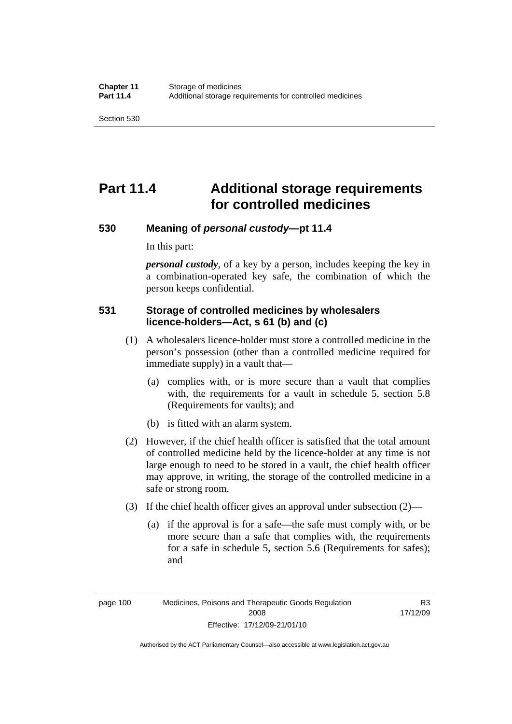Section 530

# **Part 11.4 Additional storage requirements for controlled medicines**

### **530 Meaning of** *personal custody***—pt 11.4**

In this part:

*personal custody*, of a key by a person, includes keeping the key in a combination-operated key safe, the combination of which the person keeps confidential.

# **531 Storage of controlled medicines by wholesalers licence-holders—Act, s 61 (b) and (c)**

- (1) A wholesalers licence-holder must store a controlled medicine in the person's possession (other than a controlled medicine required for immediate supply) in a vault that—
	- (a) complies with, or is more secure than a vault that complies with, the requirements for a vault in schedule 5, section 5.8 (Requirements for vaults); and
	- (b) is fitted with an alarm system.
- (2) However, if the chief health officer is satisfied that the total amount of controlled medicine held by the licence-holder at any time is not large enough to need to be stored in a vault, the chief health officer may approve, in writing, the storage of the controlled medicine in a safe or strong room.
- (3) If the chief health officer gives an approval under subsection (2)—
	- (a) if the approval is for a safe—the safe must comply with, or be more secure than a safe that complies with, the requirements for a safe in schedule 5, section 5.6 (Requirements for safes); and

page 100 Medicines, Poisons and Therapeutic Goods Regulation 2008 Effective: 17/12/09-21/01/10

R3 17/12/09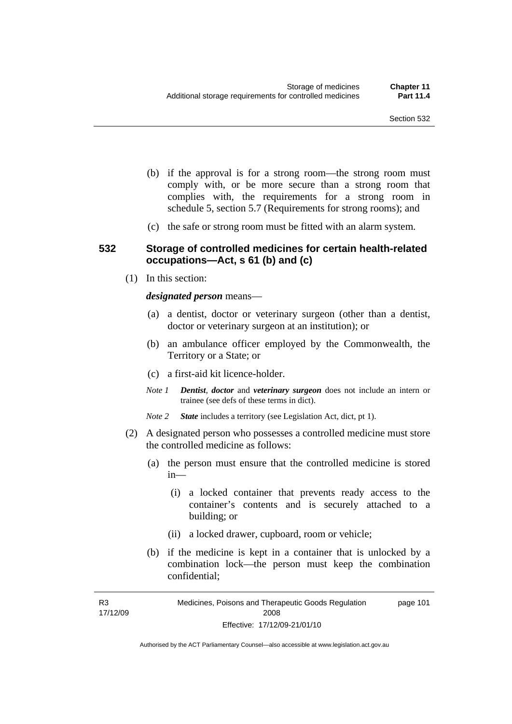- (b) if the approval is for a strong room—the strong room must comply with, or be more secure than a strong room that complies with, the requirements for a strong room in schedule 5, section 5.7 (Requirements for strong rooms); and
- (c) the safe or strong room must be fitted with an alarm system.

### **532 Storage of controlled medicines for certain health-related occupations—Act, s 61 (b) and (c)**

(1) In this section:

*designated person* means—

- (a) a dentist, doctor or veterinary surgeon (other than a dentist, doctor or veterinary surgeon at an institution); or
- (b) an ambulance officer employed by the Commonwealth, the Territory or a State; or
- (c) a first-aid kit licence-holder.
- *Note 1 Dentist*, *doctor* and *veterinary surgeon* does not include an intern or trainee (see defs of these terms in dict).
- *Note 2 State* includes a territory (see Legislation Act, dict, pt 1).
- (2) A designated person who possesses a controlled medicine must store the controlled medicine as follows:
	- (a) the person must ensure that the controlled medicine is stored in—
		- (i) a locked container that prevents ready access to the container's contents and is securely attached to a building; or
		- (ii) a locked drawer, cupboard, room or vehicle;
	- (b) if the medicine is kept in a container that is unlocked by a combination lock—the person must keep the combination confidential;

R3 17/12/09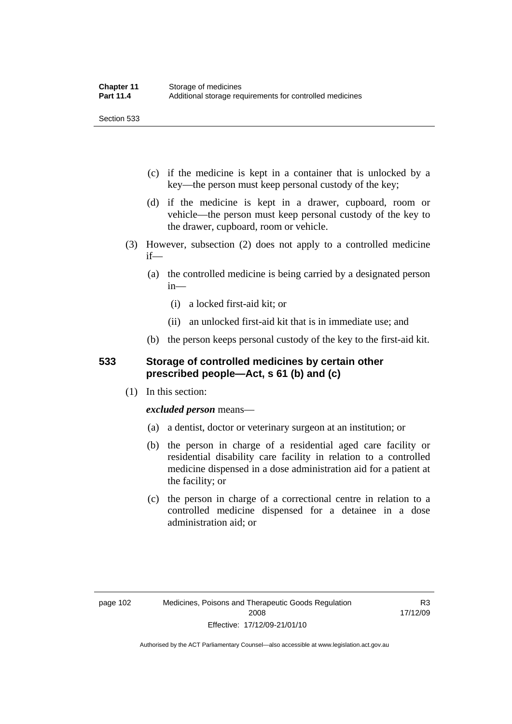Section 533

- (c) if the medicine is kept in a container that is unlocked by a key—the person must keep personal custody of the key;
- (d) if the medicine is kept in a drawer, cupboard, room or vehicle—the person must keep personal custody of the key to the drawer, cupboard, room or vehicle.
- (3) However, subsection (2) does not apply to a controlled medicine if—
	- (a) the controlled medicine is being carried by a designated person in—
		- (i) a locked first-aid kit; or
		- (ii) an unlocked first-aid kit that is in immediate use; and
	- (b) the person keeps personal custody of the key to the first-aid kit.

# **533 Storage of controlled medicines by certain other prescribed people—Act, s 61 (b) and (c)**

(1) In this section:

# *excluded person* means—

- (a) a dentist, doctor or veterinary surgeon at an institution; or
- (b) the person in charge of a residential aged care facility or residential disability care facility in relation to a controlled medicine dispensed in a dose administration aid for a patient at the facility; or
- (c) the person in charge of a correctional centre in relation to a controlled medicine dispensed for a detainee in a dose administration aid; or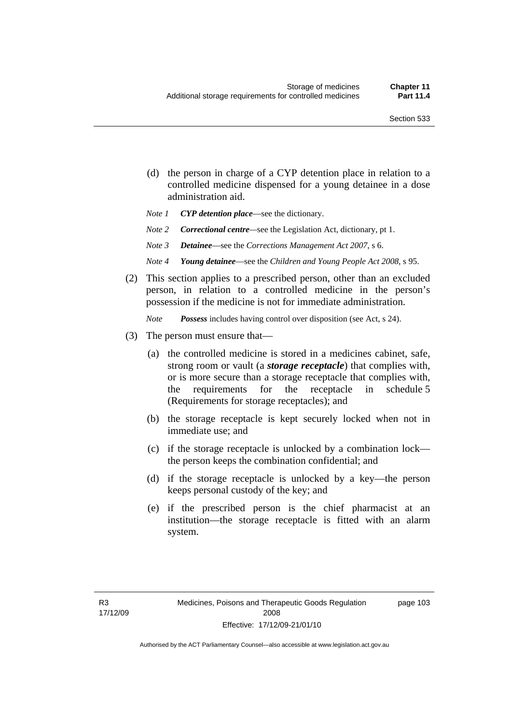- (d) the person in charge of a CYP detention place in relation to a controlled medicine dispensed for a young detainee in a dose administration aid.
- *Note 1 CYP detention place*—see the dictionary.
- *Note 2 Correctional centre—see the Legislation Act, dictionary, pt 1.*
- *Note 3 Detainee*—see the *Corrections Management Act 2007*, s 6.
- *Note 4 Young detainee*—see the *Children and Young People Act 2008*, s 95.
- (2) This section applies to a prescribed person, other than an excluded person, in relation to a controlled medicine in the person's possession if the medicine is not for immediate administration.

*Note Possess* includes having control over disposition (see Act, s 24).

- (3) The person must ensure that—
	- (a) the controlled medicine is stored in a medicines cabinet, safe, strong room or vault (a *storage receptacle*) that complies with, or is more secure than a storage receptacle that complies with, the requirements for the receptacle in schedule 5 (Requirements for storage receptacles); and
	- (b) the storage receptacle is kept securely locked when not in immediate use; and
	- (c) if the storage receptacle is unlocked by a combination lock the person keeps the combination confidential; and
	- (d) if the storage receptacle is unlocked by a key—the person keeps personal custody of the key; and
	- (e) if the prescribed person is the chief pharmacist at an institution—the storage receptacle is fitted with an alarm system.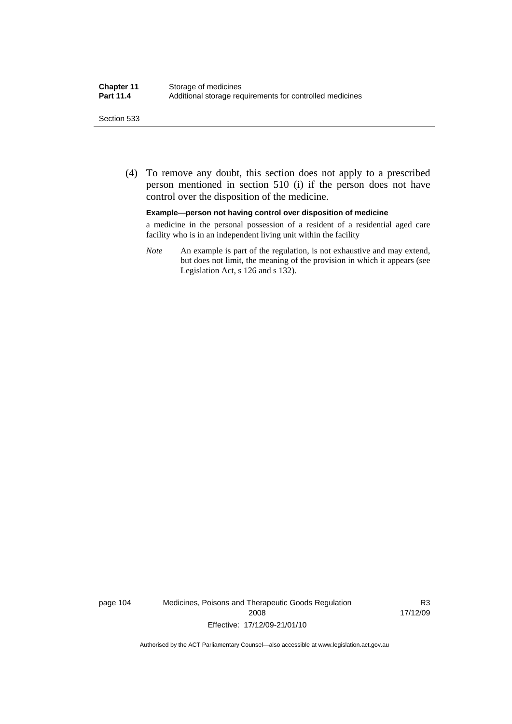#### Section 533

 (4) To remove any doubt, this section does not apply to a prescribed person mentioned in section 510 (i) if the person does not have control over the disposition of the medicine.

#### **Example—person not having control over disposition of medicine**

a medicine in the personal possession of a resident of a residential aged care facility who is in an independent living unit within the facility

*Note* An example is part of the regulation, is not exhaustive and may extend, but does not limit, the meaning of the provision in which it appears (see Legislation Act, s 126 and s 132).

page 104 Medicines, Poisons and Therapeutic Goods Regulation 2008 Effective: 17/12/09-21/01/10

R3 17/12/09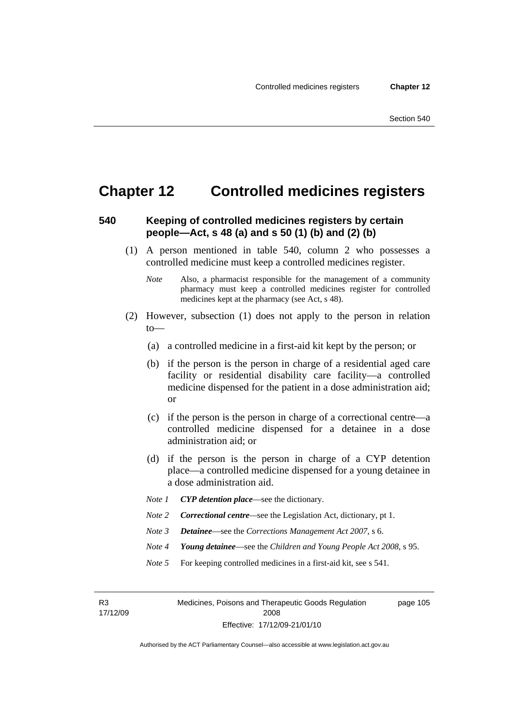# **Chapter 12 Controlled medicines registers**

# **540 Keeping of controlled medicines registers by certain people—Act, s 48 (a) and s 50 (1) (b) and (2) (b)**

- (1) A person mentioned in table 540, column 2 who possesses a controlled medicine must keep a controlled medicines register.
	- *Note* Also, a pharmacist responsible for the management of a community pharmacy must keep a controlled medicines register for controlled medicines kept at the pharmacy (see Act, s 48).
- (2) However, subsection (1) does not apply to the person in relation to—
	- (a) a controlled medicine in a first-aid kit kept by the person; or
	- (b) if the person is the person in charge of a residential aged care facility or residential disability care facility—a controlled medicine dispensed for the patient in a dose administration aid; or
	- (c) if the person is the person in charge of a correctional centre—a controlled medicine dispensed for a detainee in a dose administration aid; or
	- (d) if the person is the person in charge of a CYP detention place—a controlled medicine dispensed for a young detainee in a dose administration aid.
	- *Note 1 CYP detention place*—see the dictionary.
	- *Note 2 Correctional centre*—see the Legislation Act, dictionary, pt 1.
	- *Note 3 Detainee*—see the *Corrections Management Act 2007*, s 6.
	- *Note 4 Young detainee*—see the *Children and Young People Act 2008*, s 95.
	- *Note* 5 For keeping controlled medicines in a first-aid kit, see s 541.

R3 17/12/09 Medicines, Poisons and Therapeutic Goods Regulation 2008 Effective: 17/12/09-21/01/10 page 105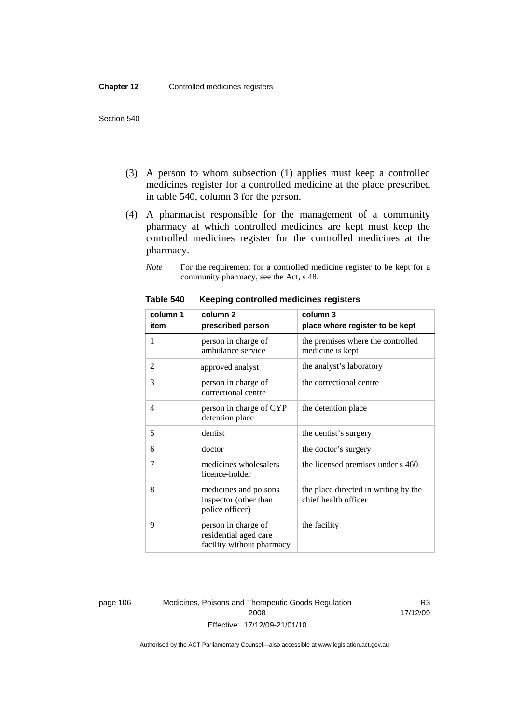- (3) A person to whom subsection (1) applies must keep a controlled medicines register for a controlled medicine at the place prescribed in table 540, column 3 for the person.
- (4) A pharmacist responsible for the management of a community pharmacy at which controlled medicines are kept must keep the controlled medicines register for the controlled medicines at the pharmacy.
	- *Note* For the requirement for a controlled medicine register to be kept for a community pharmacy, see the Act, s 48.

| column 1 | column <sub>2</sub>                                                       | column 3                                                     |
|----------|---------------------------------------------------------------------------|--------------------------------------------------------------|
| item     | prescribed person                                                         | place where register to be kept                              |
| 1        | person in charge of<br>ambulance service                                  | the premises where the controlled<br>medicine is kept        |
| 2        | approved analyst                                                          | the analyst's laboratory                                     |
| 3        | person in charge of<br>correctional centre                                | the correctional centre                                      |
| 4        | person in charge of CYP<br>detention place                                | the detention place                                          |
| 5        | dentist                                                                   | the dentist's surgery                                        |
| 6        | doctor                                                                    | the doctor's surgery                                         |
| 7        | medicines wholesalers<br>licence-holder                                   | the licensed premises under s 460                            |
| 8        | medicines and poisons<br>inspector (other than<br>police officer)         | the place directed in writing by the<br>chief health officer |
| 9        | person in charge of<br>residential aged care<br>facility without pharmacy | the facility                                                 |

#### **Table 540 Keeping controlled medicines registers**

page 106 Medicines, Poisons and Therapeutic Goods Regulation 2008 Effective: 17/12/09-21/01/10

R3 17/12/09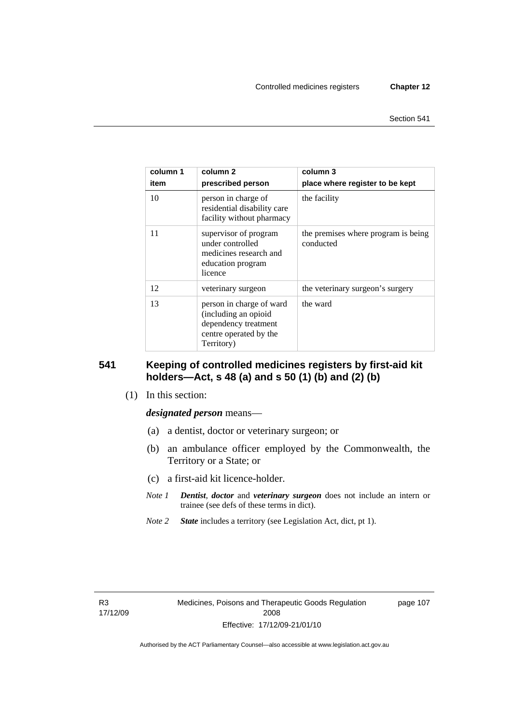| column 1<br>item | column 2<br>prescribed person                                                                                    | column 3<br>place where register to be kept      |
|------------------|------------------------------------------------------------------------------------------------------------------|--------------------------------------------------|
| 10               | person in charge of<br>residential disability care<br>facility without pharmacy                                  | the facility                                     |
| 11               | supervisor of program<br>under controlled<br>medicines research and<br>education program<br>licence              | the premises where program is being<br>conducted |
| 12               | veterinary surgeon                                                                                               | the veterinary surgeon's surgery                 |
| 13               | person in charge of ward<br>(including an opioid<br>dependency treatment<br>centre operated by the<br>Territory) | the ward                                         |

# **541 Keeping of controlled medicines registers by first-aid kit holders—Act, s 48 (a) and s 50 (1) (b) and (2) (b)**

(1) In this section:

#### *designated person* means—

- (a) a dentist, doctor or veterinary surgeon; or
- (b) an ambulance officer employed by the Commonwealth, the Territory or a State; or
- (c) a first-aid kit licence-holder.
- *Note 1 Dentist*, *doctor* and *veterinary surgeon* does not include an intern or trainee (see defs of these terms in dict).
- *Note 2 State* includes a territory (see Legislation Act, dict, pt 1).

R3 17/12/09 page 107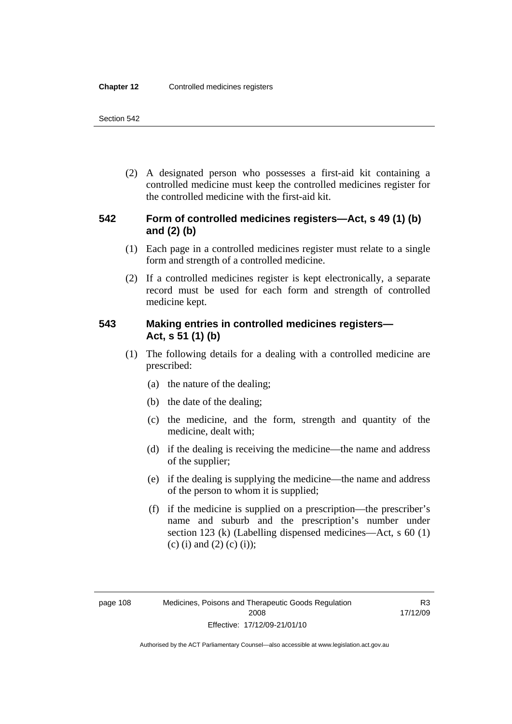(2) A designated person who possesses a first-aid kit containing a controlled medicine must keep the controlled medicines register for the controlled medicine with the first-aid kit.

# **542 Form of controlled medicines registers—Act, s 49 (1) (b) and (2) (b)**

- (1) Each page in a controlled medicines register must relate to a single form and strength of a controlled medicine.
- (2) If a controlled medicines register is kept electronically, a separate record must be used for each form and strength of controlled medicine kept.

# **543 Making entries in controlled medicines registers— Act, s 51 (1) (b)**

- (1) The following details for a dealing with a controlled medicine are prescribed:
	- (a) the nature of the dealing;
	- (b) the date of the dealing;
	- (c) the medicine, and the form, strength and quantity of the medicine, dealt with;
	- (d) if the dealing is receiving the medicine—the name and address of the supplier;
	- (e) if the dealing is supplying the medicine—the name and address of the person to whom it is supplied;
	- (f) if the medicine is supplied on a prescription—the prescriber's name and suburb and the prescription's number under section 123 (k) (Labelling dispensed medicines—Act, s 60 (1) (c) (i) and (2) (c) (i));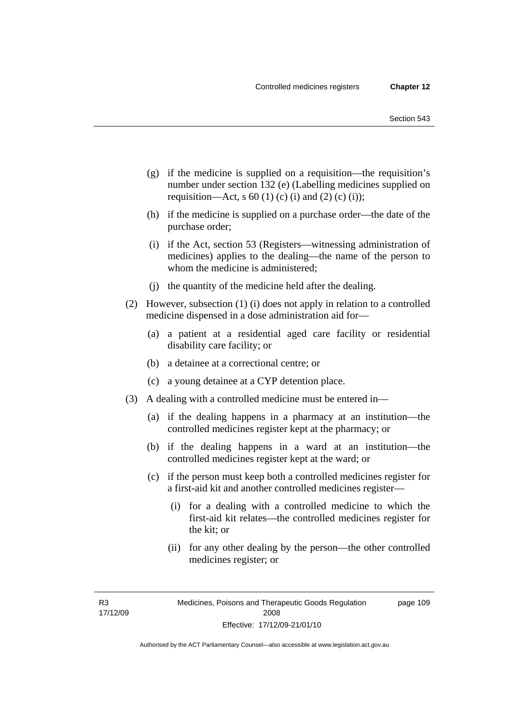- (g) if the medicine is supplied on a requisition—the requisition's number under section 132 (e) (Labelling medicines supplied on requisition—Act, s 60 (1) (c) (i) and (2) (c) (i));
- (h) if the medicine is supplied on a purchase order—the date of the purchase order;
- (i) if the Act, section 53 (Registers—witnessing administration of medicines) applies to the dealing—the name of the person to whom the medicine is administered;
- (j) the quantity of the medicine held after the dealing.
- (2) However, subsection (1) (i) does not apply in relation to a controlled medicine dispensed in a dose administration aid for—
	- (a) a patient at a residential aged care facility or residential disability care facility; or
	- (b) a detainee at a correctional centre; or
	- (c) a young detainee at a CYP detention place.
- (3) A dealing with a controlled medicine must be entered in—
	- (a) if the dealing happens in a pharmacy at an institution—the controlled medicines register kept at the pharmacy; or
	- (b) if the dealing happens in a ward at an institution—the controlled medicines register kept at the ward; or
	- (c) if the person must keep both a controlled medicines register for a first-aid kit and another controlled medicines register—
		- (i) for a dealing with a controlled medicine to which the first-aid kit relates—the controlled medicines register for the kit; or
		- (ii) for any other dealing by the person—the other controlled medicines register; or

R3 17/12/09 page 109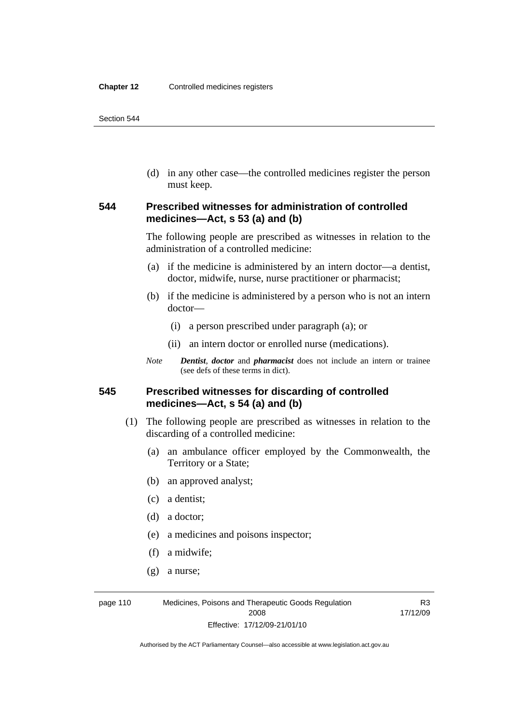(d) in any other case—the controlled medicines register the person must keep.

# **544 Prescribed witnesses for administration of controlled medicines—Act, s 53 (a) and (b)**

The following people are prescribed as witnesses in relation to the administration of a controlled medicine:

- (a) if the medicine is administered by an intern doctor—a dentist, doctor, midwife, nurse, nurse practitioner or pharmacist;
- (b) if the medicine is administered by a person who is not an intern doctor—
	- (i) a person prescribed under paragraph (a); or
	- (ii) an intern doctor or enrolled nurse (medications).
- *Note Dentist*, *doctor* and *pharmacist* does not include an intern or trainee (see defs of these terms in dict).

# **545 Prescribed witnesses for discarding of controlled medicines—Act, s 54 (a) and (b)**

- (1) The following people are prescribed as witnesses in relation to the discarding of a controlled medicine:
	- (a) an ambulance officer employed by the Commonwealth, the Territory or a State;
	- (b) an approved analyst;
	- (c) a dentist;
	- (d) a doctor;
	- (e) a medicines and poisons inspector;
	- (f) a midwife;
	- (g) a nurse;

page 110 Medicines, Poisons and Therapeutic Goods Regulation 2008 Effective: 17/12/09-21/01/10

R3 17/12/09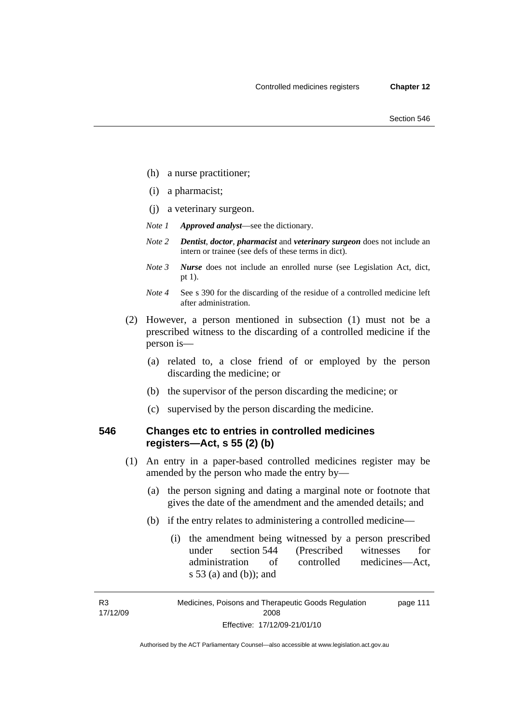- (h) a nurse practitioner;
- (i) a pharmacist;
- (j) a veterinary surgeon.
- *Note 1 Approved analyst*—see the dictionary.
- *Note 2 Dentist*, *doctor*, *pharmacist* and *veterinary surgeon* does not include an intern or trainee (see defs of these terms in dict).
- *Note 3 Nurse* does not include an enrolled nurse (see Legislation Act, dict, pt 1).
- *Note 4* See s 390 for the discarding of the residue of a controlled medicine left after administration.
- (2) However, a person mentioned in subsection (1) must not be a prescribed witness to the discarding of a controlled medicine if the person is—
	- (a) related to, a close friend of or employed by the person discarding the medicine; or
	- (b) the supervisor of the person discarding the medicine; or
	- (c) supervised by the person discarding the medicine.

# **546 Changes etc to entries in controlled medicines registers—Act, s 55 (2) (b)**

- (1) An entry in a paper-based controlled medicines register may be amended by the person who made the entry by—
	- (a) the person signing and dating a marginal note or footnote that gives the date of the amendment and the amended details; and
	- (b) if the entry relates to administering a controlled medicine—
		- (i) the amendment being witnessed by a person prescribed under section 544 (Prescribed witnesses for administration of controlled medicines—Act, s 53 (a) and (b)); and

R3 17/12/09

Medicines, Poisons and Therapeutic Goods Regulation 2008 Effective: 17/12/09-21/01/10 page 111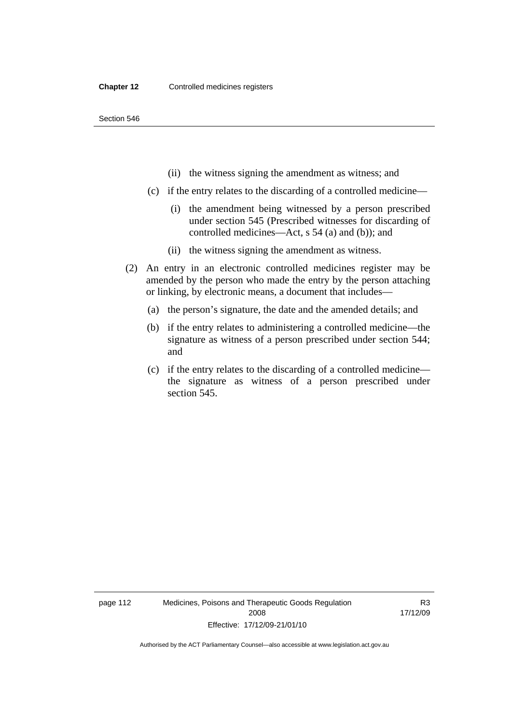- (ii) the witness signing the amendment as witness; and
- (c) if the entry relates to the discarding of a controlled medicine—
	- (i) the amendment being witnessed by a person prescribed under section 545 (Prescribed witnesses for discarding of controlled medicines—Act, s 54 (a) and (b)); and
	- (ii) the witness signing the amendment as witness.
- (2) An entry in an electronic controlled medicines register may be amended by the person who made the entry by the person attaching or linking, by electronic means, a document that includes—
	- (a) the person's signature, the date and the amended details; and
	- (b) if the entry relates to administering a controlled medicine—the signature as witness of a person prescribed under section 544; and
	- (c) if the entry relates to the discarding of a controlled medicine the signature as witness of a person prescribed under section 545.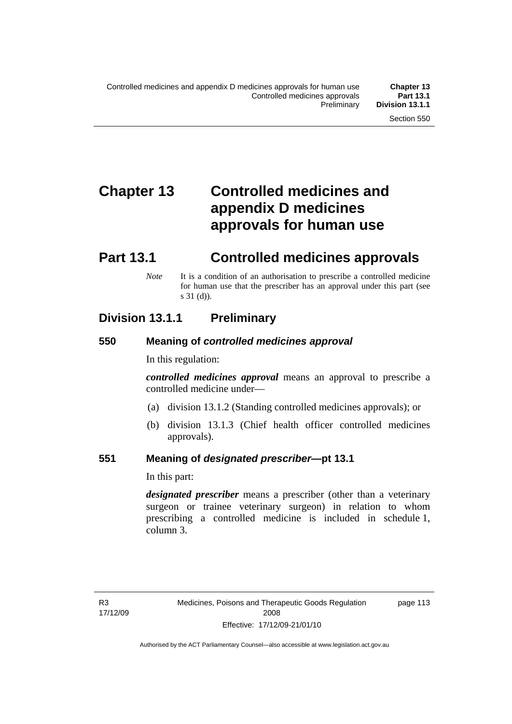# **Chapter 13 Controlled medicines and appendix D medicines approvals for human use**

# **Part 13.1 Controlled medicines approvals**

*Note* It is a condition of an authorisation to prescribe a controlled medicine for human use that the prescriber has an approval under this part (see s 31 (d)).

# **Division 13.1.1 Preliminary**

# **550 Meaning of** *controlled medicines approval*

In this regulation:

*controlled medicines approval* means an approval to prescribe a controlled medicine under—

- (a) division 13.1.2 (Standing controlled medicines approvals); or
- (b) division 13.1.3 (Chief health officer controlled medicines approvals).

# **551 Meaning of** *designated prescriber***—pt 13.1**

In this part:

*designated prescriber* means a prescriber (other than a veterinary surgeon or trainee veterinary surgeon) in relation to whom prescribing a controlled medicine is included in schedule 1, column 3.

page 113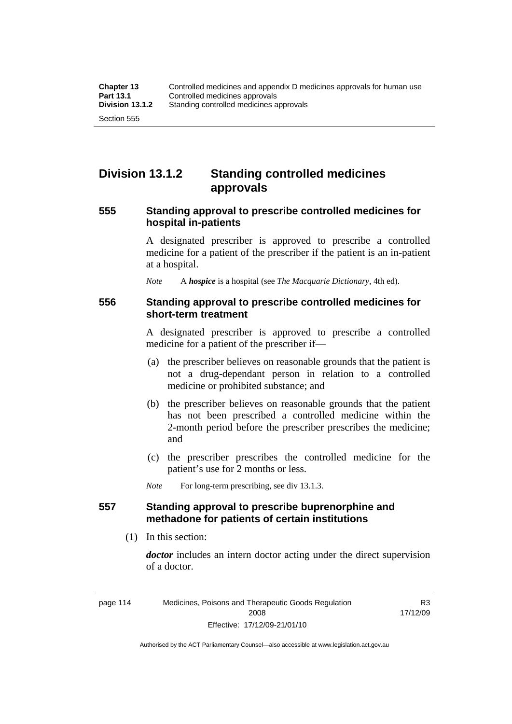# **Division 13.1.2 Standing controlled medicines approvals**

### **555 Standing approval to prescribe controlled medicines for hospital in-patients**

A designated prescriber is approved to prescribe a controlled medicine for a patient of the prescriber if the patient is an in-patient at a hospital.

*Note* A *hospice* is a hospital (see *The Macquarie Dictionary*, 4th ed).

### **556 Standing approval to prescribe controlled medicines for short-term treatment**

A designated prescriber is approved to prescribe a controlled medicine for a patient of the prescriber if—

- (a) the prescriber believes on reasonable grounds that the patient is not a drug-dependant person in relation to a controlled medicine or prohibited substance; and
- (b) the prescriber believes on reasonable grounds that the patient has not been prescribed a controlled medicine within the 2-month period before the prescriber prescribes the medicine; and
- (c) the prescriber prescribes the controlled medicine for the patient's use for 2 months or less.

*Note* For long-term prescribing, see div 13.1.3.

# **557 Standing approval to prescribe buprenorphine and methadone for patients of certain institutions**

(1) In this section:

*doctor* includes an intern doctor acting under the direct supervision of a doctor.

R3 17/12/09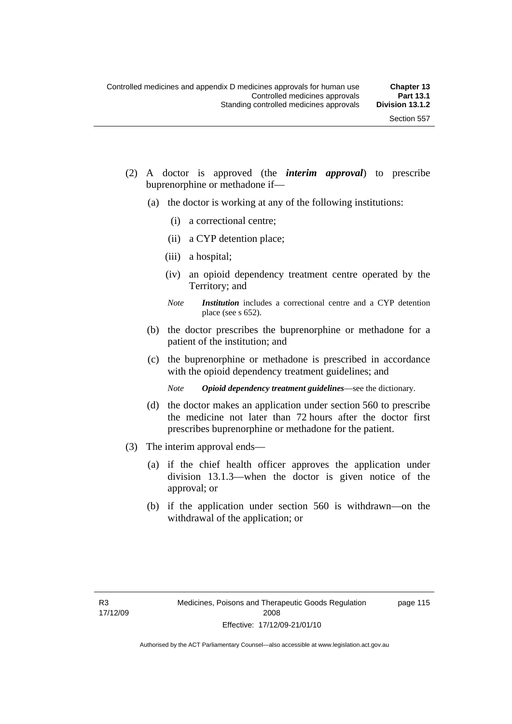- (2) A doctor is approved (the *interim approval*) to prescribe buprenorphine or methadone if—
	- (a) the doctor is working at any of the following institutions:
		- (i) a correctional centre;
		- (ii) a CYP detention place;
		- (iii) a hospital;
		- (iv) an opioid dependency treatment centre operated by the Territory; and
		- *Note Institution* includes a correctional centre and a CYP detention place (see s 652).
	- (b) the doctor prescribes the buprenorphine or methadone for a patient of the institution; and
	- (c) the buprenorphine or methadone is prescribed in accordance with the opioid dependency treatment guidelines; and
		- *Note Opioid dependency treatment guidelines*—see the dictionary.
	- (d) the doctor makes an application under section 560 to prescribe the medicine not later than 72 hours after the doctor first prescribes buprenorphine or methadone for the patient.
- (3) The interim approval ends—
	- (a) if the chief health officer approves the application under division 13.1.3—when the doctor is given notice of the approval; or
	- (b) if the application under section 560 is withdrawn—on the withdrawal of the application; or

page 115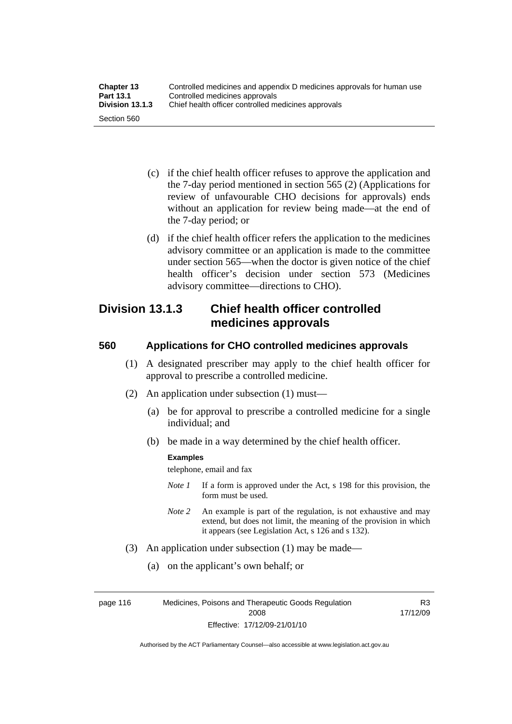| <b>Chapter 13</b> | Controlled medicines and appendix D medicines approvals for human use |
|-------------------|-----------------------------------------------------------------------|
| <b>Part 13.1</b>  | Controlled medicines approvals                                        |
| Division 13.1.3   | Chief health officer controlled medicines approvals                   |
| Section 560       |                                                                       |

- (c) if the chief health officer refuses to approve the application and the 7-day period mentioned in section 565 (2) (Applications for review of unfavourable CHO decisions for approvals) ends without an application for review being made—at the end of the 7-day period; or
- (d) if the chief health officer refers the application to the medicines advisory committee or an application is made to the committee under section 565—when the doctor is given notice of the chief health officer's decision under section 573 (Medicines advisory committee—directions to CHO).

# **Division 13.1.3 Chief health officer controlled medicines approvals**

# **560 Applications for CHO controlled medicines approvals**

- (1) A designated prescriber may apply to the chief health officer for approval to prescribe a controlled medicine.
- (2) An application under subsection (1) must—
	- (a) be for approval to prescribe a controlled medicine for a single individual; and
	- (b) be made in a way determined by the chief health officer.

#### **Examples**

telephone, email and fax

- *Note 1* If a form is approved under the Act, s 198 for this provision, the form must be used.
- *Note 2* An example is part of the regulation, is not exhaustive and may extend, but does not limit, the meaning of the provision in which it appears (see Legislation Act, s 126 and s 132).
- (3) An application under subsection (1) may be made—
	- (a) on the applicant's own behalf; or

page 116 Medicines, Poisons and Therapeutic Goods Regulation 2008 Effective: 17/12/09-21/01/10

R3 17/12/09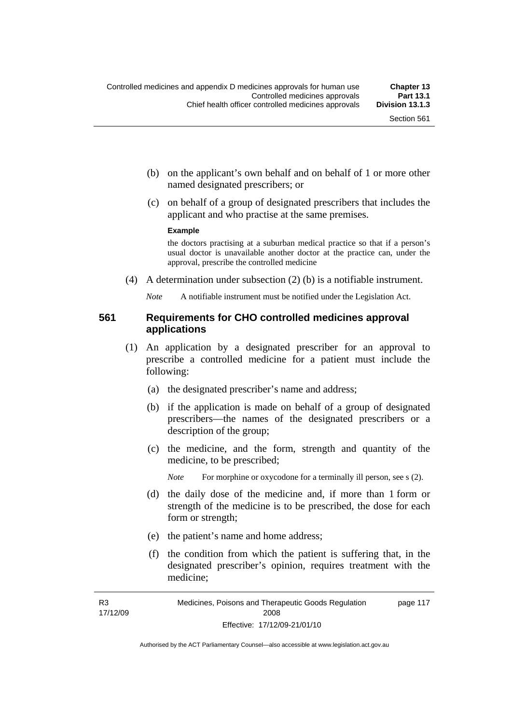- (b) on the applicant's own behalf and on behalf of 1 or more other named designated prescribers; or
- (c) on behalf of a group of designated prescribers that includes the applicant and who practise at the same premises.

#### **Example**

the doctors practising at a suburban medical practice so that if a person's usual doctor is unavailable another doctor at the practice can, under the approval, prescribe the controlled medicine

(4) A determination under subsection (2) (b) is a notifiable instrument.

*Note* A notifiable instrument must be notified under the Legislation Act.

# **561 Requirements for CHO controlled medicines approval applications**

- (1) An application by a designated prescriber for an approval to prescribe a controlled medicine for a patient must include the following:
	- (a) the designated prescriber's name and address;
	- (b) if the application is made on behalf of a group of designated prescribers—the names of the designated prescribers or a description of the group;
	- (c) the medicine, and the form, strength and quantity of the medicine, to be prescribed;

*Note* For morphine or oxycodone for a terminally ill person, see s (2).

- (d) the daily dose of the medicine and, if more than 1 form or strength of the medicine is to be prescribed, the dose for each form or strength;
- (e) the patient's name and home address;
- (f) the condition from which the patient is suffering that, in the designated prescriber's opinion, requires treatment with the medicine;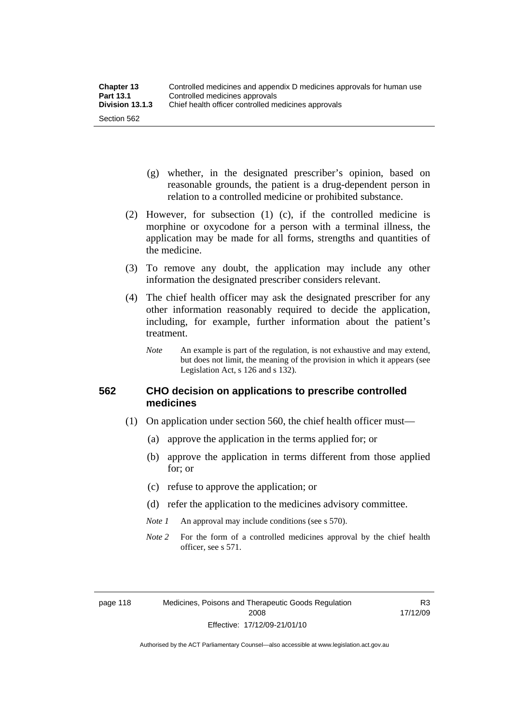- (g) whether, in the designated prescriber's opinion, based on reasonable grounds, the patient is a drug-dependent person in relation to a controlled medicine or prohibited substance.
- (2) However, for subsection (1) (c), if the controlled medicine is morphine or oxycodone for a person with a terminal illness, the application may be made for all forms, strengths and quantities of the medicine.
- (3) To remove any doubt, the application may include any other information the designated prescriber considers relevant.
- (4) The chief health officer may ask the designated prescriber for any other information reasonably required to decide the application, including, for example, further information about the patient's treatment.
	- *Note* An example is part of the regulation, is not exhaustive and may extend, but does not limit, the meaning of the provision in which it appears (see Legislation Act, s 126 and s 132).

# **562 CHO decision on applications to prescribe controlled medicines**

- (1) On application under section 560, the chief health officer must—
	- (a) approve the application in the terms applied for; or
	- (b) approve the application in terms different from those applied for; or
	- (c) refuse to approve the application; or
	- (d) refer the application to the medicines advisory committee.
	- *Note 1* An approval may include conditions (see s 570).
	- *Note* 2 For the form of a controlled medicines approval by the chief health officer, see s 571.

R3 17/12/09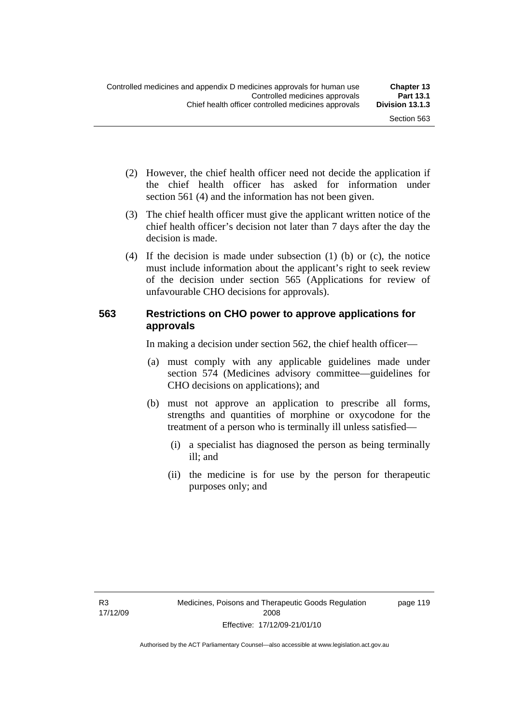- (2) However, the chief health officer need not decide the application if the chief health officer has asked for information under section 561 (4) and the information has not been given.
- (3) The chief health officer must give the applicant written notice of the chief health officer's decision not later than 7 days after the day the decision is made.
- (4) If the decision is made under subsection (1) (b) or (c), the notice must include information about the applicant's right to seek review of the decision under section 565 (Applications for review of unfavourable CHO decisions for approvals).

# **563 Restrictions on CHO power to approve applications for approvals**

In making a decision under section 562, the chief health officer—

- (a) must comply with any applicable guidelines made under section 574 (Medicines advisory committee—guidelines for CHO decisions on applications); and
- (b) must not approve an application to prescribe all forms, strengths and quantities of morphine or oxycodone for the treatment of a person who is terminally ill unless satisfied—
	- (i) a specialist has diagnosed the person as being terminally ill; and
	- (ii) the medicine is for use by the person for therapeutic purposes only; and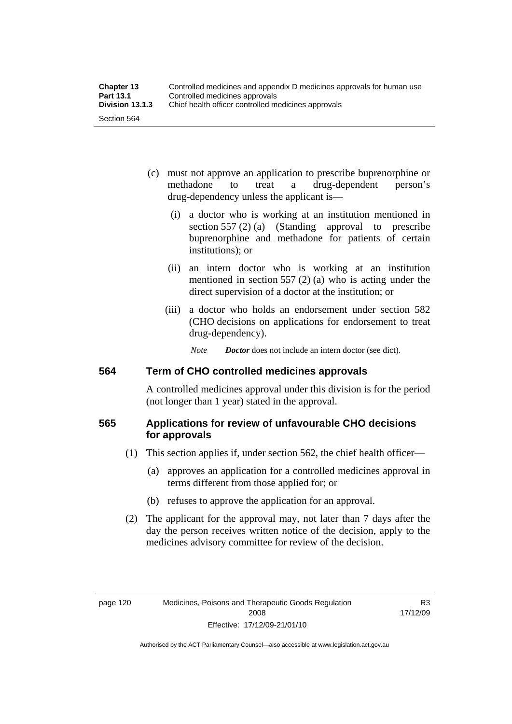- (c) must not approve an application to prescribe buprenorphine or methadone to treat a drug-dependent person's drug-dependency unless the applicant is—
	- (i) a doctor who is working at an institution mentioned in section 557 (2) (a) (Standing approval to prescribe buprenorphine and methadone for patients of certain institutions); or
	- (ii) an intern doctor who is working at an institution mentioned in section 557 (2) (a) who is acting under the direct supervision of a doctor at the institution; or
	- (iii) a doctor who holds an endorsement under section 582 (CHO decisions on applications for endorsement to treat drug-dependency).

*Note Doctor* does not include an intern doctor (see dict).

# **564 Term of CHO controlled medicines approvals**

A controlled medicines approval under this division is for the period (not longer than 1 year) stated in the approval.

# **565 Applications for review of unfavourable CHO decisions for approvals**

- (1) This section applies if, under section 562, the chief health officer—
	- (a) approves an application for a controlled medicines approval in terms different from those applied for; or
	- (b) refuses to approve the application for an approval.
- (2) The applicant for the approval may, not later than 7 days after the day the person receives written notice of the decision, apply to the medicines advisory committee for review of the decision.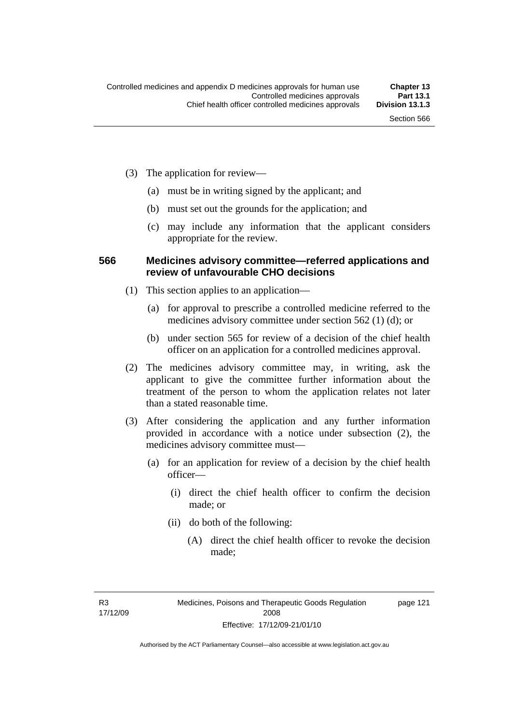- (3) The application for review—
	- (a) must be in writing signed by the applicant; and
	- (b) must set out the grounds for the application; and
	- (c) may include any information that the applicant considers appropriate for the review.

#### **566 Medicines advisory committee—referred applications and review of unfavourable CHO decisions**

- (1) This section applies to an application—
	- (a) for approval to prescribe a controlled medicine referred to the medicines advisory committee under section 562 (1) (d); or
	- (b) under section 565 for review of a decision of the chief health officer on an application for a controlled medicines approval.
- (2) The medicines advisory committee may, in writing, ask the applicant to give the committee further information about the treatment of the person to whom the application relates not later than a stated reasonable time.
- (3) After considering the application and any further information provided in accordance with a notice under subsection (2), the medicines advisory committee must—
	- (a) for an application for review of a decision by the chief health officer—
		- (i) direct the chief health officer to confirm the decision made; or
		- (ii) do both of the following:
			- (A) direct the chief health officer to revoke the decision made;

R3 17/12/09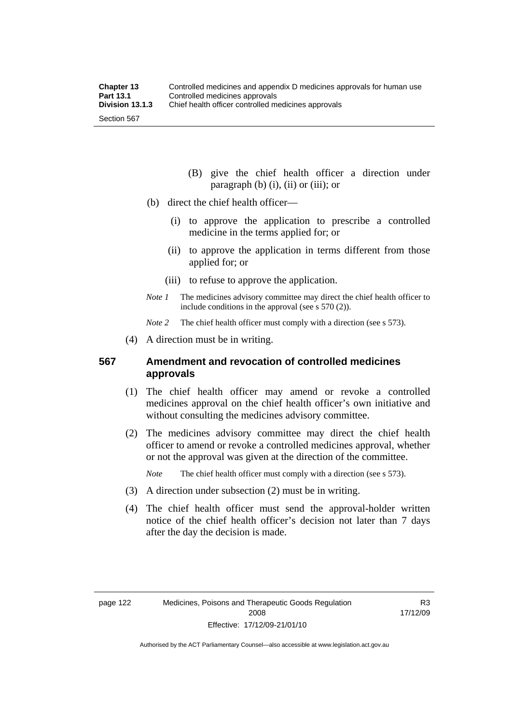- (B) give the chief health officer a direction under paragraph  $(b)$   $(i)$ ,  $(ii)$  or  $(iii)$ ; or
- (b) direct the chief health officer—
	- (i) to approve the application to prescribe a controlled medicine in the terms applied for; or
	- (ii) to approve the application in terms different from those applied for; or
	- (iii) to refuse to approve the application.
- *Note 1* The medicines advisory committee may direct the chief health officer to include conditions in the approval (see s 570 (2)).

*Note* 2 The chief health officer must comply with a direction (see s 573).

(4) A direction must be in writing.

#### **567 Amendment and revocation of controlled medicines approvals**

- (1) The chief health officer may amend or revoke a controlled medicines approval on the chief health officer's own initiative and without consulting the medicines advisory committee.
- (2) The medicines advisory committee may direct the chief health officer to amend or revoke a controlled medicines approval, whether or not the approval was given at the direction of the committee.

*Note* The chief health officer must comply with a direction (see s 573).

- (3) A direction under subsection (2) must be in writing.
- (4) The chief health officer must send the approval-holder written notice of the chief health officer's decision not later than 7 days after the day the decision is made.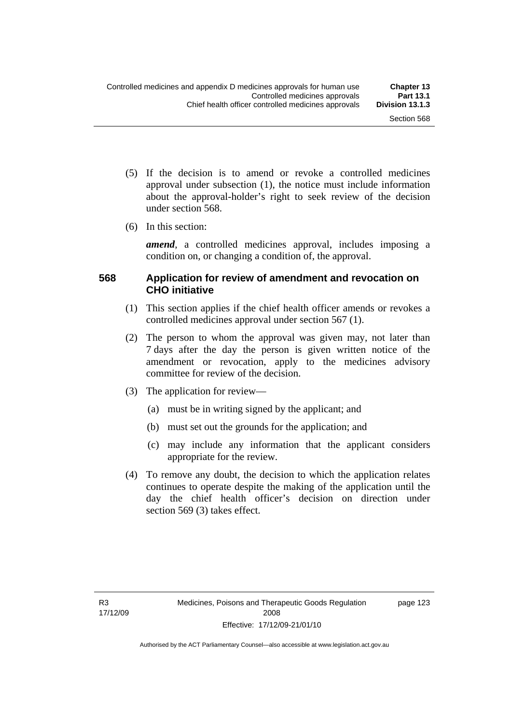- (5) If the decision is to amend or revoke a controlled medicines approval under subsection (1), the notice must include information about the approval-holder's right to seek review of the decision under section 568.
- (6) In this section:

*amend*, a controlled medicines approval, includes imposing a condition on, or changing a condition of, the approval.

### **568 Application for review of amendment and revocation on CHO initiative**

- (1) This section applies if the chief health officer amends or revokes a controlled medicines approval under section 567 (1).
- (2) The person to whom the approval was given may, not later than 7 days after the day the person is given written notice of the amendment or revocation, apply to the medicines advisory committee for review of the decision.
- (3) The application for review—
	- (a) must be in writing signed by the applicant; and
	- (b) must set out the grounds for the application; and
	- (c) may include any information that the applicant considers appropriate for the review.
- (4) To remove any doubt, the decision to which the application relates continues to operate despite the making of the application until the day the chief health officer's decision on direction under section 569 (3) takes effect.

page 123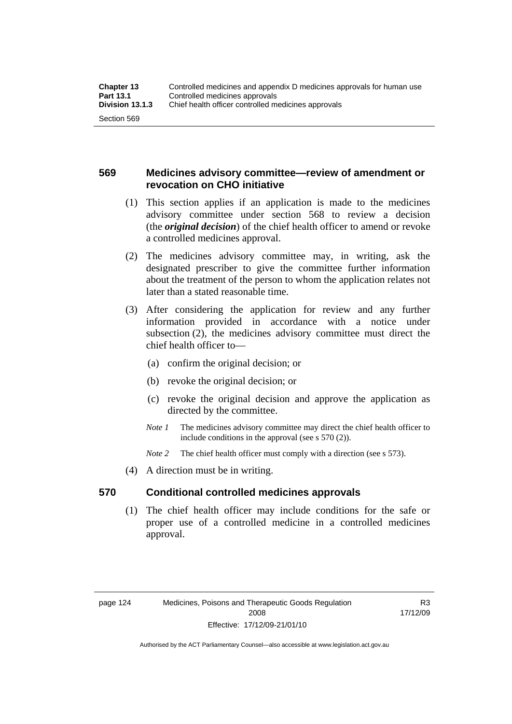### **569 Medicines advisory committee—review of amendment or revocation on CHO initiative**

- (1) This section applies if an application is made to the medicines advisory committee under section 568 to review a decision (the *original decision*) of the chief health officer to amend or revoke a controlled medicines approval.
- (2) The medicines advisory committee may, in writing, ask the designated prescriber to give the committee further information about the treatment of the person to whom the application relates not later than a stated reasonable time.
- (3) After considering the application for review and any further information provided in accordance with a notice under subsection (2), the medicines advisory committee must direct the chief health officer to—
	- (a) confirm the original decision; or
	- (b) revoke the original decision; or
	- (c) revoke the original decision and approve the application as directed by the committee.
	- *Note 1* The medicines advisory committee may direct the chief health officer to include conditions in the approval (see s 570 (2)).
	- *Note* 2 The chief health officer must comply with a direction (see s 573).
- (4) A direction must be in writing.

#### **570 Conditional controlled medicines approvals**

 (1) The chief health officer may include conditions for the safe or proper use of a controlled medicine in a controlled medicines approval.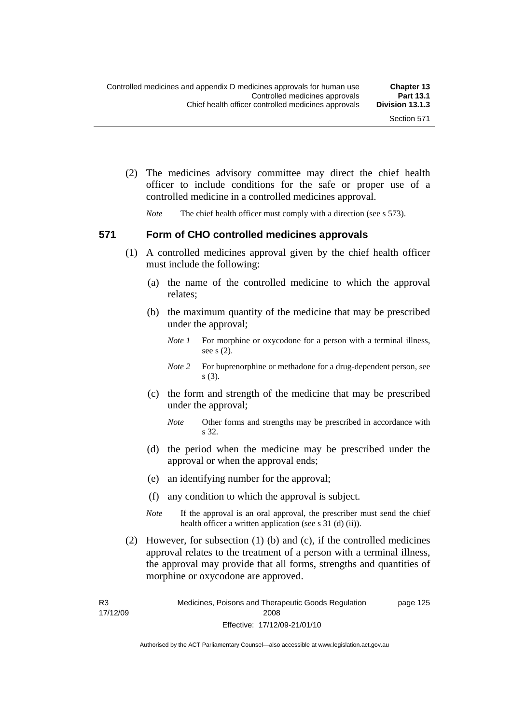(2) The medicines advisory committee may direct the chief health officer to include conditions for the safe or proper use of a controlled medicine in a controlled medicines approval.

*Note* The chief health officer must comply with a direction (see s 573).

#### **571 Form of CHO controlled medicines approvals**

- (1) A controlled medicines approval given by the chief health officer must include the following:
	- (a) the name of the controlled medicine to which the approval relates;
	- (b) the maximum quantity of the medicine that may be prescribed under the approval;
		- *Note 1* For morphine or oxycodone for a person with a terminal illness, see s (2).
		- *Note* 2 For buprenorphine or methadone for a drug-dependent person, see s (3).
	- (c) the form and strength of the medicine that may be prescribed under the approval;
		- *Note* Other forms and strengths may be prescribed in accordance with s 32.
	- (d) the period when the medicine may be prescribed under the approval or when the approval ends;
	- (e) an identifying number for the approval;
	- (f) any condition to which the approval is subject.
	- *Note* If the approval is an oral approval, the prescriber must send the chief health officer a written application (see s  $31$  (d) (ii)).
- (2) However, for subsection (1) (b) and (c), if the controlled medicines approval relates to the treatment of a person with a terminal illness, the approval may provide that all forms, strengths and quantities of morphine or oxycodone are approved.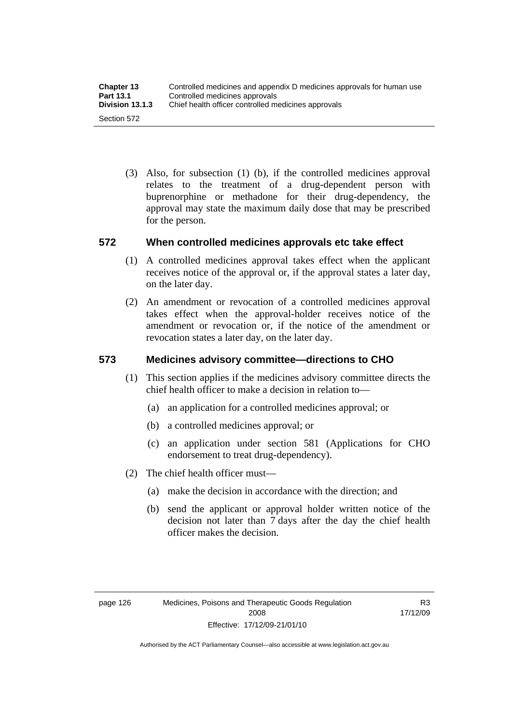(3) Also, for subsection (1) (b), if the controlled medicines approval relates to the treatment of a drug-dependent person with buprenorphine or methadone for their drug-dependency, the approval may state the maximum daily dose that may be prescribed for the person.

### **572 When controlled medicines approvals etc take effect**

- (1) A controlled medicines approval takes effect when the applicant receives notice of the approval or, if the approval states a later day, on the later day.
- (2) An amendment or revocation of a controlled medicines approval takes effect when the approval-holder receives notice of the amendment or revocation or, if the notice of the amendment or revocation states a later day, on the later day.

## **573 Medicines advisory committee—directions to CHO**

- (1) This section applies if the medicines advisory committee directs the chief health officer to make a decision in relation to—
	- (a) an application for a controlled medicines approval; or
	- (b) a controlled medicines approval; or
	- (c) an application under section 581 (Applications for CHO endorsement to treat drug-dependency).
- (2) The chief health officer must—
	- (a) make the decision in accordance with the direction; and
	- (b) send the applicant or approval holder written notice of the decision not later than 7 days after the day the chief health officer makes the decision.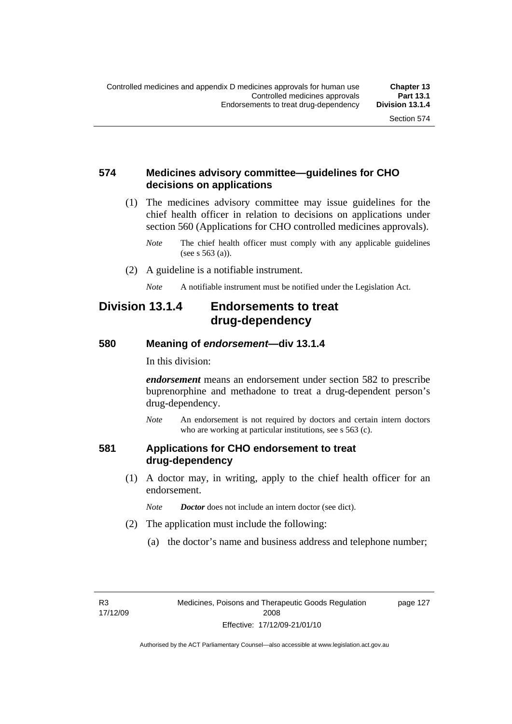### **574 Medicines advisory committee—guidelines for CHO decisions on applications**

 (1) The medicines advisory committee may issue guidelines for the chief health officer in relation to decisions on applications under section 560 (Applications for CHO controlled medicines approvals).

- (2) A guideline is a notifiable instrument.
	- *Note* A notifiable instrument must be notified under the Legislation Act.

## **Division 13.1.4 Endorsements to treat drug-dependency**

#### **580 Meaning of** *endorsement***—div 13.1.4**

In this division:

*endorsement* means an endorsement under section 582 to prescribe buprenorphine and methadone to treat a drug-dependent person's drug-dependency.

*Note* An endorsement is not required by doctors and certain intern doctors who are working at particular institutions, see s 563 (c).

#### **581 Applications for CHO endorsement to treat drug-dependency**

- (1) A doctor may, in writing, apply to the chief health officer for an endorsement.
	- *Note Doctor* does not include an intern doctor (see dict).
- (2) The application must include the following:
	- (a) the doctor's name and business address and telephone number;

R3 17/12/09 page 127

*Note* The chief health officer must comply with any applicable guidelines (see s 563 (a)).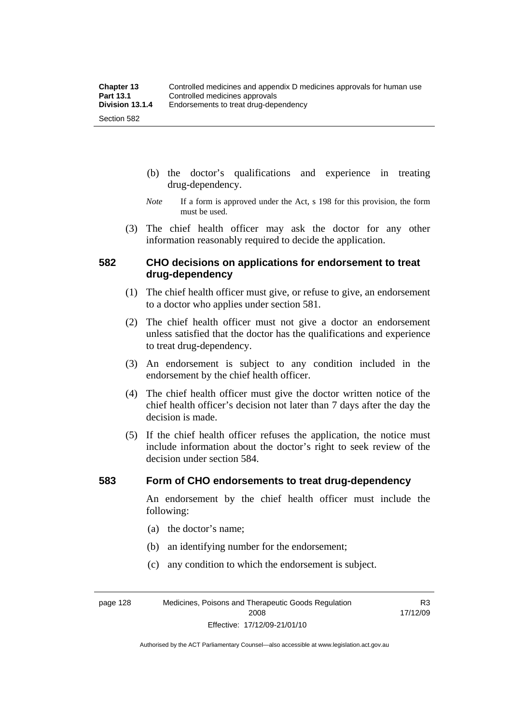- (b) the doctor's qualifications and experience in treating drug-dependency.
- *Note* If a form is approved under the Act, s 198 for this provision, the form must be used.
- (3) The chief health officer may ask the doctor for any other information reasonably required to decide the application.

#### **582 CHO decisions on applications for endorsement to treat drug-dependency**

- (1) The chief health officer must give, or refuse to give, an endorsement to a doctor who applies under section 581.
- (2) The chief health officer must not give a doctor an endorsement unless satisfied that the doctor has the qualifications and experience to treat drug-dependency.
- (3) An endorsement is subject to any condition included in the endorsement by the chief health officer.
- (4) The chief health officer must give the doctor written notice of the chief health officer's decision not later than 7 days after the day the decision is made.
- (5) If the chief health officer refuses the application, the notice must include information about the doctor's right to seek review of the decision under section 584.

#### **583 Form of CHO endorsements to treat drug-dependency**

An endorsement by the chief health officer must include the following:

- (a) the doctor's name;
- (b) an identifying number for the endorsement;
- (c) any condition to which the endorsement is subject.

page 128 Medicines, Poisons and Therapeutic Goods Regulation 2008 Effective: 17/12/09-21/01/10

R3 17/12/09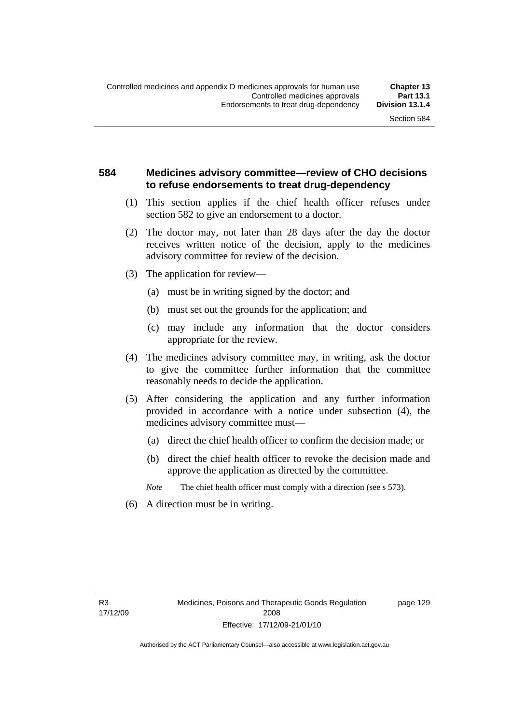### **584 Medicines advisory committee—review of CHO decisions to refuse endorsements to treat drug-dependency**

- (1) This section applies if the chief health officer refuses under section 582 to give an endorsement to a doctor.
- (2) The doctor may, not later than 28 days after the day the doctor receives written notice of the decision, apply to the medicines advisory committee for review of the decision.
- (3) The application for review—
	- (a) must be in writing signed by the doctor; and
	- (b) must set out the grounds for the application; and
	- (c) may include any information that the doctor considers appropriate for the review.
- (4) The medicines advisory committee may, in writing, ask the doctor to give the committee further information that the committee reasonably needs to decide the application.
- (5) After considering the application and any further information provided in accordance with a notice under subsection (4), the medicines advisory committee must—
	- (a) direct the chief health officer to confirm the decision made; or
	- (b) direct the chief health officer to revoke the decision made and approve the application as directed by the committee.

*Note* The chief health officer must comply with a direction (see s 573).

(6) A direction must be in writing.

R3 17/12/09 page 129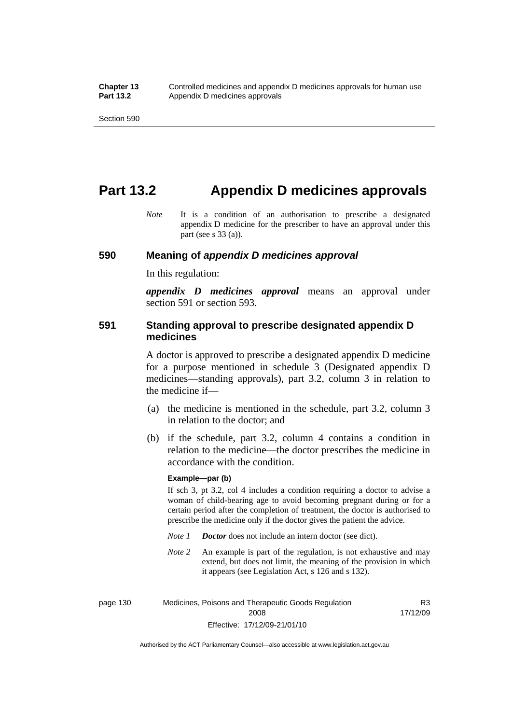## **Part 13.2 Appendix D medicines approvals**

*Note* It is a condition of an authorisation to prescribe a designated appendix D medicine for the prescriber to have an approval under this part (see s 33 (a)).

#### **590 Meaning of** *appendix D medicines approval*

In this regulation:

*appendix D medicines approval* means an approval under section 591 or section 593.

#### **591 Standing approval to prescribe designated appendix D medicines**

A doctor is approved to prescribe a designated appendix D medicine for a purpose mentioned in schedule 3 (Designated appendix D medicines—standing approvals), part 3.2, column 3 in relation to the medicine if—

- (a) the medicine is mentioned in the schedule, part 3.2, column 3 in relation to the doctor; and
- (b) if the schedule, part 3.2, column 4 contains a condition in relation to the medicine—the doctor prescribes the medicine in accordance with the condition.

#### **Example—par (b)**

If sch 3, pt 3.2, col 4 includes a condition requiring a doctor to advise a woman of child-bearing age to avoid becoming pregnant during or for a certain period after the completion of treatment, the doctor is authorised to prescribe the medicine only if the doctor gives the patient the advice.

- *Note 1 Doctor* does not include an intern doctor (see dict).
- *Note 2* An example is part of the regulation, is not exhaustive and may extend, but does not limit, the meaning of the provision in which it appears (see Legislation Act, s 126 and s 132).

page 130 Medicines, Poisons and Therapeutic Goods Regulation 2008 Effective: 17/12/09-21/01/10 R3 17/12/09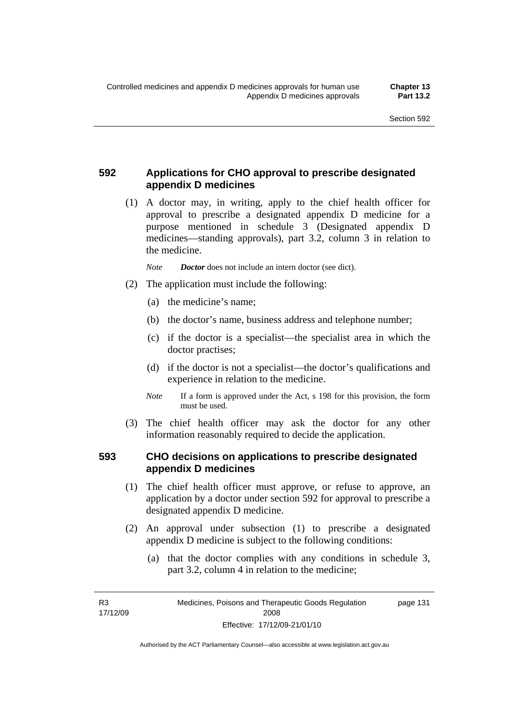## **592 Applications for CHO approval to prescribe designated appendix D medicines**

 (1) A doctor may, in writing, apply to the chief health officer for approval to prescribe a designated appendix D medicine for a purpose mentioned in schedule 3 (Designated appendix D medicines—standing approvals), part 3.2, column 3 in relation to the medicine.

*Note Doctor* does not include an intern doctor (see dict).

- (2) The application must include the following:
	- (a) the medicine's name;
	- (b) the doctor's name, business address and telephone number;
	- (c) if the doctor is a specialist—the specialist area in which the doctor practises;
	- (d) if the doctor is not a specialist—the doctor's qualifications and experience in relation to the medicine.
	- *Note* If a form is approved under the Act, s 198 for this provision, the form must be used.
- (3) The chief health officer may ask the doctor for any other information reasonably required to decide the application.

#### **593 CHO decisions on applications to prescribe designated appendix D medicines**

- (1) The chief health officer must approve, or refuse to approve, an application by a doctor under section 592 for approval to prescribe a designated appendix D medicine.
- (2) An approval under subsection (1) to prescribe a designated appendix D medicine is subject to the following conditions:
	- (a) that the doctor complies with any conditions in schedule 3, part 3.2, column 4 in relation to the medicine;

R3 17/12/09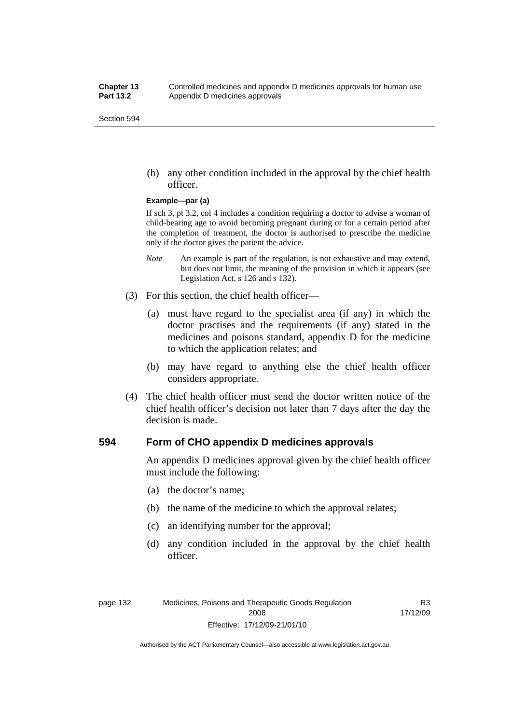(b) any other condition included in the approval by the chief health officer.

#### **Example—par (a)**

If sch 3, pt 3.2, col 4 includes a condition requiring a doctor to advise a woman of child-bearing age to avoid becoming pregnant during or for a certain period after the completion of treatment, the doctor is authorised to prescribe the medicine only if the doctor gives the patient the advice.

- *Note* An example is part of the regulation, is not exhaustive and may extend, but does not limit, the meaning of the provision in which it appears (see Legislation Act, s 126 and s 132).
- (3) For this section, the chief health officer—
	- (a) must have regard to the specialist area (if any) in which the doctor practises and the requirements (if any) stated in the medicines and poisons standard, appendix D for the medicine to which the application relates; and
	- (b) may have regard to anything else the chief health officer considers appropriate.
- (4) The chief health officer must send the doctor written notice of the chief health officer's decision not later than 7 days after the day the decision is made.

#### **594 Form of CHO appendix D medicines approvals**

An appendix D medicines approval given by the chief health officer must include the following:

- (a) the doctor's name;
- (b) the name of the medicine to which the approval relates;
- (c) an identifying number for the approval;
- (d) any condition included in the approval by the chief health officer.

R3 17/12/09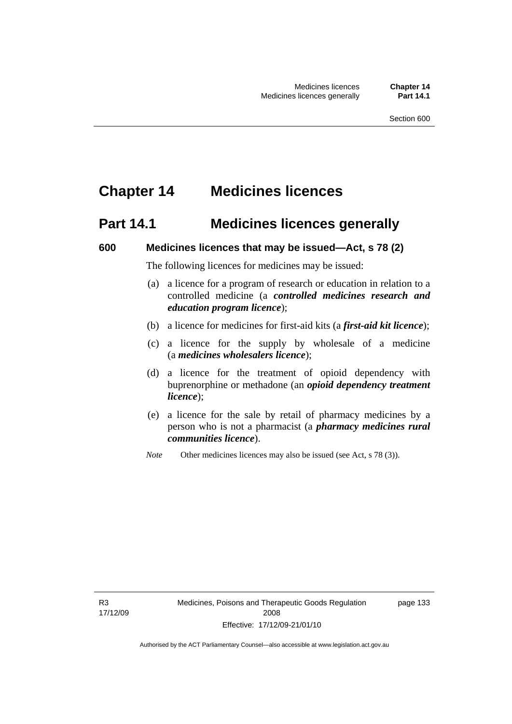# **Chapter 14 Medicines licences**

## **Part 14.1 Medicines licences generally**

#### **600 Medicines licences that may be issued—Act, s 78 (2)**

The following licences for medicines may be issued:

- (a) a licence for a program of research or education in relation to a controlled medicine (a *controlled medicines research and education program licence*);
- (b) a licence for medicines for first-aid kits (a *first-aid kit licence*);
- (c) a licence for the supply by wholesale of a medicine (a *medicines wholesalers licence*);
- (d) a licence for the treatment of opioid dependency with buprenorphine or methadone (an *opioid dependency treatment licence*);
- (e) a licence for the sale by retail of pharmacy medicines by a person who is not a pharmacist (a *pharmacy medicines rural communities licence*).
- *Note* Other medicines licences may also be issued (see Act, s 78 (3)).

R3 17/12/09 page 133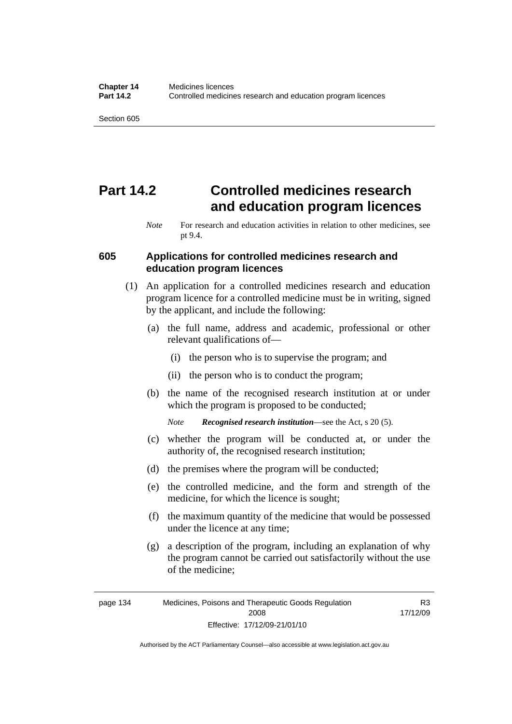# **Part 14.2 Controlled medicines research and education program licences**

#### **605 Applications for controlled medicines research and education program licences**

- (1) An application for a controlled medicines research and education program licence for a controlled medicine must be in writing, signed by the applicant, and include the following:
	- (a) the full name, address and academic, professional or other relevant qualifications of—
		- (i) the person who is to supervise the program; and
		- (ii) the person who is to conduct the program;
	- (b) the name of the recognised research institution at or under which the program is proposed to be conducted;

*Note Recognised research institution*—see the Act, s 20 (5).

- (c) whether the program will be conducted at, or under the authority of, the recognised research institution;
- (d) the premises where the program will be conducted;
- (e) the controlled medicine, and the form and strength of the medicine, for which the licence is sought;
- (f) the maximum quantity of the medicine that would be possessed under the licence at any time;
- (g) a description of the program, including an explanation of why the program cannot be carried out satisfactorily without the use of the medicine;

R3 17/12/09

*Note* For research and education activities in relation to other medicines, see pt 9.4.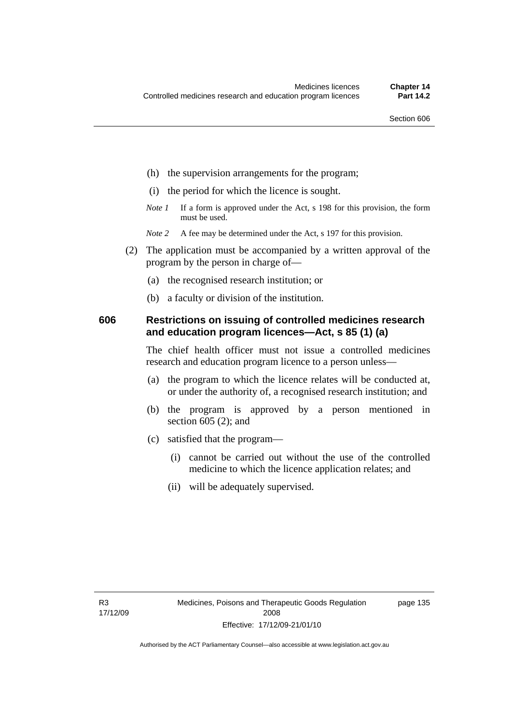- (h) the supervision arrangements for the program;
- (i) the period for which the licence is sought.
- *Note 1* If a form is approved under the Act, s 198 for this provision, the form must be used.
- *Note* 2 A fee may be determined under the Act, s 197 for this provision.
- (2) The application must be accompanied by a written approval of the program by the person in charge of—
	- (a) the recognised research institution; or
	- (b) a faculty or division of the institution.

#### **606 Restrictions on issuing of controlled medicines research and education program licences—Act, s 85 (1) (a)**

The chief health officer must not issue a controlled medicines research and education program licence to a person unless—

- (a) the program to which the licence relates will be conducted at, or under the authority of, a recognised research institution; and
- (b) the program is approved by a person mentioned in section 605 (2); and
- (c) satisfied that the program—
	- (i) cannot be carried out without the use of the controlled medicine to which the licence application relates; and
	- (ii) will be adequately supervised.

page 135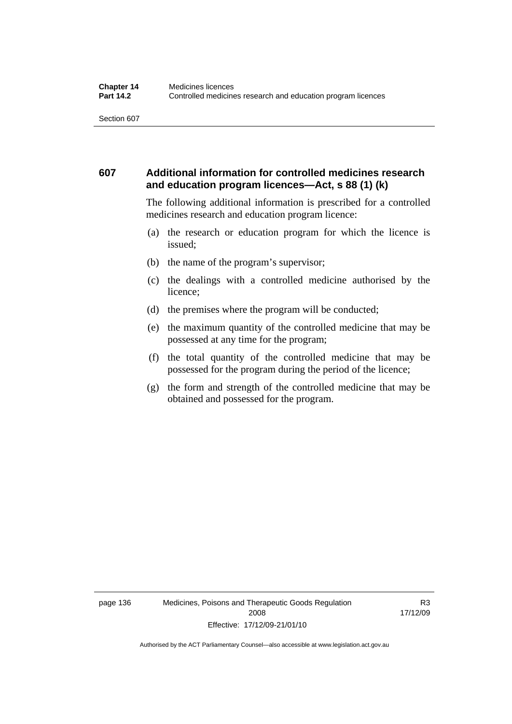### **607 Additional information for controlled medicines research and education program licences—Act, s 88 (1) (k)**

The following additional information is prescribed for a controlled medicines research and education program licence:

- (a) the research or education program for which the licence is issued;
- (b) the name of the program's supervisor;
- (c) the dealings with a controlled medicine authorised by the licence;
- (d) the premises where the program will be conducted;
- (e) the maximum quantity of the controlled medicine that may be possessed at any time for the program;
- (f) the total quantity of the controlled medicine that may be possessed for the program during the period of the licence;
- (g) the form and strength of the controlled medicine that may be obtained and possessed for the program.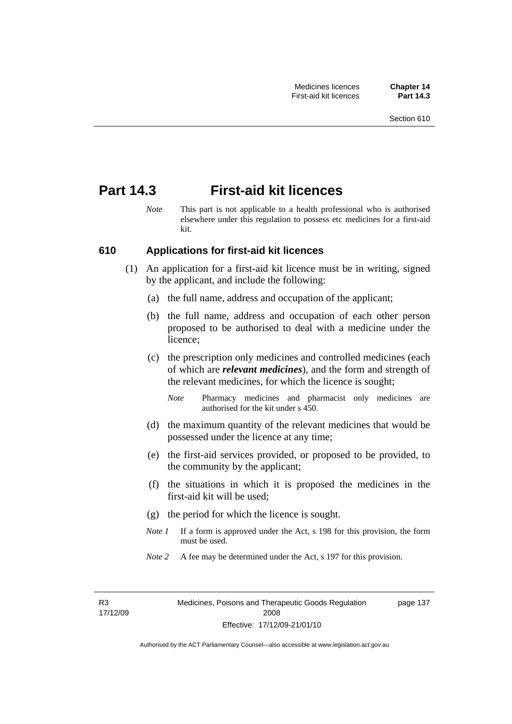## **Part 14.3 First-aid kit licences**

*Note* This part is not applicable to a health professional who is authorised elsewhere under this regulation to possess etc medicines for a first-aid kit.

#### **610 Applications for first-aid kit licences**

- (1) An application for a first-aid kit licence must be in writing, signed by the applicant, and include the following:
	- (a) the full name, address and occupation of the applicant;
	- (b) the full name, address and occupation of each other person proposed to be authorised to deal with a medicine under the licence;
	- (c) the prescription only medicines and controlled medicines (each of which are *relevant medicines*), and the form and strength of the relevant medicines, for which the licence is sought;
		- *Note* Pharmacy medicines and pharmacist only medicines are authorised for the kit under s 450.
	- (d) the maximum quantity of the relevant medicines that would be possessed under the licence at any time;
	- (e) the first-aid services provided, or proposed to be provided, to the community by the applicant;
	- (f) the situations in which it is proposed the medicines in the first-aid kit will be used;
	- (g) the period for which the licence is sought.
	- *Note 1* If a form is approved under the Act, s 198 for this provision, the form must be used.
	- *Note* 2 A fee may be determined under the Act, s 197 for this provision.

R3 17/12/09 page 137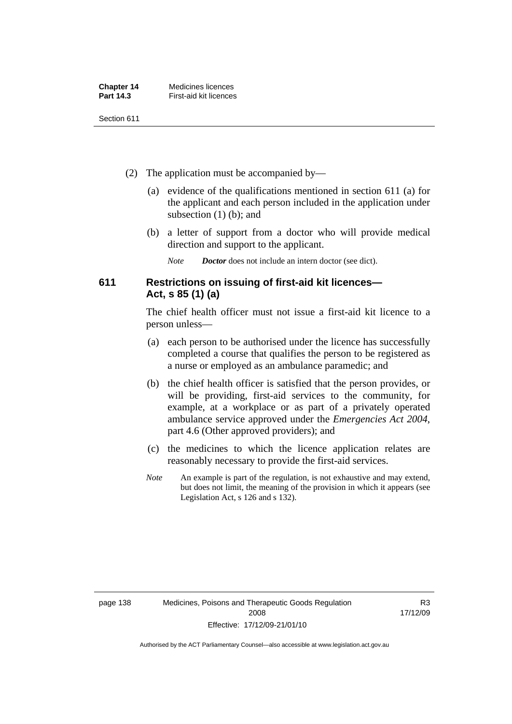| <b>Chapter 14</b> | Medicines licences     |
|-------------------|------------------------|
| Part 14.3         | First-aid kit licences |

- (2) The application must be accompanied by—
	- (a) evidence of the qualifications mentioned in section 611 (a) for the applicant and each person included in the application under subsection (1) (b); and
	- (b) a letter of support from a doctor who will provide medical direction and support to the applicant.
		- *Note Doctor* does not include an intern doctor (see dict).

### **611 Restrictions on issuing of first-aid kit licences— Act, s 85 (1) (a)**

The chief health officer must not issue a first-aid kit licence to a person unless—

- (a) each person to be authorised under the licence has successfully completed a course that qualifies the person to be registered as a nurse or employed as an ambulance paramedic; and
- (b) the chief health officer is satisfied that the person provides, or will be providing, first-aid services to the community, for example, at a workplace or as part of a privately operated ambulance service approved under the *Emergencies Act 2004*, part 4.6 (Other approved providers); and
- (c) the medicines to which the licence application relates are reasonably necessary to provide the first-aid services.
- *Note* An example is part of the regulation, is not exhaustive and may extend, but does not limit, the meaning of the provision in which it appears (see Legislation Act, s 126 and s 132).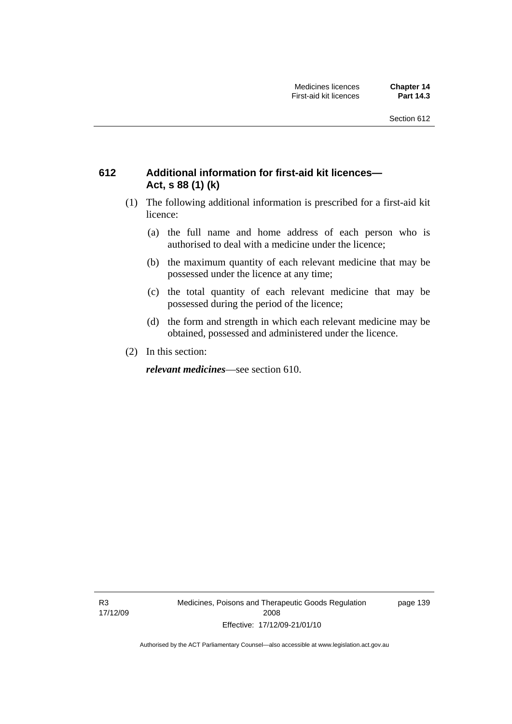### **612 Additional information for first-aid kit licences— Act, s 88 (1) (k)**

- (1) The following additional information is prescribed for a first-aid kit licence:
	- (a) the full name and home address of each person who is authorised to deal with a medicine under the licence;
	- (b) the maximum quantity of each relevant medicine that may be possessed under the licence at any time;
	- (c) the total quantity of each relevant medicine that may be possessed during the period of the licence;
	- (d) the form and strength in which each relevant medicine may be obtained, possessed and administered under the licence.
- (2) In this section:

*relevant medicines*—see section 610.

R3 17/12/09 Medicines, Poisons and Therapeutic Goods Regulation 2008 Effective: 17/12/09-21/01/10

page 139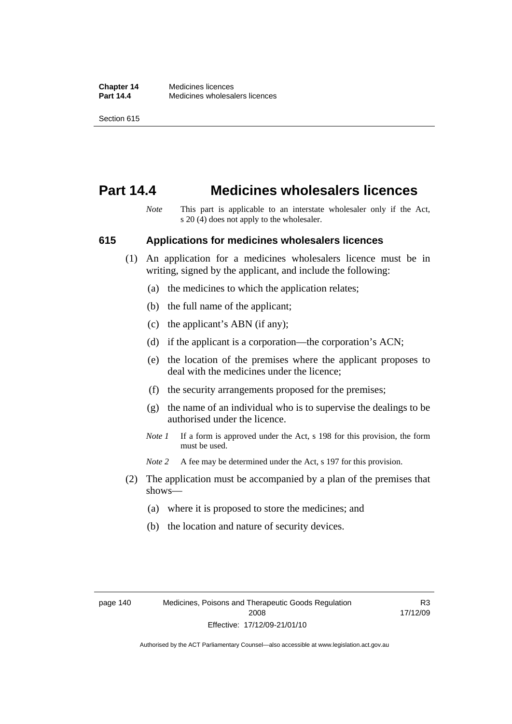## **Part 14.4 Medicines wholesalers licences**

*Note* This part is applicable to an interstate wholesaler only if the Act, s 20 (4) does not apply to the wholesaler.

#### **615 Applications for medicines wholesalers licences**

- (1) An application for a medicines wholesalers licence must be in writing, signed by the applicant, and include the following:
	- (a) the medicines to which the application relates;
	- (b) the full name of the applicant;
	- (c) the applicant's ABN (if any);
	- (d) if the applicant is a corporation—the corporation's ACN;
	- (e) the location of the premises where the applicant proposes to deal with the medicines under the licence;
	- (f) the security arrangements proposed for the premises;
	- (g) the name of an individual who is to supervise the dealings to be authorised under the licence.
	- *Note 1* If a form is approved under the Act, s 198 for this provision, the form must be used.
	- *Note* 2 A fee may be determined under the Act, s 197 for this provision.
- (2) The application must be accompanied by a plan of the premises that shows—
	- (a) where it is proposed to store the medicines; and
	- (b) the location and nature of security devices.

R3 17/12/09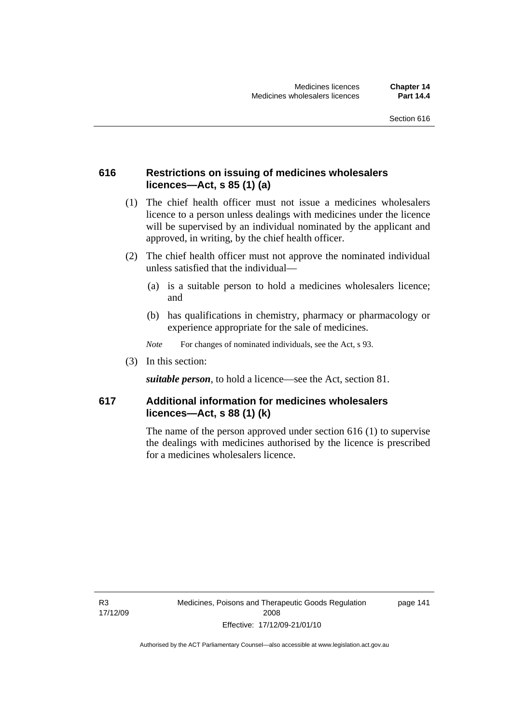### **616 Restrictions on issuing of medicines wholesalers licences—Act, s 85 (1) (a)**

- (1) The chief health officer must not issue a medicines wholesalers licence to a person unless dealings with medicines under the licence will be supervised by an individual nominated by the applicant and approved, in writing, by the chief health officer.
- (2) The chief health officer must not approve the nominated individual unless satisfied that the individual—
	- (a) is a suitable person to hold a medicines wholesalers licence; and
	- (b) has qualifications in chemistry, pharmacy or pharmacology or experience appropriate for the sale of medicines.
	- *Note* For changes of nominated individuals, see the Act, s 93.
- (3) In this section:

*suitable person*, to hold a licence—see the Act, section 81.

### **617 Additional information for medicines wholesalers licences—Act, s 88 (1) (k)**

The name of the person approved under section 616 (1) to supervise the dealings with medicines authorised by the licence is prescribed for a medicines wholesalers licence.

R3 17/12/09 page 141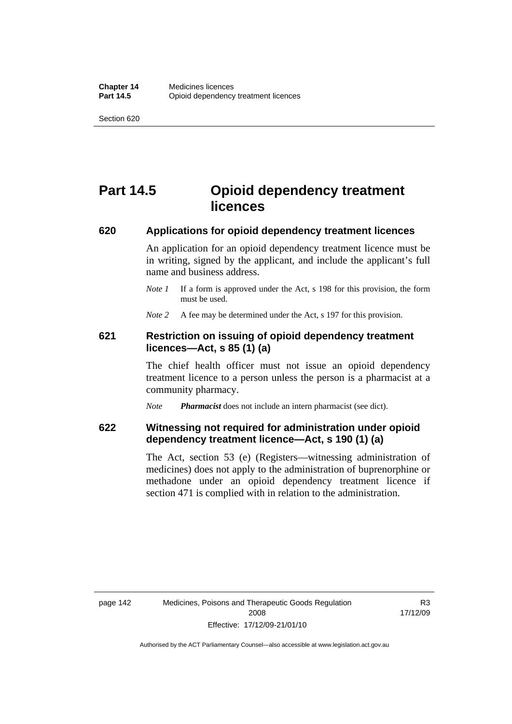# **Part 14.5 Opioid dependency treatment licences**

#### **620 Applications for opioid dependency treatment licences**

An application for an opioid dependency treatment licence must be in writing, signed by the applicant, and include the applicant's full name and business address.

*Note 1* If a form is approved under the Act, s 198 for this provision, the form must be used.

*Note* 2 A fee may be determined under the Act, s 197 for this provision.

#### **621 Restriction on issuing of opioid dependency treatment licences—Act, s 85 (1) (a)**

The chief health officer must not issue an opioid dependency treatment licence to a person unless the person is a pharmacist at a community pharmacy.

*Note Pharmacist* does not include an intern pharmacist (see dict).

#### **622 Witnessing not required for administration under opioid dependency treatment licence—Act, s 190 (1) (a)**

The Act, section 53 (e) (Registers—witnessing administration of medicines) does not apply to the administration of buprenorphine or methadone under an opioid dependency treatment licence if section 471 is complied with in relation to the administration.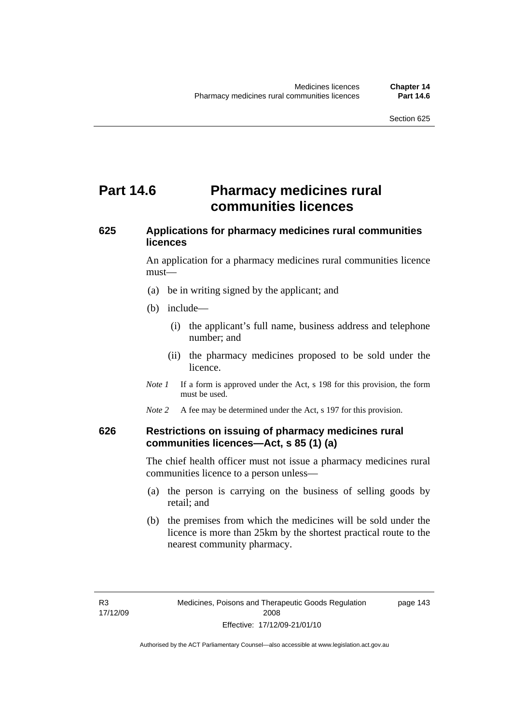# **Part 14.6** Pharmacy medicines rural **communities licences**

## **625 Applications for pharmacy medicines rural communities licences**

An application for a pharmacy medicines rural communities licence must—

- (a) be in writing signed by the applicant; and
- (b) include—
	- (i) the applicant's full name, business address and telephone number; and
	- (ii) the pharmacy medicines proposed to be sold under the licence.
- *Note 1* If a form is approved under the Act, s 198 for this provision, the form must be used.
- *Note* 2 A fee may be determined under the Act, s 197 for this provision.

#### **626 Restrictions on issuing of pharmacy medicines rural communities licences—Act, s 85 (1) (a)**

The chief health officer must not issue a pharmacy medicines rural communities licence to a person unless—

- (a) the person is carrying on the business of selling goods by retail; and
- (b) the premises from which the medicines will be sold under the licence is more than 25km by the shortest practical route to the nearest community pharmacy.

page 143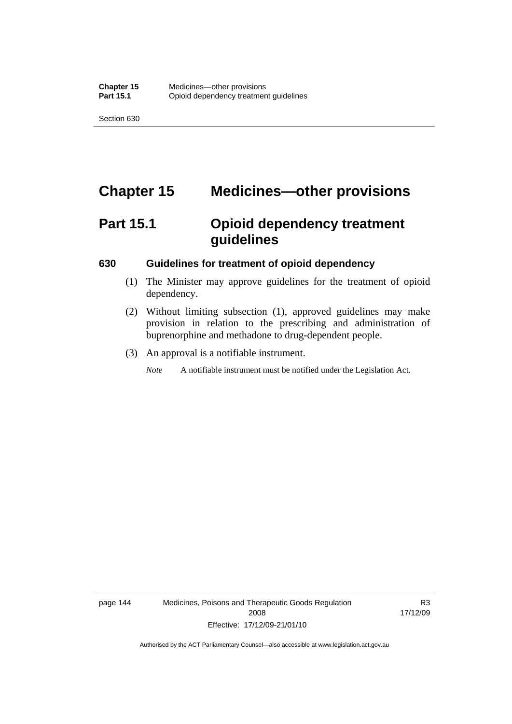# **Chapter 15 Medicines—other provisions**

# **Part 15.1 Opioid dependency treatment guidelines**

#### **630 Guidelines for treatment of opioid dependency**

- (1) The Minister may approve guidelines for the treatment of opioid dependency.
- (2) Without limiting subsection (1), approved guidelines may make provision in relation to the prescribing and administration of buprenorphine and methadone to drug-dependent people.
- (3) An approval is a notifiable instrument.

*Note* A notifiable instrument must be notified under the Legislation Act.

page 144 Medicines, Poisons and Therapeutic Goods Regulation 2008 Effective: 17/12/09-21/01/10

R3 17/12/09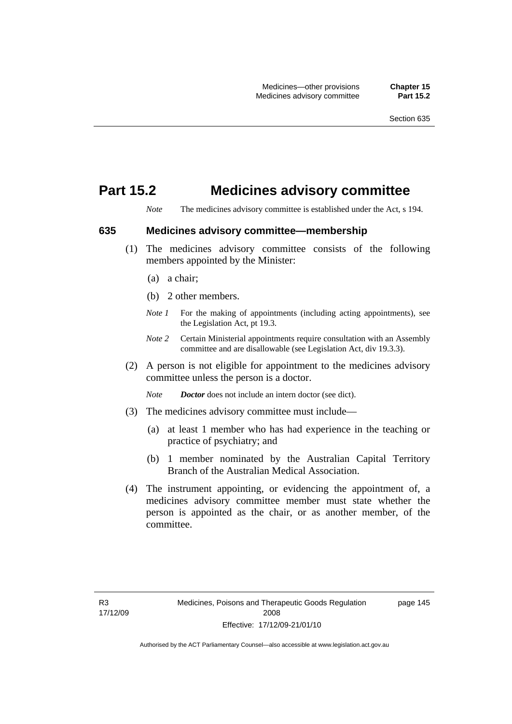## **Part 15.2 Medicines advisory committee**

*Note* The medicines advisory committee is established under the Act, s 194.

#### **635 Medicines advisory committee—membership**

- (1) The medicines advisory committee consists of the following members appointed by the Minister:
	- (a) a chair;
	- (b) 2 other members.
	- *Note 1* For the making of appointments (including acting appointments), see the Legislation Act, pt 19.3.
	- *Note 2* Certain Ministerial appointments require consultation with an Assembly committee and are disallowable (see Legislation Act, div 19.3.3).
- (2) A person is not eligible for appointment to the medicines advisory committee unless the person is a doctor.

*Note Doctor* does not include an intern doctor (see dict).

- (3) The medicines advisory committee must include—
	- (a) at least 1 member who has had experience in the teaching or practice of psychiatry; and
	- (b) 1 member nominated by the Australian Capital Territory Branch of the Australian Medical Association.
- (4) The instrument appointing, or evidencing the appointment of, a medicines advisory committee member must state whether the person is appointed as the chair, or as another member, of the committee.

page 145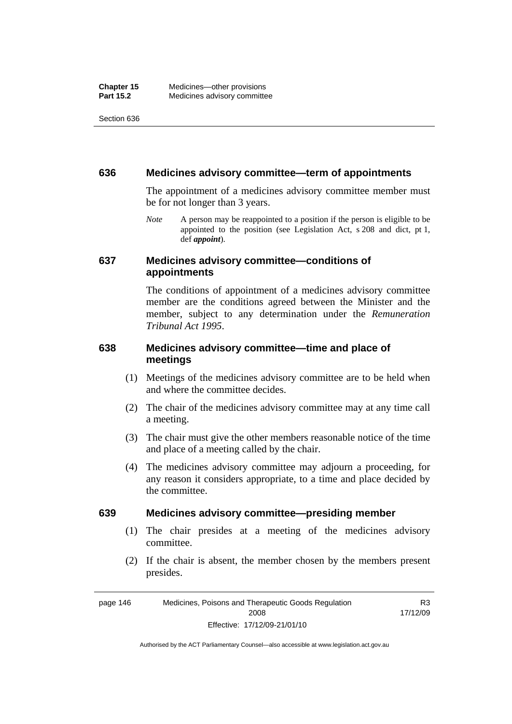#### **636 Medicines advisory committee—term of appointments**

The appointment of a medicines advisory committee member must be for not longer than 3 years.

*Note* A person may be reappointed to a position if the person is eligible to be appointed to the position (see Legislation Act, s 208 and dict, pt 1, def *appoint*).

#### **637 Medicines advisory committee—conditions of appointments**

The conditions of appointment of a medicines advisory committee member are the conditions agreed between the Minister and the member, subject to any determination under the *Remuneration Tribunal Act 1995*.

### **638 Medicines advisory committee—time and place of meetings**

- (1) Meetings of the medicines advisory committee are to be held when and where the committee decides.
- (2) The chair of the medicines advisory committee may at any time call a meeting.
- (3) The chair must give the other members reasonable notice of the time and place of a meeting called by the chair.
- (4) The medicines advisory committee may adjourn a proceeding, for any reason it considers appropriate, to a time and place decided by the committee.

#### **639 Medicines advisory committee—presiding member**

- (1) The chair presides at a meeting of the medicines advisory committee.
- (2) If the chair is absent, the member chosen by the members present presides.

page 146 Medicines, Poisons and Therapeutic Goods Regulation 2008 Effective: 17/12/09-21/01/10 R3 17/12/09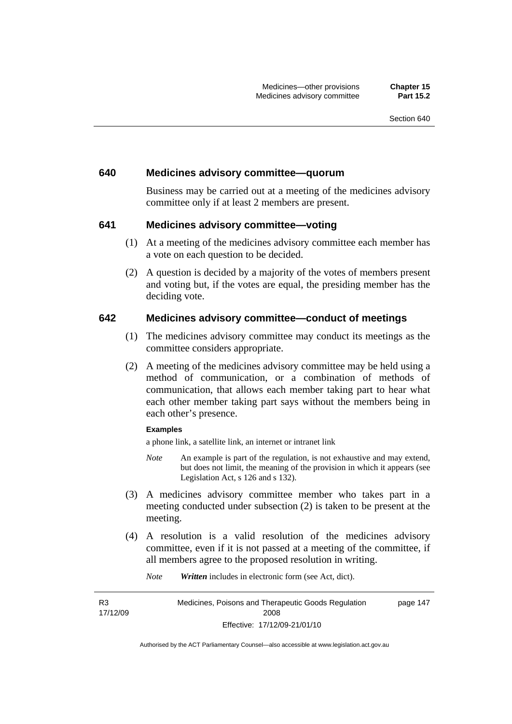#### **640 Medicines advisory committee—quorum**

Business may be carried out at a meeting of the medicines advisory committee only if at least 2 members are present.

#### **641 Medicines advisory committee—voting**

- (1) At a meeting of the medicines advisory committee each member has a vote on each question to be decided.
- (2) A question is decided by a majority of the votes of members present and voting but, if the votes are equal, the presiding member has the deciding vote.

#### **642 Medicines advisory committee—conduct of meetings**

- (1) The medicines advisory committee may conduct its meetings as the committee considers appropriate.
- (2) A meeting of the medicines advisory committee may be held using a method of communication, or a combination of methods of communication, that allows each member taking part to hear what each other member taking part says without the members being in each other's presence.

#### **Examples**

a phone link, a satellite link, an internet or intranet link

- *Note* An example is part of the regulation, is not exhaustive and may extend, but does not limit, the meaning of the provision in which it appears (see Legislation Act, s 126 and s 132).
- (3) A medicines advisory committee member who takes part in a meeting conducted under subsection (2) is taken to be present at the meeting.
- (4) A resolution is a valid resolution of the medicines advisory committee, even if it is not passed at a meeting of the committee, if all members agree to the proposed resolution in writing.

*Note Written* includes in electronic form (see Act, dict).

R3 17/12/09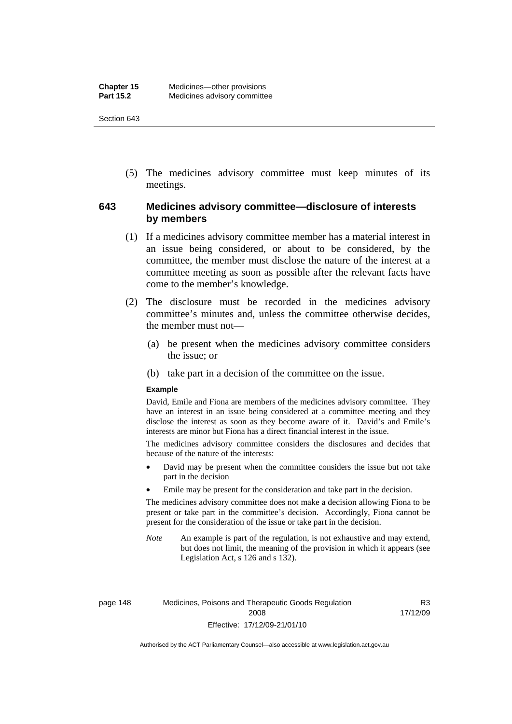(5) The medicines advisory committee must keep minutes of its meetings.

### **643 Medicines advisory committee—disclosure of interests by members**

- (1) If a medicines advisory committee member has a material interest in an issue being considered, or about to be considered, by the committee, the member must disclose the nature of the interest at a committee meeting as soon as possible after the relevant facts have come to the member's knowledge.
- (2) The disclosure must be recorded in the medicines advisory committee's minutes and, unless the committee otherwise decides, the member must not—
	- (a) be present when the medicines advisory committee considers the issue; or
	- (b) take part in a decision of the committee on the issue.

#### **Example**

David, Emile and Fiona are members of the medicines advisory committee. They have an interest in an issue being considered at a committee meeting and they disclose the interest as soon as they become aware of it. David's and Emile's interests are minor but Fiona has a direct financial interest in the issue.

The medicines advisory committee considers the disclosures and decides that because of the nature of the interests:

- David may be present when the committee considers the issue but not take part in the decision
- Emile may be present for the consideration and take part in the decision.

The medicines advisory committee does not make a decision allowing Fiona to be present or take part in the committee's decision. Accordingly, Fiona cannot be present for the consideration of the issue or take part in the decision.

*Note* An example is part of the regulation, is not exhaustive and may extend, but does not limit, the meaning of the provision in which it appears (see Legislation Act, s 126 and s 132).

page 148 Medicines, Poisons and Therapeutic Goods Regulation 2008 Effective: 17/12/09-21/01/10

R3 17/12/09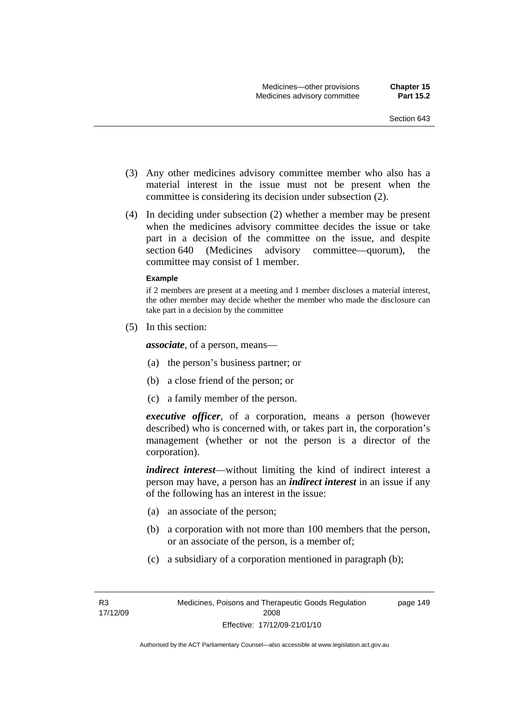- (3) Any other medicines advisory committee member who also has a material interest in the issue must not be present when the committee is considering its decision under subsection (2).
- (4) In deciding under subsection (2) whether a member may be present when the medicines advisory committee decides the issue or take part in a decision of the committee on the issue, and despite section 640 (Medicines advisory committee—quorum), the committee may consist of 1 member.

#### **Example**

if 2 members are present at a meeting and 1 member discloses a material interest, the other member may decide whether the member who made the disclosure can take part in a decision by the committee

(5) In this section:

*associate*, of a person, means—

- (a) the person's business partner; or
- (b) a close friend of the person; or
- (c) a family member of the person.

*executive officer*, of a corporation, means a person (however described) who is concerned with, or takes part in, the corporation's management (whether or not the person is a director of the corporation).

*indirect interest*—without limiting the kind of indirect interest a person may have, a person has an *indirect interest* in an issue if any of the following has an interest in the issue:

- (a) an associate of the person;
- (b) a corporation with not more than 100 members that the person, or an associate of the person, is a member of;
- (c) a subsidiary of a corporation mentioned in paragraph (b);

page 149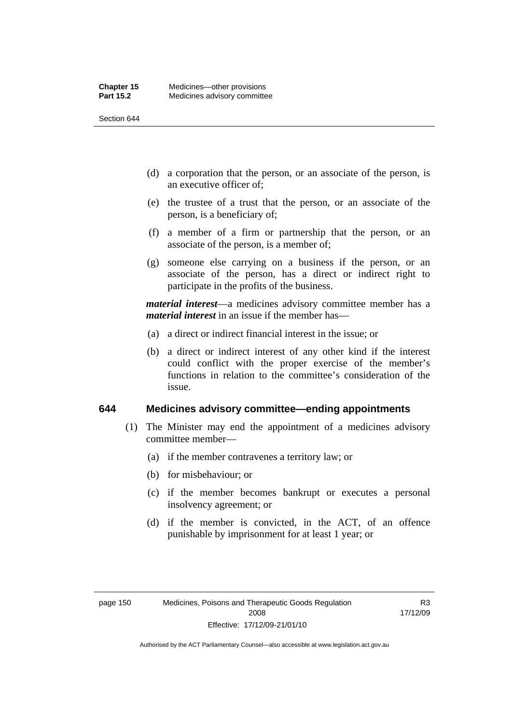- (d) a corporation that the person, or an associate of the person, is an executive officer of;
- (e) the trustee of a trust that the person, or an associate of the person, is a beneficiary of;
- (f) a member of a firm or partnership that the person, or an associate of the person, is a member of;
- (g) someone else carrying on a business if the person, or an associate of the person, has a direct or indirect right to participate in the profits of the business.

*material interest*—a medicines advisory committee member has a *material interest* in an issue if the member has—

- (a) a direct or indirect financial interest in the issue; or
- (b) a direct or indirect interest of any other kind if the interest could conflict with the proper exercise of the member's functions in relation to the committee's consideration of the issue.

#### **644 Medicines advisory committee—ending appointments**

- (1) The Minister may end the appointment of a medicines advisory committee member—
	- (a) if the member contravenes a territory law; or
	- (b) for misbehaviour; or
	- (c) if the member becomes bankrupt or executes a personal insolvency agreement; or
	- (d) if the member is convicted, in the ACT, of an offence punishable by imprisonment for at least 1 year; or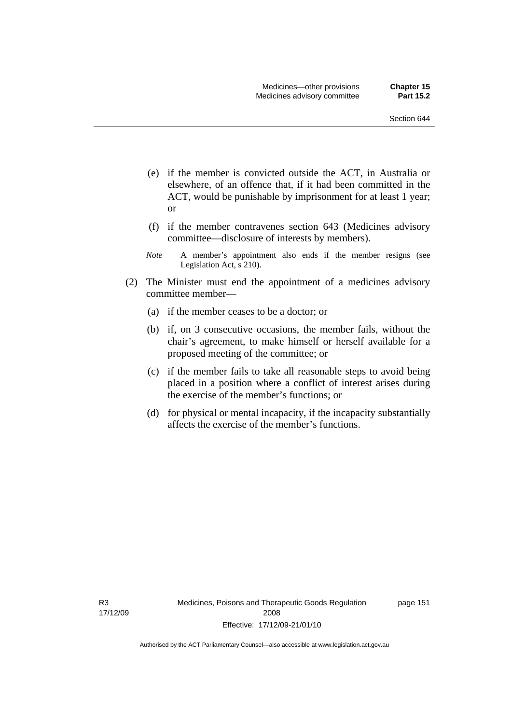- (e) if the member is convicted outside the ACT, in Australia or elsewhere, of an offence that, if it had been committed in the ACT, would be punishable by imprisonment for at least 1 year; or
- (f) if the member contravenes section 643 (Medicines advisory committee—disclosure of interests by members).
- *Note* A member's appointment also ends if the member resigns (see Legislation Act, s 210).
- (2) The Minister must end the appointment of a medicines advisory committee member—
	- (a) if the member ceases to be a doctor; or
	- (b) if, on 3 consecutive occasions, the member fails, without the chair's agreement, to make himself or herself available for a proposed meeting of the committee; or
	- (c) if the member fails to take all reasonable steps to avoid being placed in a position where a conflict of interest arises during the exercise of the member's functions; or
	- (d) for physical or mental incapacity, if the incapacity substantially affects the exercise of the member's functions.

R3 17/12/09 page 151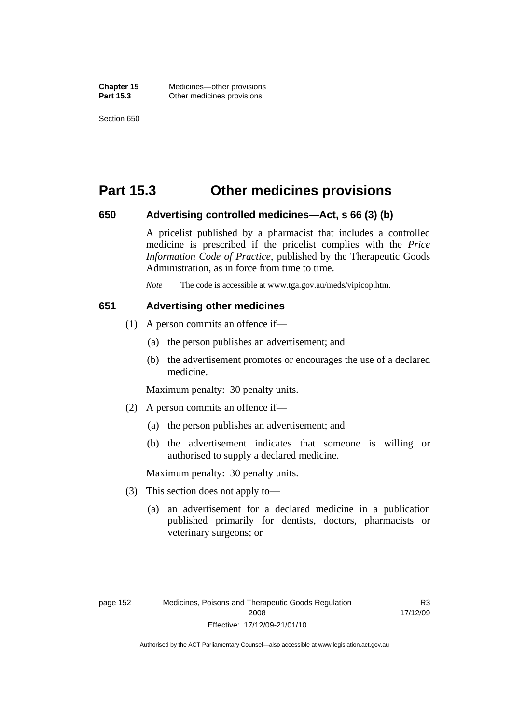## **Part 15.3 Other medicines provisions**

#### **650 Advertising controlled medicines—Act, s 66 (3) (b)**

A pricelist published by a pharmacist that includes a controlled medicine is prescribed if the pricelist complies with the *Price Information Code of Practice*, published by the Therapeutic Goods Administration, as in force from time to time.

*Note* The code is accessible at www.tga.gov.au/meds/vipicop.htm.

#### **651 Advertising other medicines**

- (1) A person commits an offence if—
	- (a) the person publishes an advertisement; and
	- (b) the advertisement promotes or encourages the use of a declared medicine.

Maximum penalty: 30 penalty units.

- (2) A person commits an offence if—
	- (a) the person publishes an advertisement; and
	- (b) the advertisement indicates that someone is willing or authorised to supply a declared medicine.

Maximum penalty: 30 penalty units.

- (3) This section does not apply to—
	- (a) an advertisement for a declared medicine in a publication published primarily for dentists, doctors, pharmacists or veterinary surgeons; or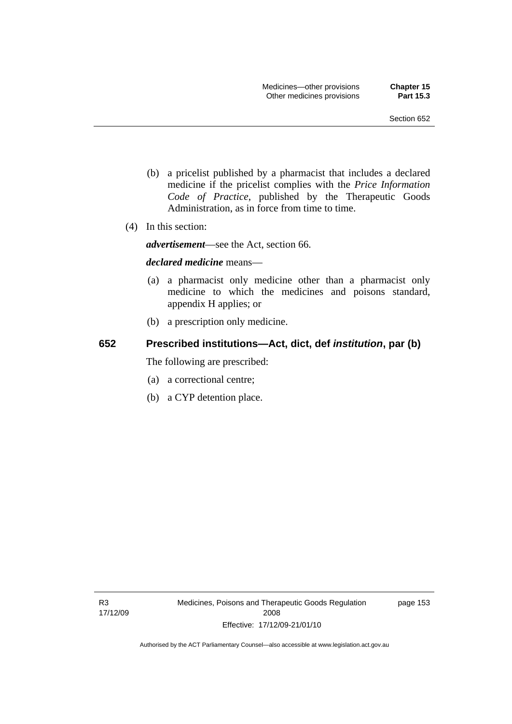- (b) a pricelist published by a pharmacist that includes a declared medicine if the pricelist complies with the *Price Information Code of Practice*, published by the Therapeutic Goods Administration, as in force from time to time.
- (4) In this section:

*advertisement*—see the Act, section 66.

#### *declared medicine* means—

- (a) a pharmacist only medicine other than a pharmacist only medicine to which the medicines and poisons standard, appendix H applies; or
- (b) a prescription only medicine.

### **652 Prescribed institutions—Act, dict, def** *institution***, par (b)**

The following are prescribed:

- (a) a correctional centre;
- (b) a CYP detention place.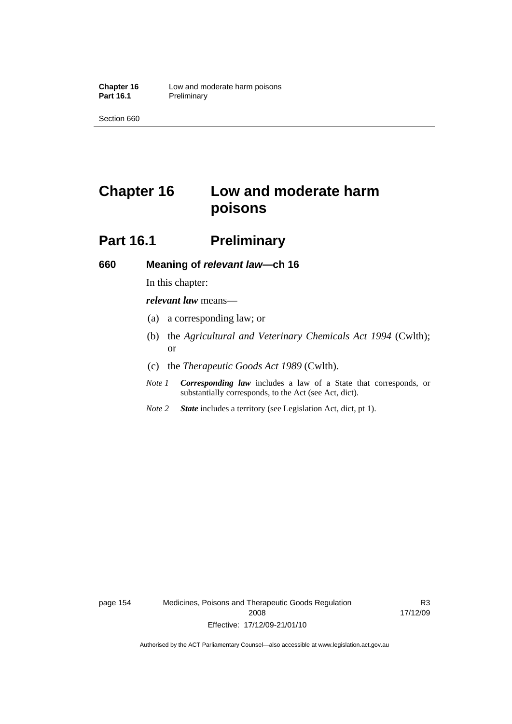# **Chapter 16 Low and moderate harm poisons**

## **Part 16.1** Preliminary

#### **660 Meaning of** *relevant law***—ch 16**

In this chapter:

*relevant law* means—

- (a) a corresponding law; or
- (b) the *Agricultural and Veterinary Chemicals Act 1994* (Cwlth); or
- (c) the *Therapeutic Goods Act 1989* (Cwlth).
- *Note 1 Corresponding law* includes a law of a State that corresponds, or substantially corresponds, to the Act (see Act, dict).
- *Note 2 State* includes a territory (see Legislation Act, dict, pt 1).

page 154 Medicines, Poisons and Therapeutic Goods Regulation 2008 Effective: 17/12/09-21/01/10

R3 17/12/09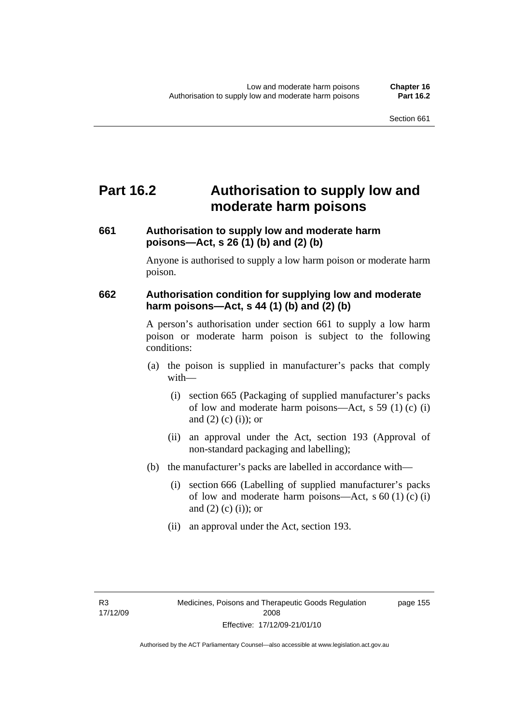# **Part 16.2 Authorisation to supply low and moderate harm poisons**

## **661 Authorisation to supply low and moderate harm poisons—Act, s 26 (1) (b) and (2) (b)**

Anyone is authorised to supply a low harm poison or moderate harm poison.

## **662 Authorisation condition for supplying low and moderate harm poisons—Act, s 44 (1) (b) and (2) (b)**

A person's authorisation under section 661 to supply a low harm poison or moderate harm poison is subject to the following conditions:

- (a) the poison is supplied in manufacturer's packs that comply with—
	- (i) section 665 (Packaging of supplied manufacturer's packs of low and moderate harm poisons—Act, s 59 (1) (c) (i) and  $(2)$  (c) (i)); or
	- (ii) an approval under the Act, section 193 (Approval of non-standard packaging and labelling);
- (b) the manufacturer's packs are labelled in accordance with—
	- (i) section 666 (Labelling of supplied manufacturer's packs of low and moderate harm poisons—Act, s  $60(1)(c)(i)$ and  $(2)$  (c) (i)); or
	- (ii) an approval under the Act, section 193.

page 155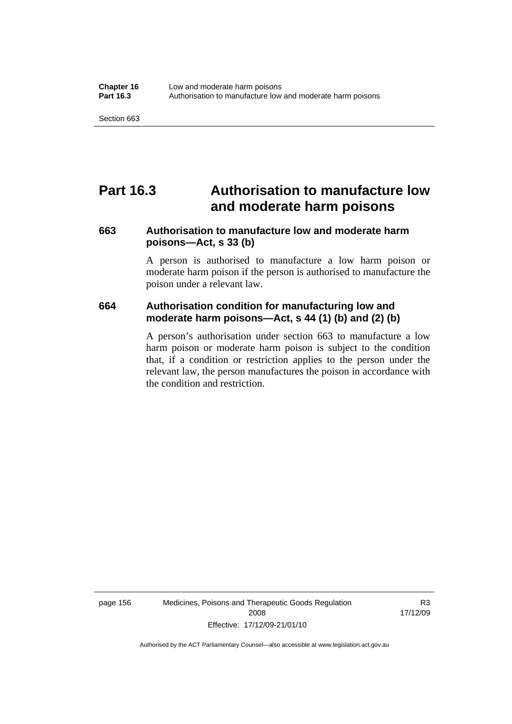## **Part 16.3 Authorisation to manufacture low and moderate harm poisons**

## **663 Authorisation to manufacture low and moderate harm poisons—Act, s 33 (b)**

A person is authorised to manufacture a low harm poison or moderate harm poison if the person is authorised to manufacture the poison under a relevant law.

### **664 Authorisation condition for manufacturing low and moderate harm poisons—Act, s 44 (1) (b) and (2) (b)**

A person's authorisation under section 663 to manufacture a low harm poison or moderate harm poison is subject to the condition that, if a condition or restriction applies to the person under the relevant law, the person manufactures the poison in accordance with the condition and restriction.

page 156 Medicines, Poisons and Therapeutic Goods Regulation 2008 Effective: 17/12/09-21/01/10

R3 17/12/09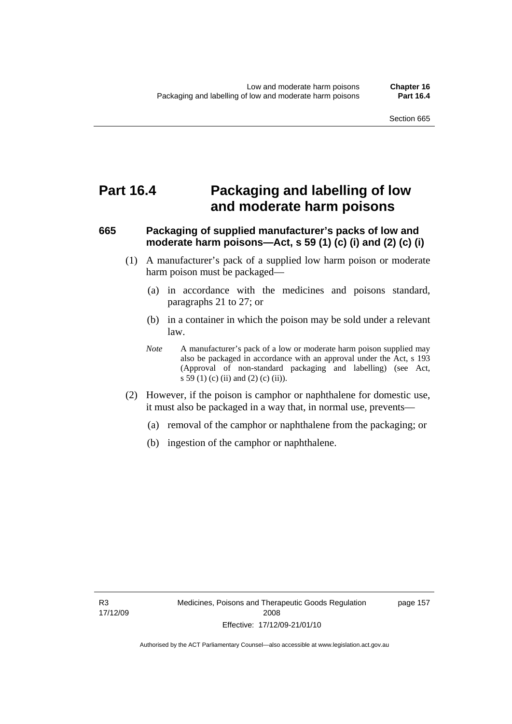## **Part 16.4 Packaging and labelling of low and moderate harm poisons**

## **665 Packaging of supplied manufacturer's packs of low and moderate harm poisons—Act, s 59 (1) (c) (i) and (2) (c) (i)**

- (1) A manufacturer's pack of a supplied low harm poison or moderate harm poison must be packaged—
	- (a) in accordance with the medicines and poisons standard, paragraphs 21 to 27; or
	- (b) in a container in which the poison may be sold under a relevant law.
	- *Note* A manufacturer's pack of a low or moderate harm poison supplied may also be packaged in accordance with an approval under the Act, s 193 (Approval of non-standard packaging and labelling) (see Act, s 59 (1) (c) (ii) and (2) (c) (ii)).
- (2) However, if the poison is camphor or naphthalene for domestic use, it must also be packaged in a way that, in normal use, prevents—
	- (a) removal of the camphor or naphthalene from the packaging; or
	- (b) ingestion of the camphor or naphthalene.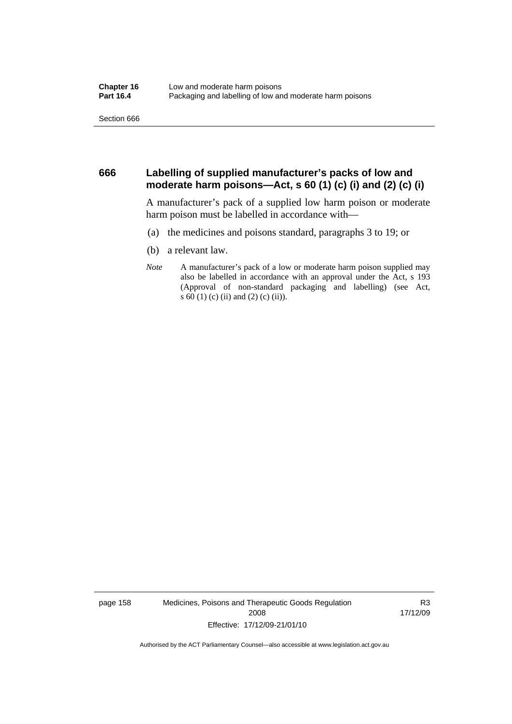#### **666 Labelling of supplied manufacturer's packs of low and moderate harm poisons—Act, s 60 (1) (c) (i) and (2) (c) (i)**

A manufacturer's pack of a supplied low harm poison or moderate harm poison must be labelled in accordance with—

- (a) the medicines and poisons standard, paragraphs 3 to 19; or
- (b) a relevant law.
- *Note* A manufacturer's pack of a low or moderate harm poison supplied may also be labelled in accordance with an approval under the Act, s 193 (Approval of non-standard packaging and labelling) (see Act, s 60 (1) (c) (ii) and (2) (c) (ii)).

page 158 Medicines, Poisons and Therapeutic Goods Regulation 2008 Effective: 17/12/09-21/01/10

R3 17/12/09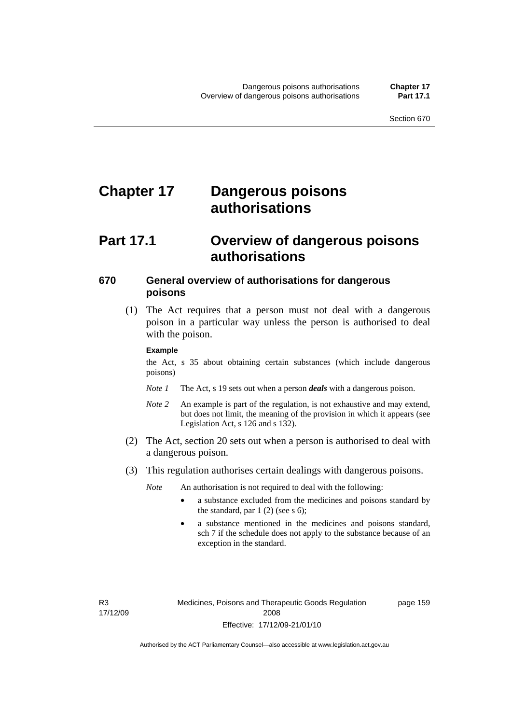# **Chapter 17 Dangerous poisons authorisations**

## **Part 17.1 Overview of dangerous poisons authorisations**

### **670 General overview of authorisations for dangerous poisons**

 (1) The Act requires that a person must not deal with a dangerous poison in a particular way unless the person is authorised to deal with the poison.

#### **Example**

the Act, s 35 about obtaining certain substances (which include dangerous poisons)

- *Note 1* The Act, s 19 sets out when a person *deals* with a dangerous poison.
- *Note 2* An example is part of the regulation, is not exhaustive and may extend, but does not limit, the meaning of the provision in which it appears (see Legislation Act, s 126 and s 132).
- (2) The Act, section 20 sets out when a person is authorised to deal with a dangerous poison.
- (3) This regulation authorises certain dealings with dangerous poisons.

*Note* An authorisation is not required to deal with the following:

- a substance excluded from the medicines and poisons standard by the standard, par  $1(2)$  (see s 6);
- a substance mentioned in the medicines and poisons standard, sch 7 if the schedule does not apply to the substance because of an exception in the standard.

R3 17/12/09 page 159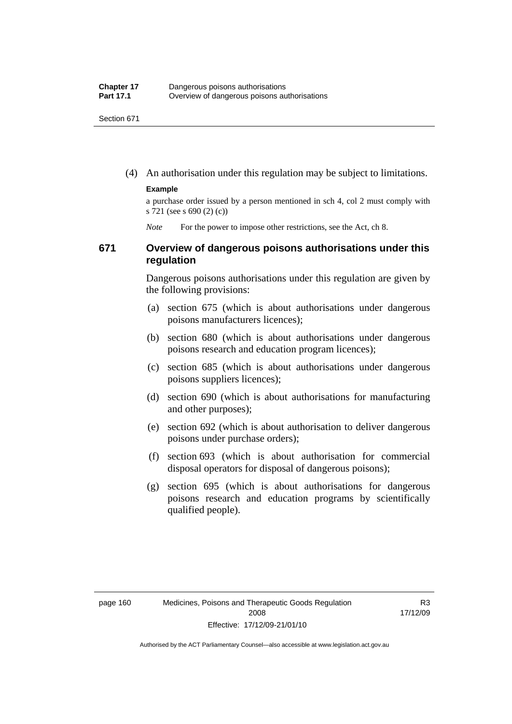(4) An authorisation under this regulation may be subject to limitations.

#### **Example**

a purchase order issued by a person mentioned in sch 4, col 2 must comply with s 721 (see s 690 (2) (c))

*Note* For the power to impose other restrictions, see the Act, ch 8.

#### **671 Overview of dangerous poisons authorisations under this regulation**

Dangerous poisons authorisations under this regulation are given by the following provisions:

- (a) section 675 (which is about authorisations under dangerous poisons manufacturers licences);
- (b) section 680 (which is about authorisations under dangerous poisons research and education program licences);
- (c) section 685 (which is about authorisations under dangerous poisons suppliers licences);
- (d) section 690 (which is about authorisations for manufacturing and other purposes);
- (e) section 692 (which is about authorisation to deliver dangerous poisons under purchase orders);
- (f) section 693 (which is about authorisation for commercial disposal operators for disposal of dangerous poisons);
- (g) section 695 (which is about authorisations for dangerous poisons research and education programs by scientifically qualified people).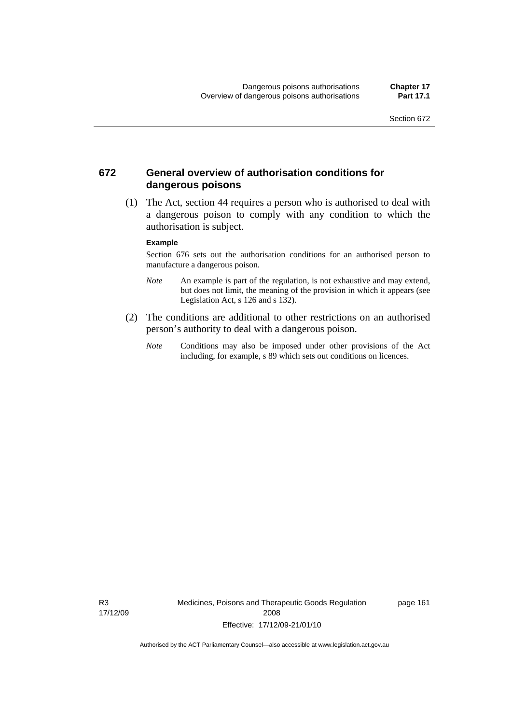### **672 General overview of authorisation conditions for dangerous poisons**

 (1) The Act, section 44 requires a person who is authorised to deal with a dangerous poison to comply with any condition to which the authorisation is subject.

#### **Example**

Section 676 sets out the authorisation conditions for an authorised person to manufacture a dangerous poison.

- *Note* An example is part of the regulation, is not exhaustive and may extend, but does not limit, the meaning of the provision in which it appears (see Legislation Act, s  $126$  and s  $132$ ).
- (2) The conditions are additional to other restrictions on an authorised person's authority to deal with a dangerous poison.
	- *Note* Conditions may also be imposed under other provisions of the Act including, for example, s 89 which sets out conditions on licences.

R3 17/12/09 Medicines, Poisons and Therapeutic Goods Regulation 2008 Effective: 17/12/09-21/01/10

page 161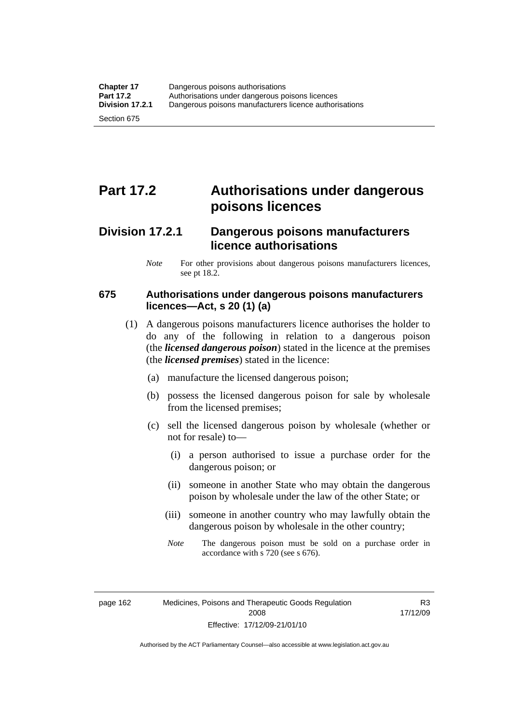# **Part 17.2 Authorisations under dangerous poisons licences**

## **Division 17.2.1 Dangerous poisons manufacturers licence authorisations**

*Note* For other provisions about dangerous poisons manufacturers licences, see pt 18.2.

### **675 Authorisations under dangerous poisons manufacturers licences—Act, s 20 (1) (a)**

- (1) A dangerous poisons manufacturers licence authorises the holder to do any of the following in relation to a dangerous poison (the *licensed dangerous poison*) stated in the licence at the premises (the *licensed premises*) stated in the licence:
	- (a) manufacture the licensed dangerous poison;
	- (b) possess the licensed dangerous poison for sale by wholesale from the licensed premises;
	- (c) sell the licensed dangerous poison by wholesale (whether or not for resale) to—
		- (i) a person authorised to issue a purchase order for the dangerous poison; or
		- (ii) someone in another State who may obtain the dangerous poison by wholesale under the law of the other State; or
		- (iii) someone in another country who may lawfully obtain the dangerous poison by wholesale in the other country;
		- *Note* The dangerous poison must be sold on a purchase order in accordance with s 720 (see s 676).

R3 17/12/09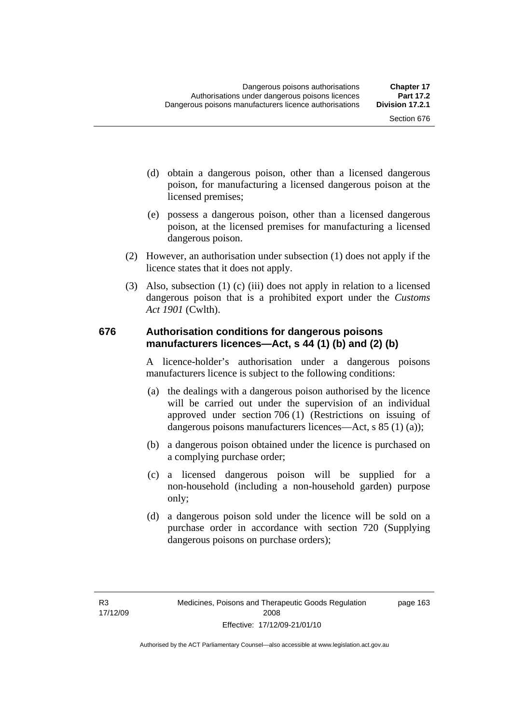- (d) obtain a dangerous poison, other than a licensed dangerous poison, for manufacturing a licensed dangerous poison at the licensed premises;
- (e) possess a dangerous poison, other than a licensed dangerous poison, at the licensed premises for manufacturing a licensed dangerous poison.
- (2) However, an authorisation under subsection (1) does not apply if the licence states that it does not apply.
- (3) Also, subsection (1) (c) (iii) does not apply in relation to a licensed dangerous poison that is a prohibited export under the *Customs Act 1901* (Cwlth).

#### **676 Authorisation conditions for dangerous poisons manufacturers licences—Act, s 44 (1) (b) and (2) (b)**

A licence-holder's authorisation under a dangerous poisons manufacturers licence is subject to the following conditions:

- (a) the dealings with a dangerous poison authorised by the licence will be carried out under the supervision of an individual approved under section 706 (1) (Restrictions on issuing of dangerous poisons manufacturers licences—Act, s 85 (1) (a));
- (b) a dangerous poison obtained under the licence is purchased on a complying purchase order;
- (c) a licensed dangerous poison will be supplied for a non-household (including a non-household garden) purpose only;
- (d) a dangerous poison sold under the licence will be sold on a purchase order in accordance with section 720 (Supplying dangerous poisons on purchase orders);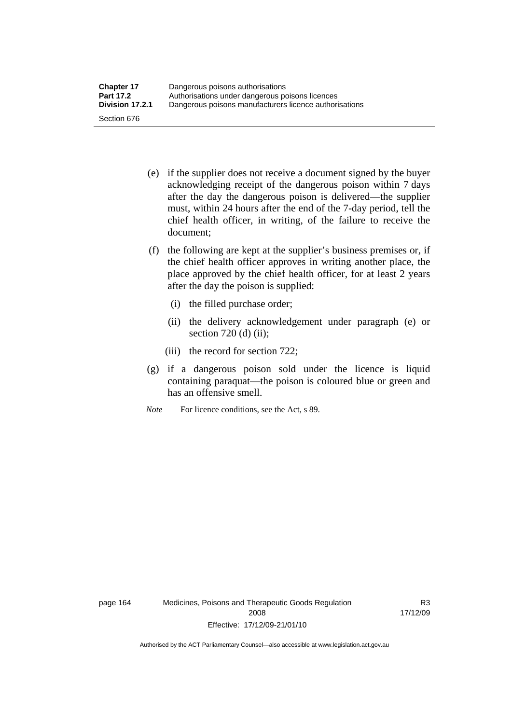- (e) if the supplier does not receive a document signed by the buyer acknowledging receipt of the dangerous poison within 7 days after the day the dangerous poison is delivered—the supplier must, within 24 hours after the end of the 7-day period, tell the chief health officer, in writing, of the failure to receive the document;
- (f) the following are kept at the supplier's business premises or, if the chief health officer approves in writing another place, the place approved by the chief health officer, for at least 2 years after the day the poison is supplied:
	- (i) the filled purchase order;
	- (ii) the delivery acknowledgement under paragraph (e) or section 720 (d) (ii);
	- (iii) the record for section 722;
- (g) if a dangerous poison sold under the licence is liquid containing paraquat—the poison is coloured blue or green and has an offensive smell.
- *Note* For licence conditions, see the Act, s 89.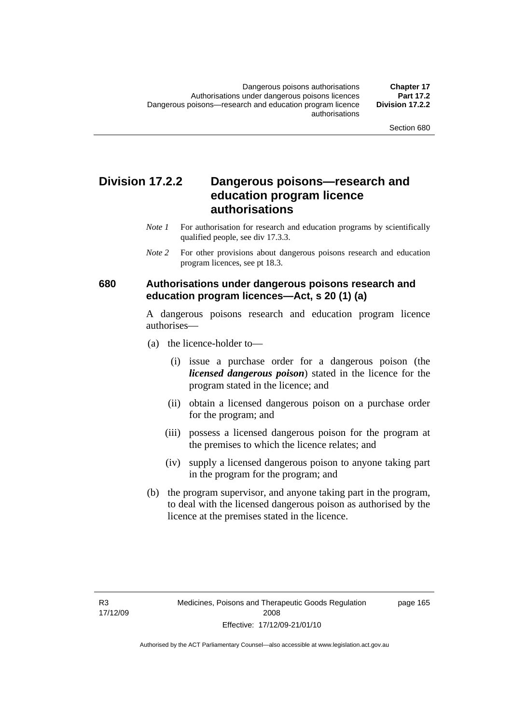## **Division 17.2.2 Dangerous poisons—research and education program licence authorisations**

- *Note 1* For authorisation for research and education programs by scientifically qualified people, see div 17.3.3.
- *Note 2* For other provisions about dangerous poisons research and education program licences, see pt 18.3.

### **680 Authorisations under dangerous poisons research and education program licences—Act, s 20 (1) (a)**

A dangerous poisons research and education program licence authorises—

- (a) the licence-holder to—
	- (i) issue a purchase order for a dangerous poison (the *licensed dangerous poison*) stated in the licence for the program stated in the licence; and
	- (ii) obtain a licensed dangerous poison on a purchase order for the program; and
	- (iii) possess a licensed dangerous poison for the program at the premises to which the licence relates; and
	- (iv) supply a licensed dangerous poison to anyone taking part in the program for the program; and
- (b) the program supervisor, and anyone taking part in the program, to deal with the licensed dangerous poison as authorised by the licence at the premises stated in the licence.

page 165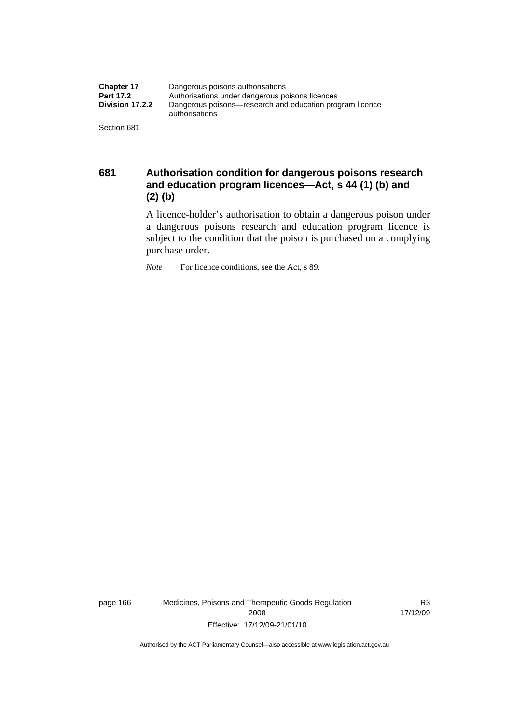| <b>Chapter 17</b> | Dangerous poisons authorisations                                           |  |
|-------------------|----------------------------------------------------------------------------|--|
| <b>Part 17.2</b>  | Authorisations under dangerous poisons licences                            |  |
| Division 17.2.2   | Dangerous poisons—research and education program licence<br>authorisations |  |
| Section 681       |                                                                            |  |

**681 Authorisation condition for dangerous poisons research and education program licences—Act, s 44 (1) (b) and (2) (b)** 

A licence-holder's authorisation to obtain a dangerous poison under a dangerous poisons research and education program licence is subject to the condition that the poison is purchased on a complying purchase order.

*Note* For licence conditions, see the Act, s 89.

page 166 Medicines, Poisons and Therapeutic Goods Regulation 2008 Effective: 17/12/09-21/01/10

R3 17/12/09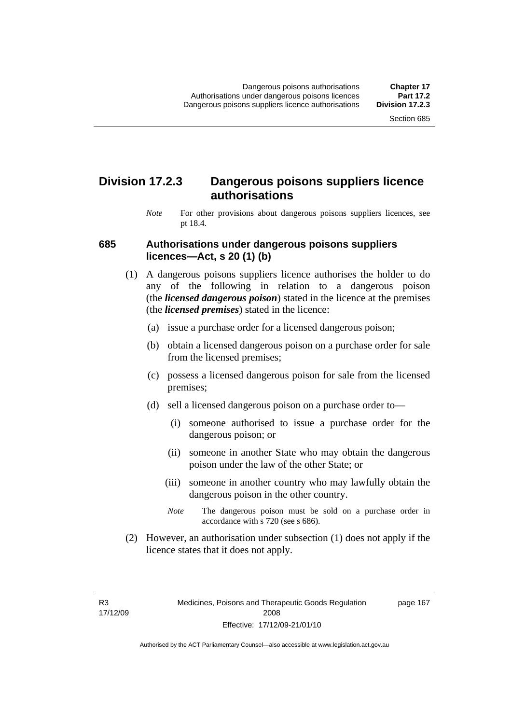## **Division 17.2.3 Dangerous poisons suppliers licence authorisations**

*Note* For other provisions about dangerous poisons suppliers licences, see pt 18.4.

#### **685 Authorisations under dangerous poisons suppliers licences—Act, s 20 (1) (b)**

- (1) A dangerous poisons suppliers licence authorises the holder to do any of the following in relation to a dangerous poison (the *licensed dangerous poison*) stated in the licence at the premises (the *licensed premises*) stated in the licence:
	- (a) issue a purchase order for a licensed dangerous poison;
	- (b) obtain a licensed dangerous poison on a purchase order for sale from the licensed premises;
	- (c) possess a licensed dangerous poison for sale from the licensed premises;
	- (d) sell a licensed dangerous poison on a purchase order to—
		- (i) someone authorised to issue a purchase order for the dangerous poison; or
		- (ii) someone in another State who may obtain the dangerous poison under the law of the other State; or
		- (iii) someone in another country who may lawfully obtain the dangerous poison in the other country.
		- *Note* The dangerous poison must be sold on a purchase order in accordance with s 720 (see s 686).
- (2) However, an authorisation under subsection (1) does not apply if the licence states that it does not apply.

R3 17/12/09 page 167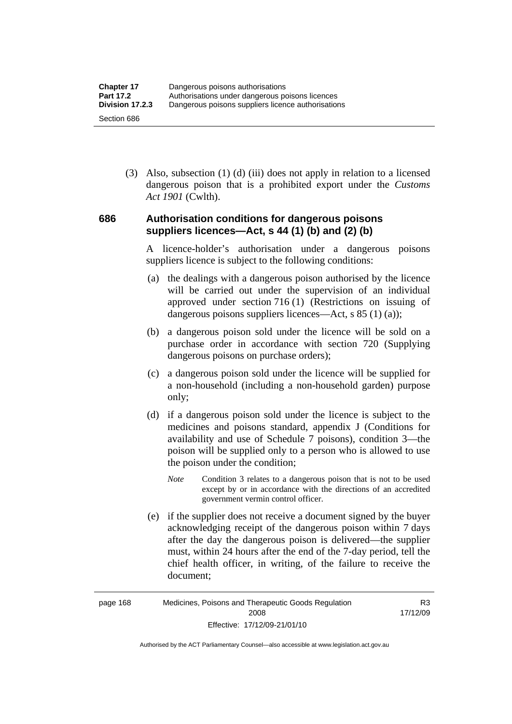(3) Also, subsection (1) (d) (iii) does not apply in relation to a licensed dangerous poison that is a prohibited export under the *Customs Act 1901* (Cwlth).

### **686 Authorisation conditions for dangerous poisons suppliers licences—Act, s 44 (1) (b) and (2) (b)**

A licence-holder's authorisation under a dangerous poisons suppliers licence is subject to the following conditions:

- (a) the dealings with a dangerous poison authorised by the licence will be carried out under the supervision of an individual approved under section 716 (1) (Restrictions on issuing of dangerous poisons suppliers licences—Act, s 85 (1) (a));
- (b) a dangerous poison sold under the licence will be sold on a purchase order in accordance with section 720 (Supplying dangerous poisons on purchase orders);
- (c) a dangerous poison sold under the licence will be supplied for a non-household (including a non-household garden) purpose only;
- (d) if a dangerous poison sold under the licence is subject to the medicines and poisons standard, appendix J (Conditions for availability and use of Schedule 7 poisons), condition 3—the poison will be supplied only to a person who is allowed to use the poison under the condition;
	- *Note* Condition 3 relates to a dangerous poison that is not to be used except by or in accordance with the directions of an accredited government vermin control officer.
- (e) if the supplier does not receive a document signed by the buyer acknowledging receipt of the dangerous poison within 7 days after the day the dangerous poison is delivered—the supplier must, within 24 hours after the end of the 7-day period, tell the chief health officer, in writing, of the failure to receive the document;

R3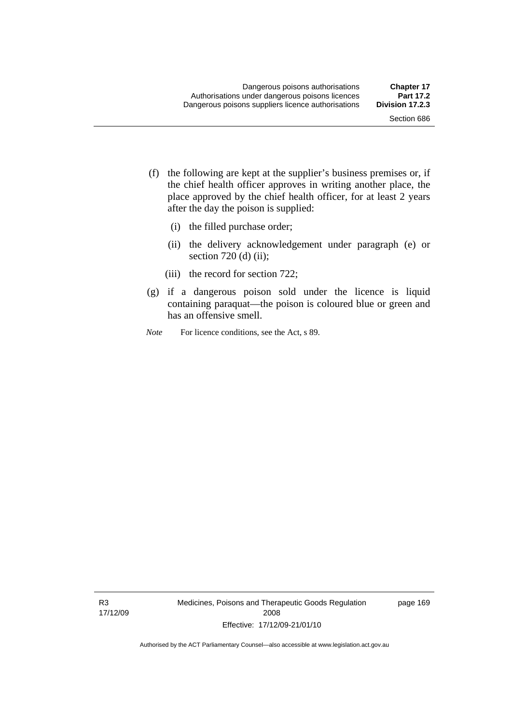- (f) the following are kept at the supplier's business premises or, if the chief health officer approves in writing another place, the place approved by the chief health officer, for at least 2 years after the day the poison is supplied:
	- (i) the filled purchase order;
	- (ii) the delivery acknowledgement under paragraph (e) or section 720 (d) (ii);
	- (iii) the record for section 722;
- (g) if a dangerous poison sold under the licence is liquid containing paraquat—the poison is coloured blue or green and has an offensive smell.
- *Note* For licence conditions, see the Act, s 89.

R3 17/12/09 Medicines, Poisons and Therapeutic Goods Regulation 2008 Effective: 17/12/09-21/01/10

page 169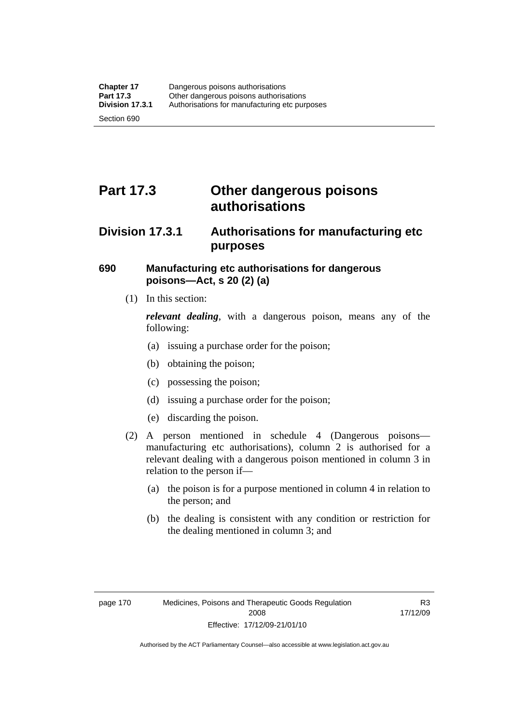## **Part 17.3 Other dangerous poisons authorisations**

## **Division 17.3.1 Authorisations for manufacturing etc purposes**

### **690 Manufacturing etc authorisations for dangerous poisons—Act, s 20 (2) (a)**

(1) In this section:

*relevant dealing*, with a dangerous poison, means any of the following:

- (a) issuing a purchase order for the poison;
- (b) obtaining the poison;
- (c) possessing the poison;
- (d) issuing a purchase order for the poison;
- (e) discarding the poison.
- (2) A person mentioned in schedule 4 (Dangerous poisons manufacturing etc authorisations), column 2 is authorised for a relevant dealing with a dangerous poison mentioned in column 3 in relation to the person if—
	- (a) the poison is for a purpose mentioned in column 4 in relation to the person; and
	- (b) the dealing is consistent with any condition or restriction for the dealing mentioned in column 3; and

R3 17/12/09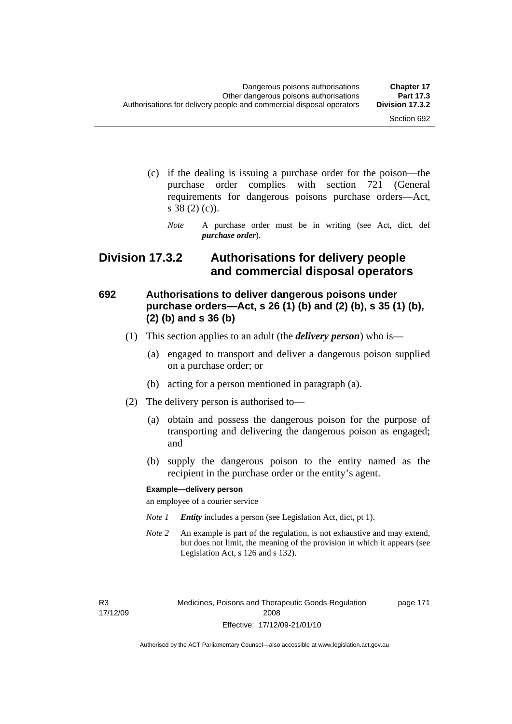- (c) if the dealing is issuing a purchase order for the poison—the purchase order complies with section 721 (General requirements for dangerous poisons purchase orders—Act, s 38 (2) (c)).
	- *Note* A purchase order must be in writing (see Act, dict, def *purchase order*).

## **Division 17.3.2 Authorisations for delivery people and commercial disposal operators**

## **692 Authorisations to deliver dangerous poisons under purchase orders—Act, s 26 (1) (b) and (2) (b), s 35 (1) (b), (2) (b) and s 36 (b)**

- (1) This section applies to an adult (the *delivery person*) who is—
	- (a) engaged to transport and deliver a dangerous poison supplied on a purchase order; or
	- (b) acting for a person mentioned in paragraph (a).
- (2) The delivery person is authorised to—
	- (a) obtain and possess the dangerous poison for the purpose of transporting and delivering the dangerous poison as engaged; and
	- (b) supply the dangerous poison to the entity named as the recipient in the purchase order or the entity's agent.

#### **Example—delivery person**

an employee of a courier service

- *Note 1 Entity* includes a person (see Legislation Act, dict, pt 1).
- *Note 2* An example is part of the regulation, is not exhaustive and may extend, but does not limit, the meaning of the provision in which it appears (see Legislation Act, s 126 and s 132).

R3 17/12/09 Medicines, Poisons and Therapeutic Goods Regulation 2008 Effective: 17/12/09-21/01/10

page 171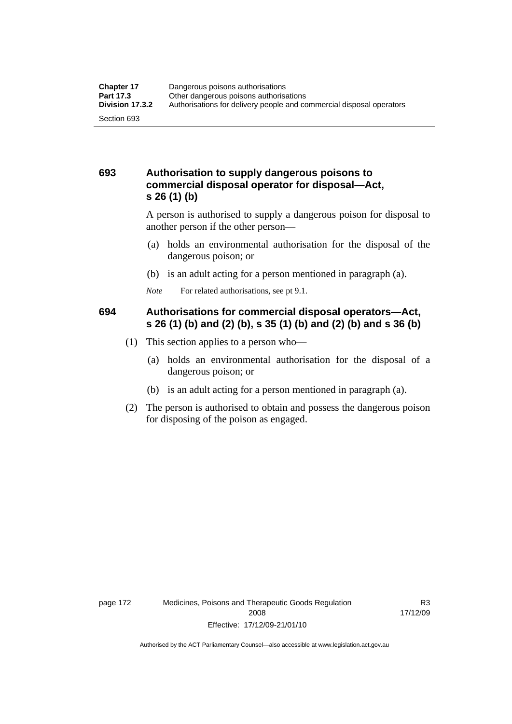## **693 Authorisation to supply dangerous poisons to commercial disposal operator for disposal—Act, s 26 (1) (b)**

A person is authorised to supply a dangerous poison for disposal to another person if the other person—

- (a) holds an environmental authorisation for the disposal of the dangerous poison; or
- (b) is an adult acting for a person mentioned in paragraph (a).
- *Note* For related authorisations, see pt 9.1.

## **694 Authorisations for commercial disposal operators—Act, s 26 (1) (b) and (2) (b), s 35 (1) (b) and (2) (b) and s 36 (b)**

- (1) This section applies to a person who—
	- (a) holds an environmental authorisation for the disposal of a dangerous poison; or
	- (b) is an adult acting for a person mentioned in paragraph (a).
- (2) The person is authorised to obtain and possess the dangerous poison for disposing of the poison as engaged.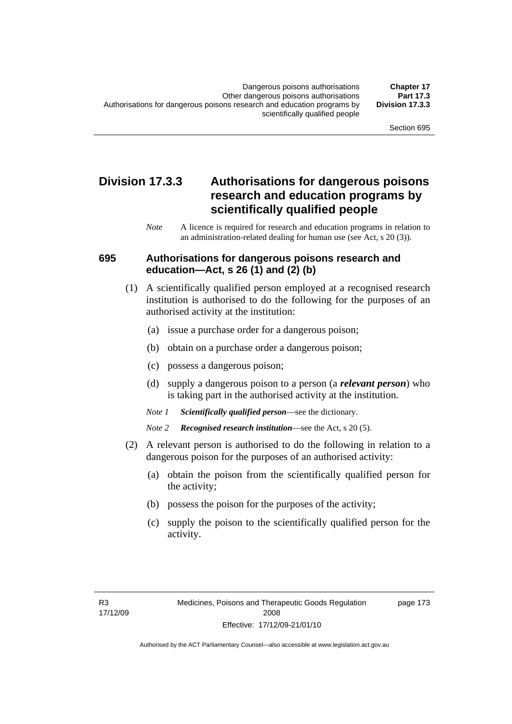## **Division 17.3.3 Authorisations for dangerous poisons research and education programs by scientifically qualified people**

*Note* A licence is required for research and education programs in relation to an administration-related dealing for human use (see Act, s 20 (3)).

### **695 Authorisations for dangerous poisons research and education—Act, s 26 (1) and (2) (b)**

- (1) A scientifically qualified person employed at a recognised research institution is authorised to do the following for the purposes of an authorised activity at the institution:
	- (a) issue a purchase order for a dangerous poison;
	- (b) obtain on a purchase order a dangerous poison;
	- (c) possess a dangerous poison;
	- (d) supply a dangerous poison to a person (a *relevant person*) who is taking part in the authorised activity at the institution.
	- *Note 1 Scientifically qualified person*—see the dictionary.
	- *Note 2 Recognised research institution*—see the Act, s 20 (5).
- (2) A relevant person is authorised to do the following in relation to a dangerous poison for the purposes of an authorised activity:
	- (a) obtain the poison from the scientifically qualified person for the activity;
	- (b) possess the poison for the purposes of the activity;
	- (c) supply the poison to the scientifically qualified person for the activity.

page 173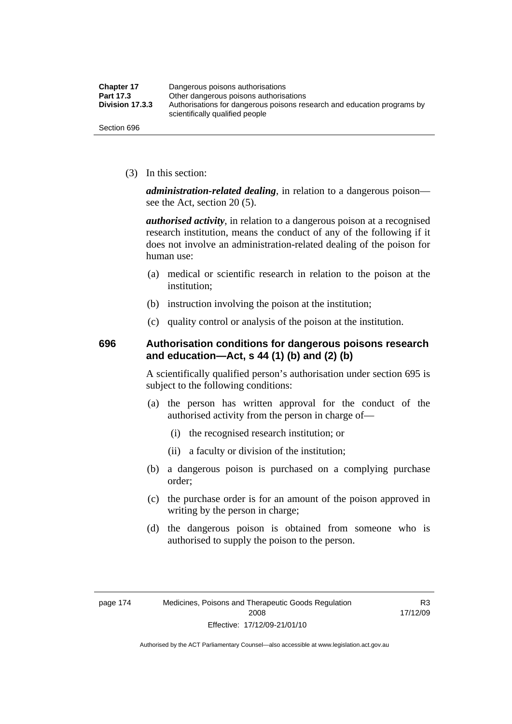| <b>Chapter 17</b> | Dangerous poisons authorisations                                                                           |
|-------------------|------------------------------------------------------------------------------------------------------------|
| Part 17.3         | Other dangerous poisons authorisations                                                                     |
| Division 17.3.3   | Authorisations for dangerous poisons research and education programs by<br>scientifically qualified people |
| Section 696       |                                                                                                            |

(3) In this section:

*administration-related dealing*, in relation to a dangerous poison see the Act, section 20 (5).

*authorised activity*, in relation to a dangerous poison at a recognised research institution, means the conduct of any of the following if it does not involve an administration-related dealing of the poison for human use:

- (a) medical or scientific research in relation to the poison at the institution;
- (b) instruction involving the poison at the institution;
- (c) quality control or analysis of the poison at the institution.

## **696 Authorisation conditions for dangerous poisons research and education—Act, s 44 (1) (b) and (2) (b)**

A scientifically qualified person's authorisation under section 695 is subject to the following conditions:

- (a) the person has written approval for the conduct of the authorised activity from the person in charge of—
	- (i) the recognised research institution; or
	- (ii) a faculty or division of the institution;
- (b) a dangerous poison is purchased on a complying purchase order;
- (c) the purchase order is for an amount of the poison approved in writing by the person in charge;
- (d) the dangerous poison is obtained from someone who is authorised to supply the poison to the person.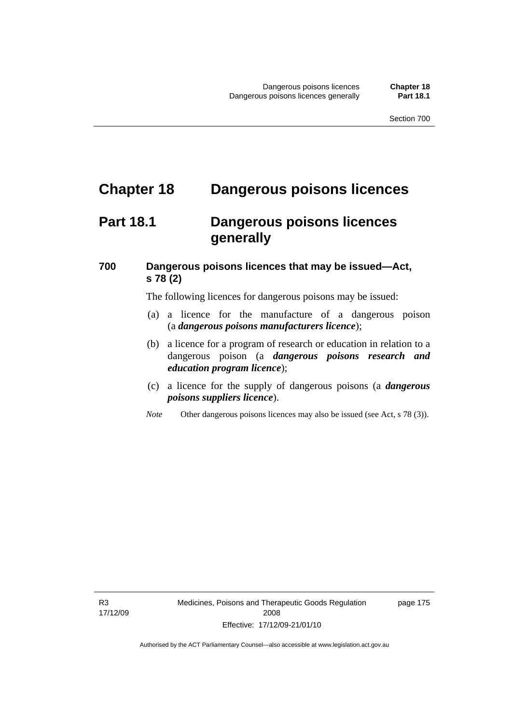## **Chapter 18 Dangerous poisons licences**

## **Part 18.1 Dangerous poisons licences generally**

## **700 Dangerous poisons licences that may be issued—Act, s 78 (2)**

The following licences for dangerous poisons may be issued:

- (a) a licence for the manufacture of a dangerous poison (a *dangerous poisons manufacturers licence*);
- (b) a licence for a program of research or education in relation to a dangerous poison (a *dangerous poisons research and education program licence*);
- (c) a licence for the supply of dangerous poisons (a *dangerous poisons suppliers licence*).
- *Note* Other dangerous poisons licences may also be issued (see Act, s 78 (3)).

page 175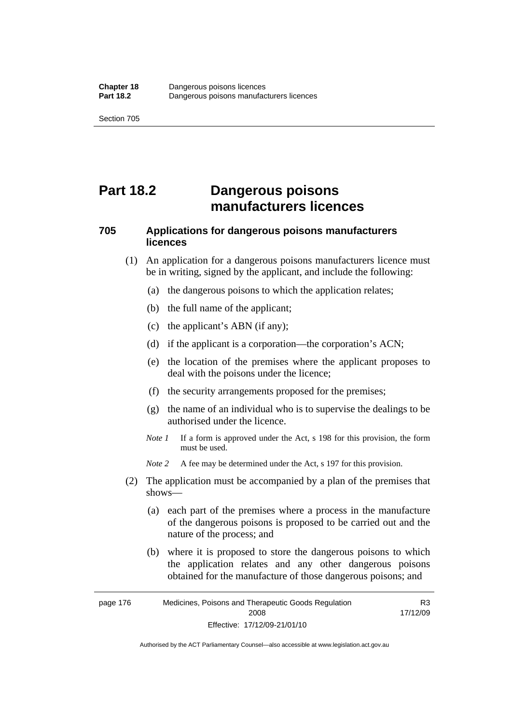## **Part 18.2 Dangerous poisons manufacturers licences**

## **705 Applications for dangerous poisons manufacturers licences**

- (1) An application for a dangerous poisons manufacturers licence must be in writing, signed by the applicant, and include the following:
	- (a) the dangerous poisons to which the application relates;
	- (b) the full name of the applicant;
	- (c) the applicant's ABN (if any);
	- (d) if the applicant is a corporation—the corporation's ACN;
	- (e) the location of the premises where the applicant proposes to deal with the poisons under the licence;
	- (f) the security arrangements proposed for the premises;
	- (g) the name of an individual who is to supervise the dealings to be authorised under the licence.
	- *Note 1* If a form is approved under the Act, s 198 for this provision, the form must be used.
	- *Note 2* A fee may be determined under the Act, s 197 for this provision.
- (2) The application must be accompanied by a plan of the premises that shows—
	- (a) each part of the premises where a process in the manufacture of the dangerous poisons is proposed to be carried out and the nature of the process; and
	- (b) where it is proposed to store the dangerous poisons to which the application relates and any other dangerous poisons obtained for the manufacture of those dangerous poisons; and

page 176 Medicines, Poisons and Therapeutic Goods Regulation 2008 Effective: 17/12/09-21/01/10 R3 17/12/09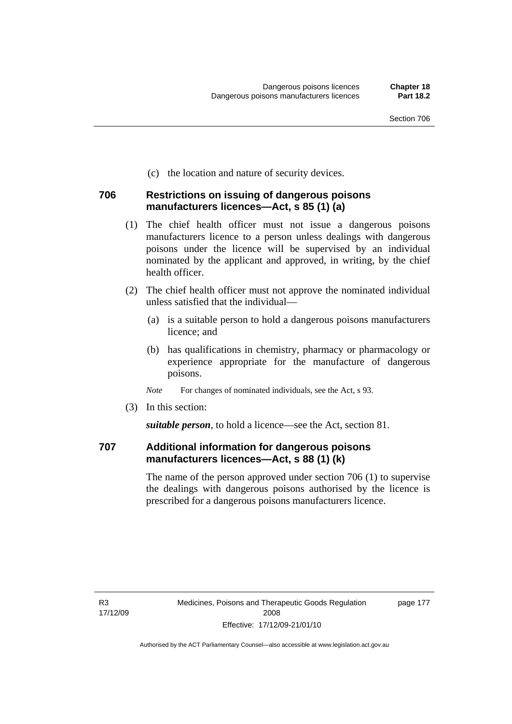(c) the location and nature of security devices.

#### **706 Restrictions on issuing of dangerous poisons manufacturers licences—Act, s 85 (1) (a)**

- (1) The chief health officer must not issue a dangerous poisons manufacturers licence to a person unless dealings with dangerous poisons under the licence will be supervised by an individual nominated by the applicant and approved, in writing, by the chief health officer.
- (2) The chief health officer must not approve the nominated individual unless satisfied that the individual—
	- (a) is a suitable person to hold a dangerous poisons manufacturers licence; and
	- (b) has qualifications in chemistry, pharmacy or pharmacology or experience appropriate for the manufacture of dangerous poisons.
	- *Note* For changes of nominated individuals, see the Act, s 93.
- (3) In this section:

*suitable person*, to hold a licence—see the Act, section 81.

## **707 Additional information for dangerous poisons manufacturers licences—Act, s 88 (1) (k)**

The name of the person approved under section 706 (1) to supervise the dealings with dangerous poisons authorised by the licence is prescribed for a dangerous poisons manufacturers licence.

page 177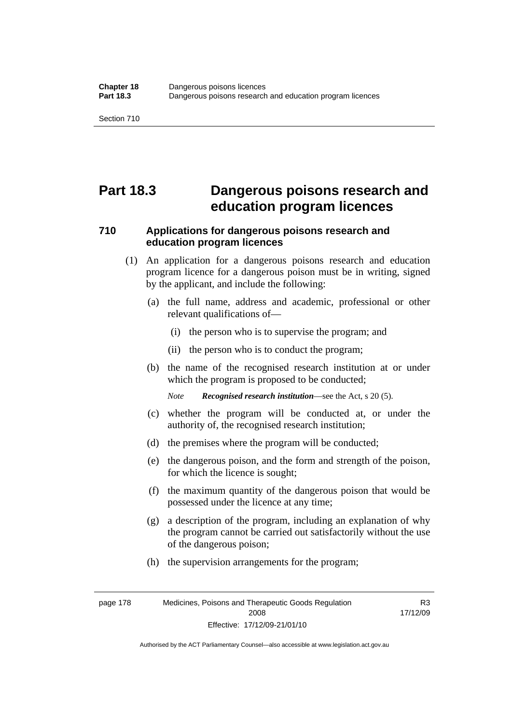## **Part 18.3 Dangerous poisons research and education program licences**

## **710 Applications for dangerous poisons research and education program licences**

- (1) An application for a dangerous poisons research and education program licence for a dangerous poison must be in writing, signed by the applicant, and include the following:
	- (a) the full name, address and academic, professional or other relevant qualifications of—
		- (i) the person who is to supervise the program; and
		- (ii) the person who is to conduct the program;
	- (b) the name of the recognised research institution at or under which the program is proposed to be conducted;

*Note Recognised research institution*—see the Act, s 20 (5).

- (c) whether the program will be conducted at, or under the authority of, the recognised research institution;
- (d) the premises where the program will be conducted;
- (e) the dangerous poison, and the form and strength of the poison, for which the licence is sought;
- (f) the maximum quantity of the dangerous poison that would be possessed under the licence at any time;
- (g) a description of the program, including an explanation of why the program cannot be carried out satisfactorily without the use of the dangerous poison;
- (h) the supervision arrangements for the program;

page 178 Medicines, Poisons and Therapeutic Goods Regulation 2008 Effective: 17/12/09-21/01/10

R3 17/12/09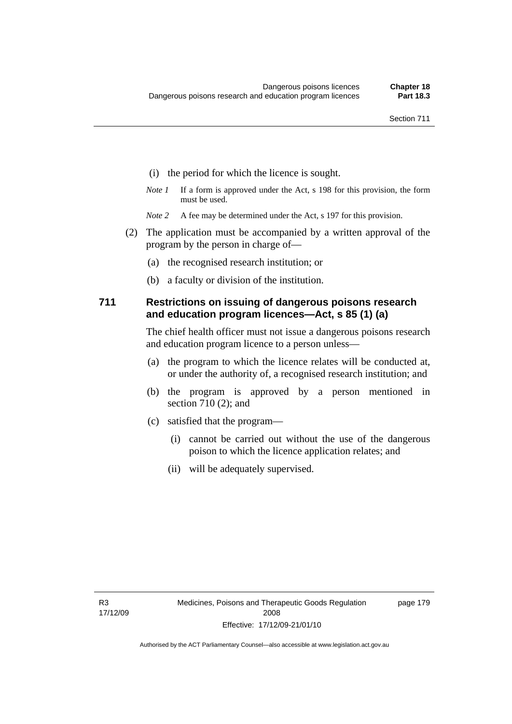- (i) the period for which the licence is sought.
- *Note 1* If a form is approved under the Act, s 198 for this provision, the form must be used.
- *Note* 2 A fee may be determined under the Act, s 197 for this provision.
- (2) The application must be accompanied by a written approval of the program by the person in charge of—
	- (a) the recognised research institution; or
	- (b) a faculty or division of the institution.

### **711 Restrictions on issuing of dangerous poisons research and education program licences—Act, s 85 (1) (a)**

The chief health officer must not issue a dangerous poisons research and education program licence to a person unless—

- (a) the program to which the licence relates will be conducted at, or under the authority of, a recognised research institution; and
- (b) the program is approved by a person mentioned in section 710 (2); and
- (c) satisfied that the program—
	- (i) cannot be carried out without the use of the dangerous poison to which the licence application relates; and
	- (ii) will be adequately supervised.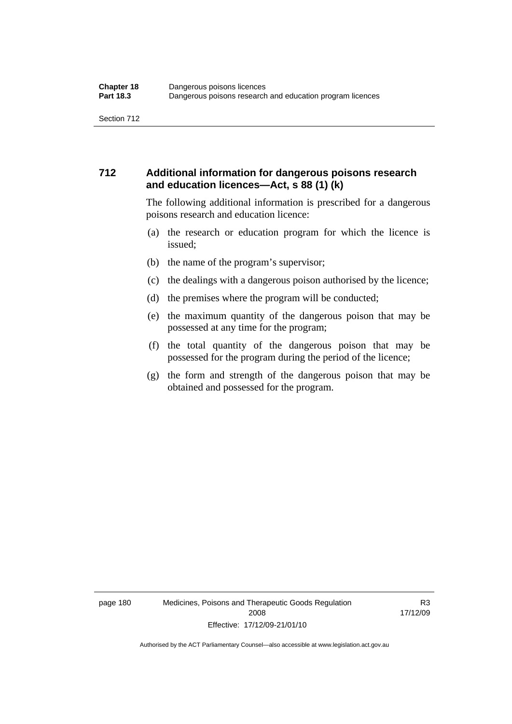## **712 Additional information for dangerous poisons research and education licences—Act, s 88 (1) (k)**

The following additional information is prescribed for a dangerous poisons research and education licence:

- (a) the research or education program for which the licence is issued;
- (b) the name of the program's supervisor;
- (c) the dealings with a dangerous poison authorised by the licence;
- (d) the premises where the program will be conducted;
- (e) the maximum quantity of the dangerous poison that may be possessed at any time for the program;
- (f) the total quantity of the dangerous poison that may be possessed for the program during the period of the licence;
- (g) the form and strength of the dangerous poison that may be obtained and possessed for the program.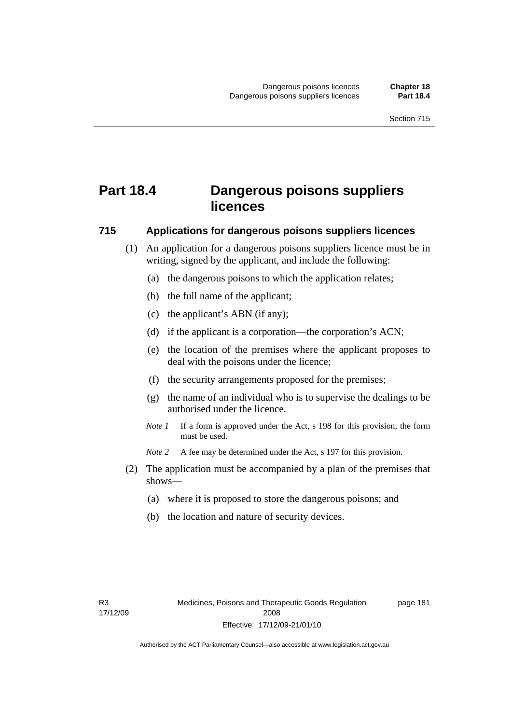## **Part 18.4 Dangerous poisons suppliers licences**

#### **715 Applications for dangerous poisons suppliers licences**

- (1) An application for a dangerous poisons suppliers licence must be in writing, signed by the applicant, and include the following:
	- (a) the dangerous poisons to which the application relates;
	- (b) the full name of the applicant;
	- (c) the applicant's ABN (if any);
	- (d) if the applicant is a corporation—the corporation's ACN;
	- (e) the location of the premises where the applicant proposes to deal with the poisons under the licence;
	- (f) the security arrangements proposed for the premises;
	- (g) the name of an individual who is to supervise the dealings to be authorised under the licence.
	- *Note 1* If a form is approved under the Act, s 198 for this provision, the form must be used.
	- *Note 2* A fee may be determined under the Act, s 197 for this provision.
- (2) The application must be accompanied by a plan of the premises that shows—
	- (a) where it is proposed to store the dangerous poisons; and
	- (b) the location and nature of security devices.

page 181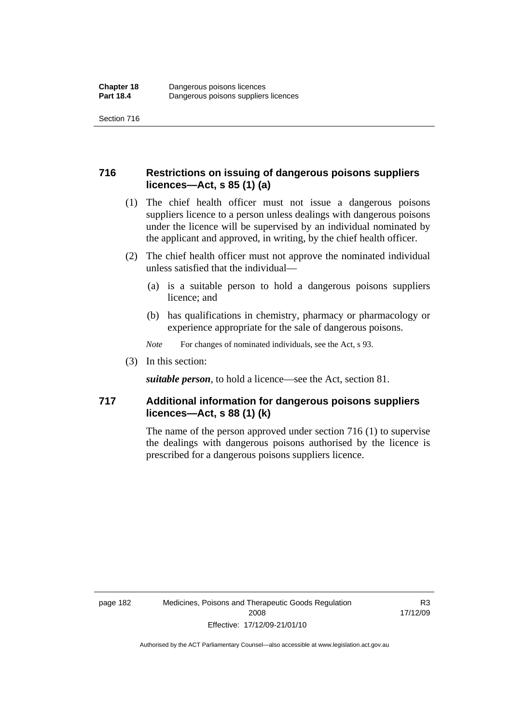## **716 Restrictions on issuing of dangerous poisons suppliers licences—Act, s 85 (1) (a)**

- (1) The chief health officer must not issue a dangerous poisons suppliers licence to a person unless dealings with dangerous poisons under the licence will be supervised by an individual nominated by the applicant and approved, in writing, by the chief health officer.
- (2) The chief health officer must not approve the nominated individual unless satisfied that the individual—
	- (a) is a suitable person to hold a dangerous poisons suppliers licence; and
	- (b) has qualifications in chemistry, pharmacy or pharmacology or experience appropriate for the sale of dangerous poisons.
	- *Note* For changes of nominated individuals, see the Act, s 93.
- (3) In this section:

*suitable person*, to hold a licence—see the Act, section 81.

## **717 Additional information for dangerous poisons suppliers licences—Act, s 88 (1) (k)**

The name of the person approved under section 716 (1) to supervise the dealings with dangerous poisons authorised by the licence is prescribed for a dangerous poisons suppliers licence.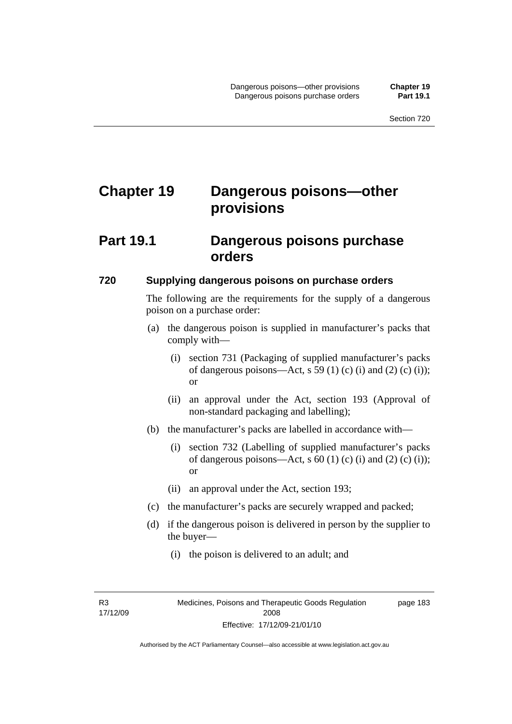# **Chapter 19 Dangerous poisons—other provisions**

## **Part 19.1 Dangerous poisons purchase orders**

### **720 Supplying dangerous poisons on purchase orders**

The following are the requirements for the supply of a dangerous poison on a purchase order:

- (a) the dangerous poison is supplied in manufacturer's packs that comply with—
	- (i) section 731 (Packaging of supplied manufacturer's packs of dangerous poisons—Act, s 59 (1) (c) (i) and (2) (c) (i)); or
	- (ii) an approval under the Act, section 193 (Approval of non-standard packaging and labelling);
- (b) the manufacturer's packs are labelled in accordance with—
	- (i) section 732 (Labelling of supplied manufacturer's packs of dangerous poisons—Act, s  $60$  (1) (c) (i) and (2) (c) (i)); or
	- (ii) an approval under the Act, section 193;
- (c) the manufacturer's packs are securely wrapped and packed;
- (d) if the dangerous poison is delivered in person by the supplier to the buyer—
	- (i) the poison is delivered to an adult; and

R3 17/12/09 page 183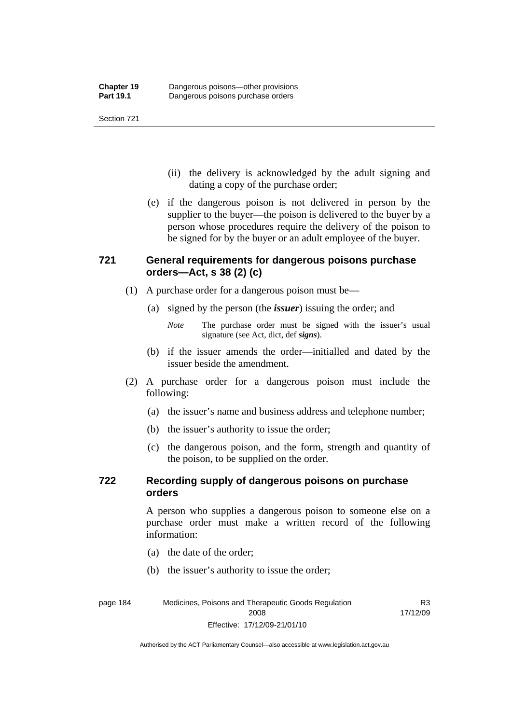- (ii) the delivery is acknowledged by the adult signing and dating a copy of the purchase order;
- (e) if the dangerous poison is not delivered in person by the supplier to the buyer—the poison is delivered to the buyer by a person whose procedures require the delivery of the poison to be signed for by the buyer or an adult employee of the buyer.

## **721 General requirements for dangerous poisons purchase orders—Act, s 38 (2) (c)**

- (1) A purchase order for a dangerous poison must be—
	- (a) signed by the person (the *issuer*) issuing the order; and
		- *Note* The purchase order must be signed with the issuer's usual signature (see Act, dict, def *signs*).
	- (b) if the issuer amends the order—initialled and dated by the issuer beside the amendment.
- (2) A purchase order for a dangerous poison must include the following:
	- (a) the issuer's name and business address and telephone number;
	- (b) the issuer's authority to issue the order;
	- (c) the dangerous poison, and the form, strength and quantity of the poison, to be supplied on the order.

## **722 Recording supply of dangerous poisons on purchase orders**

A person who supplies a dangerous poison to someone else on a purchase order must make a written record of the following information:

R3

- (a) the date of the order;
- (b) the issuer's authority to issue the order;

page 184 Medicines, Poisons and Therapeutic Goods Regulation 2008 Effective: 17/12/09-21/01/10 17/12/09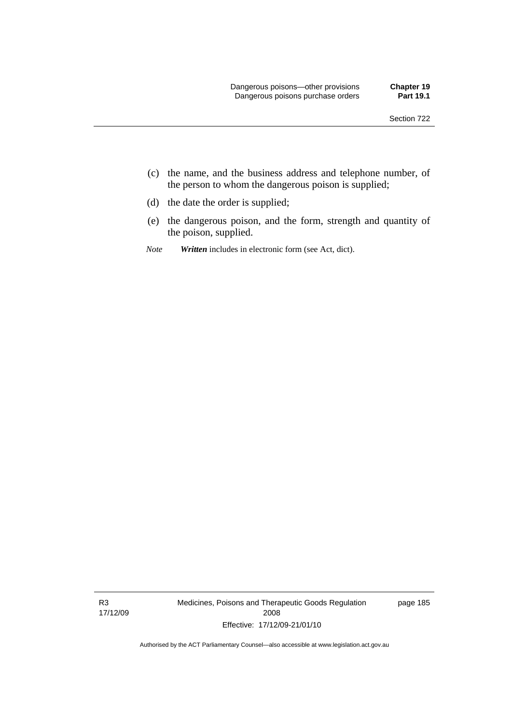- (c) the name, and the business address and telephone number, of the person to whom the dangerous poison is supplied;
- (d) the date the order is supplied;
- (e) the dangerous poison, and the form, strength and quantity of the poison, supplied.
- *Note Written* includes in electronic form (see Act, dict).

R3 17/12/09 Medicines, Poisons and Therapeutic Goods Regulation 2008 Effective: 17/12/09-21/01/10

page 185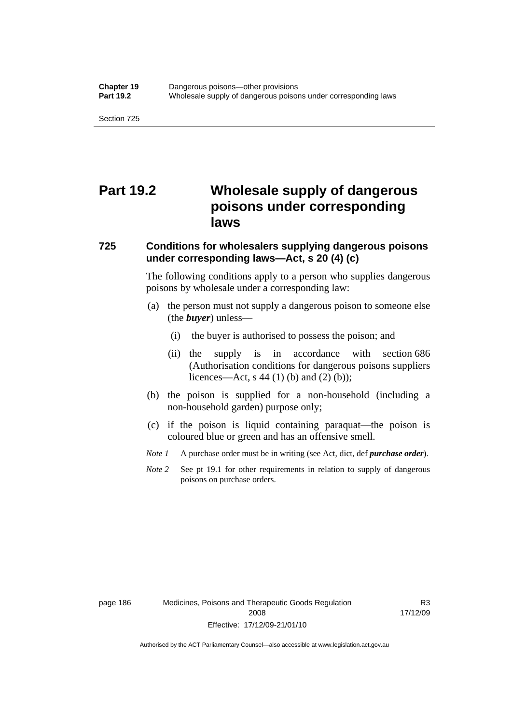## **Part 19.2 Wholesale supply of dangerous poisons under corresponding laws**

#### **725 Conditions for wholesalers supplying dangerous poisons under corresponding laws—Act, s 20 (4) (c)**

The following conditions apply to a person who supplies dangerous poisons by wholesale under a corresponding law:

- (a) the person must not supply a dangerous poison to someone else (the *buyer*) unless—
	- (i) the buyer is authorised to possess the poison; and
	- (ii) the supply is in accordance with section 686 (Authorisation conditions for dangerous poisons suppliers licences—Act, s 44 (1) (b) and (2) (b));
- (b) the poison is supplied for a non-household (including a non-household garden) purpose only;
- (c) if the poison is liquid containing paraquat—the poison is coloured blue or green and has an offensive smell.
- *Note 1* A purchase order must be in writing (see Act, dict, def *purchase order*).
- *Note* 2 See pt 19.1 for other requirements in relation to supply of dangerous poisons on purchase orders.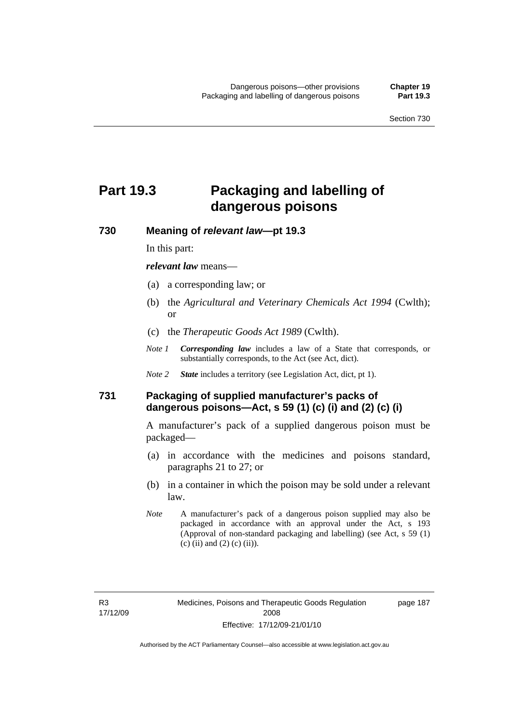# **Part 19.3 Packaging and labelling of dangerous poisons**

**730 Meaning of** *relevant law***—pt 19.3** 

In this part:

*relevant law* means—

- (a) a corresponding law; or
- (b) the *Agricultural and Veterinary Chemicals Act 1994* (Cwlth); or
- (c) the *Therapeutic Goods Act 1989* (Cwlth).
- *Note 1 Corresponding law* includes a law of a State that corresponds, or substantially corresponds, to the Act (see Act, dict).
- *Note 2 State* includes a territory (see Legislation Act, dict, pt 1).

## **731 Packaging of supplied manufacturer's packs of dangerous poisons—Act, s 59 (1) (c) (i) and (2) (c) (i)**

A manufacturer's pack of a supplied dangerous poison must be packaged—

- (a) in accordance with the medicines and poisons standard, paragraphs 21 to 27; or
- (b) in a container in which the poison may be sold under a relevant law.
- *Note* A manufacturer's pack of a dangerous poison supplied may also be packaged in accordance with an approval under the Act, s 193 (Approval of non-standard packaging and labelling) (see Act, s 59 (1) (c) (ii) and (2) (c) (ii)).

page 187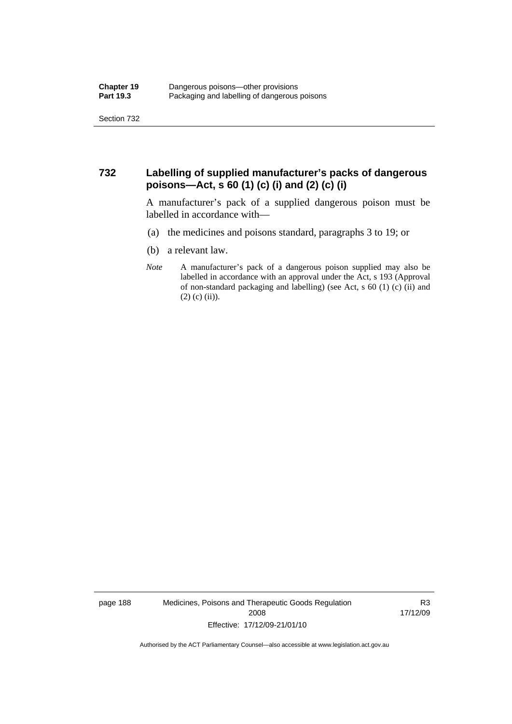## **732 Labelling of supplied manufacturer's packs of dangerous poisons—Act, s 60 (1) (c) (i) and (2) (c) (i)**

A manufacturer's pack of a supplied dangerous poison must be labelled in accordance with—

- (a) the medicines and poisons standard, paragraphs 3 to 19; or
- (b) a relevant law.
- *Note* A manufacturer's pack of a dangerous poison supplied may also be labelled in accordance with an approval under the Act, s 193 (Approval of non-standard packaging and labelling) (see Act, s 60 (1) (c) (ii) and  $(2)$  (c) (ii)).

page 188 Medicines, Poisons and Therapeutic Goods Regulation 2008 Effective: 17/12/09-21/01/10

R3 17/12/09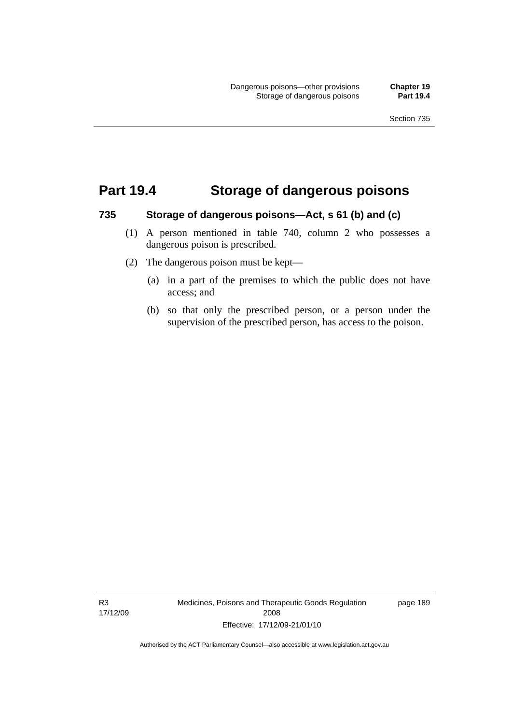## **Part 19.4 Storage of dangerous poisons**

#### **735 Storage of dangerous poisons—Act, s 61 (b) and (c)**

- (1) A person mentioned in table 740, column 2 who possesses a dangerous poison is prescribed.
- (2) The dangerous poison must be kept—
	- (a) in a part of the premises to which the public does not have access; and
	- (b) so that only the prescribed person, or a person under the supervision of the prescribed person, has access to the poison.

R3 17/12/09 Medicines, Poisons and Therapeutic Goods Regulation 2008 Effective: 17/12/09-21/01/10

page 189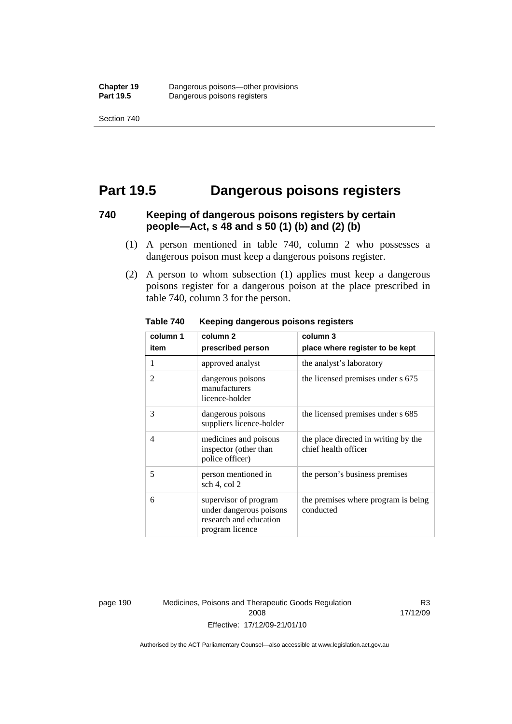## **Part 19.5 Dangerous poisons registers**

### **740 Keeping of dangerous poisons registers by certain people—Act, s 48 and s 50 (1) (b) and (2) (b)**

- (1) A person mentioned in table 740, column 2 who possesses a dangerous poison must keep a dangerous poisons register.
- (2) A person to whom subsection (1) applies must keep a dangerous poisons register for a dangerous poison at the place prescribed in table 740, column 3 for the person.

| column 1 | column <sub>2</sub>                                                                           | column 3                                                     |
|----------|-----------------------------------------------------------------------------------------------|--------------------------------------------------------------|
| item     | prescribed person                                                                             | place where register to be kept                              |
| 1        | approved analyst                                                                              | the analyst's laboratory                                     |
| 2        | dangerous poisons<br>manufacturers<br>licence-holder                                          | the licensed premises under s 675                            |
| 3        | dangerous poisons<br>suppliers licence-holder                                                 | the licensed premises under s 685                            |
| 4        | medicines and poisons<br>inspector (other than<br>police officer)                             | the place directed in writing by the<br>chief health officer |
| 5        | person mentioned in<br>sch 4, col 2                                                           | the person's business premises                               |
| 6        | supervisor of program<br>under dangerous poisons<br>research and education<br>program licence | the premises where program is being<br>conducted             |

**Table 740 Keeping dangerous poisons registers** 

page 190 Medicines, Poisons and Therapeutic Goods Regulation 2008 Effective: 17/12/09-21/01/10

R3 17/12/09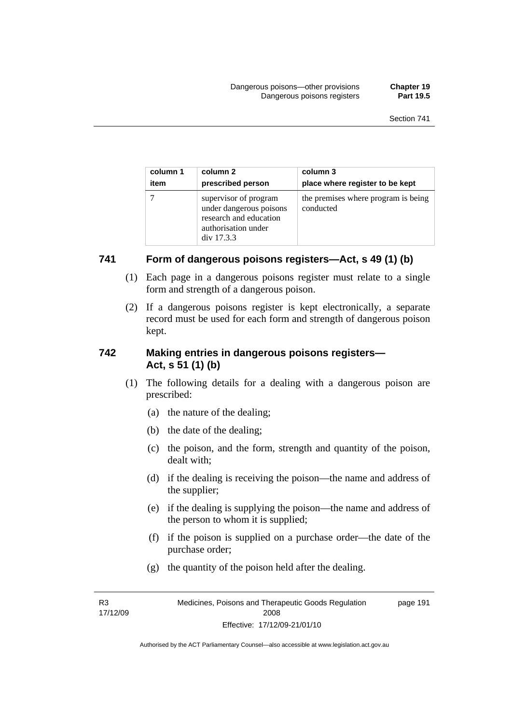| column 1 | column 2                                                                                                        | column 3                                         |
|----------|-----------------------------------------------------------------------------------------------------------------|--------------------------------------------------|
| item     | prescribed person                                                                                               | place where register to be kept                  |
|          | supervisor of program<br>under dangerous poisons<br>research and education<br>authorisation under<br>div 17.3.3 | the premises where program is being<br>conducted |

## **741 Form of dangerous poisons registers—Act, s 49 (1) (b)**

- (1) Each page in a dangerous poisons register must relate to a single form and strength of a dangerous poison.
- (2) If a dangerous poisons register is kept electronically, a separate record must be used for each form and strength of dangerous poison kept.

## **742 Making entries in dangerous poisons registers— Act, s 51 (1) (b)**

- (1) The following details for a dealing with a dangerous poison are prescribed:
	- (a) the nature of the dealing;
	- (b) the date of the dealing;
	- (c) the poison, and the form, strength and quantity of the poison, dealt with;
	- (d) if the dealing is receiving the poison—the name and address of the supplier;
	- (e) if the dealing is supplying the poison—the name and address of the person to whom it is supplied;
	- (f) if the poison is supplied on a purchase order—the date of the purchase order;
	- (g) the quantity of the poison held after the dealing.

R3 17/12/09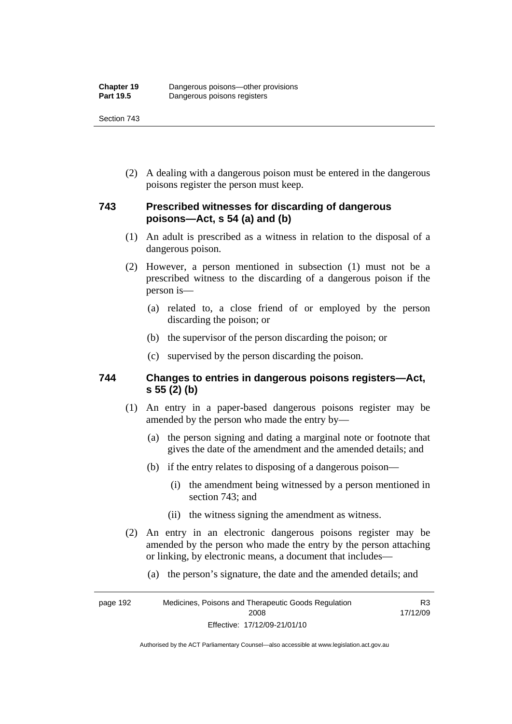(2) A dealing with a dangerous poison must be entered in the dangerous poisons register the person must keep.

## **743 Prescribed witnesses for discarding of dangerous poisons—Act, s 54 (a) and (b)**

- (1) An adult is prescribed as a witness in relation to the disposal of a dangerous poison.
- (2) However, a person mentioned in subsection (1) must not be a prescribed witness to the discarding of a dangerous poison if the person is—
	- (a) related to, a close friend of or employed by the person discarding the poison; or
	- (b) the supervisor of the person discarding the poison; or
	- (c) supervised by the person discarding the poison.

### **744 Changes to entries in dangerous poisons registers—Act, s 55 (2) (b)**

- (1) An entry in a paper-based dangerous poisons register may be amended by the person who made the entry by—
	- (a) the person signing and dating a marginal note or footnote that gives the date of the amendment and the amended details; and
	- (b) if the entry relates to disposing of a dangerous poison—
		- (i) the amendment being witnessed by a person mentioned in section 743; and
		- (ii) the witness signing the amendment as witness.
- (2) An entry in an electronic dangerous poisons register may be amended by the person who made the entry by the person attaching or linking, by electronic means, a document that includes—
	- (a) the person's signature, the date and the amended details; and

page 192 Medicines, Poisons and Therapeutic Goods Regulation 2008 Effective: 17/12/09-21/01/10 R3 17/12/09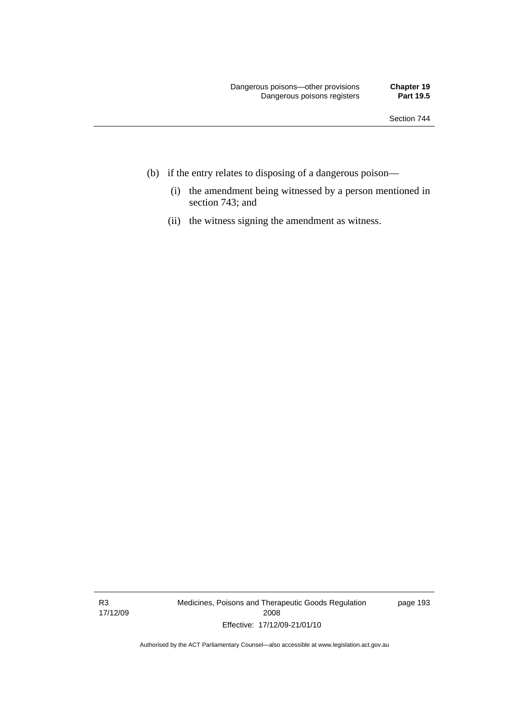- (b) if the entry relates to disposing of a dangerous poison—
	- (i) the amendment being witnessed by a person mentioned in section 743; and
	- (ii) the witness signing the amendment as witness.

R3 17/12/09 Medicines, Poisons and Therapeutic Goods Regulation 2008 Effective: 17/12/09-21/01/10

page 193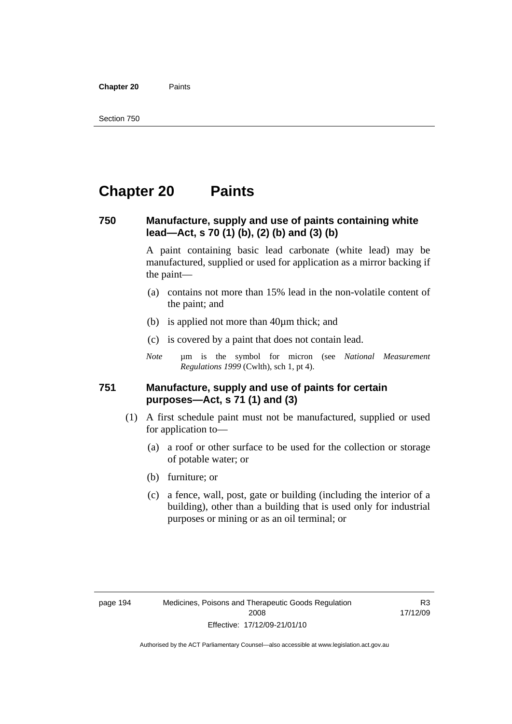**Chapter 20** Paints

## **Chapter 20 Paints**

### **750 Manufacture, supply and use of paints containing white lead—Act, s 70 (1) (b), (2) (b) and (3) (b)**

A paint containing basic lead carbonate (white lead) may be manufactured, supplied or used for application as a mirror backing if the paint—

- (a) contains not more than 15% lead in the non-volatile content of the paint; and
- (b) is applied not more than 40µm thick; and
- (c) is covered by a paint that does not contain lead.
- *Note* um is the symbol for micron (see *National Measurement Regulations 1999* (Cwlth), sch 1, pt 4).

### **751 Manufacture, supply and use of paints for certain purposes—Act, s 71 (1) and (3)**

- (1) A first schedule paint must not be manufactured, supplied or used for application to—
	- (a) a roof or other surface to be used for the collection or storage of potable water; or
	- (b) furniture; or
	- (c) a fence, wall, post, gate or building (including the interior of a building), other than a building that is used only for industrial purposes or mining or as an oil terminal; or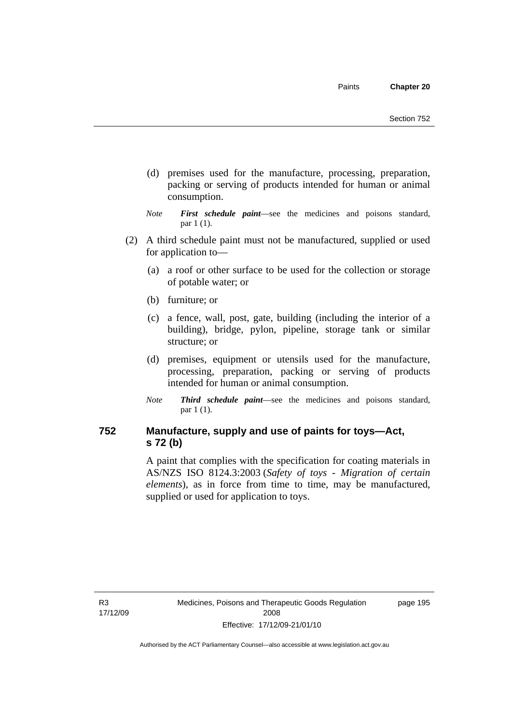- (d) premises used for the manufacture, processing, preparation, packing or serving of products intended for human or animal consumption.
- *Note First schedule paint*—see the medicines and poisons standard, par 1 (1).
- (2) A third schedule paint must not be manufactured, supplied or used for application to—
	- (a) a roof or other surface to be used for the collection or storage of potable water; or
	- (b) furniture; or
	- (c) a fence, wall, post, gate, building (including the interior of a building), bridge, pylon, pipeline, storage tank or similar structure; or
	- (d) premises, equipment or utensils used for the manufacture, processing, preparation, packing or serving of products intended for human or animal consumption.
	- *Note Third schedule paint*—see the medicines and poisons standard, par 1 (1).

## **752 Manufacture, supply and use of paints for toys—Act, s 72 (b)**

A paint that complies with the specification for coating materials in AS/NZS ISO 8124.3:2003 (*Safety of toys - Migration of certain elements*), as in force from time to time, may be manufactured, supplied or used for application to toys.

R3 17/12/09 page 195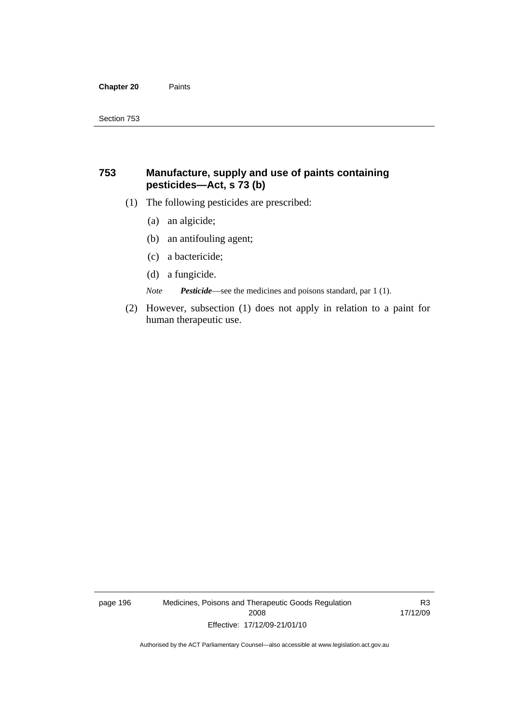#### **Chapter 20** Paints

## **753 Manufacture, supply and use of paints containing pesticides—Act, s 73 (b)**

- (1) The following pesticides are prescribed:
	- (a) an algicide;
	- (b) an antifouling agent;
	- (c) a bactericide;
	- (d) a fungicide.

*Note Pesticide*—see the medicines and poisons standard, par 1 (1).

 (2) However, subsection (1) does not apply in relation to a paint for human therapeutic use.

page 196 Medicines, Poisons and Therapeutic Goods Regulation 2008 Effective: 17/12/09-21/01/10

R3 17/12/09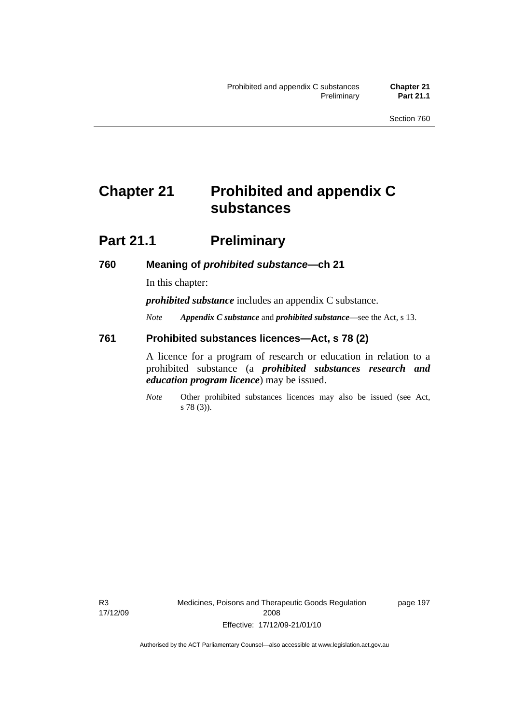## **Chapter 21 Prohibited and appendix C substances**

## **Part 21.1 Preliminary**

### **760 Meaning of** *prohibited substance***—ch 21**

In this chapter:

*prohibited substance* includes an appendix C substance.

*Note Appendix C substance* and *prohibited substance*—see the Act, s 13.

### **761 Prohibited substances licences—Act, s 78 (2)**

A licence for a program of research or education in relation to a prohibited substance (a *prohibited substances research and education program licence*) may be issued.

*Note* Other prohibited substances licences may also be issued (see Act, s 78 (3)).

R3 17/12/09 page 197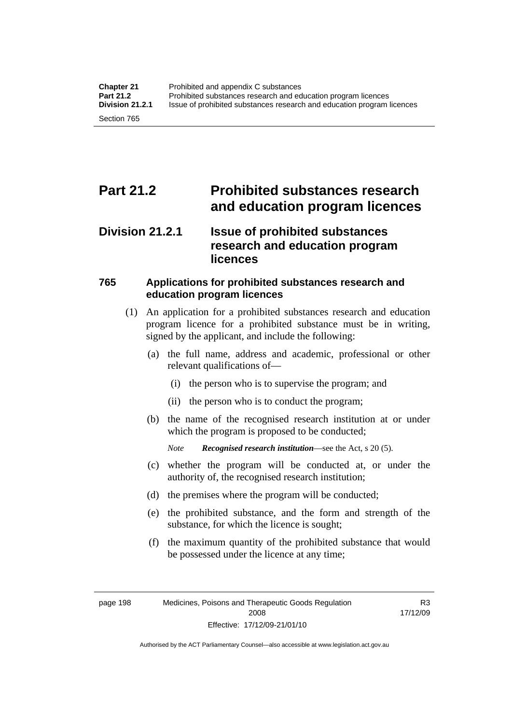## **Part 21.2 Prohibited substances research and education program licences**

## **Division 21.2.1 Issue of prohibited substances research and education program licences**

## **765 Applications for prohibited substances research and education program licences**

- (1) An application for a prohibited substances research and education program licence for a prohibited substance must be in writing, signed by the applicant, and include the following:
	- (a) the full name, address and academic, professional or other relevant qualifications of—
		- (i) the person who is to supervise the program; and
		- (ii) the person who is to conduct the program;
	- (b) the name of the recognised research institution at or under which the program is proposed to be conducted;

*Note Recognised research institution*—see the Act, s 20 (5).

- (c) whether the program will be conducted at, or under the authority of, the recognised research institution;
- (d) the premises where the program will be conducted;
- (e) the prohibited substance, and the form and strength of the substance, for which the licence is sought;
- (f) the maximum quantity of the prohibited substance that would be possessed under the licence at any time;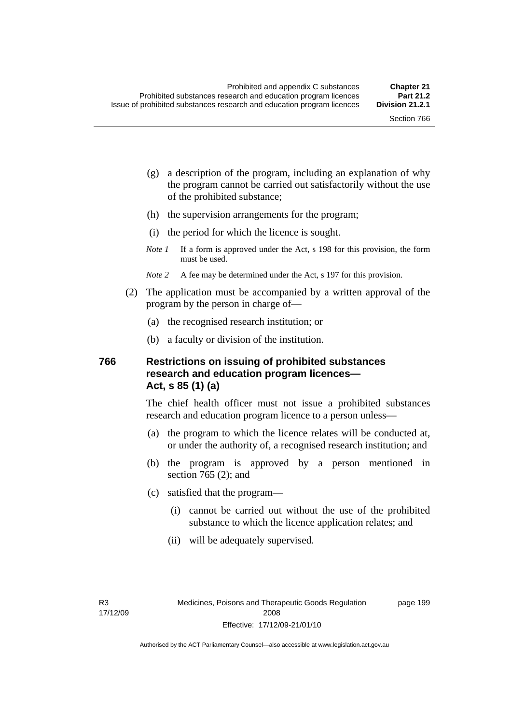page 199

- (g) a description of the program, including an explanation of why the program cannot be carried out satisfactorily without the use of the prohibited substance;
- (h) the supervision arrangements for the program;
- (i) the period for which the licence is sought.
- *Note 1* If a form is approved under the Act, s 198 for this provision, the form must be used.
- *Note* 2 A fee may be determined under the Act, s 197 for this provision.
- (2) The application must be accompanied by a written approval of the program by the person in charge of—
	- (a) the recognised research institution; or
	- (b) a faculty or division of the institution.

## **766 Restrictions on issuing of prohibited substances research and education program licences— Act, s 85 (1) (a)**

The chief health officer must not issue a prohibited substances research and education program licence to a person unless—

- (a) the program to which the licence relates will be conducted at, or under the authority of, a recognised research institution; and
- (b) the program is approved by a person mentioned in section 765 (2); and
- (c) satisfied that the program—
	- (i) cannot be carried out without the use of the prohibited substance to which the licence application relates; and
	- (ii) will be adequately supervised.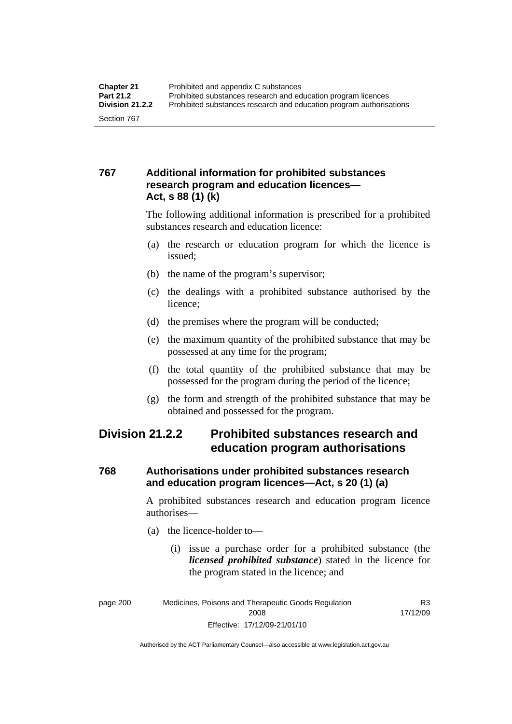## **767 Additional information for prohibited substances research program and education licences— Act, s 88 (1) (k)**

The following additional information is prescribed for a prohibited substances research and education licence:

- (a) the research or education program for which the licence is issued;
- (b) the name of the program's supervisor;
- (c) the dealings with a prohibited substance authorised by the licence;
- (d) the premises where the program will be conducted;
- (e) the maximum quantity of the prohibited substance that may be possessed at any time for the program;
- (f) the total quantity of the prohibited substance that may be possessed for the program during the period of the licence;
- (g) the form and strength of the prohibited substance that may be obtained and possessed for the program.

## **Division 21.2.2 Prohibited substances research and education program authorisations**

## **768 Authorisations under prohibited substances research and education program licences—Act, s 20 (1) (a)**

A prohibited substances research and education program licence authorises—

- (a) the licence-holder to—
	- (i) issue a purchase order for a prohibited substance (the *licensed prohibited substance*) stated in the licence for the program stated in the licence; and

R3 17/12/09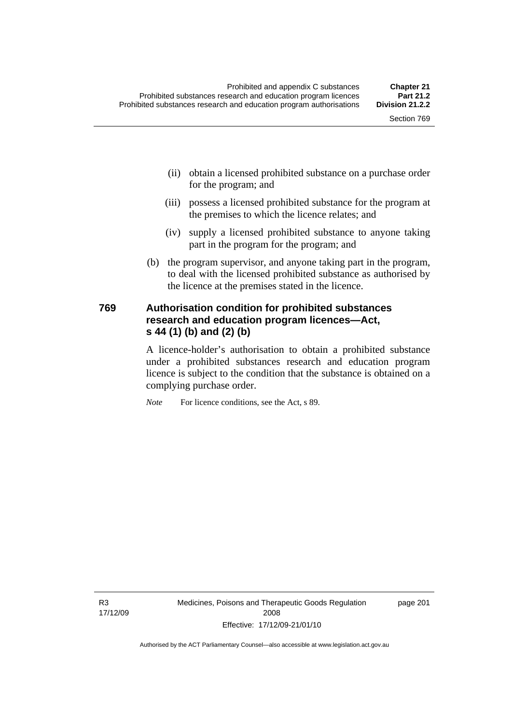- (ii) obtain a licensed prohibited substance on a purchase order for the program; and
- (iii) possess a licensed prohibited substance for the program at the premises to which the licence relates; and
- (iv) supply a licensed prohibited substance to anyone taking part in the program for the program; and
- (b) the program supervisor, and anyone taking part in the program, to deal with the licensed prohibited substance as authorised by the licence at the premises stated in the licence.

## **769 Authorisation condition for prohibited substances research and education program licences—Act, s 44 (1) (b) and (2) (b)**

A licence-holder's authorisation to obtain a prohibited substance under a prohibited substances research and education program licence is subject to the condition that the substance is obtained on a complying purchase order.

*Note* For licence conditions, see the Act, s 89.

R3 17/12/09 Medicines, Poisons and Therapeutic Goods Regulation 2008 Effective: 17/12/09-21/01/10

page 201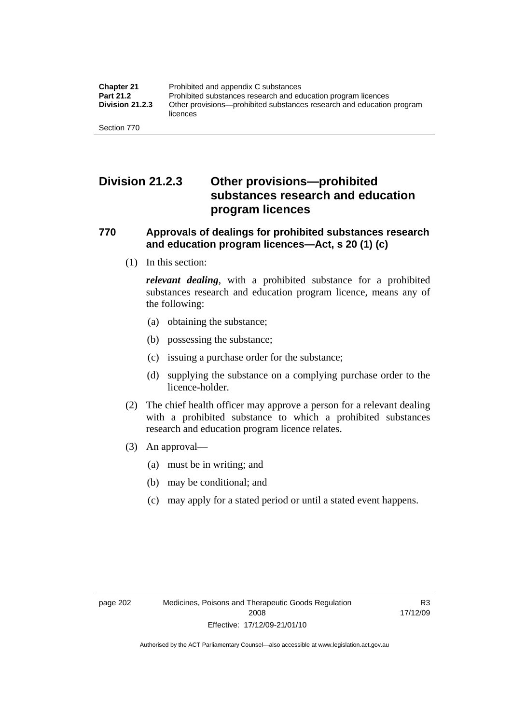## **Division 21.2.3 Other provisions—prohibited substances research and education program licences**

## **770 Approvals of dealings for prohibited substances research and education program licences—Act, s 20 (1) (c)**

(1) In this section:

*relevant dealing*, with a prohibited substance for a prohibited substances research and education program licence, means any of the following:

- (a) obtaining the substance;
- (b) possessing the substance;
- (c) issuing a purchase order for the substance;
- (d) supplying the substance on a complying purchase order to the licence-holder.
- (2) The chief health officer may approve a person for a relevant dealing with a prohibited substance to which a prohibited substances research and education program licence relates.
- (3) An approval—
	- (a) must be in writing; and
	- (b) may be conditional; and
	- (c) may apply for a stated period or until a stated event happens.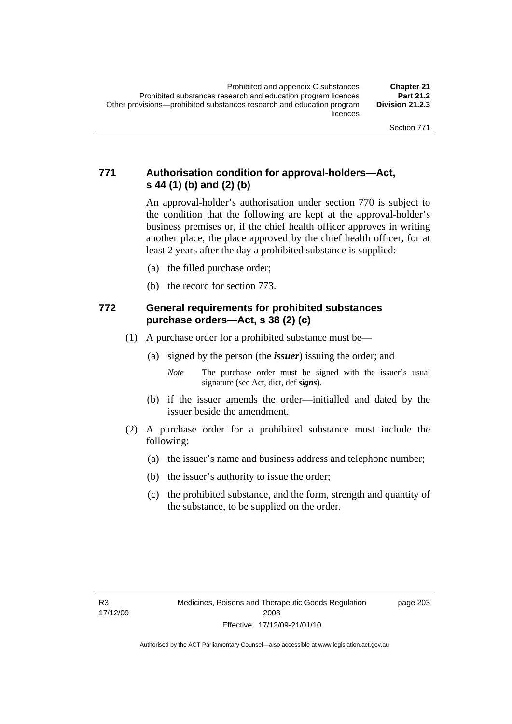## **771 Authorisation condition for approval-holders—Act, s 44 (1) (b) and (2) (b)**

An approval-holder's authorisation under section 770 is subject to the condition that the following are kept at the approval-holder's business premises or, if the chief health officer approves in writing another place, the place approved by the chief health officer, for at least 2 years after the day a prohibited substance is supplied:

- (a) the filled purchase order;
- (b) the record for section 773.

## **772 General requirements for prohibited substances purchase orders—Act, s 38 (2) (c)**

- (1) A purchase order for a prohibited substance must be—
	- (a) signed by the person (the *issuer*) issuing the order; and
		- *Note* The purchase order must be signed with the issuer's usual signature (see Act, dict, def *signs*).
	- (b) if the issuer amends the order—initialled and dated by the issuer beside the amendment.
- (2) A purchase order for a prohibited substance must include the following:
	- (a) the issuer's name and business address and telephone number;
	- (b) the issuer's authority to issue the order;
	- (c) the prohibited substance, and the form, strength and quantity of the substance, to be supplied on the order.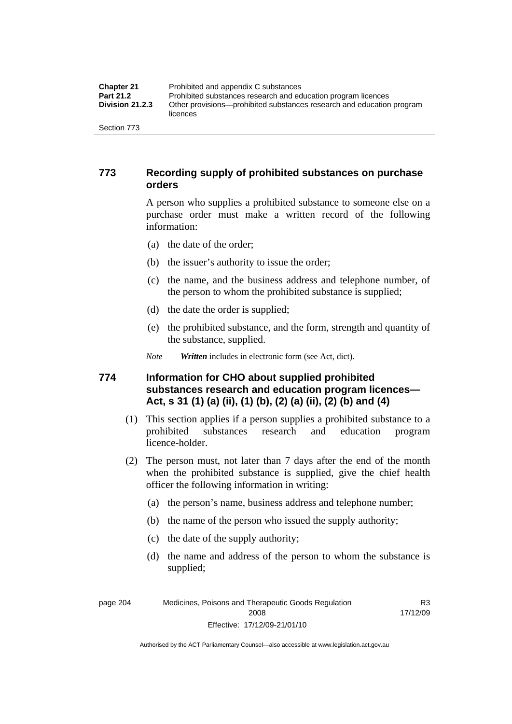| <b>Chapter 21</b>      | Prohibited and appendix C substances                                              |
|------------------------|-----------------------------------------------------------------------------------|
| <b>Part 21.2</b>       | Prohibited substances research and education program licences                     |
| <b>Division 21.2.3</b> | Other provisions—prohibited substances research and education program<br>licences |
| Section 773            |                                                                                   |

## **773 Recording supply of prohibited substances on purchase orders**

A person who supplies a prohibited substance to someone else on a purchase order must make a written record of the following information:

- (a) the date of the order;
- (b) the issuer's authority to issue the order;
- (c) the name, and the business address and telephone number, of the person to whom the prohibited substance is supplied;
- (d) the date the order is supplied;
- (e) the prohibited substance, and the form, strength and quantity of the substance, supplied.

*Note Written* includes in electronic form (see Act, dict).

## **774 Information for CHO about supplied prohibited substances research and education program licences— Act, s 31 (1) (a) (ii), (1) (b), (2) (a) (ii), (2) (b) and (4)**

- (1) This section applies if a person supplies a prohibited substance to a prohibited substances research and education program licence-holder.
- (2) The person must, not later than 7 days after the end of the month when the prohibited substance is supplied, give the chief health officer the following information in writing:
	- (a) the person's name, business address and telephone number;
	- (b) the name of the person who issued the supply authority;
	- (c) the date of the supply authority;
	- (d) the name and address of the person to whom the substance is supplied;

R3 17/12/09

page 204 Medicines, Poisons and Therapeutic Goods Regulation 2008 Effective: 17/12/09-21/01/10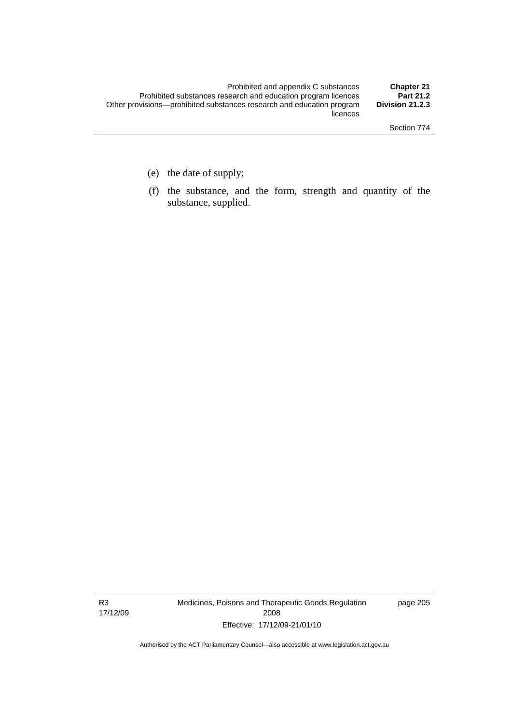- (e) the date of supply;
- (f) the substance, and the form, strength and quantity of the substance, supplied.

R3 17/12/09 Medicines, Poisons and Therapeutic Goods Regulation 2008 Effective: 17/12/09-21/01/10

page 205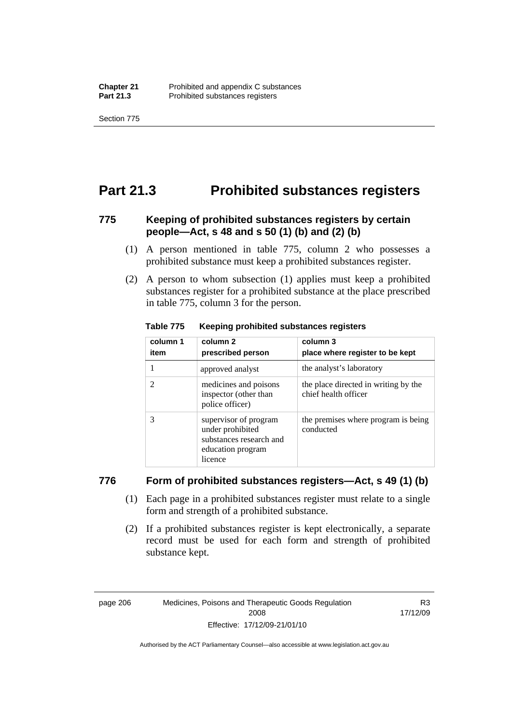Section 775

## **Part 21.3 Prohibited substances registers**

## **775 Keeping of prohibited substances registers by certain people—Act, s 48 and s 50 (1) (b) and (2) (b)**

- (1) A person mentioned in table 775, column 2 who possesses a prohibited substance must keep a prohibited substances register.
- (2) A person to whom subsection (1) applies must keep a prohibited substances register for a prohibited substance at the place prescribed in table 775, column 3 for the person.

| column 1<br>item | column 2<br>prescribed person                                                                        | column 3<br>place where register to be kept                  |
|------------------|------------------------------------------------------------------------------------------------------|--------------------------------------------------------------|
|                  | approved analyst                                                                                     | the analyst's laboratory                                     |
| 2                | medicines and poisons<br>inspector (other than<br>police officer)                                    | the place directed in writing by the<br>chief health officer |
| 3                | supervisor of program<br>under prohibited<br>substances research and<br>education program<br>licence | the premises where program is being<br>conducted             |

#### **Table 775 Keeping prohibited substances registers**

### **776 Form of prohibited substances registers—Act, s 49 (1) (b)**

- (1) Each page in a prohibited substances register must relate to a single form and strength of a prohibited substance.
- (2) If a prohibited substances register is kept electronically, a separate record must be used for each form and strength of prohibited substance kept.

R3 17/12/09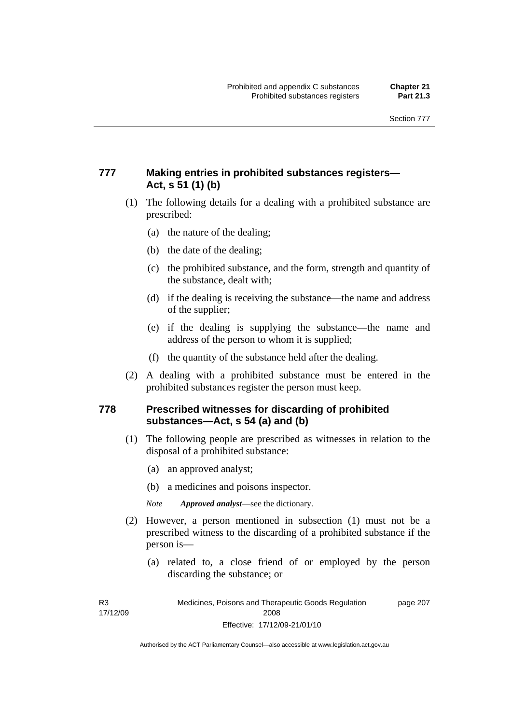## **777 Making entries in prohibited substances registers— Act, s 51 (1) (b)**

- (1) The following details for a dealing with a prohibited substance are prescribed:
	- (a) the nature of the dealing;
	- (b) the date of the dealing;
	- (c) the prohibited substance, and the form, strength and quantity of the substance, dealt with;
	- (d) if the dealing is receiving the substance—the name and address of the supplier;
	- (e) if the dealing is supplying the substance—the name and address of the person to whom it is supplied;
	- (f) the quantity of the substance held after the dealing.
- (2) A dealing with a prohibited substance must be entered in the prohibited substances register the person must keep.

## **778 Prescribed witnesses for discarding of prohibited substances—Act, s 54 (a) and (b)**

- (1) The following people are prescribed as witnesses in relation to the disposal of a prohibited substance:
	- (a) an approved analyst;
	- (b) a medicines and poisons inspector.

*Note Approved analyst*—see the dictionary.

- (2) However, a person mentioned in subsection (1) must not be a prescribed witness to the discarding of a prohibited substance if the person is—
	- (a) related to, a close friend of or employed by the person discarding the substance; or

R3 17/12/09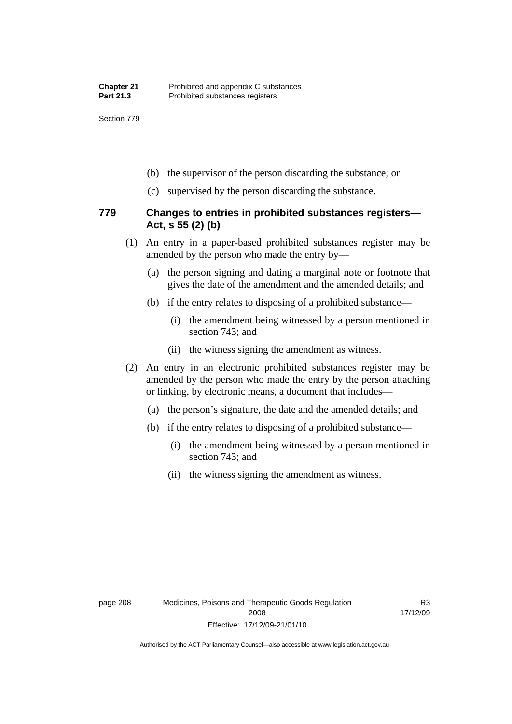Section 779

- (b) the supervisor of the person discarding the substance; or
- (c) supervised by the person discarding the substance.

### **779 Changes to entries in prohibited substances registers— Act, s 55 (2) (b)**

- (1) An entry in a paper-based prohibited substances register may be amended by the person who made the entry by—
	- (a) the person signing and dating a marginal note or footnote that gives the date of the amendment and the amended details; and
	- (b) if the entry relates to disposing of a prohibited substance—
		- (i) the amendment being witnessed by a person mentioned in section 743; and
		- (ii) the witness signing the amendment as witness.
- (2) An entry in an electronic prohibited substances register may be amended by the person who made the entry by the person attaching or linking, by electronic means, a document that includes—
	- (a) the person's signature, the date and the amended details; and
	- (b) if the entry relates to disposing of a prohibited substance—
		- (i) the amendment being witnessed by a person mentioned in section 743; and
		- (ii) the witness signing the amendment as witness.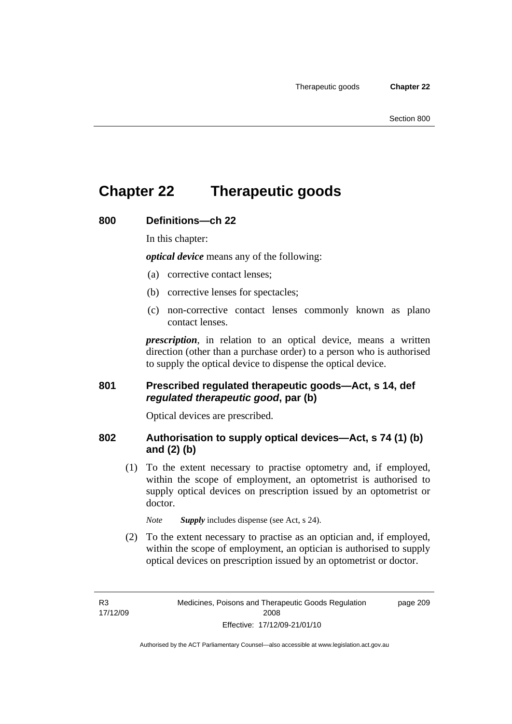page 209

## **Chapter 22 Therapeutic goods**

### **800 Definitions—ch 22**

In this chapter:

*optical device* means any of the following:

- (a) corrective contact lenses;
- (b) corrective lenses for spectacles;
- (c) non-corrective contact lenses commonly known as plano contact lenses.

*prescription*, in relation to an optical device, means a written direction (other than a purchase order) to a person who is authorised to supply the optical device to dispense the optical device.

### **801 Prescribed regulated therapeutic goods—Act, s 14, def**  *regulated therapeutic good***, par (b)**

Optical devices are prescribed.

## **802 Authorisation to supply optical devices—Act, s 74 (1) (b) and (2) (b)**

 (1) To the extent necessary to practise optometry and, if employed, within the scope of employment, an optometrist is authorised to supply optical devices on prescription issued by an optometrist or doctor.

*Note Supply* includes dispense (see Act, s 24).

 (2) To the extent necessary to practise as an optician and, if employed, within the scope of employment, an optician is authorised to supply optical devices on prescription issued by an optometrist or doctor.

R3 17/12/09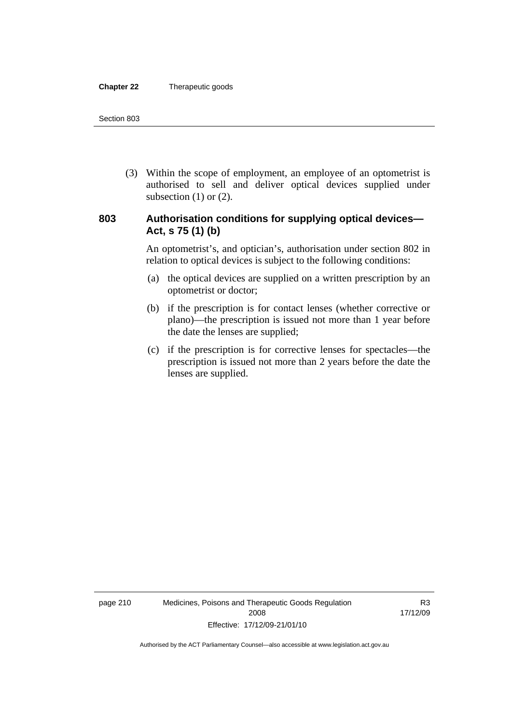#### **Chapter 22** Therapeutic goods

 (3) Within the scope of employment, an employee of an optometrist is authorised to sell and deliver optical devices supplied under subsection  $(1)$  or  $(2)$ .

## **803 Authorisation conditions for supplying optical devices— Act, s 75 (1) (b)**

An optometrist's, and optician's, authorisation under section 802 in relation to optical devices is subject to the following conditions:

- (a) the optical devices are supplied on a written prescription by an optometrist or doctor;
- (b) if the prescription is for contact lenses (whether corrective or plano)—the prescription is issued not more than 1 year before the date the lenses are supplied;
- (c) if the prescription is for corrective lenses for spectacles—the prescription is issued not more than 2 years before the date the lenses are supplied.

page 210 Medicines, Poisons and Therapeutic Goods Regulation 2008 Effective: 17/12/09-21/01/10

R3 17/12/09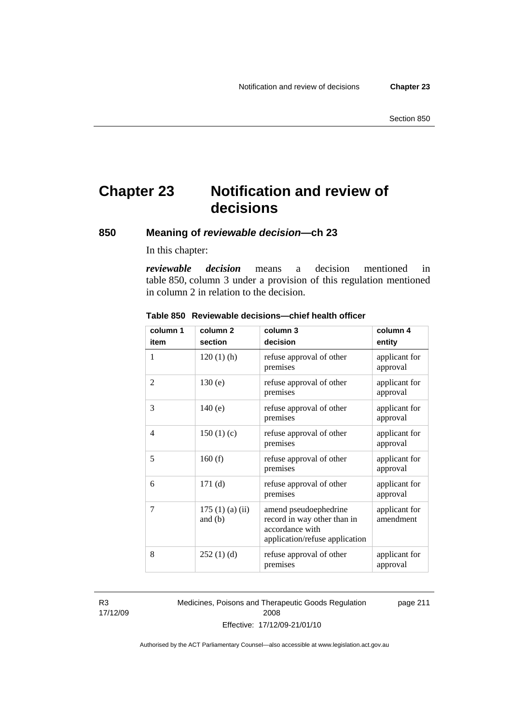## **Chapter 23 Notification and review of decisions**

**850 Meaning of** *reviewable decision—***ch 23** 

In this chapter:

*reviewable decision* means a decision mentioned in table 850, column 3 under a provision of this regulation mentioned in column 2 in relation to the decision.

| column 1       | column <sub>2</sub>        | column 3                                                                                                  | column 4                   |
|----------------|----------------------------|-----------------------------------------------------------------------------------------------------------|----------------------------|
| item           | section                    | decision                                                                                                  | entity                     |
| 1              | $120(1)$ (h)               | refuse approval of other<br>premises                                                                      | applicant for<br>approval  |
| $\overline{2}$ | 130(e)                     | refuse approval of other<br>premises                                                                      | applicant for<br>approval  |
| 3              | 140(e)                     | refuse approval of other<br>premises                                                                      | applicant for<br>approval  |
| 4              | 150(1)(c)                  | refuse approval of other<br>premises                                                                      | applicant for<br>approval  |
| 5              | 160(f)                     | refuse approval of other<br>premises                                                                      | applicant for<br>approval  |
| 6              | 171(d)                     | refuse approval of other<br>premises                                                                      | applicant for<br>approval  |
| 7              | 175(1)(a)(ii)<br>and $(b)$ | amend pseudoephedrine<br>record in way other than in<br>accordance with<br>application/refuse application | applicant for<br>amendment |
| 8              | 252(1)(d)                  | refuse approval of other<br>premises                                                                      | applicant for<br>approval  |

#### **Table 850 Reviewable decisions—chief health officer**

R3 17/12/09 Medicines, Poisons and Therapeutic Goods Regulation 2008 Effective: 17/12/09-21/01/10 page 211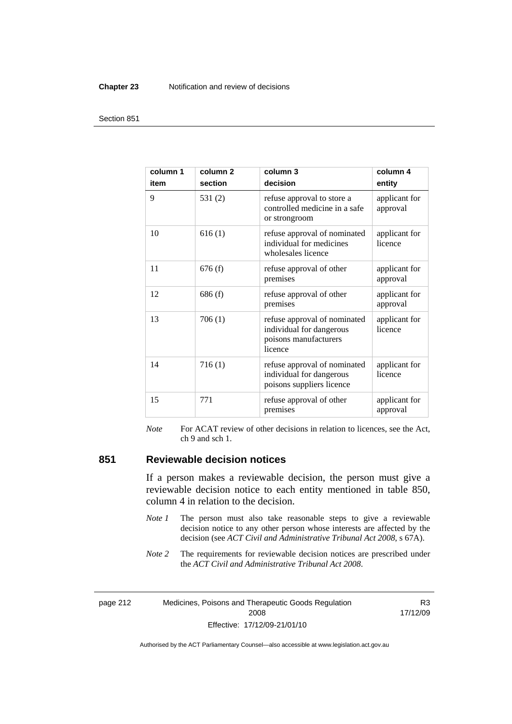#### **Chapter 23** Notification and review of decisions

#### Section 851

| column 1<br>item | column <sub>2</sub><br>section | column 3<br>decision                                                                         | column 4<br>entity        |
|------------------|--------------------------------|----------------------------------------------------------------------------------------------|---------------------------|
| 9                | 531(2)                         | refuse approval to store a<br>controlled medicine in a safe<br>or strongroom                 | applicant for<br>approval |
| 10               | 616(1)                         | refuse approval of nominated<br>individual for medicines<br>wholesales licence               | applicant for<br>licence  |
| 11               | 676(f)                         | refuse approval of other<br>premises                                                         | applicant for<br>approval |
| 12               | 686(f)                         | refuse approval of other<br>premises                                                         | applicant for<br>approval |
| 13               | 706(1)                         | refuse approval of nominated<br>individual for dangerous<br>poisons manufacturers<br>licence | applicant for<br>licence  |
| 14               | 716(1)                         | refuse approval of nominated<br>individual for dangerous<br>poisons suppliers licence        | applicant for<br>licence  |
| 15               | 771                            | refuse approval of other<br>premises                                                         | applicant for<br>approval |

*Note* For ACAT review of other decisions in relation to licences, see the Act, ch 9 and sch 1.

## **851 Reviewable decision notices**

If a person makes a reviewable decision, the person must give a reviewable decision notice to each entity mentioned in table 850, column 4 in relation to the decision.

- *Note 1* The person must also take reasonable steps to give a reviewable decision notice to any other person whose interests are affected by the decision (see *ACT Civil and Administrative Tribunal Act 2008*, s 67A).
- *Note* 2 The requirements for reviewable decision notices are prescribed under the *ACT Civil and Administrative Tribunal Act 2008*.

page 212 Medicines, Poisons and Therapeutic Goods Regulation 2008 Effective: 17/12/09-21/01/10

R3 17/12/09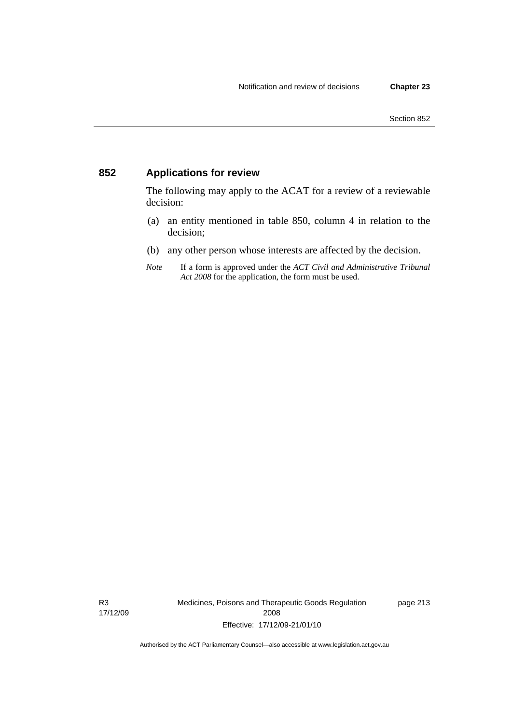## **852 Applications for review**

The following may apply to the ACAT for a review of a reviewable decision:

- (a) an entity mentioned in table 850, column 4 in relation to the decision;
- (b) any other person whose interests are affected by the decision.
- *Note* If a form is approved under the *ACT Civil and Administrative Tribunal Act 2008* for the application, the form must be used.

R3 17/12/09 Medicines, Poisons and Therapeutic Goods Regulation 2008 Effective: 17/12/09-21/01/10

page 213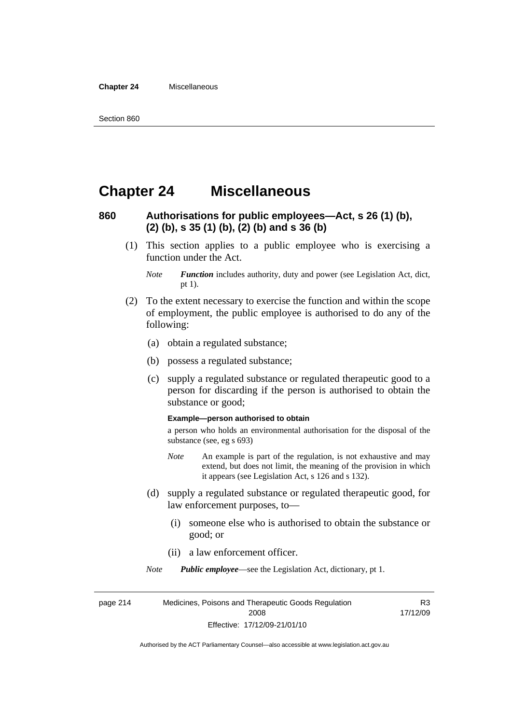#### **Chapter 24** Miscellaneous

## **Chapter 24 Miscellaneous**

## **860 Authorisations for public employees—Act, s 26 (1) (b), (2) (b), s 35 (1) (b), (2) (b) and s 36 (b)**

 (1) This section applies to a public employee who is exercising a function under the Act.

- (2) To the extent necessary to exercise the function and within the scope of employment, the public employee is authorised to do any of the following:
	- (a) obtain a regulated substance;
	- (b) possess a regulated substance;
	- (c) supply a regulated substance or regulated therapeutic good to a person for discarding if the person is authorised to obtain the substance or good;

#### **Example—person authorised to obtain**

a person who holds an environmental authorisation for the disposal of the substance (see, eg s 693)

- *Note* An example is part of the regulation, is not exhaustive and may extend, but does not limit, the meaning of the provision in which it appears (see Legislation Act, s 126 and s 132).
- (d) supply a regulated substance or regulated therapeutic good, for law enforcement purposes, to—
	- (i) someone else who is authorised to obtain the substance or good; or
	- (ii) a law enforcement officer.

*Note Public employee*—see the Legislation Act, dictionary, pt 1.

page 214 Medicines, Poisons and Therapeutic Goods Regulation 2008 Effective: 17/12/09-21/01/10 R3 17/12/09

*Note Function* includes authority, duty and power (see Legislation Act, dict, pt 1).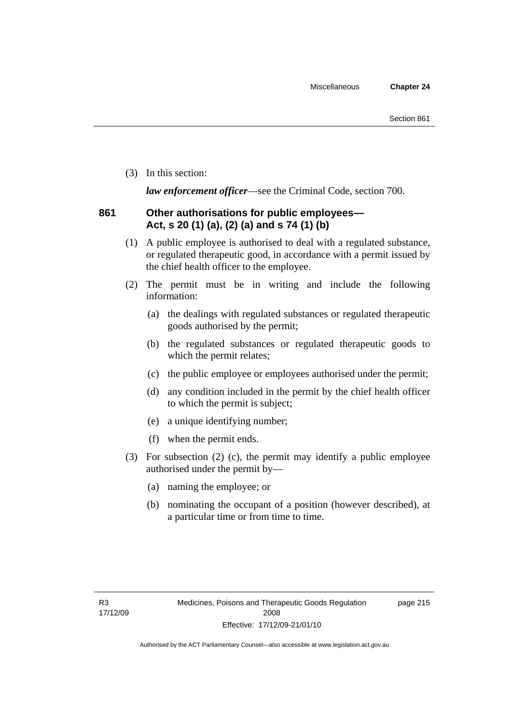(3) In this section:

*law enforcement officer*—see the Criminal Code, section 700.

## **861 Other authorisations for public employees— Act, s 20 (1) (a), (2) (a) and s 74 (1) (b)**

- (1) A public employee is authorised to deal with a regulated substance, or regulated therapeutic good, in accordance with a permit issued by the chief health officer to the employee.
- (2) The permit must be in writing and include the following information:
	- (a) the dealings with regulated substances or regulated therapeutic goods authorised by the permit;
	- (b) the regulated substances or regulated therapeutic goods to which the permit relates;
	- (c) the public employee or employees authorised under the permit;
	- (d) any condition included in the permit by the chief health officer to which the permit is subject;
	- (e) a unique identifying number;
	- (f) when the permit ends.
- (3) For subsection (2) (c), the permit may identify a public employee authorised under the permit by—
	- (a) naming the employee; or
	- (b) nominating the occupant of a position (however described), at a particular time or from time to time.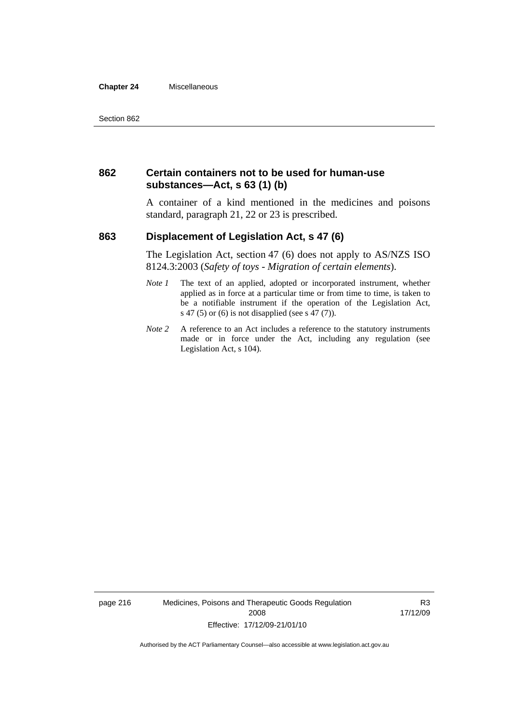#### **Chapter 24** Miscellaneous

### **862 Certain containers not to be used for human-use substances—Act, s 63 (1) (b)**

A container of a kind mentioned in the medicines and poisons standard, paragraph 21, 22 or 23 is prescribed.

### **863 Displacement of Legislation Act, s 47 (6)**

The Legislation Act, section 47 (6) does not apply to AS/NZS ISO 8124.3:2003 (*Safety of toys - Migration of certain elements*).

- *Note 1* The text of an applied, adopted or incorporated instrument, whether applied as in force at a particular time or from time to time, is taken to be a notifiable instrument if the operation of the Legislation Act, s 47 (5) or (6) is not disapplied (see s 47 (7)).
- *Note 2* A reference to an Act includes a reference to the statutory instruments made or in force under the Act, including any regulation (see Legislation Act, s 104).

page 216 Medicines, Poisons and Therapeutic Goods Regulation 2008 Effective: 17/12/09-21/01/10

R3 17/12/09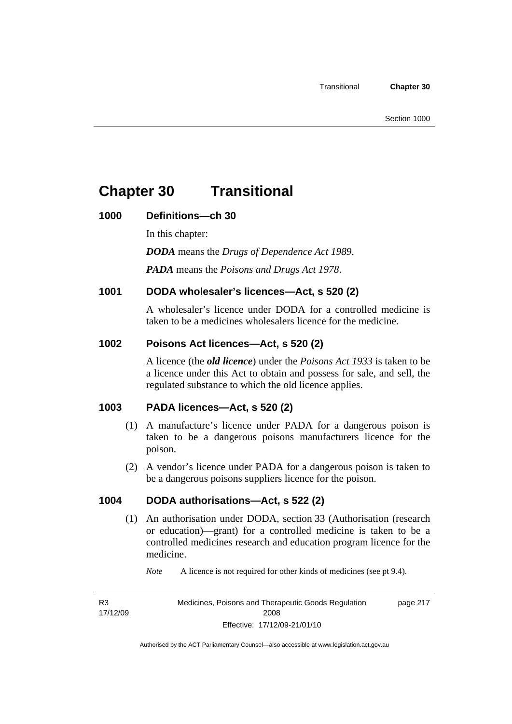## **Chapter 30 Transitional**

## **1000 Definitions—ch 30**

In this chapter:

*DODA* means the *Drugs of Dependence Act 1989*.

*PADA* means the *Poisons and Drugs Act 1978*.

## **1001 DODA wholesaler's licences—Act, s 520 (2)**

A wholesaler's licence under DODA for a controlled medicine is taken to be a medicines wholesalers licence for the medicine.

## **1002 Poisons Act licences—Act, s 520 (2)**

A licence (the *old licence*) under the *Poisons Act 1933* is taken to be a licence under this Act to obtain and possess for sale, and sell, the regulated substance to which the old licence applies.

## **1003 PADA licences—Act, s 520 (2)**

- (1) A manufacture's licence under PADA for a dangerous poison is taken to be a dangerous poisons manufacturers licence for the poison.
- (2) A vendor's licence under PADA for a dangerous poison is taken to be a dangerous poisons suppliers licence for the poison.

## **1004 DODA authorisations—Act, s 522 (2)**

- (1) An authorisation under DODA, section 33 (Authorisation (research or education)—grant) for a controlled medicine is taken to be a controlled medicines research and education program licence for the medicine.
	- *Note* A licence is not required for other kinds of medicines (see pt 9.4).

R3 17/12/09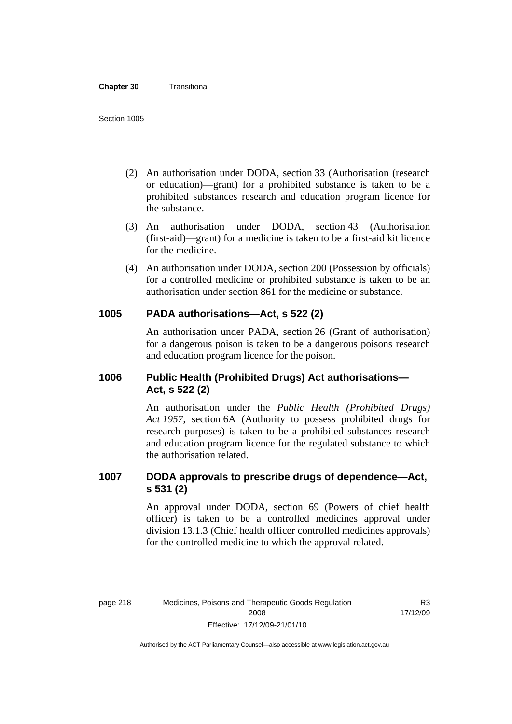#### **Chapter 30** Transitional

- (2) An authorisation under DODA, section 33 (Authorisation (research or education)—grant) for a prohibited substance is taken to be a prohibited substances research and education program licence for the substance.
- (3) An authorisation under DODA, section 43 (Authorisation (first-aid)—grant) for a medicine is taken to be a first-aid kit licence for the medicine.
- (4) An authorisation under DODA, section 200 (Possession by officials) for a controlled medicine or prohibited substance is taken to be an authorisation under section 861 for the medicine or substance.

### **1005 PADA authorisations—Act, s 522 (2)**

An authorisation under PADA, section 26 (Grant of authorisation) for a dangerous poison is taken to be a dangerous poisons research and education program licence for the poison.

## **1006 Public Health (Prohibited Drugs) Act authorisations— Act, s 522 (2)**

An authorisation under the *Public Health (Prohibited Drugs) Act 1957*, section 6A (Authority to possess prohibited drugs for research purposes) is taken to be a prohibited substances research and education program licence for the regulated substance to which the authorisation related.

## **1007 DODA approvals to prescribe drugs of dependence—Act, s 531 (2)**

An approval under DODA, section 69 (Powers of chief health officer) is taken to be a controlled medicines approval under division 13.1.3 (Chief health officer controlled medicines approvals) for the controlled medicine to which the approval related.

R3 17/12/09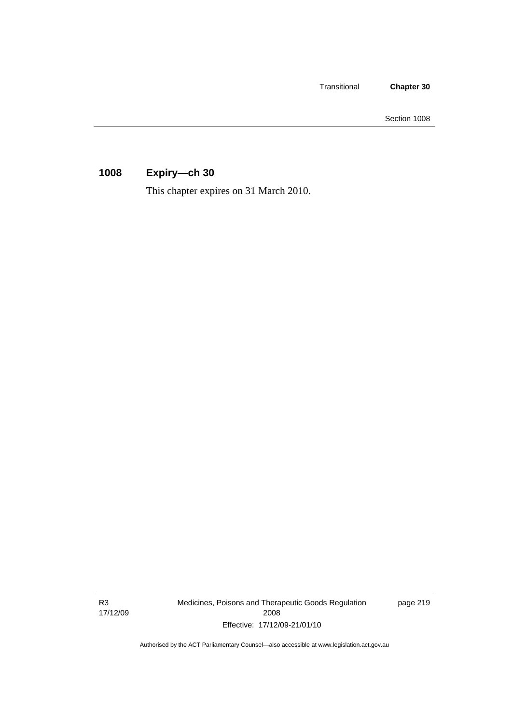Transitional **Chapter 30** 

Section 1008

## **1008 Expiry—ch 30**

This chapter expires on 31 March 2010.

R3 17/12/09 Medicines, Poisons and Therapeutic Goods Regulation 2008 Effective: 17/12/09-21/01/10

page 219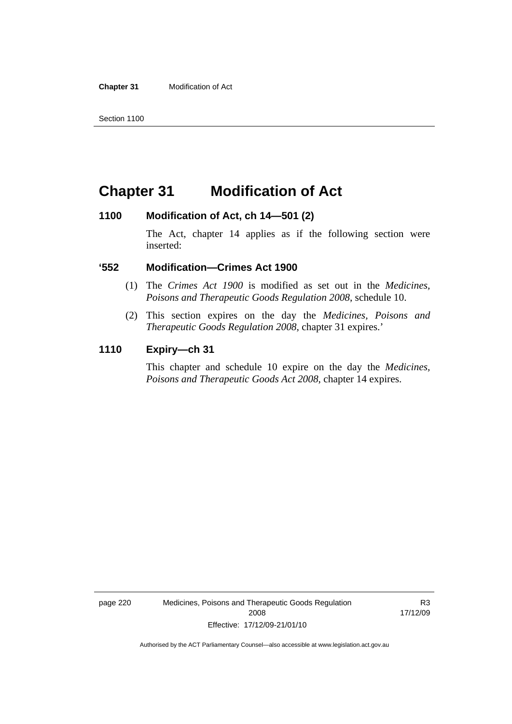**Chapter 31** Modification of Act

## **Chapter 31 Modification of Act**

### **1100 Modification of Act, ch 14—501 (2)**

The Act, chapter 14 applies as if the following section were inserted:

### **'552 Modification—Crimes Act 1900**

- (1) The *Crimes Act 1900* is modified as set out in the *Medicines, Poisons and Therapeutic Goods Regulation 2008*, schedule 10.
- (2) This section expires on the day the *Medicines, Poisons and Therapeutic Goods Regulation 2008*, chapter 31 expires.'

### **1110 Expiry—ch 31**

This chapter and schedule 10 expire on the day the *Medicines, Poisons and Therapeutic Goods Act 2008*, chapter 14 expires.

page 220 Medicines, Poisons and Therapeutic Goods Regulation 2008 Effective: 17/12/09-21/01/10

R3 17/12/09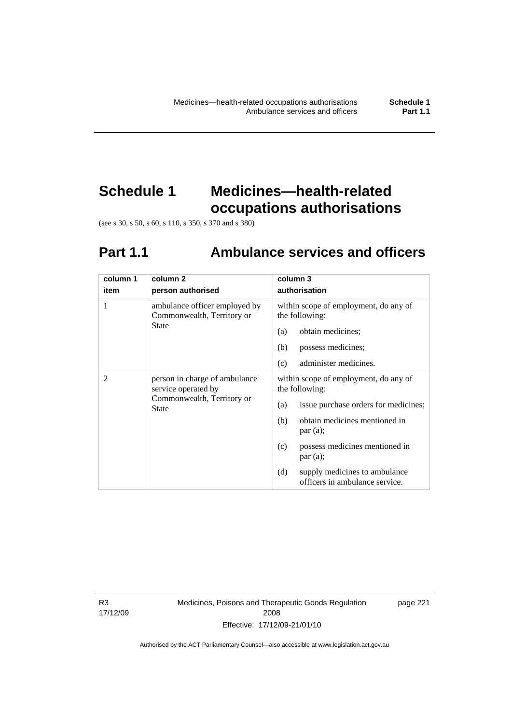## **Schedule 1 Medicines—health-related occupations authorisations**

(see s 30, s 50, s 60, s 110, s 350, s 370 and s 380)

# **Part 1.1 Ambulance services and officers**

| column 1       | column <sub>2</sub>                                                                                | column 3                                                               |
|----------------|----------------------------------------------------------------------------------------------------|------------------------------------------------------------------------|
| item           | person authorised                                                                                  | authorisation                                                          |
| 1              | ambulance officer employed by<br>Commonwealth, Territory or                                        | within scope of employment, do any of<br>the following:                |
|                | State                                                                                              | obtain medicines;<br>(a)                                               |
|                |                                                                                                    | possess medicines;<br>(b)                                              |
|                |                                                                                                    | (c)<br>administer medicines.                                           |
| $\overline{2}$ | person in charge of ambulance<br>service operated by<br>Commonwealth, Territory or<br><b>State</b> | within scope of employment, do any of<br>the following:                |
|                |                                                                                                    | issue purchase orders for medicines;<br>(a)                            |
|                |                                                                                                    | obtain medicines mentioned in<br>(b)<br>par(a);                        |
|                |                                                                                                    | possess medicines mentioned in<br>(c)<br>par(a);                       |
|                |                                                                                                    | supply medicines to ambulance<br>(d)<br>officers in ambulance service. |

R3 17/12/09 Medicines, Poisons and Therapeutic Goods Regulation 2008 Effective: 17/12/09-21/01/10

page 221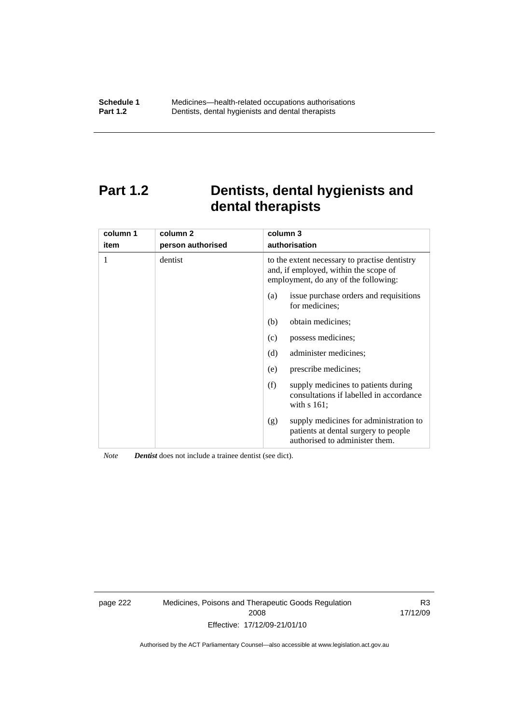## **Part 1.2 Dentists, dental hygienists and dental therapists**

| column 1<br>item | column <sub>2</sub><br>person authorised | column 3<br>authorisation                                                                                                      |
|------------------|------------------------------------------|--------------------------------------------------------------------------------------------------------------------------------|
| 1                | dentist                                  | to the extent necessary to practise dentistry<br>and, if employed, within the scope of<br>employment, do any of the following: |
|                  |                                          | issue purchase orders and requisitions<br>(a)<br>for medicines;                                                                |
|                  |                                          | obtain medicines;<br>(b)                                                                                                       |
|                  |                                          | possess medicines;<br>(c)                                                                                                      |
|                  |                                          | (d)<br>administer medicines;                                                                                                   |
|                  |                                          | prescribe medicines;<br>(e)                                                                                                    |
|                  |                                          | (f)<br>supply medicines to patients during<br>consultations if labelled in accordance<br>with $s$ 161;                         |
|                  |                                          | supply medicines for administration to<br>(g)<br>patients at dental surgery to people<br>authorised to administer them.        |

*Note Dentist* does not include a trainee dentist (see dict).

page 222 Medicines, Poisons and Therapeutic Goods Regulation 2008 Effective: 17/12/09-21/01/10

R3 17/12/09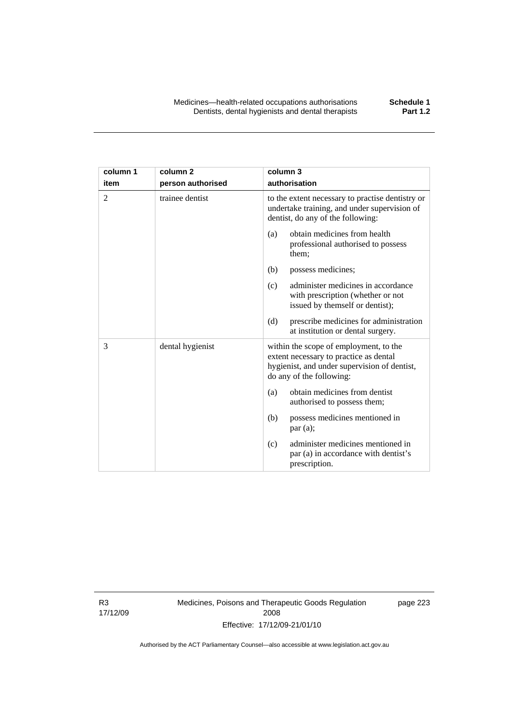| column 1 | column <sub>2</sub> | column 3                                                                                                                                                     |
|----------|---------------------|--------------------------------------------------------------------------------------------------------------------------------------------------------------|
| item     | person authorised   | authorisation                                                                                                                                                |
| 2        | trainee dentist     | to the extent necessary to practise dentistry or<br>undertake training, and under supervision of<br>dentist, do any of the following:                        |
|          |                     | obtain medicines from health<br>(a)<br>professional authorised to possess<br>them;                                                                           |
|          |                     | possess medicines;<br>(b)                                                                                                                                    |
|          |                     | administer medicines in accordance<br>(c)<br>with prescription (whether or not<br>issued by themself or dentist);                                            |
|          |                     | (d)<br>prescribe medicines for administration<br>at institution or dental surgery.                                                                           |
| 3        | dental hygienist    | within the scope of employment, to the<br>extent necessary to practice as dental<br>hygienist, and under supervision of dentist,<br>do any of the following: |
|          |                     | obtain medicines from dentist<br>(a)<br>authorised to possess them;                                                                                          |
|          |                     | possess medicines mentioned in<br>(b)<br>par(a);                                                                                                             |
|          |                     | administer medicines mentioned in<br>(c)<br>par (a) in accordance with dentist's<br>prescription.                                                            |

R3 17/12/09 Medicines, Poisons and Therapeutic Goods Regulation 2008 Effective: 17/12/09-21/01/10

page 223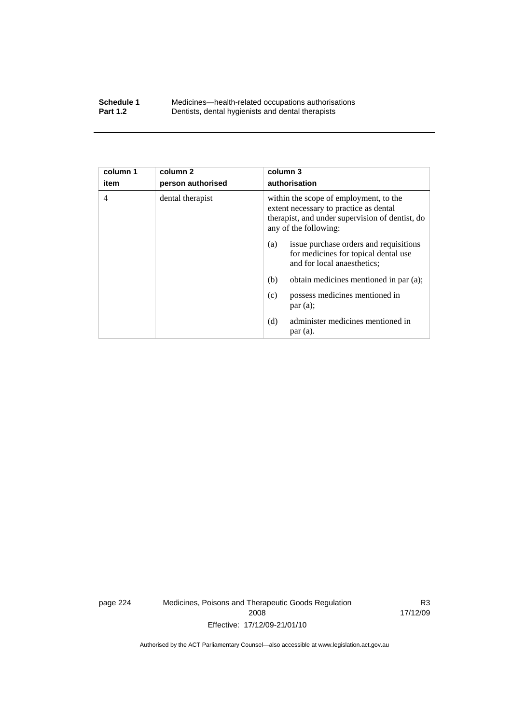### **Schedule 1** Medicines—health-related occupations authorisations<br>**Part 1.2** Dentists, dental hygienists and dental therapists **Part 1.2** Dentists, dental hygienists and dental therapists

| column 1<br>item | column <sub>2</sub><br>person authorised | column 3<br>authorisation                                                                                                                                    |
|------------------|------------------------------------------|--------------------------------------------------------------------------------------------------------------------------------------------------------------|
|                  |                                          |                                                                                                                                                              |
| $\overline{4}$   | dental therapist                         | within the scope of employment, to the<br>extent necessary to practice as dental<br>therapist, and under supervision of dentist, do<br>any of the following: |
|                  |                                          | issue purchase orders and requisitions<br>(a)<br>for medicines for topical dental use<br>and for local anaesthetics;                                         |
|                  |                                          | (b)<br>obtain medicines mentioned in par (a);                                                                                                                |
|                  |                                          | possess medicines mentioned in<br>(c)<br>par(a);                                                                                                             |
|                  |                                          | administer medicines mentioned in<br>(d)<br>par(a).                                                                                                          |

page 224 Medicines, Poisons and Therapeutic Goods Regulation 2008 Effective: 17/12/09-21/01/10

R3 17/12/09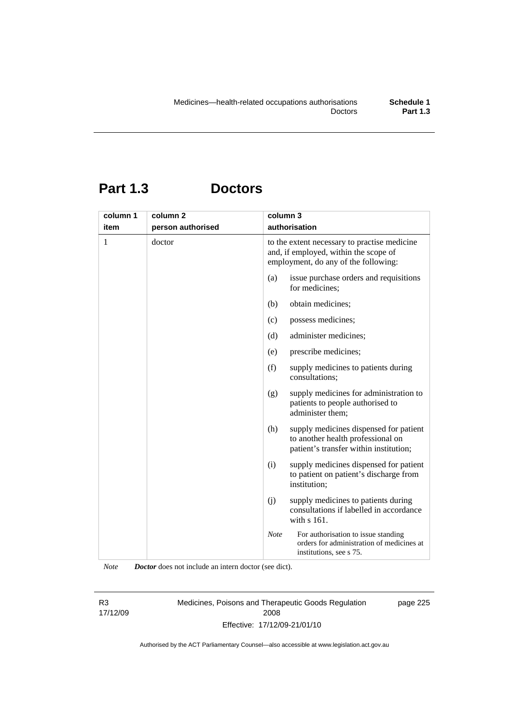## **Part 1.3 Doctors**

| column 1 | column 2          | column 3    | authorisation                                                                                                                 |
|----------|-------------------|-------------|-------------------------------------------------------------------------------------------------------------------------------|
| item     | person authorised |             |                                                                                                                               |
| 1        | doctor            |             | to the extent necessary to practise medicine<br>and, if employed, within the scope of<br>employment, do any of the following: |
|          |                   | (a)         | issue purchase orders and requisitions<br>for medicines;                                                                      |
|          |                   | (b)         | obtain medicines;                                                                                                             |
|          |                   | (c)         | possess medicines;                                                                                                            |
|          |                   | (d)         | administer medicines;                                                                                                         |
|          |                   | (e)         | prescribe medicines;                                                                                                          |
|          |                   | (f)         | supply medicines to patients during<br>consultations;                                                                         |
|          |                   | (g)         | supply medicines for administration to<br>patients to people authorised to<br>administer them;                                |
|          |                   | (h)         | supply medicines dispensed for patient<br>to another health professional on<br>patient's transfer within institution;         |
|          |                   | (i)         | supply medicines dispensed for patient<br>to patient on patient's discharge from<br>institution;                              |
|          |                   | (j)         | supply medicines to patients during<br>consultations if labelled in accordance<br>with s 161.                                 |
|          |                   | <b>Note</b> | For authorisation to issue standing<br>orders for administration of medicines at<br>institutions, see s 75.                   |

*Note Doctor* does not include an intern doctor (see dict).

R3 17/12/09 Medicines, Poisons and Therapeutic Goods Regulation 2008 Effective: 17/12/09-21/01/10

page 225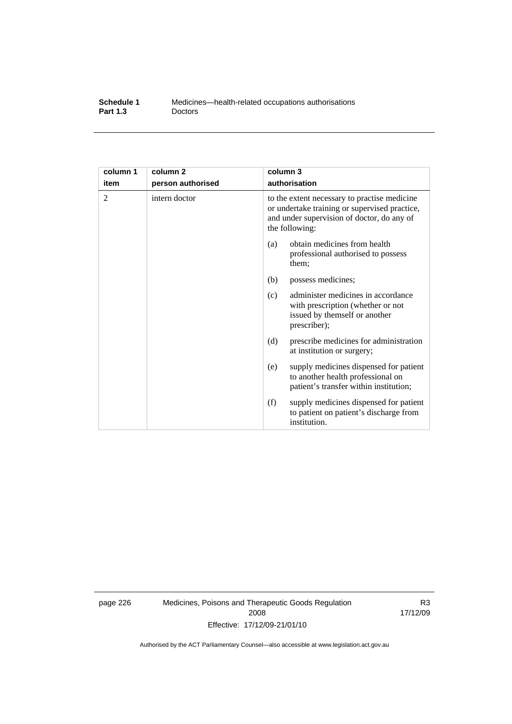| Schedule 1      | Medicines—health-related occupations authorisations |
|-----------------|-----------------------------------------------------|
| <b>Part 1.3</b> | <b>Doctors</b>                                      |

| column 1 | column 2          | column 3                                                                                                                                                      |
|----------|-------------------|---------------------------------------------------------------------------------------------------------------------------------------------------------------|
| item     | person authorised | authorisation                                                                                                                                                 |
| 2        | intern doctor     | to the extent necessary to practise medicine<br>or undertake training or supervised practice,<br>and under supervision of doctor, do any of<br>the following: |
|          |                   | obtain medicines from health<br>(a)<br>professional authorised to possess<br>them;                                                                            |
|          |                   | (b)<br>possess medicines;                                                                                                                                     |
|          |                   | administer medicines in accordance<br>(c)<br>with prescription (whether or not<br>issued by themself or another<br>prescriber);                               |
|          |                   | prescribe medicines for administration<br>(d)<br>at institution or surgery;                                                                                   |
|          |                   | supply medicines dispensed for patient<br>(e)<br>to another health professional on<br>patient's transfer within institution;                                  |
|          |                   | (f)<br>supply medicines dispensed for patient<br>to patient on patient's discharge from<br>institution.                                                       |

page 226 Medicines, Poisons and Therapeutic Goods Regulation 2008 Effective: 17/12/09-21/01/10

R3 17/12/09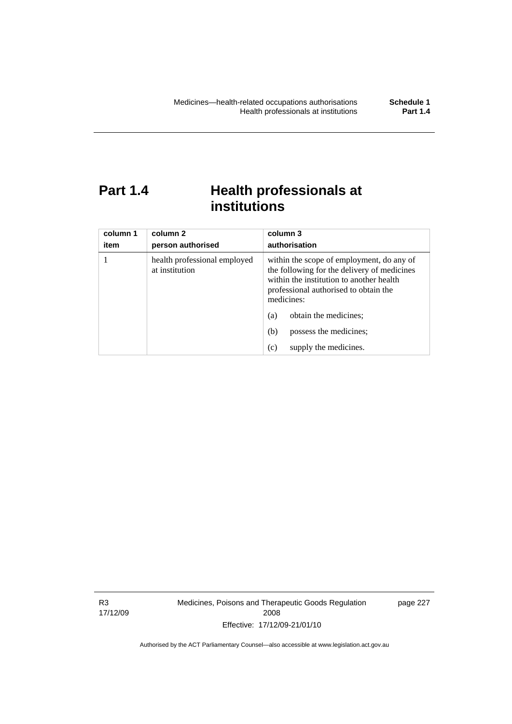## **Part 1.4 Health professionals at institutions**

| column 1<br>item | column 2<br>person authorised                  | column 3<br>authorisation                                                                                                                                                                   |
|------------------|------------------------------------------------|---------------------------------------------------------------------------------------------------------------------------------------------------------------------------------------------|
|                  | health professional employed<br>at institution | within the scope of employment, do any of<br>the following for the delivery of medicines<br>within the institution to another health<br>professional authorised to obtain the<br>medicines: |
|                  |                                                | obtain the medicines;<br>(a)                                                                                                                                                                |
|                  |                                                | possess the medicines;<br>(b)                                                                                                                                                               |
|                  |                                                | supply the medicines.<br>(c)                                                                                                                                                                |

R3 17/12/09 Medicines, Poisons and Therapeutic Goods Regulation 2008 Effective: 17/12/09-21/01/10

page 227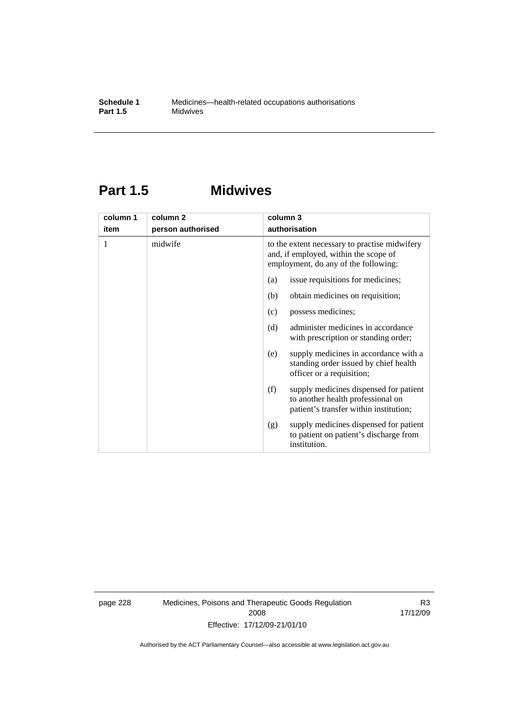## **Part 1.5 Midwives**

| column 1 | column <sub>2</sub> | column 3                                                                                                                       |
|----------|---------------------|--------------------------------------------------------------------------------------------------------------------------------|
| item     | person authorised   | authorisation                                                                                                                  |
| 1        | midwife             | to the extent necessary to practise midwifery<br>and, if employed, within the scope of<br>employment, do any of the following: |
|          |                     | issue requisitions for medicines;<br>(a)                                                                                       |
|          |                     | (b)<br>obtain medicines on requisition;                                                                                        |
|          |                     | possess medicines;<br>(c)                                                                                                      |
|          |                     | (d)<br>administer medicines in accordance<br>with prescription or standing order;                                              |
|          |                     | supply medicines in accordance with a<br>(e)<br>standing order issued by chief health<br>officer or a requisition;             |
|          |                     | supply medicines dispensed for patient<br>(f)<br>to another health professional on<br>patient's transfer within institution;   |
|          |                     | supply medicines dispensed for patient<br>(g)<br>to patient on patient's discharge from<br>institution.                        |

page 228 Medicines, Poisons and Therapeutic Goods Regulation 2008 Effective: 17/12/09-21/01/10

R3 17/12/09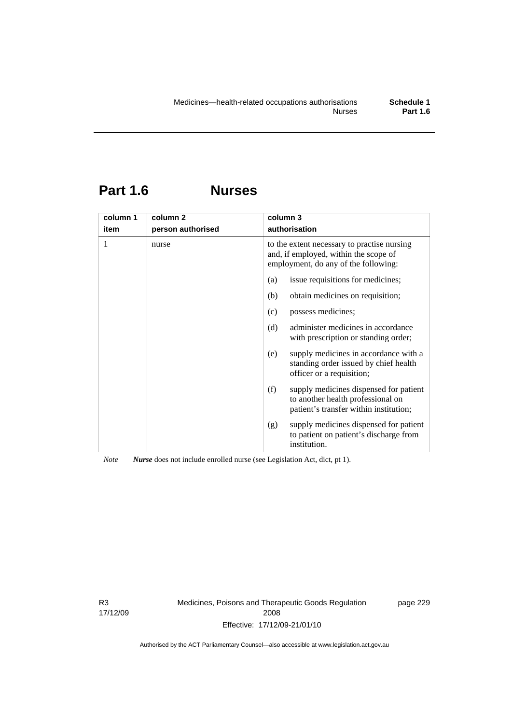## **Part 1.6 Nurses**

| column 1 | column <sub>2</sub> | column 3                                                                                                                     |  |  |
|----------|---------------------|------------------------------------------------------------------------------------------------------------------------------|--|--|
| item     | person authorised   | authorisation                                                                                                                |  |  |
| 1        | nurse               | to the extent necessary to practise nursing<br>and, if employed, within the scope of<br>employment, do any of the following: |  |  |
|          |                     | issue requisitions for medicines;<br>(a)                                                                                     |  |  |
|          |                     | obtain medicines on requisition;<br>(b)                                                                                      |  |  |
|          |                     | possess medicines;<br>(c)                                                                                                    |  |  |
|          |                     | administer medicines in accordance<br>(d)<br>with prescription or standing order;                                            |  |  |
|          |                     | supply medicines in accordance with a<br>(e)<br>standing order issued by chief health<br>officer or a requisition;           |  |  |
|          |                     | (f)<br>supply medicines dispensed for patient<br>to another health professional on<br>patient's transfer within institution; |  |  |
|          |                     | supply medicines dispensed for patient<br>(g)<br>to patient on patient's discharge from<br>institution.                      |  |  |

*Note Nurse* does not include enrolled nurse (see Legislation Act, dict, pt 1).

R3 17/12/09 Medicines, Poisons and Therapeutic Goods Regulation 2008 Effective: 17/12/09-21/01/10

page 229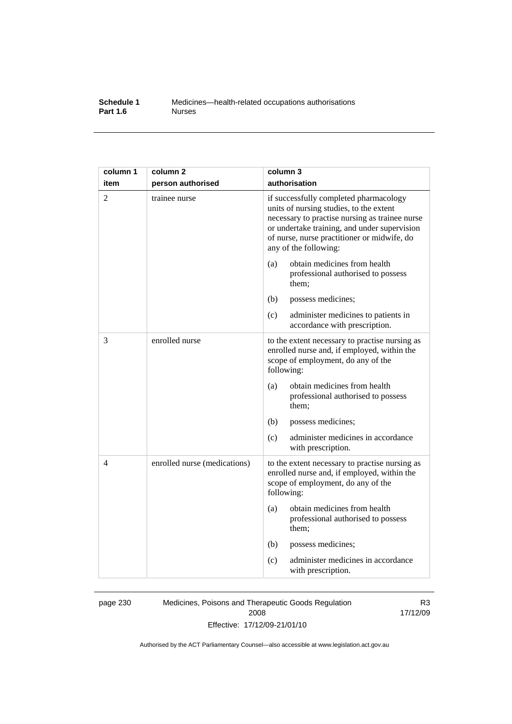## **Schedule 1** Medicines—health-related occupations authorisations<br>**Part 1.6** Murses **Part 1.6**

| column 1       | column <sub>2</sub>          | column 3                                                                                                                                                                                                                                                    |
|----------------|------------------------------|-------------------------------------------------------------------------------------------------------------------------------------------------------------------------------------------------------------------------------------------------------------|
| item           | person authorised            | authorisation                                                                                                                                                                                                                                               |
| $\overline{2}$ | trainee nurse                | if successfully completed pharmacology<br>units of nursing studies, to the extent<br>necessary to practise nursing as trainee nurse<br>or undertake training, and under supervision<br>of nurse, nurse practitioner or midwife, do<br>any of the following: |
|                |                              | obtain medicines from health<br>(a)<br>professional authorised to possess<br>them;                                                                                                                                                                          |
|                |                              | (b)<br>possess medicines;                                                                                                                                                                                                                                   |
|                |                              | (c)<br>administer medicines to patients in<br>accordance with prescription.                                                                                                                                                                                 |
| 3              | enrolled nurse               | to the extent necessary to practise nursing as<br>enrolled nurse and, if employed, within the<br>scope of employment, do any of the<br>following:                                                                                                           |
|                |                              | obtain medicines from health<br>(a)<br>professional authorised to possess<br>them;                                                                                                                                                                          |
|                |                              | (b)<br>possess medicines;                                                                                                                                                                                                                                   |
|                |                              | administer medicines in accordance<br>(c)<br>with prescription.                                                                                                                                                                                             |
| 4              | enrolled nurse (medications) | to the extent necessary to practise nursing as<br>enrolled nurse and, if employed, within the<br>scope of employment, do any of the<br>following:                                                                                                           |
|                |                              | obtain medicines from health<br>(a)<br>professional authorised to possess<br>them;                                                                                                                                                                          |
|                |                              | (b)<br>possess medicines;                                                                                                                                                                                                                                   |
|                |                              | administer medicines in accordance<br>(c)<br>with prescription.                                                                                                                                                                                             |

page 230 Medicines, Poisons and Therapeutic Goods Regulation 2008 Effective: 17/12/09-21/01/10

R3 17/12/09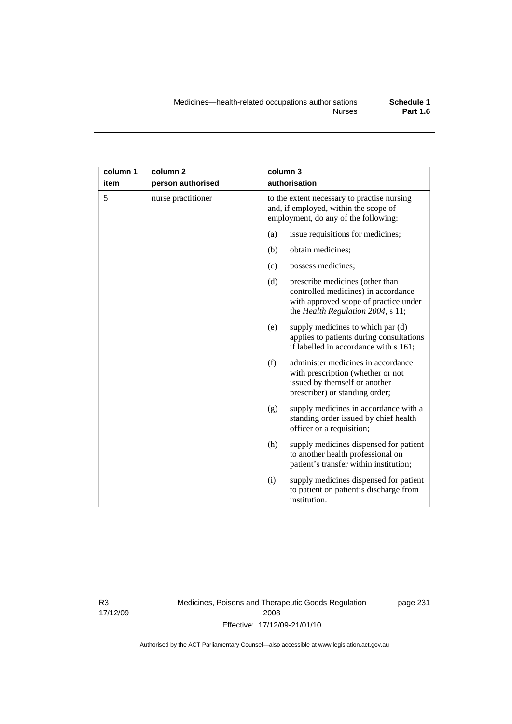| column 1 | column <sub>2</sub> | column 3                                                                                                                                                    |
|----------|---------------------|-------------------------------------------------------------------------------------------------------------------------------------------------------------|
| item     | person authorised   | authorisation                                                                                                                                               |
| 5        | nurse practitioner  | to the extent necessary to practise nursing<br>and, if employed, within the scope of<br>employment, do any of the following:                                |
|          |                     | issue requisitions for medicines;<br>(a)                                                                                                                    |
|          |                     | (b)<br>obtain medicines;                                                                                                                                    |
|          |                     | possess medicines;<br>(c)                                                                                                                                   |
|          |                     | (d)<br>prescribe medicines (other than<br>controlled medicines) in accordance<br>with approved scope of practice under<br>the Health Regulation 2004, s 11; |
|          |                     | supply medicines to which par (d)<br>(e)<br>applies to patients during consultations<br>if labelled in accordance with s 161;                               |
|          |                     | (f)<br>administer medicines in accordance<br>with prescription (whether or not<br>issued by themself or another<br>prescriber) or standing order;           |
|          |                     | supply medicines in accordance with a<br>(g)<br>standing order issued by chief health<br>officer or a requisition;                                          |
|          |                     | (h)<br>supply medicines dispensed for patient<br>to another health professional on<br>patient's transfer within institution;                                |
|          |                     | (i)<br>supply medicines dispensed for patient<br>to patient on patient's discharge from<br>institution.                                                     |

R3 17/12/09 Medicines, Poisons and Therapeutic Goods Regulation 2008 Effective: 17/12/09-21/01/10

page 231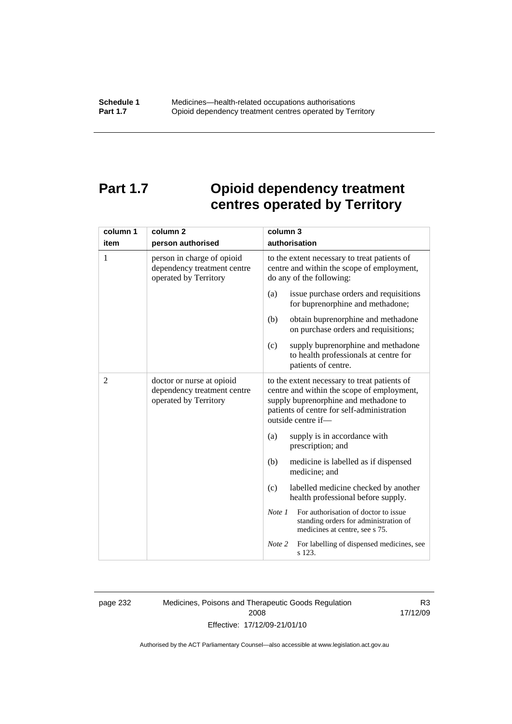# **Part 1.7 Opioid dependency treatment centres operated by Territory**

| column 1 | column <sub>2</sub>                                                                | column 3                                                                                                                                                                                                |  |  |
|----------|------------------------------------------------------------------------------------|---------------------------------------------------------------------------------------------------------------------------------------------------------------------------------------------------------|--|--|
| item     | person authorised                                                                  | authorisation                                                                                                                                                                                           |  |  |
| 1        | person in charge of opioid<br>dependency treatment centre<br>operated by Territory | to the extent necessary to treat patients of<br>centre and within the scope of employment,<br>do any of the following:                                                                                  |  |  |
|          |                                                                                    | issue purchase orders and requisitions<br>(a)<br>for buprenorphine and methadone;                                                                                                                       |  |  |
|          |                                                                                    | obtain buprenorphine and methadone<br>(b)<br>on purchase orders and requisitions;                                                                                                                       |  |  |
|          |                                                                                    | supply buprenorphine and methadone<br>(c)<br>to health professionals at centre for<br>patients of centre.                                                                                               |  |  |
| 2        | doctor or nurse at opioid<br>dependency treatment centre<br>operated by Territory  | to the extent necessary to treat patients of<br>centre and within the scope of employment,<br>supply buprenorphine and methadone to<br>patients of centre for self-administration<br>outside centre if- |  |  |
|          |                                                                                    | (a)<br>supply is in accordance with<br>prescription; and                                                                                                                                                |  |  |
|          |                                                                                    | (b)<br>medicine is labelled as if dispensed<br>medicine; and                                                                                                                                            |  |  |
|          |                                                                                    | labelled medicine checked by another<br>(c)<br>health professional before supply.                                                                                                                       |  |  |
|          |                                                                                    | For authorisation of doctor to issue<br>Note 1<br>standing orders for administration of<br>medicines at centre, see s 75.                                                                               |  |  |
|          |                                                                                    | For labelling of dispensed medicines, see<br>Note 2<br>s 123.                                                                                                                                           |  |  |

page 232 Medicines, Poisons and Therapeutic Goods Regulation 2008 Effective: 17/12/09-21/01/10

R3 17/12/09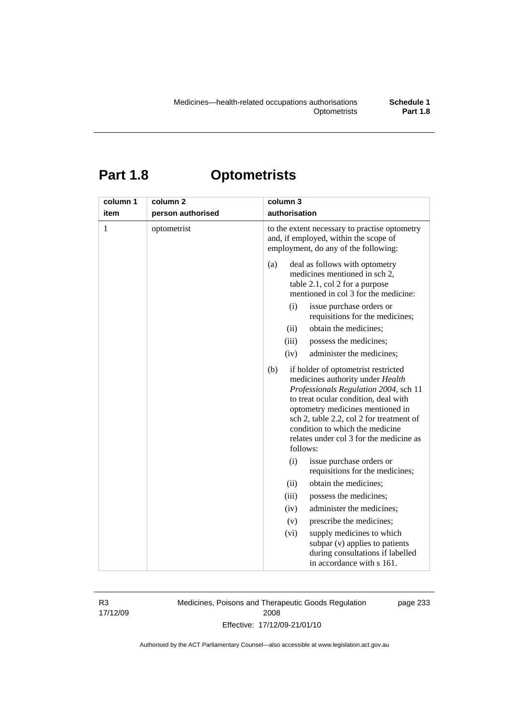# **Part 1.8 Optometrists**

| column 1<br>item | column <sub>2</sub><br>person authorised | column 3<br>authorisation                                                                                                                                                                                                                                                                                                                                                                                                                                                                                                                                                                                                                                                    |
|------------------|------------------------------------------|------------------------------------------------------------------------------------------------------------------------------------------------------------------------------------------------------------------------------------------------------------------------------------------------------------------------------------------------------------------------------------------------------------------------------------------------------------------------------------------------------------------------------------------------------------------------------------------------------------------------------------------------------------------------------|
| $\mathbf{1}$     | optometrist                              | to the extent necessary to practise optometry<br>and, if employed, within the scope of<br>employment, do any of the following:                                                                                                                                                                                                                                                                                                                                                                                                                                                                                                                                               |
|                  |                                          | deal as follows with optometry<br>(a)<br>medicines mentioned in sch 2,<br>table 2.1, col 2 for a purpose<br>mentioned in col 3 for the medicine:<br>(i)<br>issue purchase orders or<br>requisitions for the medicines;<br>obtain the medicines;<br>(ii)<br>(iii)<br>possess the medicines;<br>administer the medicines;<br>(iv)<br>(b)<br>if holder of optometrist restricted<br>medicines authority under Health<br>Professionals Regulation 2004, sch 11<br>to treat ocular condition, deal with<br>optometry medicines mentioned in<br>sch 2, table 2.2, col 2 for treatment of<br>condition to which the medicine<br>relates under col 3 for the medicine as<br>follows: |
|                  |                                          | (i)<br>issue purchase orders or<br>requisitions for the medicines;                                                                                                                                                                                                                                                                                                                                                                                                                                                                                                                                                                                                           |
|                  |                                          | obtain the medicines;<br>(ii)                                                                                                                                                                                                                                                                                                                                                                                                                                                                                                                                                                                                                                                |
|                  |                                          | (iii)<br>possess the medicines;                                                                                                                                                                                                                                                                                                                                                                                                                                                                                                                                                                                                                                              |
|                  |                                          | administer the medicines;<br>(iv)                                                                                                                                                                                                                                                                                                                                                                                                                                                                                                                                                                                                                                            |
|                  |                                          | prescribe the medicines;<br>(v)                                                                                                                                                                                                                                                                                                                                                                                                                                                                                                                                                                                                                                              |
|                  |                                          | (vi)<br>supply medicines to which<br>subpar (v) applies to patients<br>during consultations if labelled<br>in accordance with s 161.                                                                                                                                                                                                                                                                                                                                                                                                                                                                                                                                         |

R3 17/12/09 Medicines, Poisons and Therapeutic Goods Regulation 2008 Effective: 17/12/09-21/01/10

page 233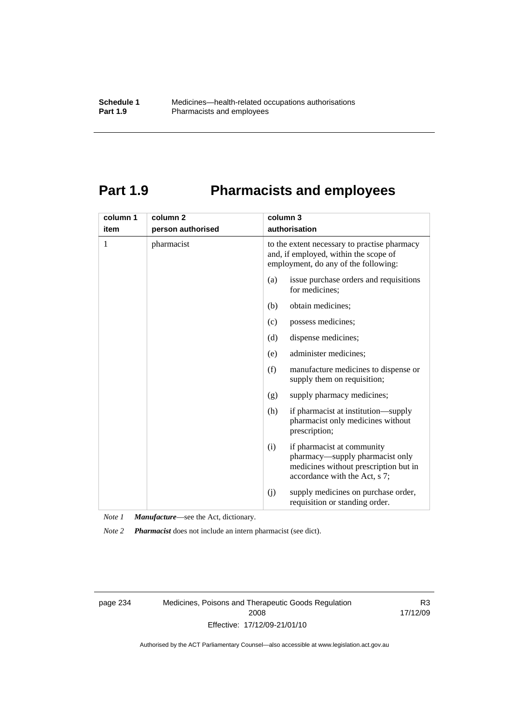# **Part 1.9 Pharmacists and employees**

| column 1 | column <sub>2</sub> | column 3                                                                                                                                       |  |
|----------|---------------------|------------------------------------------------------------------------------------------------------------------------------------------------|--|
| item     | person authorised   | authorisation                                                                                                                                  |  |
| 1        | pharmacist          | to the extent necessary to practise pharmacy<br>and, if employed, within the scope of<br>employment, do any of the following:                  |  |
|          |                     | issue purchase orders and requisitions<br>(a)<br>for medicines;                                                                                |  |
|          |                     | obtain medicines;<br>(b)                                                                                                                       |  |
|          |                     | possess medicines;<br>(c)                                                                                                                      |  |
|          |                     | dispense medicines;<br>(d)                                                                                                                     |  |
|          |                     | administer medicines;<br>(e)                                                                                                                   |  |
|          |                     | (f)<br>manufacture medicines to dispense or<br>supply them on requisition;                                                                     |  |
|          |                     | supply pharmacy medicines;<br>(g)                                                                                                              |  |
|          |                     | (h)<br>if pharmacist at institution—supply<br>pharmacist only medicines without<br>prescription;                                               |  |
|          |                     | if pharmacist at community<br>(i)<br>pharmacy—supply pharmacist only<br>medicines without prescription but in<br>accordance with the Act, s 7; |  |
|          |                     | supply medicines on purchase order,<br>(j)<br>requisition or standing order.                                                                   |  |

*Note 1 Manufacture*—see the Act, dictionary.

*Note 2 Pharmacist* does not include an intern pharmacist (see dict).

page 234 Medicines, Poisons and Therapeutic Goods Regulation 2008 Effective: 17/12/09-21/01/10

R3 17/12/09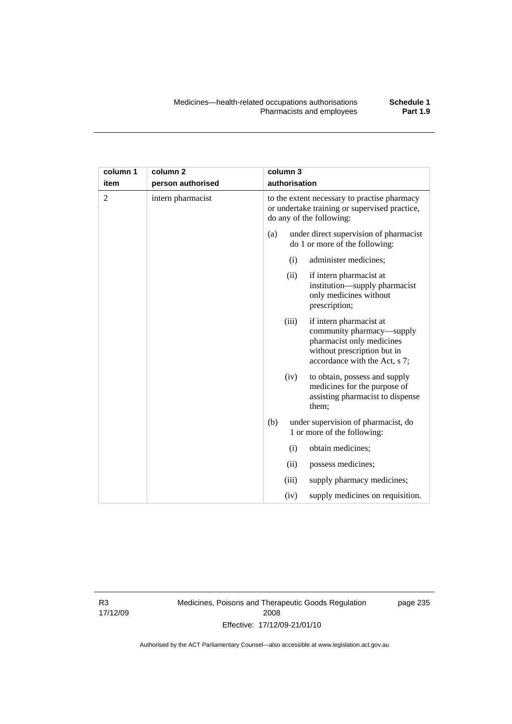| column 1       | column <sub>2</sub> |                                                                                                                           | column 3      |                                                                                                                                                   |
|----------------|---------------------|---------------------------------------------------------------------------------------------------------------------------|---------------|---------------------------------------------------------------------------------------------------------------------------------------------------|
| item           | person authorised   |                                                                                                                           | authorisation |                                                                                                                                                   |
| $\overline{2}$ | intern pharmacist   | to the extent necessary to practise pharmacy<br>or undertake training or supervised practice,<br>do any of the following: |               |                                                                                                                                                   |
|                |                     | (a)                                                                                                                       |               | under direct supervision of pharmacist<br>do 1 or more of the following:                                                                          |
|                |                     |                                                                                                                           | (i)           | administer medicines;                                                                                                                             |
|                |                     |                                                                                                                           | (ii)          | if intern pharmacist at<br>institution-supply pharmacist<br>only medicines without<br>prescription;                                               |
|                |                     |                                                                                                                           | (iii)         | if intern pharmacist at<br>community pharmacy—supply<br>pharmacist only medicines<br>without prescription but in<br>accordance with the Act, s 7; |
|                |                     |                                                                                                                           | (iv)          | to obtain, possess and supply<br>medicines for the purpose of<br>assisting pharmacist to dispense<br>them;                                        |
|                |                     | (b)                                                                                                                       |               | under supervision of pharmacist, do<br>1 or more of the following:                                                                                |
|                |                     |                                                                                                                           | (i)           | obtain medicines;                                                                                                                                 |
|                |                     |                                                                                                                           | (ii)          | possess medicines;                                                                                                                                |
|                |                     |                                                                                                                           | (iii)         | supply pharmacy medicines;                                                                                                                        |
|                |                     |                                                                                                                           | (iv)          | supply medicines on requisition.                                                                                                                  |

R3 17/12/09 Medicines, Poisons and Therapeutic Goods Regulation 2008 Effective: 17/12/09-21/01/10

page 235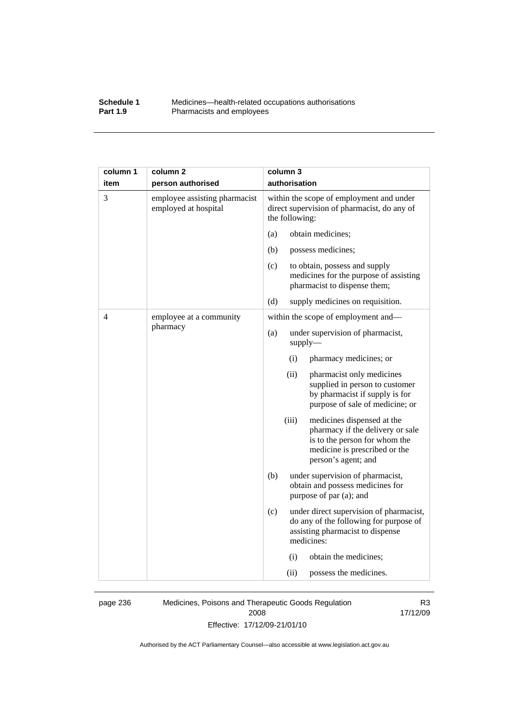## **Schedule 1** Medicines—health-related occupations authorisations<br>**Part 1.9** Pharmacists and employees Pharmacists and employees

| column 1 | column <sub>2</sub>                                   | column 3                                                                                                                                                         |
|----------|-------------------------------------------------------|------------------------------------------------------------------------------------------------------------------------------------------------------------------|
| item     | person authorised                                     | authorisation                                                                                                                                                    |
| 3        | employee assisting pharmacist<br>employed at hospital | within the scope of employment and under<br>direct supervision of pharmacist, do any of<br>the following:                                                        |
|          |                                                       | obtain medicines;<br>(a)                                                                                                                                         |
|          |                                                       | (b)<br>possess medicines;                                                                                                                                        |
|          |                                                       | (c)<br>to obtain, possess and supply<br>medicines for the purpose of assisting<br>pharmacist to dispense them;                                                   |
|          |                                                       | (d)<br>supply medicines on requisition.                                                                                                                          |
| 4        | employee at a community                               | within the scope of employment and-                                                                                                                              |
|          | pharmacy                                              | (a)<br>under supervision of pharmacist,<br>$supply$ —                                                                                                            |
|          |                                                       | (i)<br>pharmacy medicines; or                                                                                                                                    |
|          |                                                       | (ii)<br>pharmacist only medicines<br>supplied in person to customer<br>by pharmacist if supply is for<br>purpose of sale of medicine; or                         |
|          |                                                       | (iii)<br>medicines dispensed at the<br>pharmacy if the delivery or sale<br>is to the person for whom the<br>medicine is prescribed or the<br>person's agent; and |
|          |                                                       | (b)<br>under supervision of pharmacist,<br>obtain and possess medicines for<br>purpose of par (a); and                                                           |
|          |                                                       | (c)<br>under direct supervision of pharmacist,<br>do any of the following for purpose of<br>assisting pharmacist to dispense<br>medicines:                       |
|          |                                                       | (i)<br>obtain the medicines;                                                                                                                                     |
|          |                                                       | (ii)<br>possess the medicines.                                                                                                                                   |

page 236 Medicines, Poisons and Therapeutic Goods Regulation 2008 Effective: 17/12/09-21/01/10

R3 17/12/09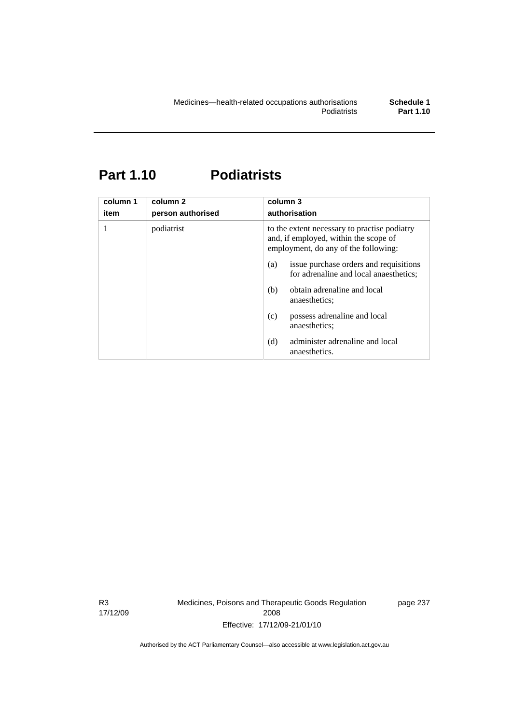# **Part 1.10 Podiatrists**

| column 1<br>item | column <sub>2</sub><br>person authorised | column 3<br>authorisation                                                                                                     |  |
|------------------|------------------------------------------|-------------------------------------------------------------------------------------------------------------------------------|--|
|                  | podiatrist                               | to the extent necessary to practise podiatry<br>and, if employed, within the scope of<br>employment, do any of the following: |  |
|                  |                                          | issue purchase orders and requisitions<br>(a)<br>for adrenaline and local anaesthetics;                                       |  |
|                  |                                          | obtain adrenaline and local<br>(b)<br>anaesthetics:                                                                           |  |
|                  |                                          | possess adrenaline and local<br>(c)<br>anaesthetics:                                                                          |  |
|                  |                                          | administer adrenaline and local<br>(d)<br>anaesthetics.                                                                       |  |

R3 17/12/09 Medicines, Poisons and Therapeutic Goods Regulation 2008 Effective: 17/12/09-21/01/10

page 237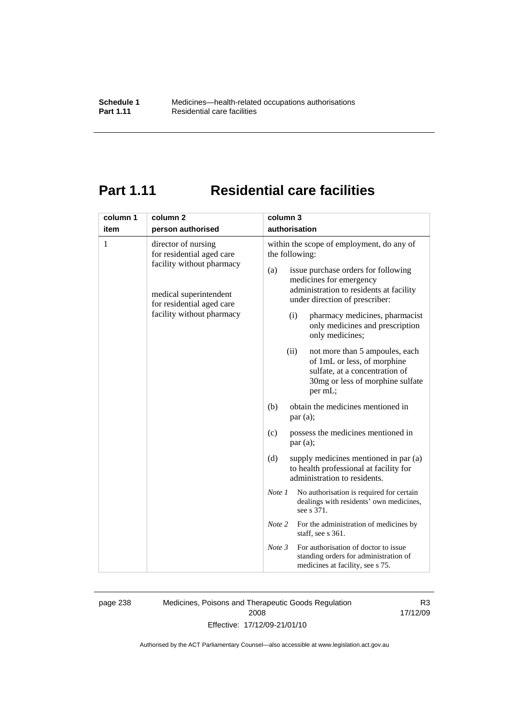# **Part 1.11 Residential care facilities**

| authorisation<br>item<br>person authorised<br>1<br>within the scope of employment, do any of<br>director of nursing<br>for residential aged care<br>the following:<br>facility without pharmacy<br>issue purchase orders for following<br>(a)<br>medicines for emergency<br>administration to residents at facility<br>medical superintendent<br>under direction of prescriber:<br>for residential aged care<br>facility without pharmacy<br>pharmacy medicines, pharmacist<br>(i)<br>only medicines and prescription<br>only medicines;<br>(ii)<br>not more than 5 ampoules, each<br>of 1mL or less, of morphine<br>sulfate, at a concentration of<br>30mg or less of morphine sulfate<br>per mL;<br>obtain the medicines mentioned in<br>(b)<br>par(a);<br>possess the medicines mentioned in<br>(c)<br>par(a);<br>supply medicines mentioned in par (a)<br>(d)<br>to health professional at facility for<br>administration to residents.<br>No authorisation is required for certain<br>Note 1<br>dealings with residents' own medicines,<br>see s 371.<br>Note 2<br>For the administration of medicines by<br>staff, see s 361.<br>For authorisation of doctor to issue<br>Note 3<br>standing orders for administration of | column 1 | column <sub>2</sub> | column 3 |
|--------------------------------------------------------------------------------------------------------------------------------------------------------------------------------------------------------------------------------------------------------------------------------------------------------------------------------------------------------------------------------------------------------------------------------------------------------------------------------------------------------------------------------------------------------------------------------------------------------------------------------------------------------------------------------------------------------------------------------------------------------------------------------------------------------------------------------------------------------------------------------------------------------------------------------------------------------------------------------------------------------------------------------------------------------------------------------------------------------------------------------------------------------------------------------------------------------------------------------|----------|---------------------|----------|
|                                                                                                                                                                                                                                                                                                                                                                                                                                                                                                                                                                                                                                                                                                                                                                                                                                                                                                                                                                                                                                                                                                                                                                                                                                |          |                     |          |
|                                                                                                                                                                                                                                                                                                                                                                                                                                                                                                                                                                                                                                                                                                                                                                                                                                                                                                                                                                                                                                                                                                                                                                                                                                |          |                     |          |
|                                                                                                                                                                                                                                                                                                                                                                                                                                                                                                                                                                                                                                                                                                                                                                                                                                                                                                                                                                                                                                                                                                                                                                                                                                |          |                     |          |
| medicines at facility, see s 75.                                                                                                                                                                                                                                                                                                                                                                                                                                                                                                                                                                                                                                                                                                                                                                                                                                                                                                                                                                                                                                                                                                                                                                                               |          |                     |          |

page 238 Medicines, Poisons and Therapeutic Goods Regulation 2008 Effective: 17/12/09-21/01/10

R3 17/12/09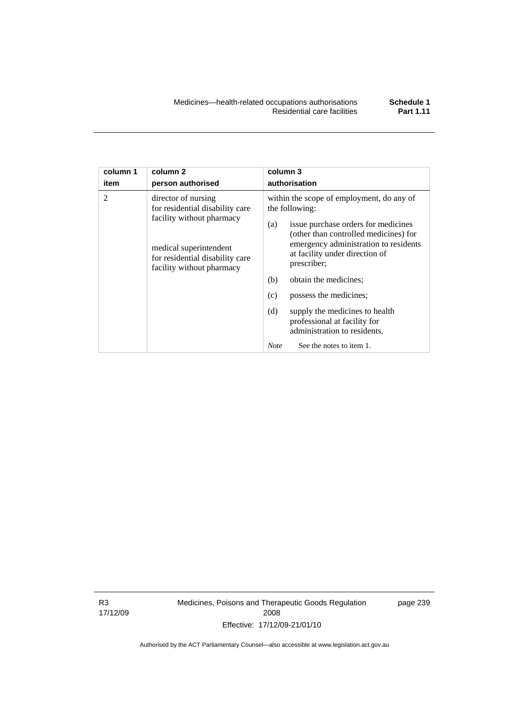| column 1<br>item | column <sub>2</sub><br>person authorised                                                                                                                                      | column 3<br>authorisation                                                                                                                                                                                                                                                                                                                                                                                              |  |
|------------------|-------------------------------------------------------------------------------------------------------------------------------------------------------------------------------|------------------------------------------------------------------------------------------------------------------------------------------------------------------------------------------------------------------------------------------------------------------------------------------------------------------------------------------------------------------------------------------------------------------------|--|
| $\mathcal{D}$    | director of nursing<br>for residential disability care<br>facility without pharmacy<br>medical superintendent<br>for residential disability care<br>facility without pharmacy | within the scope of employment, do any of<br>the following:<br>issue purchase orders for medicines<br>(a)<br>(other than controlled medicines) for<br>emergency administration to residents<br>at facility under direction of<br>prescriber;<br>obtain the medicines;<br>(b)<br>possess the medicines;<br>(c)<br>(d)<br>supply the medicines to health<br>professional at facility for<br>administration to residents. |  |
|                  |                                                                                                                                                                               | See the notes to item 1.<br><b>Note</b>                                                                                                                                                                                                                                                                                                                                                                                |  |

R3 17/12/09 Medicines, Poisons and Therapeutic Goods Regulation 2008 Effective: 17/12/09-21/01/10

page 239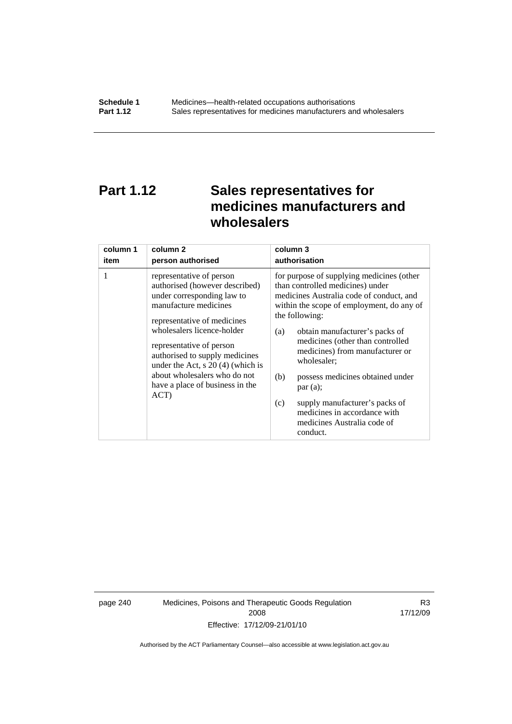# **Part 1.12 Sales representatives for medicines manufacturers and wholesalers**

| column 1 | column 2                                                                                                                                                                                                                                                                                                                                                       | column 3                                                                                                                                                                                                                                                                                                                                                                                                                                                                                          |
|----------|----------------------------------------------------------------------------------------------------------------------------------------------------------------------------------------------------------------------------------------------------------------------------------------------------------------------------------------------------------------|---------------------------------------------------------------------------------------------------------------------------------------------------------------------------------------------------------------------------------------------------------------------------------------------------------------------------------------------------------------------------------------------------------------------------------------------------------------------------------------------------|
| item     | person authorised                                                                                                                                                                                                                                                                                                                                              | authorisation                                                                                                                                                                                                                                                                                                                                                                                                                                                                                     |
| 1        | representative of person<br>authorised (however described)<br>under corresponding law to<br>manufacture medicines<br>representative of medicines<br>wholesalers licence-holder<br>representative of person<br>authorised to supply medicines<br>under the Act, $s$ 20 (4) (which is<br>about wholesalers who do not<br>have a place of business in the<br>ACT) | for purpose of supplying medicines (other<br>than controlled medicines) under<br>medicines Australia code of conduct, and<br>within the scope of employment, do any of<br>the following:<br>obtain manufacturer's packs of<br>(a)<br>medicines (other than controlled<br>medicines) from manufacturer or<br>wholesaler;<br>(b)<br>possess medicines obtained under<br>par(a);<br>supply manufacturer's packs of<br>(c)<br>medicines in accordance with<br>medicines Australia code of<br>conduct. |

page 240 Medicines, Poisons and Therapeutic Goods Regulation 2008 Effective: 17/12/09-21/01/10

R3 17/12/09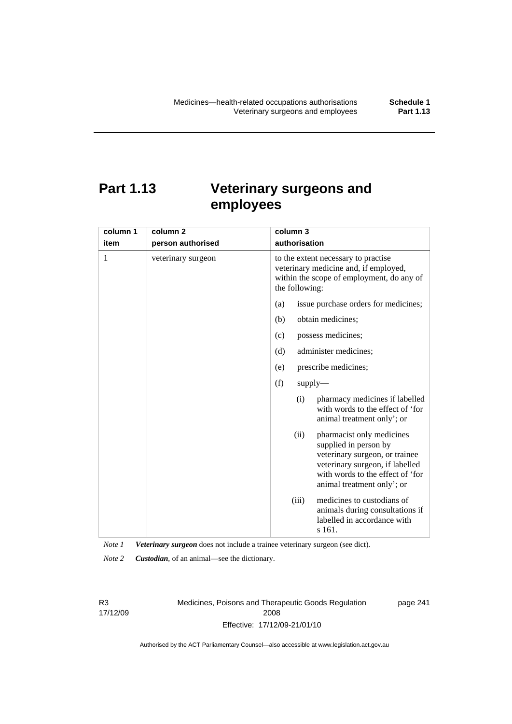# **Part 1.13 Veterinary surgeons and employees**

| column 1 | column <sub>2</sub> | column 3                                                                                                                                                                                          |  |
|----------|---------------------|---------------------------------------------------------------------------------------------------------------------------------------------------------------------------------------------------|--|
| item     | person authorised   | authorisation                                                                                                                                                                                     |  |
| 1        | veterinary surgeon  | to the extent necessary to practise<br>veterinary medicine and, if employed,<br>within the scope of employment, do any of<br>the following:                                                       |  |
|          |                     | issue purchase orders for medicines;<br>(a)                                                                                                                                                       |  |
|          |                     | obtain medicines;<br>(b)                                                                                                                                                                          |  |
|          |                     | possess medicines;<br>(c)                                                                                                                                                                         |  |
|          |                     | administer medicines;<br>(d)                                                                                                                                                                      |  |
|          |                     | prescribe medicines;<br>(e)                                                                                                                                                                       |  |
|          |                     | (f)<br>$supply$ —                                                                                                                                                                                 |  |
|          |                     | pharmacy medicines if labelled<br>(i)<br>with words to the effect of 'for<br>animal treatment only'; or                                                                                           |  |
|          |                     | (ii)<br>pharmacist only medicines<br>supplied in person by<br>veterinary surgeon, or trainee<br>veterinary surgeon, if labelled<br>with words to the effect of 'for<br>animal treatment only'; or |  |
|          |                     | medicines to custodians of<br>(iii)<br>animals during consultations if<br>labelled in accordance with<br>s 161.                                                                                   |  |

*Note 1 Veterinary surgeon* does not include a trainee veterinary surgeon (see dict).

*Note 2 Custodian*, of an animal—see the dictionary.

R3 17/12/09 Medicines, Poisons and Therapeutic Goods Regulation 2008 Effective: 17/12/09-21/01/10

page 241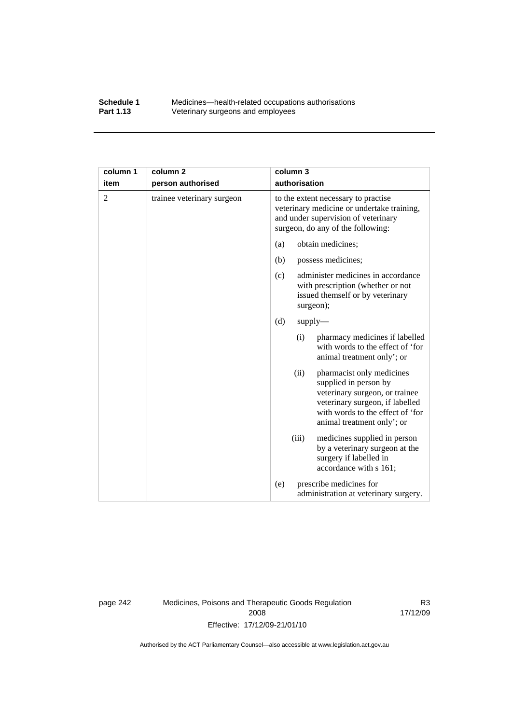## **Schedule 1** Medicines—health-related occupations authorisations<br>**Part 1.13** Veterinary surgeons and employees Veterinary surgeons and employees

| column 1       | column <sub>2</sub>        | column 3                                                                                                                                                                                          |  |
|----------------|----------------------------|---------------------------------------------------------------------------------------------------------------------------------------------------------------------------------------------------|--|
| item           | person authorised          | authorisation                                                                                                                                                                                     |  |
| $\overline{2}$ | trainee veterinary surgeon | to the extent necessary to practise<br>veterinary medicine or undertake training,<br>and under supervision of veterinary<br>surgeon, do any of the following:                                     |  |
|                |                            | obtain medicines;<br>(a)                                                                                                                                                                          |  |
|                |                            | (b)<br>possess medicines;                                                                                                                                                                         |  |
|                |                            | administer medicines in accordance<br>(c)<br>with prescription (whether or not<br>issued themself or by veterinary<br>surgeon);                                                                   |  |
|                |                            | (d)<br>$supply$ —                                                                                                                                                                                 |  |
|                |                            | pharmacy medicines if labelled<br>(i)<br>with words to the effect of 'for<br>animal treatment only'; or                                                                                           |  |
|                |                            | (ii)<br>pharmacist only medicines<br>supplied in person by<br>veterinary surgeon, or trainee<br>veterinary surgeon, if labelled<br>with words to the effect of 'for<br>animal treatment only'; or |  |
|                |                            | medicines supplied in person<br>(iii)<br>by a veterinary surgeon at the<br>surgery if labelled in<br>accordance with s 161;                                                                       |  |
|                |                            | prescribe medicines for<br>(e)<br>administration at veterinary surgery.                                                                                                                           |  |

page 242 Medicines, Poisons and Therapeutic Goods Regulation 2008 Effective: 17/12/09-21/01/10

R3 17/12/09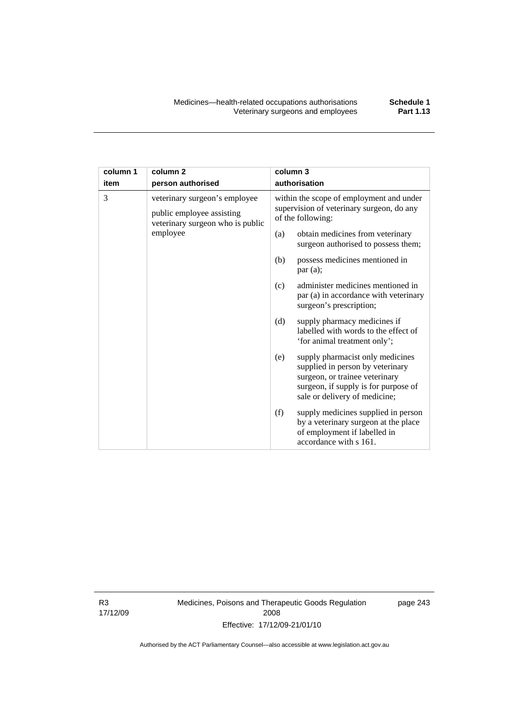| column 1 | column <sub>2</sub>                                                                                        | column 3      |                                                                                                                                                                                 |  |
|----------|------------------------------------------------------------------------------------------------------------|---------------|---------------------------------------------------------------------------------------------------------------------------------------------------------------------------------|--|
| item     | person authorised                                                                                          | authorisation |                                                                                                                                                                                 |  |
| 3        | veterinary surgeon's employee<br>public employee assisting<br>veterinary surgeon who is public<br>employee |               | within the scope of employment and under<br>supervision of veterinary surgeon, do any<br>of the following:                                                                      |  |
|          |                                                                                                            | (a)           | obtain medicines from veterinary<br>surgeon authorised to possess them;                                                                                                         |  |
|          |                                                                                                            | (b)           | possess medicines mentioned in<br>par(a);                                                                                                                                       |  |
|          |                                                                                                            | (c)           | administer medicines mentioned in<br>par (a) in accordance with veterinary<br>surgeon's prescription;                                                                           |  |
|          |                                                                                                            | (d)           | supply pharmacy medicines if<br>labelled with words to the effect of<br>'for animal treatment only';                                                                            |  |
|          |                                                                                                            | (e)           | supply pharmacist only medicines<br>supplied in person by veterinary<br>surgeon, or trainee veterinary<br>surgeon, if supply is for purpose of<br>sale or delivery of medicine; |  |
|          |                                                                                                            | (f)           | supply medicines supplied in person<br>by a veterinary surgeon at the place<br>of employment if labelled in<br>accordance with s 161.                                           |  |

R3 17/12/09 Medicines, Poisons and Therapeutic Goods Regulation 2008 Effective: 17/12/09-21/01/10

page 243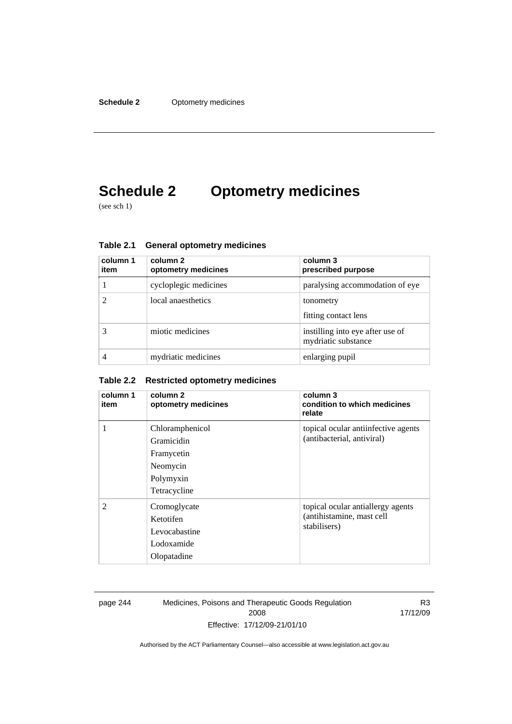# **Schedule 2 Optometry medicines**

(see sch 1)

| column 1<br>item | column 2<br>optometry medicines | column 3<br>prescribed purpose                          |
|------------------|---------------------------------|---------------------------------------------------------|
|                  | cycloplegic medicines           | paralysing accommodation of eye                         |
|                  | local anaesthetics              | tonometry<br>fitting contact lens                       |
|                  | miotic medicines                | instilling into eye after use of<br>mydriatic substance |
|                  | mydriatic medicines             | enlarging pupil                                         |

**Table 2.1 General optometry medicines** 

## **Table 2.2 Restricted optometry medicines**

| column 1<br>item | column 2<br>optometry medicines                                                      | column 3<br>condition to which medicines<br>relate                             |
|------------------|--------------------------------------------------------------------------------------|--------------------------------------------------------------------------------|
| 1                | Chloramphenicol<br>Gramicidin<br>Framycetin<br>Neomycin<br>Polymyxin<br>Tetracycline | topical ocular antiinfective agents<br>(antibacterial, antiviral)              |
| $\overline{2}$   | Cromoglycate<br>Ketotifen<br>Levocabastine<br>Lodoxamide<br>Olopatadine              | topical ocular antiallergy agents<br>(antihistamine, mast cell<br>stabilisers) |

page 244 Medicines, Poisons and Therapeutic Goods Regulation 2008 Effective: 17/12/09-21/01/10

R3 17/12/09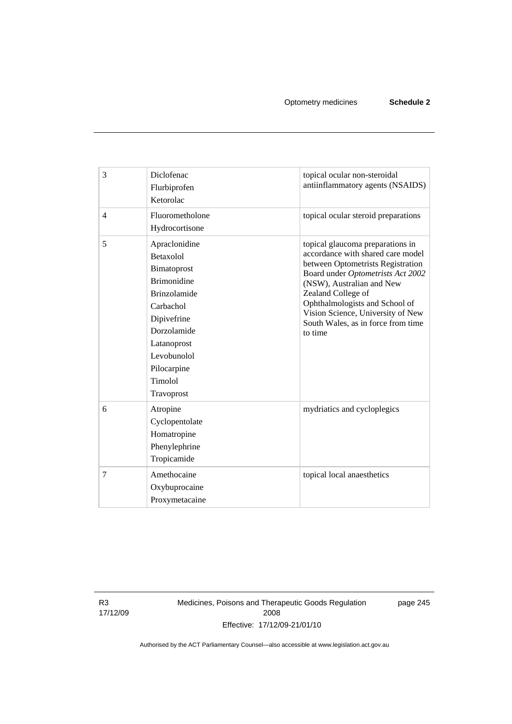| 3              | Diclofenac<br>Flurbiprofen<br>Ketorolac                                                                                                                                                                 | topical ocular non-steroidal<br>antiinflammatory agents (NSAIDS)                                                                                                                                                                                                                                                           |
|----------------|---------------------------------------------------------------------------------------------------------------------------------------------------------------------------------------------------------|----------------------------------------------------------------------------------------------------------------------------------------------------------------------------------------------------------------------------------------------------------------------------------------------------------------------------|
| $\overline{4}$ | Fluorometholone<br>Hydrocortisone                                                                                                                                                                       | topical ocular steroid preparations                                                                                                                                                                                                                                                                                        |
| 5              | Apraclonidine<br>Betaxolol<br>Bimatoprost<br><b>Brimonidine</b><br><b>Brinzolamide</b><br>Carbachol<br>Dipivefrine<br>Dorzolamide<br>Latanoprost<br>Levobunolol<br>Pilocarpine<br>Timolol<br>Travoprost | topical glaucoma preparations in<br>accordance with shared care model<br>between Optometrists Registration<br>Board under Optometrists Act 2002<br>(NSW), Australian and New<br>Zealand College of<br>Ophthalmologists and School of<br>Vision Science, University of New<br>South Wales, as in force from time<br>to time |
| 6              | Atropine<br>Cyclopentolate<br>Homatropine<br>Phenylephrine<br>Tropicamide                                                                                                                               | mydriatics and cycloplegics                                                                                                                                                                                                                                                                                                |
| 7              | Amethocaine<br>Oxybuprocaine<br>Proxymetacaine                                                                                                                                                          | topical local anaesthetics                                                                                                                                                                                                                                                                                                 |

R3 17/12/09 Medicines, Poisons and Therapeutic Goods Regulation 2008 Effective: 17/12/09-21/01/10

page 245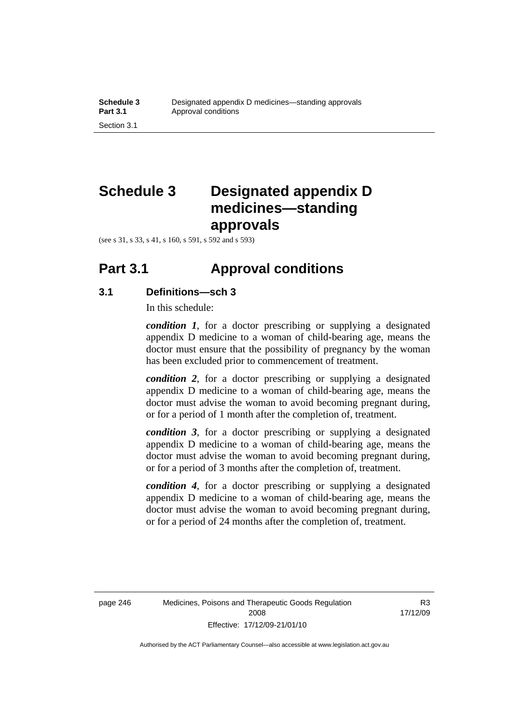# **Schedule 3 Designated appendix D medicines—standing approvals**

(see s 31, s 33, s 41, s 160, s 591, s 592 and s 593)

## **Part 3.1 Approval conditions**

## **3.1 Definitions—sch 3**

In this schedule:

*condition 1*, for a doctor prescribing or supplying a designated appendix D medicine to a woman of child-bearing age, means the doctor must ensure that the possibility of pregnancy by the woman has been excluded prior to commencement of treatment.

*condition 2*, for a doctor prescribing or supplying a designated appendix D medicine to a woman of child-bearing age, means the doctor must advise the woman to avoid becoming pregnant during, or for a period of 1 month after the completion of, treatment.

*condition 3*, for a doctor prescribing or supplying a designated appendix D medicine to a woman of child-bearing age, means the doctor must advise the woman to avoid becoming pregnant during, or for a period of 3 months after the completion of, treatment.

*condition 4*, for a doctor prescribing or supplying a designated appendix D medicine to a woman of child-bearing age, means the doctor must advise the woman to avoid becoming pregnant during, or for a period of 24 months after the completion of, treatment.

R3 17/12/09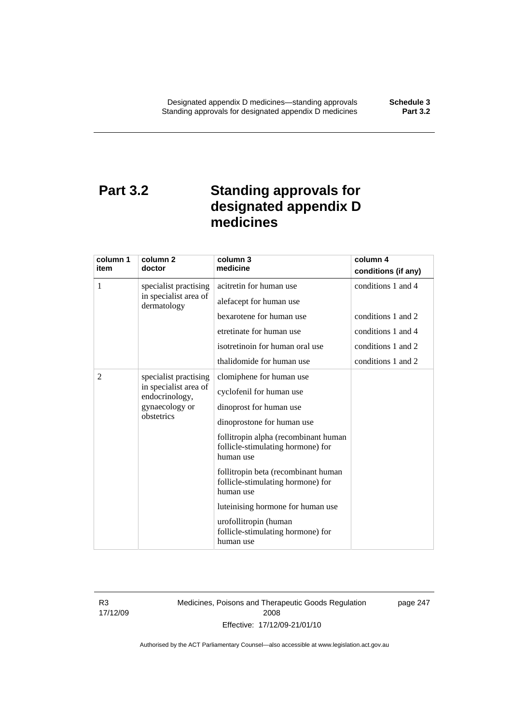# **Part 3.2 Standing approvals for designated appendix D medicines**

| column 1                                       | column <sub>2</sub>                  | column 3                                                                               | column 4            |
|------------------------------------------------|--------------------------------------|----------------------------------------------------------------------------------------|---------------------|
| item                                           | doctor                               | medicine                                                                               | conditions (if any) |
| 1                                              | specialist practising                | acitretin for human use                                                                | conditions 1 and 4  |
|                                                | in specialist area of<br>dermatology | alefacept for human use                                                                |                     |
|                                                |                                      | bexarotene for human use                                                               | conditions 1 and 2  |
|                                                |                                      | etretinate for human use                                                               | conditions 1 and 4  |
|                                                |                                      | isotretinoin for human oral use                                                        | conditions 1 and 2  |
|                                                |                                      | thalidomide for human use                                                              | conditions 1 and 2  |
| 2                                              | specialist practising                | clomiphene for human use                                                               |                     |
| endocrinology,<br>gynaecology or<br>obstetrics | in specialist area of                | cyclofenil for human use                                                               |                     |
|                                                |                                      | dinoprost for human use                                                                |                     |
|                                                |                                      | dinoprostone for human use                                                             |                     |
|                                                |                                      | follitropin alpha (recombinant human<br>follicle-stimulating hormone) for<br>human use |                     |
|                                                |                                      | follitropin beta (recombinant human<br>follicle-stimulating hormone) for<br>human use  |                     |
|                                                |                                      | luteinising hormone for human use                                                      |                     |
|                                                |                                      | urofollitropin (human<br>follicle-stimulating hormone) for<br>human use                |                     |

R3 17/12/09 Medicines, Poisons and Therapeutic Goods Regulation 2008 Effective: 17/12/09-21/01/10

page 247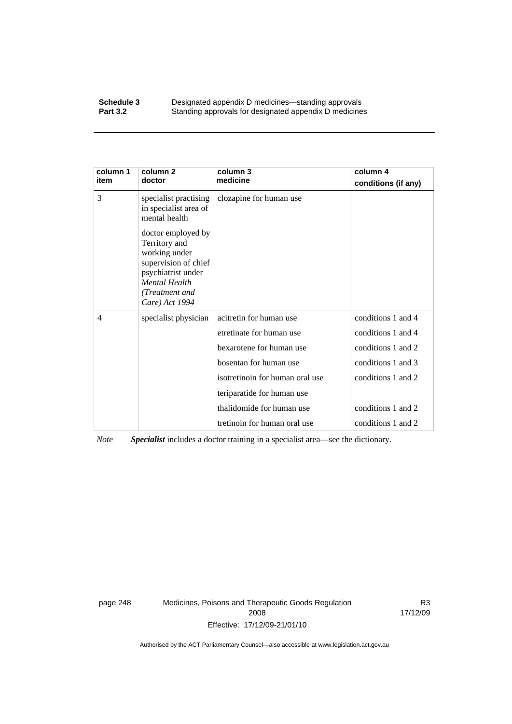### **Schedule 3 Designated appendix D medicines—standing approvals**<br>**Part 3.2 Standing approvals for designated appendix D medicine** Standing approvals for designated appendix D medicines

| column 1<br>item | column <sub>2</sub><br>doctor                                                                                                                                  | column 3<br>medicine            | column 4<br>conditions (if any) |
|------------------|----------------------------------------------------------------------------------------------------------------------------------------------------------------|---------------------------------|---------------------------------|
| 3                | specialist practising<br>in specialist area of<br>mental health                                                                                                | clozapine for human use         |                                 |
|                  | doctor employed by<br>Territory and<br>working under<br>supervision of chief<br>psychiatrist under<br><b>Mental Health</b><br>(Treatment and<br>Care) Act 1994 |                                 |                                 |
| 4                | specialist physician                                                                                                                                           | acitretin for human use         | conditions 1 and 4              |
|                  |                                                                                                                                                                | etretinate for human use        | conditions 1 and 4              |
|                  |                                                                                                                                                                | bexarotene for human use        | conditions 1 and 2              |
|                  |                                                                                                                                                                | bosentan for human use          | conditions 1 and 3              |
|                  |                                                                                                                                                                | isotretinoin for human oral use | conditions 1 and 2              |
|                  |                                                                                                                                                                | teriparatide for human use      |                                 |
|                  |                                                                                                                                                                | thalidomide for human use       | conditions 1 and 2              |
|                  |                                                                                                                                                                | tretinoin for human oral use    | conditions 1 and 2              |

*Note Specialist* includes a doctor training in a specialist area—see the dictionary.

page 248 Medicines, Poisons and Therapeutic Goods Regulation 2008 Effective: 17/12/09-21/01/10

R3 17/12/09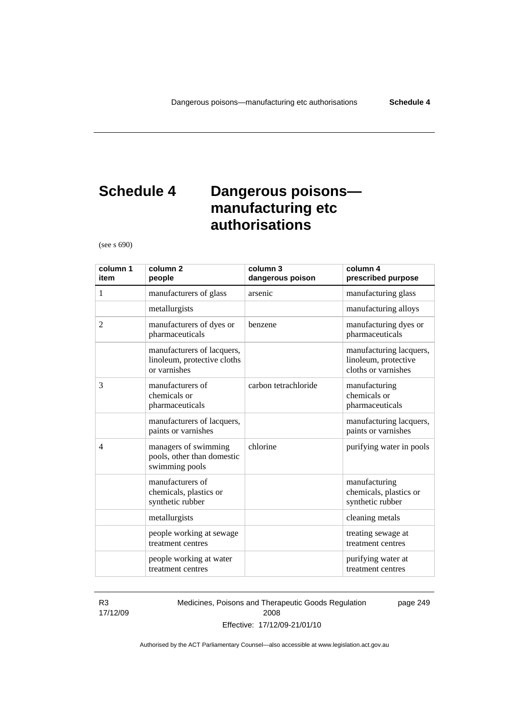# **Schedule 4 Dangerous poisons manufacturing etc authorisations**

(see s 690)

| column 1<br>item | column <sub>2</sub><br>people                                             | column 3<br>dangerous poison | column 4<br>prescribed purpose                                         |
|------------------|---------------------------------------------------------------------------|------------------------------|------------------------------------------------------------------------|
| 1                | manufacturers of glass                                                    | arsenic                      | manufacturing glass                                                    |
|                  | metallurgists                                                             |                              | manufacturing alloys                                                   |
| 2                | manufacturers of dyes or<br>pharmaceuticals                               | benzene                      | manufacturing dyes or<br>pharmaceuticals                               |
|                  | manufacturers of lacquers,<br>linoleum, protective cloths<br>or varnishes |                              | manufacturing lacquers,<br>linoleum, protective<br>cloths or varnishes |
| 3                | manufacturers of<br>chemicals or<br>pharmaceuticals                       | carbon tetrachloride         | manufacturing<br>chemicals or<br>pharmaceuticals                       |
|                  | manufacturers of lacquers,<br>paints or varnishes                         |                              | manufacturing lacquers,<br>paints or varnishes                         |
| $\overline{4}$   | managers of swimming<br>pools, other than domestic<br>swimming pools      | chlorine                     | purifying water in pools                                               |
|                  | manufacturers of<br>chemicals, plastics or<br>synthetic rubber            |                              | manufacturing<br>chemicals, plastics or<br>synthetic rubber            |
|                  | metallurgists                                                             |                              | cleaning metals                                                        |
|                  | people working at sewage<br>treatment centres                             |                              | treating sewage at<br>treatment centres                                |
|                  | people working at water<br>treatment centres                              |                              | purifying water at<br>treatment centres                                |

R3 17/12/09 Medicines, Poisons and Therapeutic Goods Regulation 2008 Effective: 17/12/09-21/01/10

page 249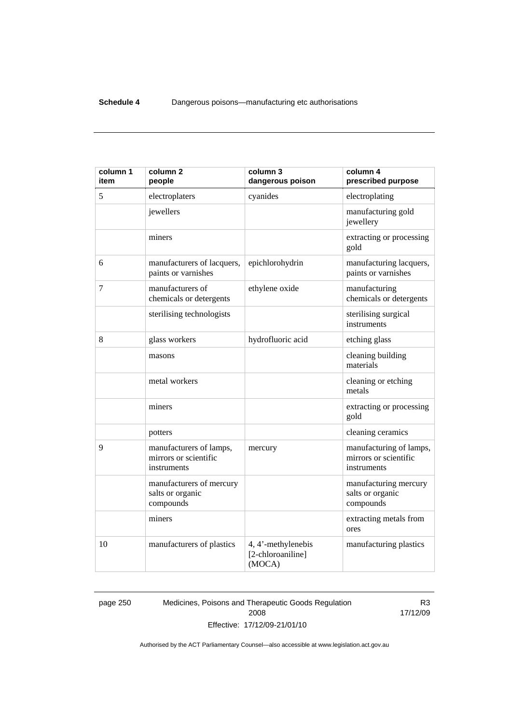| column 1<br>item | column <sub>2</sub><br>people                                   | column 3<br>dangerous poison                      | column 4<br>prescribed purpose                                  |
|------------------|-----------------------------------------------------------------|---------------------------------------------------|-----------------------------------------------------------------|
| 5                | electroplaters                                                  | cyanides                                          | electroplating                                                  |
|                  | jewellers                                                       |                                                   | manufacturing gold<br>jewellery                                 |
|                  | miners                                                          |                                                   | extracting or processing<br>gold                                |
| 6                | manufacturers of lacquers,<br>paints or varnishes               | epichlorohydrin                                   | manufacturing lacquers,<br>paints or varnishes                  |
| 7                | manufacturers of<br>chemicals or detergents                     | ethylene oxide                                    | manufacturing<br>chemicals or detergents                        |
|                  | sterilising technologists                                       |                                                   | sterilising surgical<br>instruments                             |
| 8                | glass workers                                                   | hydrofluoric acid                                 | etching glass                                                   |
|                  | masons                                                          |                                                   | cleaning building<br>materials                                  |
|                  | metal workers                                                   |                                                   | cleaning or etching<br>metals                                   |
|                  | miners                                                          |                                                   | extracting or processing<br>gold                                |
|                  | potters                                                         |                                                   | cleaning ceramics                                               |
| 9                | manufacturers of lamps,<br>mirrors or scientific<br>instruments | mercury                                           | manufacturing of lamps,<br>mirrors or scientific<br>instruments |
|                  | manufacturers of mercury<br>salts or organic<br>compounds       |                                                   | manufacturing mercury<br>salts or organic<br>compounds          |
|                  | miners                                                          |                                                   | extracting metals from<br>ores                                  |
| 10               | manufacturers of plastics                                       | 4, 4'-methylenebis<br>[2-chloroaniline]<br>(MOCA) | manufacturing plastics                                          |

page 250 Medicines, Poisons and Therapeutic Goods Regulation 2008 Effective: 17/12/09-21/01/10

R3 17/12/09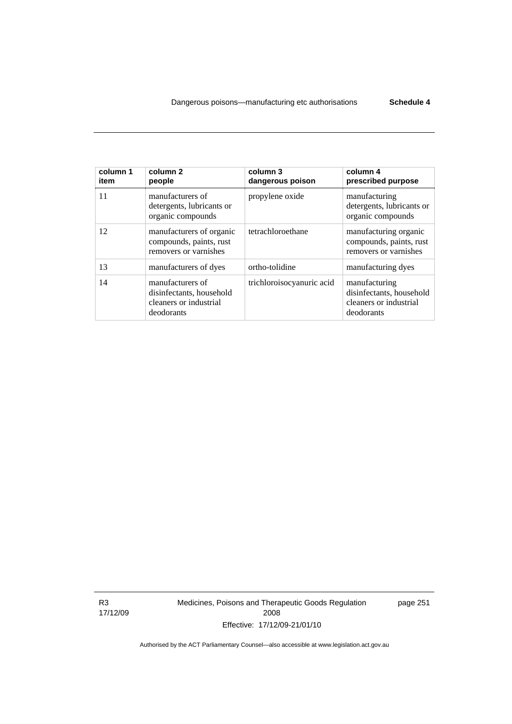| column 1<br>item | column <sub>2</sub><br>people                                                        | column 3<br>dangerous poison | column 4<br>prescribed purpose                                                    |
|------------------|--------------------------------------------------------------------------------------|------------------------------|-----------------------------------------------------------------------------------|
| 11               | manufacturers of<br>detergents, lubricants or<br>organic compounds                   | propylene oxide              | manufacturing<br>detergents, lubricants or<br>organic compounds                   |
| 12               | manufacturers of organic<br>compounds, paints, rust<br>removers or varnishes         | tetrachloroethane            | manufacturing organic<br>compounds, paints, rust<br>removers or varnishes         |
| 13               | manufacturers of dyes                                                                | ortho-tolidine               | manufacturing dyes                                                                |
| 14               | manufacturers of<br>disinfectants, household<br>cleaners or industrial<br>deodorants | trichloroisocyanuric acid    | manufacturing<br>disinfectants, household<br>cleaners or industrial<br>deodorants |

R3 17/12/09 Medicines, Poisons and Therapeutic Goods Regulation 2008 Effective: 17/12/09-21/01/10

page 251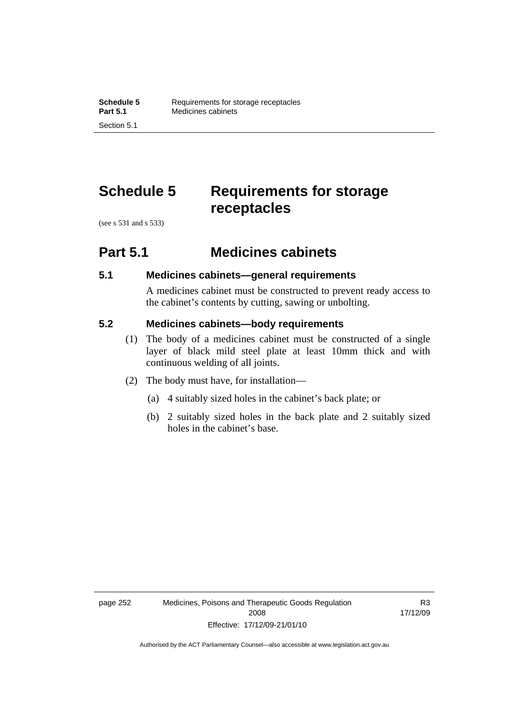# **Schedule 5 Requirements for storage receptacles**

(see s 531 and s 533)

## **Part 5.1 Medicines cabinets**

## **5.1 Medicines cabinets—general requirements**

A medicines cabinet must be constructed to prevent ready access to the cabinet's contents by cutting, sawing or unbolting.

## **5.2 Medicines cabinets—body requirements**

- (1) The body of a medicines cabinet must be constructed of a single layer of black mild steel plate at least 10mm thick and with continuous welding of all joints.
- (2) The body must have, for installation—
	- (a) 4 suitably sized holes in the cabinet's back plate; or
	- (b) 2 suitably sized holes in the back plate and 2 suitably sized holes in the cabinet's base.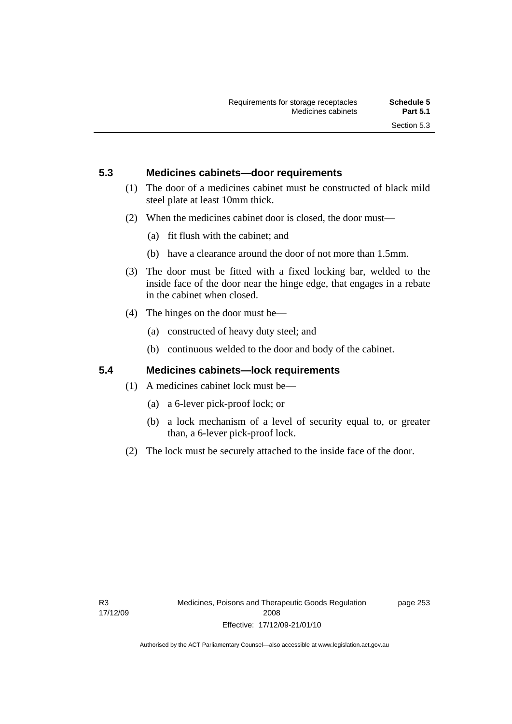## **5.3 Medicines cabinets—door requirements**

- (1) The door of a medicines cabinet must be constructed of black mild steel plate at least 10mm thick.
- (2) When the medicines cabinet door is closed, the door must—
	- (a) fit flush with the cabinet; and
	- (b) have a clearance around the door of not more than 1.5mm.
- (3) The door must be fitted with a fixed locking bar, welded to the inside face of the door near the hinge edge, that engages in a rebate in the cabinet when closed.
- (4) The hinges on the door must be—
	- (a) constructed of heavy duty steel; and
	- (b) continuous welded to the door and body of the cabinet.

## **5.4 Medicines cabinets—lock requirements**

- (1) A medicines cabinet lock must be—
	- (a) a 6-lever pick-proof lock; or
	- (b) a lock mechanism of a level of security equal to, or greater than, a 6-lever pick-proof lock.
- (2) The lock must be securely attached to the inside face of the door.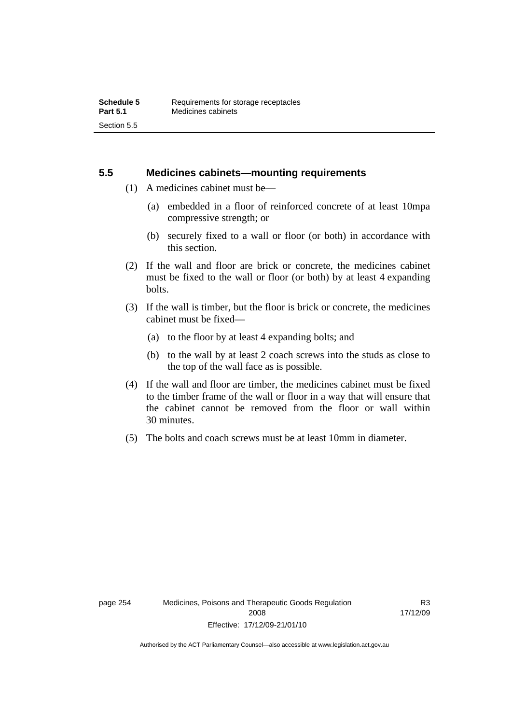## **5.5 Medicines cabinets—mounting requirements**

- (1) A medicines cabinet must be—
	- (a) embedded in a floor of reinforced concrete of at least 10mpa compressive strength; or
	- (b) securely fixed to a wall or floor (or both) in accordance with this section.
- (2) If the wall and floor are brick or concrete, the medicines cabinet must be fixed to the wall or floor (or both) by at least 4 expanding bolts.
- (3) If the wall is timber, but the floor is brick or concrete, the medicines cabinet must be fixed—
	- (a) to the floor by at least 4 expanding bolts; and
	- (b) to the wall by at least 2 coach screws into the studs as close to the top of the wall face as is possible.
- (4) If the wall and floor are timber, the medicines cabinet must be fixed to the timber frame of the wall or floor in a way that will ensure that the cabinet cannot be removed from the floor or wall within 30 minutes.
- (5) The bolts and coach screws must be at least 10mm in diameter.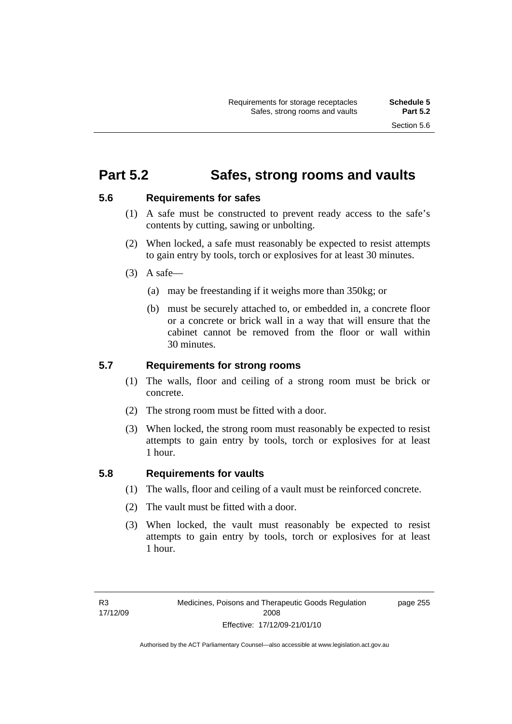## **Part 5.2 Safes, strong rooms and vaults**

## **5.6 Requirements for safes**

- (1) A safe must be constructed to prevent ready access to the safe's contents by cutting, sawing or unbolting.
- (2) When locked, a safe must reasonably be expected to resist attempts to gain entry by tools, torch or explosives for at least 30 minutes.
- $(3)$  A safe-
	- (a) may be freestanding if it weighs more than 350kg; or
	- (b) must be securely attached to, or embedded in, a concrete floor or a concrete or brick wall in a way that will ensure that the cabinet cannot be removed from the floor or wall within 30 minutes.

## **5.7 Requirements for strong rooms**

- (1) The walls, floor and ceiling of a strong room must be brick or concrete.
- (2) The strong room must be fitted with a door.
- (3) When locked, the strong room must reasonably be expected to resist attempts to gain entry by tools, torch or explosives for at least 1 hour.

## **5.8 Requirements for vaults**

- (1) The walls, floor and ceiling of a vault must be reinforced concrete.
- (2) The vault must be fitted with a door.
- (3) When locked, the vault must reasonably be expected to resist attempts to gain entry by tools, torch or explosives for at least 1 hour.

page 255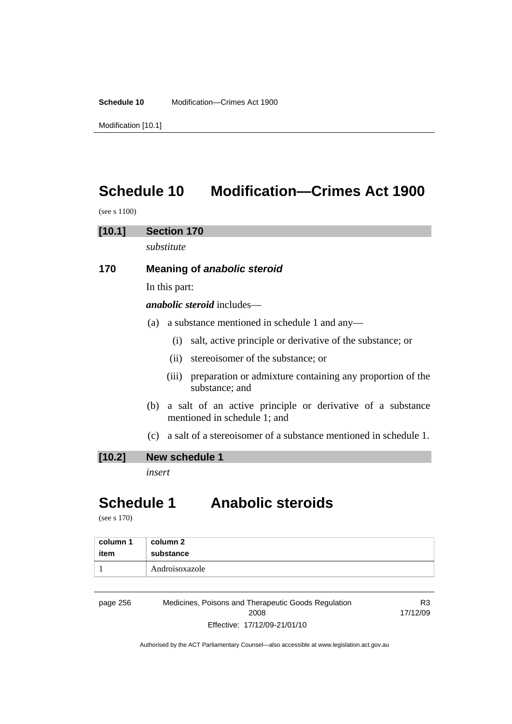**Schedule 10** Modification—Crimes Act 1900

Modification [10.1]

# **Schedule 10 Modification—Crimes Act 1900**

(see s 1100)

## **[10.1] Section 170**

*substitute* 

## **170 Meaning of** *anabolic steroid*

In this part:

*anabolic steroid* includes—

- (a) a substance mentioned in schedule 1 and any—
	- (i) salt, active principle or derivative of the substance; or
	- (ii) stereoisomer of the substance; or
	- (iii) preparation or admixture containing any proportion of the substance; and
- (b) a salt of an active principle or derivative of a substance mentioned in schedule 1; and
- (c) a salt of a stereoisomer of a substance mentioned in schedule 1.

## **[10.2] New schedule 1**

*insert* 

# **Schedule 1 Anabolic steroids**

(see s 170)

| column 1 | column 2       |
|----------|----------------|
| item     | substance      |
|          | Androisoxazole |

page 256 Medicines, Poisons and Therapeutic Goods Regulation 2008 Effective: 17/12/09-21/01/10

R3 17/12/09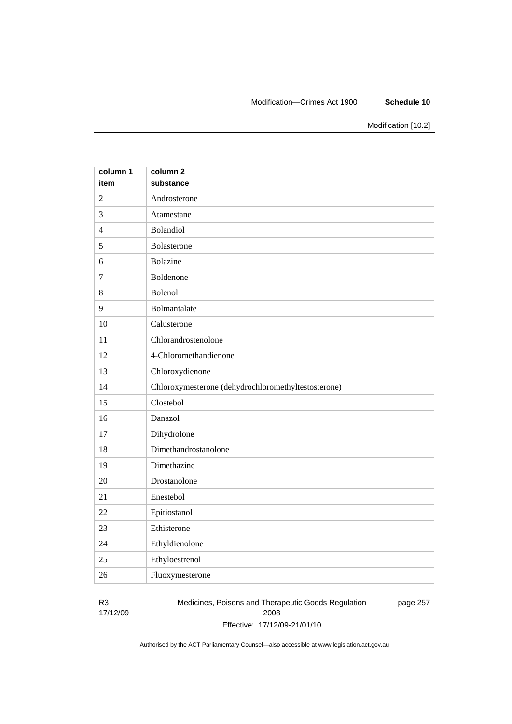### Modification—Crimes Act 1900 **Schedule 10**

Modification [10.2]

| column 1       | column <sub>2</sub>                                 |
|----------------|-----------------------------------------------------|
| item           | substance                                           |
| $\overline{2}$ | Androsterone                                        |
| 3              | Atamestane                                          |
| $\overline{4}$ | Bolandiol                                           |
| 5              | Bolasterone                                         |
| 6              | <b>Bolazine</b>                                     |
| $\overline{7}$ | Boldenone                                           |
| 8              | Bolenol                                             |
| 9              | Bolmantalate                                        |
| 10             | Calusterone                                         |
| 11             | Chlorandrostenolone                                 |
| 12             | 4-Chloromethandienone                               |
| 13             | Chloroxydienone                                     |
| 14             | Chloroxymesterone (dehydrochloromethyltestosterone) |
| 15             | Clostebol                                           |
| 16             | Danazol                                             |
| 17             | Dihydrolone                                         |
| 18             | Dimethandrostanolone                                |
| 19             | Dimethazine                                         |
| 20             | Drostanolone                                        |
| 21             | Enestebol                                           |
| 22             | Epitiostanol                                        |
| 23             | Ethisterone                                         |
| 24             | Ethyldienolone                                      |
| 25             | Ethyloestrenol                                      |
| 26             | Fluoxymesterone                                     |

R3 17/12/09 Medicines, Poisons and Therapeutic Goods Regulation 2008 Effective: 17/12/09-21/01/10 page 257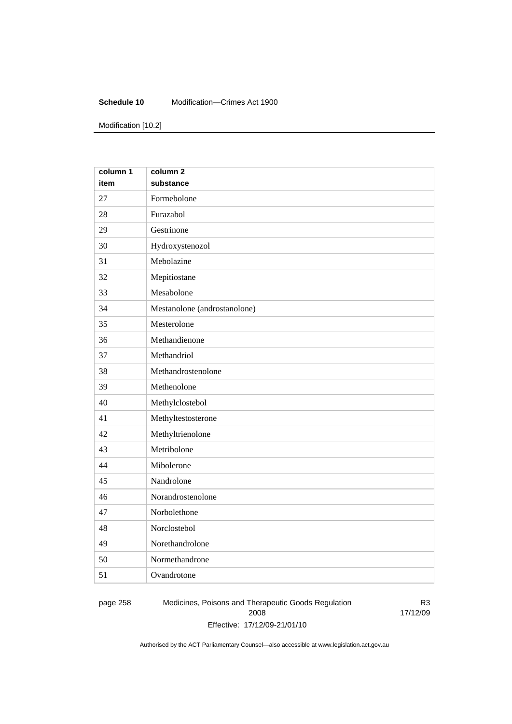### **Schedule 10** Modification—Crimes Act 1900

Modification [10.2]

| column 1 | column <sub>2</sub>          |
|----------|------------------------------|
| item     | substance                    |
| 27       | Formebolone                  |
| 28       | Furazabol                    |
| 29       | Gestrinone                   |
| 30       | Hydroxystenozol              |
| 31       | Mebolazine                   |
| 32       | Mepitiostane                 |
| 33       | Mesabolone                   |
| 34       | Mestanolone (androstanolone) |
| 35       | Mesterolone                  |
| 36       | Methandienone                |
| 37       | Methandriol                  |
| 38       | Methandrostenolone           |
| 39       | Methenolone                  |
| 40       | Methylclostebol              |
| 41       | Methyltestosterone           |
| 42       | Methyltrienolone             |
| 43       | Metribolone                  |
| 44       | Mibolerone                   |
| 45       | Nandrolone                   |
| 46       | Norandrostenolone            |
| 47       | Norbolethone                 |
| 48       | Norclostebol                 |
| 49       | Norethandrolone              |
| 50       | Normethandrone               |
| 51       | Ovandrotone                  |

page 258 Medicines, Poisons and Therapeutic Goods Regulation 2008 Effective: 17/12/09-21/01/10

R3 17/12/09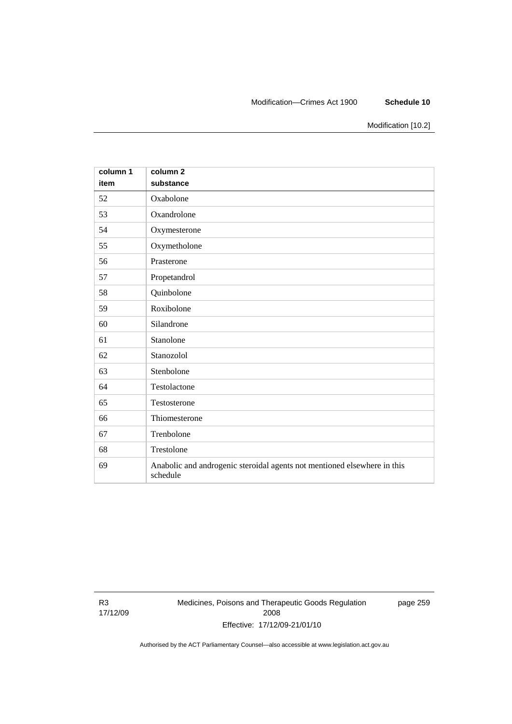### Modification—Crimes Act 1900 **Schedule 10**

Modification [10.2]

| column 1<br>item | column <sub>2</sub><br>substance                                                     |
|------------------|--------------------------------------------------------------------------------------|
| 52               | Oxabolone                                                                            |
| 53               | Oxandrolone                                                                          |
| 54               | Oxymesterone                                                                         |
| 55               | Oxymetholone                                                                         |
| 56               | Prasterone                                                                           |
| 57               | Propetandrol                                                                         |
| 58               | Quinbolone                                                                           |
| 59               | Roxibolone                                                                           |
| 60               | Silandrone                                                                           |
| 61               | Stanolone                                                                            |
| 62               | Stanozolol                                                                           |
| 63               | Stenbolone                                                                           |
| 64               | Testolactone                                                                         |
| 65               | Testosterone                                                                         |
| 66               | Thiomesterone                                                                        |
| 67               | Trenbolone                                                                           |
| 68               | Trestolone                                                                           |
| 69               | Anabolic and androgenic steroidal agents not mentioned elsewhere in this<br>schedule |

R3 17/12/09 Medicines, Poisons and Therapeutic Goods Regulation 2008 Effective: 17/12/09-21/01/10

page 259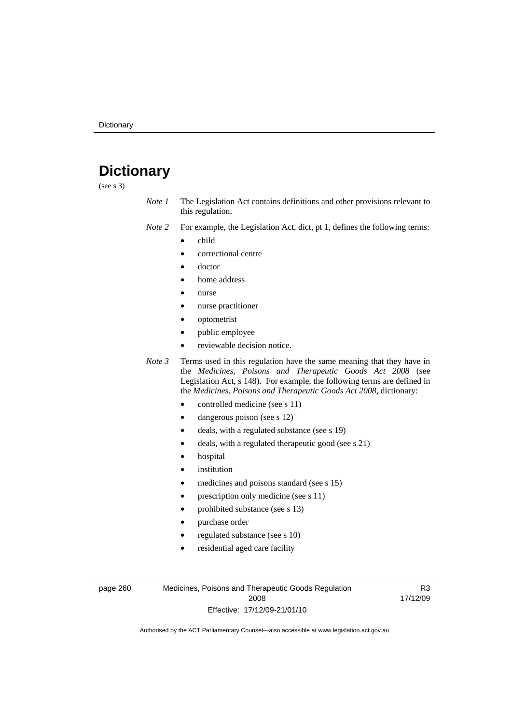# **Dictionary**

(see s 3)

- *Note 1* The Legislation Act contains definitions and other provisions relevant to this regulation.
- *Note 2* For example, the Legislation Act, dict, pt 1, defines the following terms:
	- child
		- correctional centre
		- doctor
		- home address
		- nurse
		- nurse practitioner
		- optometrist
		- public employee
		- reviewable decision notice.

*Note 3* Terms used in this regulation have the same meaning that they have in the *Medicines, Poisons and Therapeutic Goods Act 2008* (see Legislation Act, s 148). For example, the following terms are defined in the *Medicines, Poisons and Therapeutic Goods Act 2008*, dictionary:

- controlled medicine (see s 11)
- dangerous poison (see s 12)
- deals, with a regulated substance (see s 19)
- deals, with a regulated therapeutic good (see s 21)
- hospital
- *institution*
- medicines and poisons standard (see s 15)
- prescription only medicine (see s 11)
- prohibited substance (see s 13)
- purchase order
- regulated substance (see s 10)
- residential aged care facility

page 260 Medicines, Poisons and Therapeutic Goods Regulation 2008 Effective: 17/12/09-21/01/10

R3 17/12/09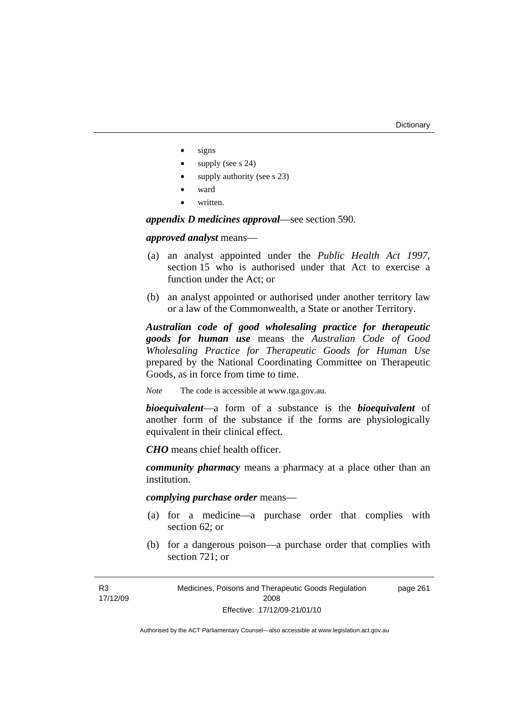- signs
- supply (see s 24)
- supply authority (see s 23)
- ward
- written.

*appendix D medicines approval*—see section 590.

*approved analyst* means—

- (a) an analyst appointed under the *Public Health Act 1997*, section 15 who is authorised under that Act to exercise a function under the Act; or
- (b) an analyst appointed or authorised under another territory law or a law of the Commonwealth, a State or another Territory.

*Australian code of good wholesaling practice for therapeutic goods for human use* means the *Australian Code of Good Wholesaling Practice for Therapeutic Goods for Human Use*  prepared by the National Coordinating Committee on Therapeutic Goods, as in force from time to time.

*Note* The code is accessible at www.tga.gov.au.

*bioequivalent*—a form of a substance is the *bioequivalent* of another form of the substance if the forms are physiologically equivalent in their clinical effect.

*CHO* means chief health officer.

*community pharmacy* means a pharmacy at a place other than an institution.

*complying purchase order* means—

- (a) for a medicine—a purchase order that complies with section 62; or
- (b) for a dangerous poison—a purchase order that complies with section 721; or

Medicines, Poisons and Therapeutic Goods Regulation 2008 Effective: 17/12/09-21/01/10 page 261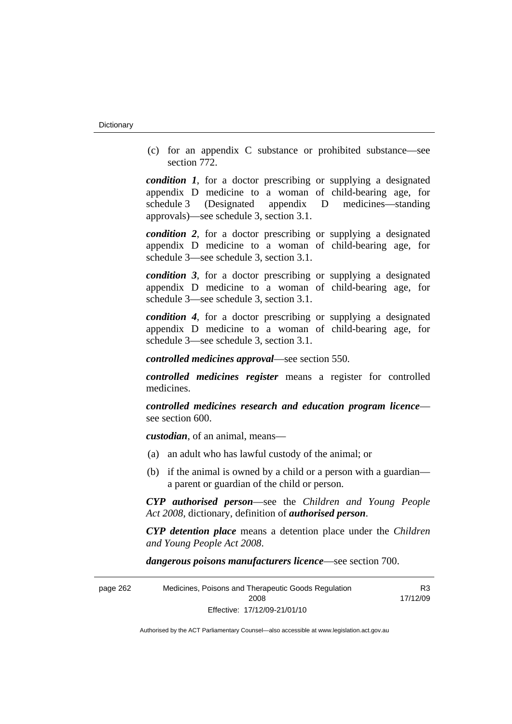(c) for an appendix C substance or prohibited substance—see section 772.

*condition 1*, for a doctor prescribing or supplying a designated appendix D medicine to a woman of child-bearing age, for schedule 3 (Designated appendix D medicines—standing approvals)—see schedule 3, section 3.1.

*condition 2*, for a doctor prescribing or supplying a designated appendix D medicine to a woman of child-bearing age, for schedule 3—see schedule 3, section 3.1.

*condition 3*, for a doctor prescribing or supplying a designated appendix D medicine to a woman of child-bearing age, for schedule 3—see schedule 3, section 3.1.

*condition 4*, for a doctor prescribing or supplying a designated appendix D medicine to a woman of child-bearing age, for schedule 3—see schedule 3, section 3.1.

*controlled medicines approval*—see section 550.

*controlled medicines register* means a register for controlled medicines.

*controlled medicines research and education program licence* see section 600.

*custodian*, of an animal, means—

- (a) an adult who has lawful custody of the animal; or
- (b) if the animal is owned by a child or a person with a guardian a parent or guardian of the child or person.

*CYP authorised person*—see the *Children and Young People Act 2008*, dictionary, definition of *authorised person*.

*CYP detention place* means a detention place under the *Children and Young People Act 2008*.

*dangerous poisons manufacturers licence*—see section 700.

| page 262 | Medicines, Poisons and Therapeutic Goods Regulation | R <sub>3</sub> |
|----------|-----------------------------------------------------|----------------|
|          | 2008                                                | 17/12/09       |
|          | Effective: 17/12/09-21/01/10                        |                |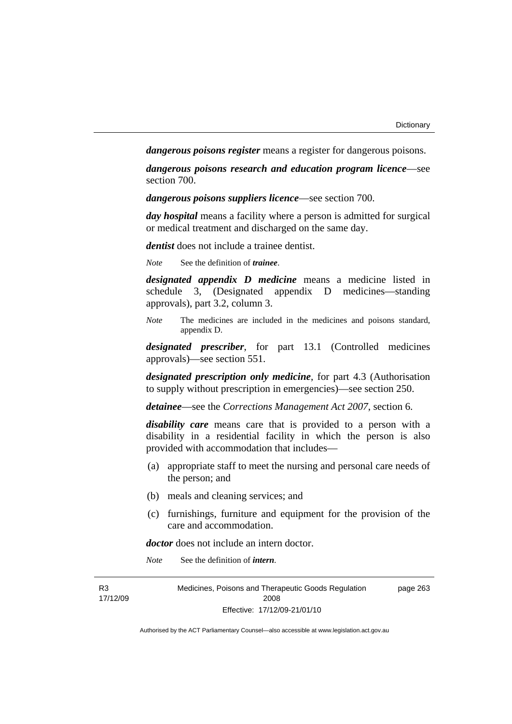*dangerous poisons register* means a register for dangerous poisons.

*dangerous poisons research and education program licence*—see section 700.

*dangerous poisons suppliers licence*—see section 700.

*day hospital* means a facility where a person is admitted for surgical or medical treatment and discharged on the same day.

*dentist* does not include a trainee dentist.

*Note* See the definition of *trainee*.

*designated appendix D medicine* means a medicine listed in schedule 3, (Designated appendix D medicines—standing approvals), part 3.2, column 3.

*Note* The medicines are included in the medicines and poisons standard, appendix D.

*designated prescriber*, for part 13.1 (Controlled medicines approvals)—see section 551.

*designated prescription only medicine*, for part 4.3 (Authorisation to supply without prescription in emergencies)—see section 250.

*detainee*—see the *Corrections Management Act 2007*, section 6.

*disability care* means care that is provided to a person with a disability in a residential facility in which the person is also provided with accommodation that includes—

- (a) appropriate staff to meet the nursing and personal care needs of the person; and
- (b) meals and cleaning services; and
- (c) furnishings, furniture and equipment for the provision of the care and accommodation.

*doctor* does not include an intern doctor.

*Note* See the definition of *intern*.

| R <sub>3</sub> | Medicines, Poisons and Therapeutic Goods Regulation | page 263 |
|----------------|-----------------------------------------------------|----------|
| 17/12/09       | 2008                                                |          |
|                | Effective: 17/12/09-21/01/10                        |          |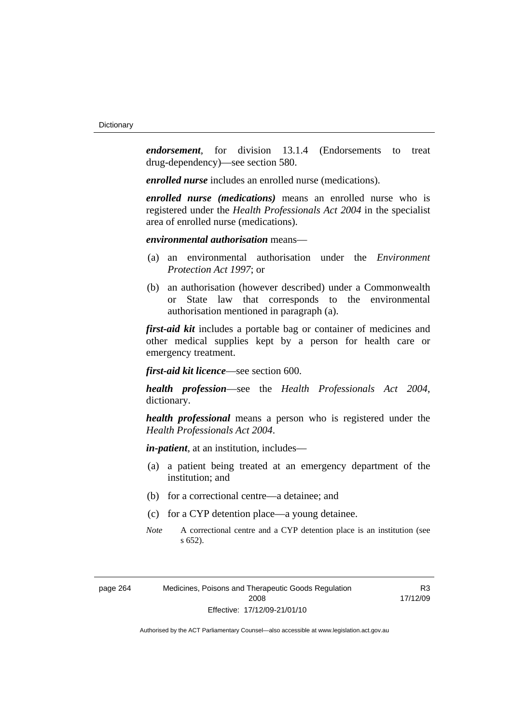*endorsement*, for division 13.1.4 (Endorsements to treat drug-dependency)—see section 580.

*enrolled nurse* includes an enrolled nurse (medications).

*enrolled nurse (medications)* means an enrolled nurse who is registered under the *Health Professionals Act 2004* in the specialist area of enrolled nurse (medications).

## *environmental authorisation* means—

- (a) an environmental authorisation under the *Environment Protection Act 1997*; or
- (b) an authorisation (however described) under a Commonwealth or State law that corresponds to the environmental authorisation mentioned in paragraph (a).

*first-aid kit* includes a portable bag or container of medicines and other medical supplies kept by a person for health care or emergency treatment.

*first-aid kit licence*—see section 600.

*health profession*—see the *Health Professionals Act 2004*, dictionary.

*health professional* means a person who is registered under the *Health Professionals Act 2004*.

*in-patient*, at an institution, includes—

- (a) a patient being treated at an emergency department of the institution; and
- (b) for a correctional centre—a detainee; and
- (c) for a CYP detention place—a young detainee.
- *Note* A correctional centre and a CYP detention place is an institution (see s 652).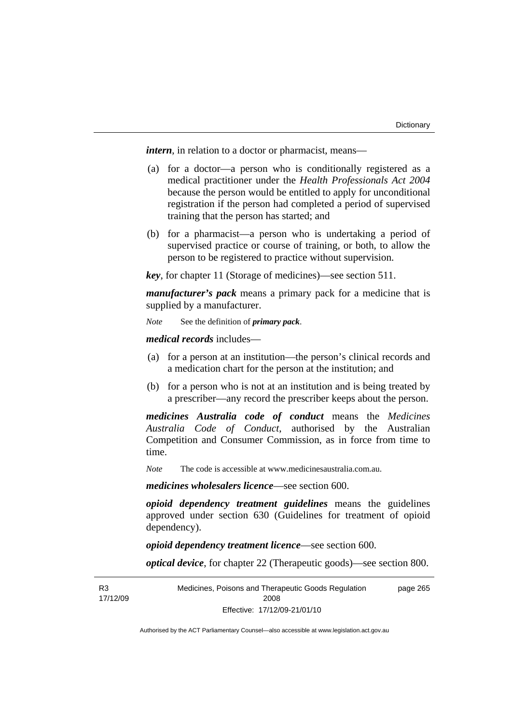*intern*, in relation to a doctor or pharmacist, means—

- (a) for a doctor—a person who is conditionally registered as a medical practitioner under the *Health Professionals Act 2004* because the person would be entitled to apply for unconditional registration if the person had completed a period of supervised training that the person has started; and
- (b) for a pharmacist—a person who is undertaking a period of supervised practice or course of training, or both, to allow the person to be registered to practice without supervision.

*key*, for chapter 11 (Storage of medicines)—see section 511.

*manufacturer's pack* means a primary pack for a medicine that is supplied by a manufacturer.

*Note* See the definition of *primary pack*.

*medical records* includes—

- (a) for a person at an institution—the person's clinical records and a medication chart for the person at the institution; and
- (b) for a person who is not at an institution and is being treated by a prescriber—any record the prescriber keeps about the person.

*medicines Australia code of conduct* means the *Medicines Australia Code of Conduct*, authorised by the Australian Competition and Consumer Commission, as in force from time to time.

*Note* The code is accessible at www.medicinesaustralia.com.au.

*medicines wholesalers licence*—see section 600.

*opioid dependency treatment guidelines* means the guidelines approved under section 630 (Guidelines for treatment of opioid dependency).

*opioid dependency treatment licence*—see section 600.

*optical device*, for chapter 22 (Therapeutic goods)—see section 800.

**R3** 17/12/09 Medicines, Poisons and Therapeutic Goods Regulation 2008 Effective: 17/12/09-21/01/10 page 265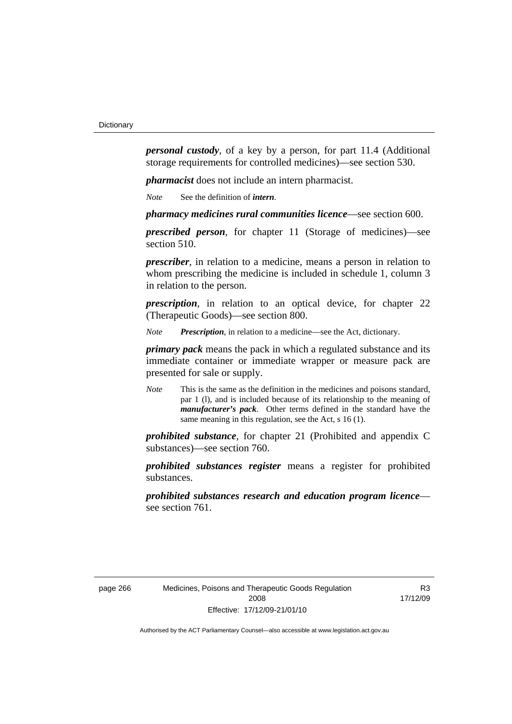*personal custody*, of a key by a person, for part 11.4 (Additional storage requirements for controlled medicines)—see section 530.

*pharmacist* does not include an intern pharmacist.

*Note* See the definition of *intern*.

*pharmacy medicines rural communities licence*—see section 600.

*prescribed person*, for chapter 11 (Storage of medicines)—see section 510.

*prescriber*, in relation to a medicine, means a person in relation to whom prescribing the medicine is included in schedule 1, column 3 in relation to the person.

*prescription*, in relation to an optical device, for chapter 22 (Therapeutic Goods)—see section 800.

*Note Prescription*, in relation to a medicine—see the Act, dictionary.

*primary pack* means the pack in which a regulated substance and its immediate container or immediate wrapper or measure pack are presented for sale or supply.

*Note* This is the same as the definition in the medicines and poisons standard, par 1 (l), and is included because of its relationship to the meaning of *manufacturer's pack*. Other terms defined in the standard have the same meaning in this regulation, see the Act, s 16 (1).

*prohibited substance*, for chapter 21 (Prohibited and appendix C substances)—see section 760.

*prohibited substances register* means a register for prohibited substances.

*prohibited substances research and education program licence* see section 761.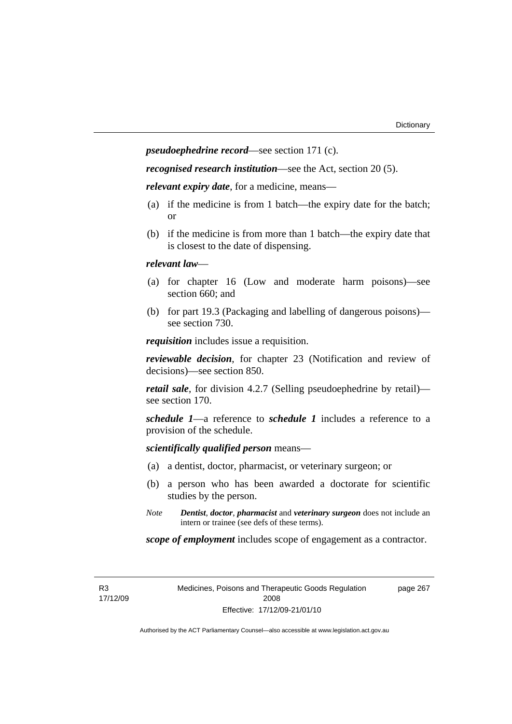*pseudoephedrine record*—see section 171 (c).

*recognised research institution*—see the Act, section 20 (5).

*relevant expiry date*, for a medicine, means—

- (a) if the medicine is from 1 batch—the expiry date for the batch; or
- (b) if the medicine is from more than 1 batch—the expiry date that is closest to the date of dispensing.

### *relevant law*—

- (a) for chapter 16 (Low and moderate harm poisons)—see section 660; and
- (b) for part 19.3 (Packaging and labelling of dangerous poisons) see section 730.

*requisition* includes issue a requisition.

*reviewable decision*, for chapter 23 (Notification and review of decisions)—see section 850.

*retail sale*, for division 4.2.7 (Selling pseudoephedrine by retail) see section 170.

*schedule 1*—a reference to *schedule 1* includes a reference to a provision of the schedule.

*scientifically qualified person* means—

- (a) a dentist, doctor, pharmacist, or veterinary surgeon; or
- (b) a person who has been awarded a doctorate for scientific studies by the person.
- *Note Dentist*, *doctor*, *pharmacist* and *veterinary surgeon* does not include an intern or trainee (see defs of these terms).

*scope of employment* includes scope of engagement as a contractor.

R3 17/12/09 Medicines, Poisons and Therapeutic Goods Regulation 2008 Effective: 17/12/09-21/01/10

page 267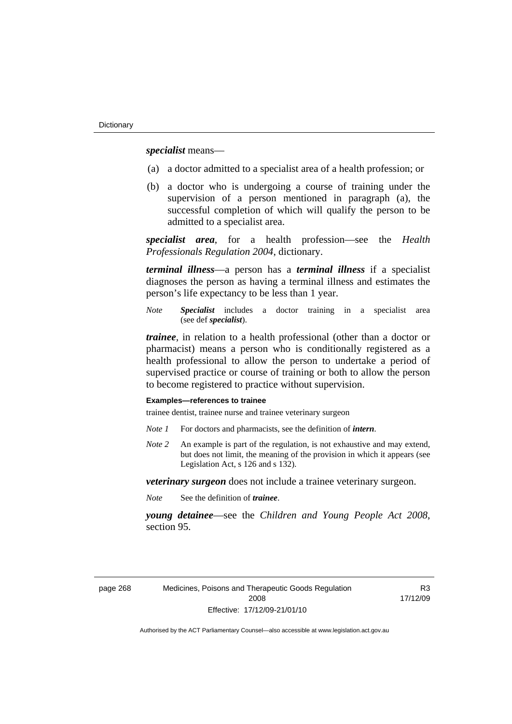*specialist* means—

- (a) a doctor admitted to a specialist area of a health profession; or
- (b) a doctor who is undergoing a course of training under the supervision of a person mentioned in paragraph (a), the successful completion of which will qualify the person to be admitted to a specialist area.

*specialist area*, for a health profession—see the *Health Professionals Regulation 2004*, dictionary.

*terminal illness*—a person has a *terminal illness* if a specialist diagnoses the person as having a terminal illness and estimates the person's life expectancy to be less than 1 year.

*Note Specialist* includes a doctor training in a specialist area (see def *specialist*).

*trainee*, in relation to a health professional (other than a doctor or pharmacist) means a person who is conditionally registered as a health professional to allow the person to undertake a period of supervised practice or course of training or both to allow the person to become registered to practice without supervision.

#### **Examples—references to trainee**

trainee dentist, trainee nurse and trainee veterinary surgeon

- *Note 1* For doctors and pharmacists, see the definition of *intern*.
- *Note 2* An example is part of the regulation, is not exhaustive and may extend, but does not limit, the meaning of the provision in which it appears (see Legislation Act, s 126 and s 132).

*veterinary surgeon* does not include a trainee veterinary surgeon.

*Note* See the definition of *trainee*.

*young detainee*—see the *Children and Young People Act 2008*, section 95.

page 268 Medicines, Poisons and Therapeutic Goods Regulation 2008 Effective: 17/12/09-21/01/10

R3 17/12/09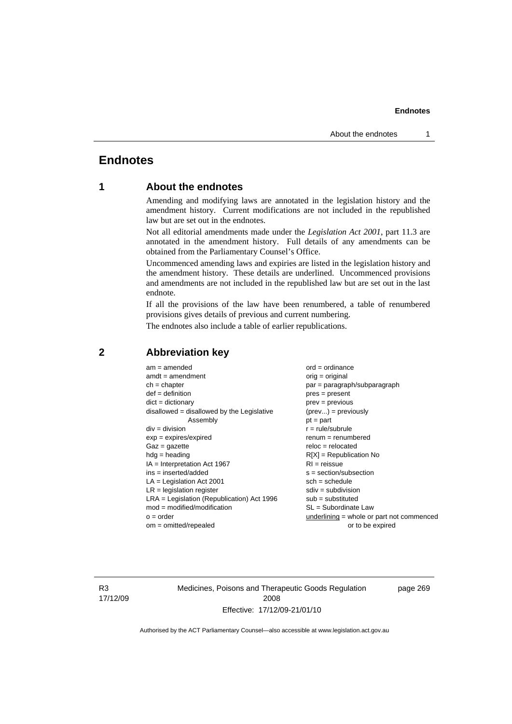# **Endnotes**

# **1 About the endnotes**

Amending and modifying laws are annotated in the legislation history and the amendment history. Current modifications are not included in the republished law but are set out in the endnotes.

Not all editorial amendments made under the *Legislation Act 2001*, part 11.3 are annotated in the amendment history. Full details of any amendments can be obtained from the Parliamentary Counsel's Office.

Uncommenced amending laws and expiries are listed in the legislation history and the amendment history. These details are underlined. Uncommenced provisions and amendments are not included in the republished law but are set out in the last endnote.

If all the provisions of the law have been renumbered, a table of renumbered provisions gives details of previous and current numbering.

The endnotes also include a table of earlier republications.

| $am = amended$                               | $ord = ordinance$                         |  |  |
|----------------------------------------------|-------------------------------------------|--|--|
| $amdt = amendment$                           | orig = original                           |  |  |
| $ch = chapter$                               | par = paragraph/subparagraph              |  |  |
| $def = definition$                           | $pres = present$                          |  |  |
| $dict = dictionary$                          | $prev = previous$                         |  |  |
| $disallowed = disallowed by the Legislative$ | $(\text{prev}) = \text{previously}$       |  |  |
| Assembly                                     | $pt = part$                               |  |  |
| $div = division$                             | $r = rule/subrule$                        |  |  |
| $exp = expires/expired$                      | $renum = renumbered$                      |  |  |
| $Gaz = gazette$                              | $reloc = relocated$                       |  |  |
| $hdg =$ heading                              | $R[X]$ = Republication No                 |  |  |
| $IA = Interpretation Act 1967$               | $RI = reissue$                            |  |  |
| $ins = inserted/added$                       | $s = section/subsection$                  |  |  |
| $LA =$ Legislation Act 2001                  | $sch = schedule$                          |  |  |
| $LR =$ legislation register                  | $sdiv = subdivision$                      |  |  |
| $LRA =$ Legislation (Republication) Act 1996 | $sub = substituted$                       |  |  |
| $mod = modified/modification$                | SL = Subordinate Law                      |  |  |
| $o = order$                                  | underlining = whole or part not commenced |  |  |
| $om = omitted/report$                        | or to be expired                          |  |  |
|                                              |                                           |  |  |

# **2 Abbreviation key**

R3 17/12/09 Medicines, Poisons and Therapeutic Goods Regulation 2008 Effective: 17/12/09-21/01/10

page 269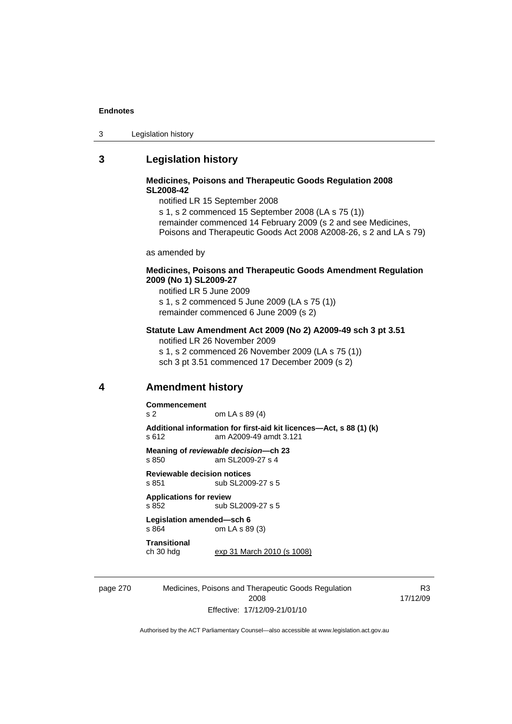| Legislation history<br>- 3 |
|----------------------------|
|----------------------------|

# **3 Legislation history**

#### **Medicines, Poisons and Therapeutic Goods Regulation 2008 SL2008-42**

notified LR 15 September 2008

s 1, s 2 commenced 15 September 2008 (LA s 75 (1)) remainder commenced 14 February 2009 (s 2 and see Medicines, Poisons and Therapeutic Goods Act 2008 A2008-26, s 2 and LA s 79)

as amended by

#### **Medicines, Poisons and Therapeutic Goods Amendment Regulation 2009 (No 1) SL2009-27**

notified LR 5 June 2009 s 1, s 2 commenced 5 June 2009 (LA s 75 (1)) remainder commenced 6 June 2009 (s 2)

#### **Statute Law Amendment Act 2009 (No 2) A2009-49 sch 3 pt 3.51**  notified LR 26 November 2009

s 1, s 2 commenced 26 November 2009 (LA s 75 (1)) sch 3 pt 3.51 commenced 17 December 2009 (s 2)

# **4 Amendment history**

**Commencement** 

s 2 om LA s 89 (4)

**Additional information for first-aid kit licences—Act, s 88 (1) (k)**  s 612 am A2009-49 amdt 3.121

**Meaning of** *reviewable decision—***ch 23**  s 850 am SL2009-27 s 4

**Reviewable decision notices**  s 851 sub SL2009-27 s 5

**Applications for review**  s 852 sub SL2009-27 s 5

**Legislation amended—sch 6**  s 864 om LA s 89 (3)

**Transitional** 

ch 30 hdg exp 31 March 2010 (s 1008)

page 270 Medicines, Poisons and Therapeutic Goods Regulation 2008 Effective: 17/12/09-21/01/10

R3 17/12/09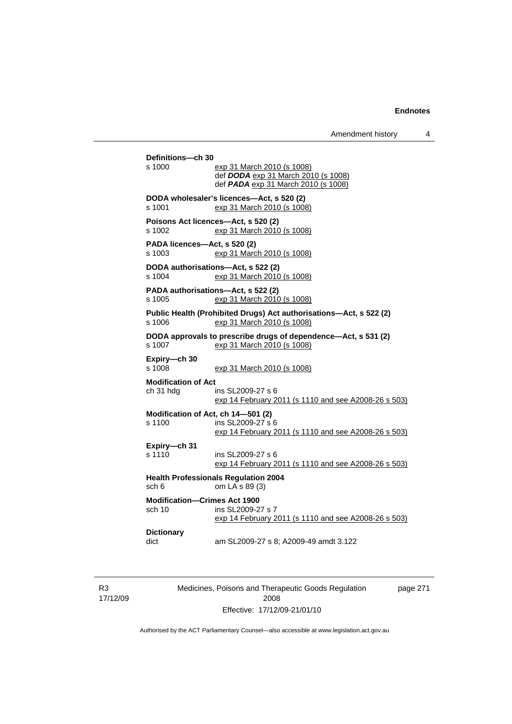| s 1000                                 | exp 31 March 2010 (s 1008)                                                                       |
|----------------------------------------|--------------------------------------------------------------------------------------------------|
|                                        | def DODA exp 31 March 2010 (s 1008)                                                              |
|                                        | def PADA exp 31 March 2010 (s 1008)                                                              |
| s 1001                                 | DODA wholesaler's licences-Act, s 520 (2)<br>exp 31 March 2010 (s 1008)                          |
| s 1002                                 | Poisons Act licences-Act, s 520 (2)<br>exp 31 March 2010 (s 1008)                                |
| PADA licences-Act, s 520 (2)<br>s 1003 | exp 31 March 2010 (s 1008)                                                                       |
| s 1004                                 | DODA authorisations-Act, s 522 (2)<br>exp 31 March 2010 (s 1008)                                 |
| s 1005                                 | PADA authorisations-Act, s 522 (2)<br>exp 31 March 2010 (s 1008)                                 |
| s 1006                                 | Public Health (Prohibited Drugs) Act authorisations-Act, s 522 (2)<br>exp 31 March 2010 (s 1008) |
| s 1007                                 | DODA approvals to prescribe drugs of dependence-Act, s 531 (2)<br>exp 31 March 2010 (s 1008)     |
| Expiry-ch 30<br>s 1008                 | exp 31 March 2010 (s 1008)                                                                       |
| <b>Modification of Act</b>             |                                                                                                  |
| ch 31 hdg                              | ins SL2009-27 s 6<br>exp 14 February 2011 (s 1110 and see A2008-26 s 503)                        |
|                                        | Modification of Act, ch 14-501 (2)                                                               |
| $s$ 1100                               | ins SL 2009-27 s 6<br>exp 14 February 2011 (s 1110 and see A2008-26 s 503)                       |
| Expiry-ch 31                           |                                                                                                  |
| s 1110                                 | ins SL2009-27 s 6<br>exp 14 February 2011 (s 1110 and see A2008-26 s 503)                        |
| sch 6                                  | <b>Health Professionals Regulation 2004</b><br>om LA s 89 (3)                                    |
| <b>Modification-Crimes Act 1900</b>    |                                                                                                  |
| sch 10                                 | ins SL2009-27 s 7<br>exp 14 February 2011 (s 1110 and see A2008-26 s 503)                        |
| <b>Dictionary</b>                      |                                                                                                  |

R3 17/12/09 Medicines, Poisons and Therapeutic Goods Regulation 2008 Effective: 17/12/09-21/01/10

page 271